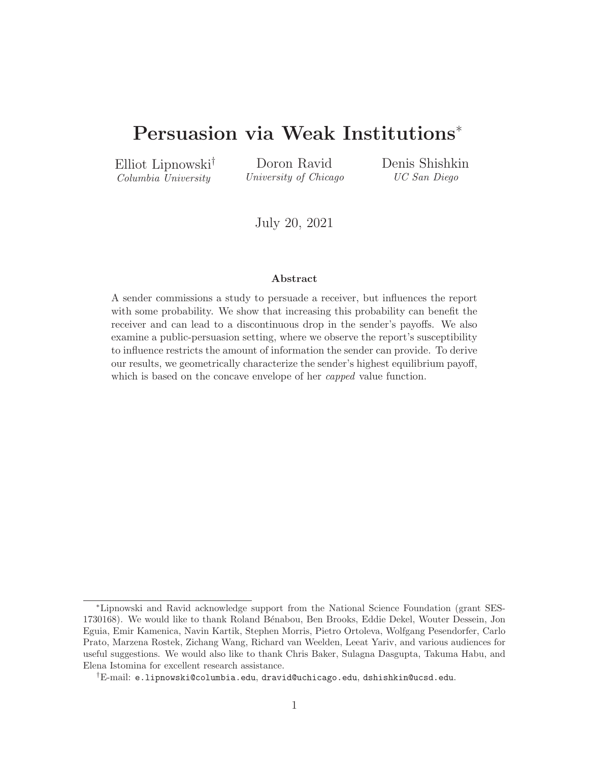# <span id="page-0-0"></span>Persuasion via Weak Institutions<sup>∗</sup>

Elliot Lipnowski† Columbia University

Doron Ravid University of Chicago Denis Shishkin UC San Diego

July 20, 2021

#### Abstract

A sender commissions a study to persuade a receiver, but influences the report with some probability. We show that increasing this probability can benefit the receiver and can lead to a discontinuous drop in the sender's payoffs. We also examine a public-persuasion setting, where we observe the report's susceptibility to influence restricts the amount of information the sender can provide. To derive our results, we geometrically characterize the sender's highest equilibrium payoff, which is based on the concave envelope of her *capped* value function.

<sup>∗</sup>Lipnowski and Ravid acknowledge support from the National Science Foundation (grant SES-1730168). We would like to thank Roland Bénabou, Ben Brooks, Eddie Dekel, Wouter Dessein, Jon Eguia, Emir Kamenica, Navin Kartik, Stephen Morris, Pietro Ortoleva, Wolfgang Pesendorfer, Carlo Prato, Marzena Rostek, Zichang Wang, Richard van Weelden, Leeat Yariv, and various audiences for useful suggestions. We would also like to thank Chris Baker, Sulagna Dasgupta, Takuma Habu, and Elena Istomina for excellent research assistance.

 $^\dagger$ E-mail: e.lipnowski@columbia.edu, dravid@uchicago.edu, dshishkin@ucsd.edu.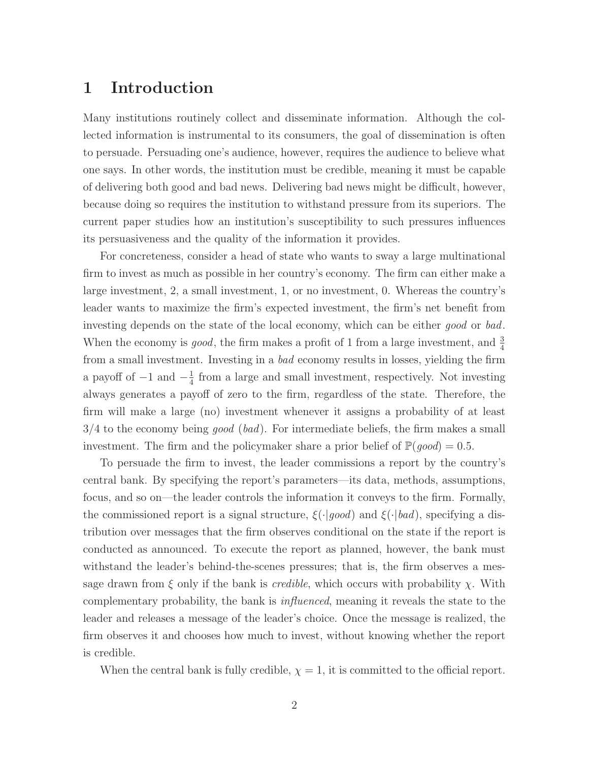## 1 Introduction

Many institutions routinely collect and disseminate information. Although the collected information is instrumental to its consumers, the goal of dissemination is often to persuade. Persuading one's audience, however, requires the audience to believe what one says. In other words, the institution must be credible, meaning it must be capable of delivering both good and bad news. Delivering bad news might be difficult, however, because doing so requires the institution to withstand pressure from its superiors. The current paper studies how an institution's susceptibility to such pressures influences its persuasiveness and the quality of the information it provides.

For concreteness, consider a head of state who wants to sway a large multinational firm to invest as much as possible in her country's economy. The firm can either make a large investment, 2, a small investment, 1, or no investment, 0. Whereas the country's leader wants to maximize the firm's expected investment, the firm's net benefit from investing depends on the state of the local economy, which can be either good or bad. When the economy is *good*, the firm makes a profit of 1 from a large investment, and  $\frac{3}{4}$ from a small investment. Investing in a bad economy results in losses, yielding the firm a payoff of  $-1$  and  $-\frac{1}{4}$  $\frac{1}{4}$  from a large and small investment, respectively. Not investing always generates a payoff of zero to the firm, regardless of the state. Therefore, the firm will make a large (no) investment whenever it assigns a probability of at least  $3/4$  to the economy being good (bad). For intermediate beliefs, the firm makes a small investment. The firm and the policymaker share a prior belief of  $\mathbb{P}(good) = 0.5$ .

To persuade the firm to invest, the leader commissions a report by the country's central bank. By specifying the report's parameters—its data, methods, assumptions, focus, and so on—the leader controls the information it conveys to the firm. Formally, the commissioned report is a signal structure,  $\xi(\cdot|good)$  and  $\xi(\cdot|bad)$ , specifying a distribution over messages that the firm observes conditional on the state if the report is conducted as announced. To execute the report as planned, however, the bank must withstand the leader's behind-the-scenes pressures; that is, the firm observes a message drawn from  $\xi$  only if the bank is *credible*, which occurs with probability  $\chi$ . With complementary probability, the bank is influenced, meaning it reveals the state to the leader and releases a message of the leader's choice. Once the message is realized, the firm observes it and chooses how much to invest, without knowing whether the report is credible.

When the central bank is fully credible,  $\chi = 1$ , it is committed to the official report.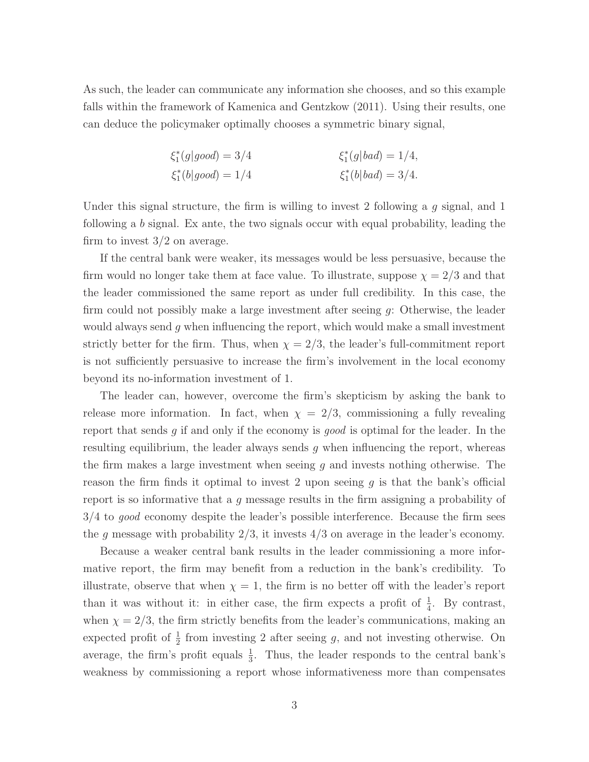As such, the leader can communicate any information she chooses, and so this example falls within the framework of [Kamenica and Gentzkow](#page-44-0) [\(2011\)](#page-44-0). Using their results, one can deduce the policymaker optimally chooses a symmetric binary signal,

$$
\xi_1^*(g|good) = 3/4 \qquad \xi_1^*(g|bad) = 1/4,
$$
  

$$
\xi_1^*(b|good) = 1/4 \qquad \xi_1^*(b|bad) = 3/4.
$$

Under this signal structure, the firm is willing to invest 2 following a  $g$  signal, and 1 following a b signal. Ex ante, the two signals occur with equal probability, leading the firm to invest 3/2 on average.

If the central bank were weaker, its messages would be less persuasive, because the firm would no longer take them at face value. To illustrate, suppose  $\chi = 2/3$  and that the leader commissioned the same report as under full credibility. In this case, the firm could not possibly make a large investment after seeing g: Otherwise, the leader would always send  $g$  when influencing the report, which would make a small investment strictly better for the firm. Thus, when  $\chi = 2/3$ , the leader's full-commitment report is not sufficiently persuasive to increase the firm's involvement in the local economy beyond its no-information investment of 1.

The leader can, however, overcome the firm's skepticism by asking the bank to release more information. In fact, when  $\chi = 2/3$ , commissioning a fully revealing report that sends g if and only if the economy is good is optimal for the leader. In the resulting equilibrium, the leader always sends  $g$  when influencing the report, whereas the firm makes a large investment when seeing  $g$  and invests nothing otherwise. The reason the firm finds it optimal to invest 2 upon seeing  $q$  is that the bank's official report is so informative that a g message results in the firm assigning a probability of 3/4 to good economy despite the leader's possible interference. Because the firm sees the g message with probability  $2/3$ , it invests  $4/3$  on average in the leader's economy.

Because a weaker central bank results in the leader commissioning a more informative report, the firm may benefit from a reduction in the bank's credibility. To illustrate, observe that when  $\chi = 1$ , the firm is no better off with the leader's report than it was without it: in either case, the firm expects a profit of  $\frac{1}{4}$ . By contrast, when  $\chi = 2/3$ , the firm strictly benefits from the leader's communications, making an expected profit of  $\frac{1}{2}$  from investing 2 after seeing g, and not investing otherwise. On average, the firm's profit equals  $\frac{1}{3}$ . Thus, the leader responds to the central bank's weakness by commissioning a report whose informativeness more than compensates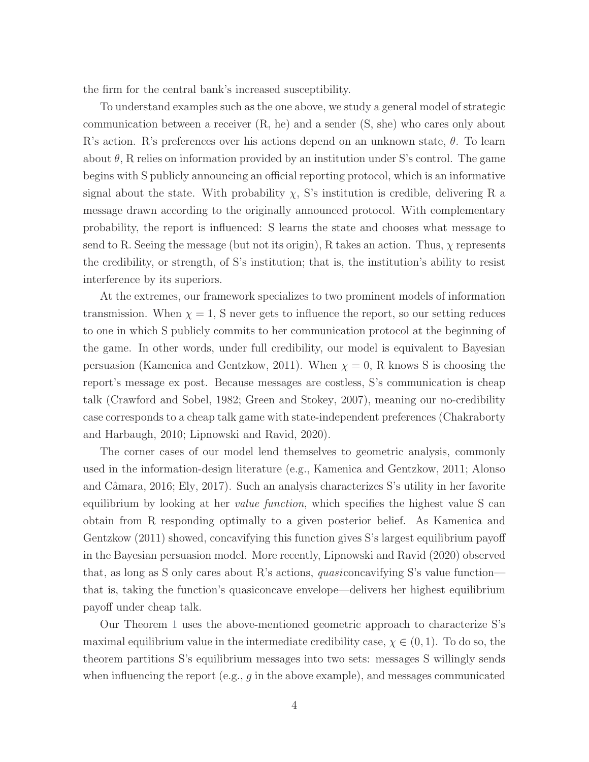the firm for the central bank's increased susceptibility.

To understand examples such as the one above, we study a general model of strategic communication between a receiver (R, he) and a sender (S, she) who cares only about R's action. R's preferences over his actions depend on an unknown state,  $\theta$ . To learn about  $\theta$ , R relies on information provided by an institution under S's control. The game begins with S publicly announcing an official reporting protocol, which is an informative signal about the state. With probability  $\chi$ , S's institution is credible, delivering R a message drawn according to the originally announced protocol. With complementary probability, the report is influenced: S learns the state and chooses what message to send to R. Seeing the message (but not its origin), R takes an action. Thus,  $\chi$  represents the credibility, or strength, of S's institution; that is, the institution's ability to resist interference by its superiors.

At the extremes, our framework specializes to two prominent models of information transmission. When  $\chi = 1$ , S never gets to influence the report, so our setting reduces to one in which S publicly commits to her communication protocol at the beginning of the game. In other words, under full credibility, our model is equivalent to Bayesian persuasion [\(Kamenica and Gentzkow,](#page-44-0) [2011\)](#page-44-0). When  $\chi = 0$ , R knows S is choosing the report's message ex post. Because messages are costless, S's communication is cheap talk [\(Crawford and Sobel,](#page-43-0) [1982;](#page-43-0) [Green and Stokey,](#page-44-1) [2007\)](#page-44-1), meaning our no-credibility case corresponds to a cheap talk game with state-independent preferences [\(Chakraborty](#page-43-1) [and Harbaugh,](#page-43-1) [2010;](#page-43-1) [Lipnowski and Ravid,](#page-45-0) [2020\)](#page-45-0).

The corner cases of our model lend themselves to geometric analysis, commonly used in the information-design literature (e.g., [Kamenica and Gentzkow,](#page-44-0) [2011;](#page-44-0) [Alonso](#page-42-0) and Câmara, [2016;](#page-42-0) [Ely,](#page-43-2) [2017\)](#page-43-2). Such an analysis characterizes S's utility in her favorite equilibrium by looking at her value function, which specifies the highest value S can obtain from R responding optimally to a given posterior belief. As [Kamenica and](#page-44-0) [Gentzkow](#page-44-0) [\(2011\)](#page-44-0) showed, concavifying this function gives S's largest equilibrium payoff in the Bayesian persuasion model. More recently, [Lipnowski and Ravid](#page-45-0) [\(2020\)](#page-45-0) observed that, as long as S only cares about R's actions, quasiconcavifying S's value function that is, taking the function's quasiconcave envelope—delivers her highest equilibrium payoff under cheap talk.

Our Theorem [1](#page-17-0) uses the above-mentioned geometric approach to characterize S's maximal equilibrium value in the intermediate credibility case,  $\chi \in (0,1)$ . To do so, the theorem partitions S's equilibrium messages into two sets: messages S willingly sends when influencing the report  $(e.g., g in the above example)$ , and messages communicated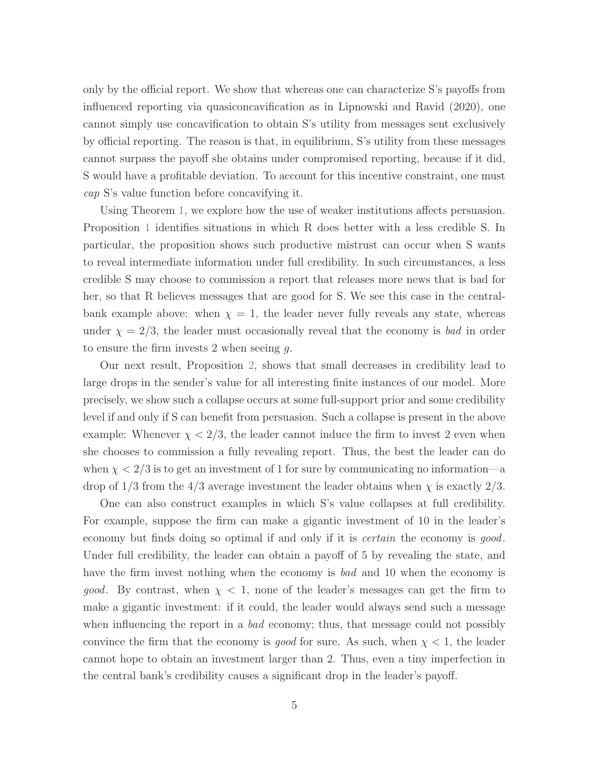only by the official report. We show that whereas one can characterize S's payoffs from influenced reporting via quasiconcavification as in [Lipnowski and Ravid](#page-45-0) [\(2020\)](#page-45-0), one cannot simply use concavification to obtain S's utility from messages sent exclusively by official reporting. The reason is that, in equilibrium, S's utility from these messages cannot surpass the payoff she obtains under compromised reporting, because if it did, S would have a profitable deviation. To account for this incentive constraint, one must cap S's value function before concavifying it.

Using Theorem [1,](#page-17-0) we explore how the use of weaker institutions affects persuasion. Proposition [1](#page-27-0) identifies situations in which R does better with a less credible S. In particular, the proposition shows such productive mistrust can occur when S wants to reveal intermediate information under full credibility. In such circumstances, a less credible S may choose to commission a report that releases more news that is bad for her, so that R believes messages that are good for S. We see this case in the centralbank example above: when  $\chi = 1$ , the leader never fully reveals any state, whereas under  $\chi = 2/3$ , the leader must occasionally reveal that the economy is bad in order to ensure the firm invests 2 when seeing  $q$ .

Our next result, Proposition [2,](#page-28-0) shows that small decreases in credibility lead to large drops in the sender's value for all interesting finite instances of our model. More precisely, we show such a collapse occurs at some full-support prior and some credibility level if and only if S can benefit from persuasion. Such a collapse is present in the above example: Whenever  $\chi < 2/3$ , the leader cannot induce the firm to invest 2 even when she chooses to commission a fully revealing report. Thus, the best the leader can do when  $\chi < 2/3$  is to get an investment of 1 for sure by communicating no information—a drop of  $1/3$  from the  $4/3$  average investment the leader obtains when  $\chi$  is exactly  $2/3$ .

One can also construct examples in which S's value collapses at full credibility. For example, suppose the firm can make a gigantic investment of 10 in the leader's economy but finds doing so optimal if and only if it is *certain* the economy is good. Under full credibility, the leader can obtain a payoff of 5 by revealing the state, and have the firm invest nothing when the economy is bad and 10 when the economy is *good.* By contrast, when  $\chi$  < 1, none of the leader's messages can get the firm to make a gigantic investment: if it could, the leader would always send such a message when influencing the report in a bad economy; thus, that message could not possibly convince the firm that the economy is good for sure. As such, when  $\chi < 1$ , the leader cannot hope to obtain an investment larger than 2. Thus, even a tiny imperfection in the central bank's credibility causes a significant drop in the leader's payoff.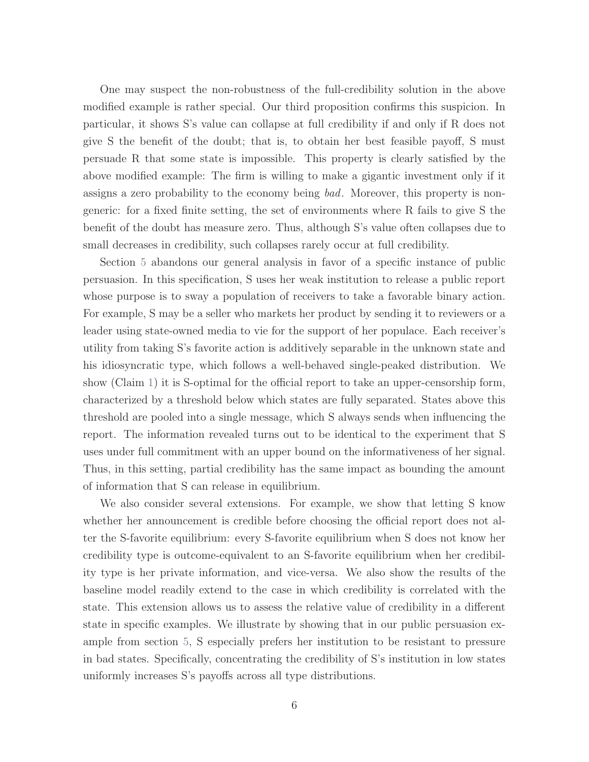One may suspect the non-robustness of the full-credibility solution in the above modified example is rather special. Our third proposition confirms this suspicion. In particular, it shows S's value can collapse at full credibility if and only if R does not give S the benefit of the doubt; that is, to obtain her best feasible payoff, S must persuade R that some state is impossible. This property is clearly satisfied by the above modified example: The firm is willing to make a gigantic investment only if it assigns a zero probability to the economy being bad. Moreover, this property is nongeneric: for a fixed finite setting, the set of environments where R fails to give S the benefit of the doubt has measure zero. Thus, although S's value often collapses due to small decreases in credibility, such collapses rarely occur at full credibility.

Section [5](#page-31-0) abandons our general analysis in favor of a specific instance of public persuasion. In this specification, S uses her weak institution to release a public report whose purpose is to sway a population of receivers to take a favorable binary action. For example, S may be a seller who markets her product by sending it to reviewers or a leader using state-owned media to vie for the support of her populace. Each receiver's utility from taking S's favorite action is additively separable in the unknown state and his idiosyncratic type, which follows a well-behaved single-peaked distribution. We show (Claim [1\)](#page-34-0) it is S-optimal for the official report to take an upper-censorship form, characterized by a threshold below which states are fully separated. States above this threshold are pooled into a single message, which S always sends when influencing the report. The information revealed turns out to be identical to the experiment that S uses under full commitment with an upper bound on the informativeness of her signal. Thus, in this setting, partial credibility has the same impact as bounding the amount of information that S can release in equilibrium.

We also consider several extensions. For example, we show that letting S know whether her announcement is credible before choosing the official report does not alter the S-favorite equilibrium: every S-favorite equilibrium when S does not know her credibility type is outcome-equivalent to an S-favorite equilibrium when her credibility type is her private information, and vice-versa. We also show the results of the baseline model readily extend to the case in which credibility is correlated with the state. This extension allows us to assess the relative value of credibility in a different state in specific examples. We illustrate by showing that in our public persuasion example from section [5,](#page-31-0) S especially prefers her institution to be resistant to pressure in bad states. Specifically, concentrating the credibility of S's institution in low states uniformly increases S's payoffs across all type distributions.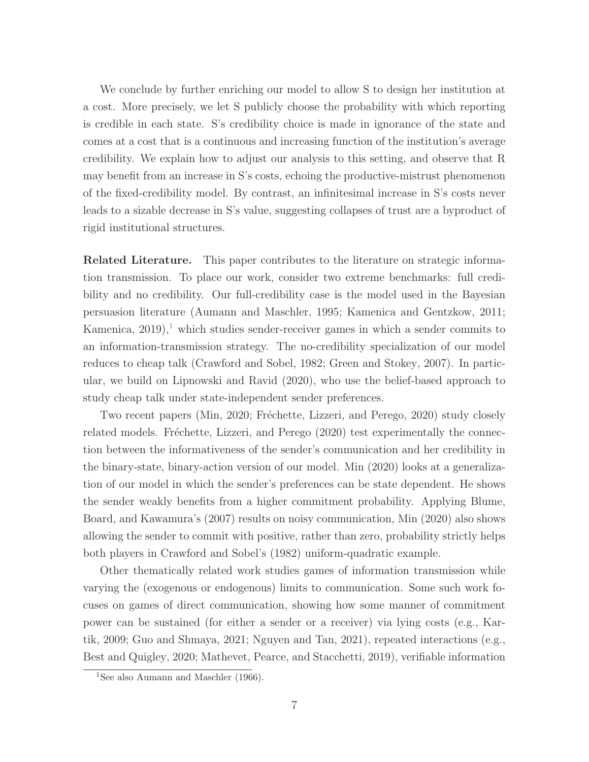We conclude by further enriching our model to allow S to design her institution at a cost. More precisely, we let S publicly choose the probability with which reporting is credible in each state. S's credibility choice is made in ignorance of the state and comes at a cost that is a continuous and increasing function of the institution's average credibility. We explain how to adjust our analysis to this setting, and observe that R may benefit from an increase in S's costs, echoing the productive-mistrust phenomenon of the fixed-credibility model. By contrast, an infinitesimal increase in S's costs never leads to a sizable decrease in S's value, suggesting collapses of trust are a byproduct of rigid institutional structures.

Related Literature. This paper contributes to the literature on strategic information transmission. To place our work, consider two extreme benchmarks: full credibility and no credibility. Our full-credibility case is the model used in the Bayesian persuasion literature [\(Aumann and Maschler,](#page-43-3) [1995;](#page-43-3) [Kamenica and Gentzkow,](#page-44-0) [2011;](#page-44-0) [Kamenica,](#page-44-2)  $2019$  $2019$  $2019$ , which studies sender-receiver games in which a sender commits to an information-transmission strategy. The no-credibility specialization of our model reduces to cheap talk [\(Crawford and Sobel,](#page-43-0) [1982;](#page-43-0) [Green and Stokey,](#page-44-1) [2007\)](#page-44-1). In particular, we build on [Lipnowski and Ravid](#page-45-0) [\(2020\)](#page-45-0), who use the belief-based approach to study cheap talk under state-independent sender preferences.

Two recent papers [\(Min,](#page-45-1) [2020;](#page-45-1) Fréchette, Lizzeri, and Perego, [2020\)](#page-44-3) study closely related models. Fréchette, Lizzeri, and Perego [\(2020\)](#page-44-3) test experimentally the connection between the informativeness of the sender's communication and her credibility in the binary-state, binary-action version of our model. [Min](#page-45-1) [\(2020\)](#page-45-1) looks at a generalization of our model in which the sender's preferences can be state dependent. He shows the sender weakly benefits from a higher commitment probability. Applying [Blume,](#page-43-4) [Board, and Kawamura'](#page-43-4)s [\(2007\)](#page-43-4) results on noisy communication, [Min](#page-45-1) [\(2020\)](#page-45-1) also shows allowing the sender to commit with positive, rather than zero, probability strictly helps both players in [Crawford and Sobel'](#page-43-0)s [\(1982\)](#page-43-0) uniform-quadratic example.

Other thematically related work studies games of information transmission while varying the (exogenous or endogenous) limits to communication. Some such work focuses on games of direct communication, showing how some manner of commitment power can be sustained (for either a sender or a receiver) via lying costs (e.g., [Kar](#page-44-4)[tik,](#page-44-4) [2009;](#page-44-4) [Guo and Shmaya,](#page-44-5) [2021;](#page-44-5) [Nguyen and Tan,](#page-45-2) [2021\)](#page-45-2), repeated interactions (e.g., [Best and Quigley,](#page-43-5) [2020;](#page-43-5) [Mathevet, Pearce, and Stacchetti,](#page-45-3) [2019\)](#page-45-3), verifiable information

<sup>&</sup>lt;sup>1</sup>See also [Aumann and Maschler](#page-42-1) [\(1966\)](#page-42-1).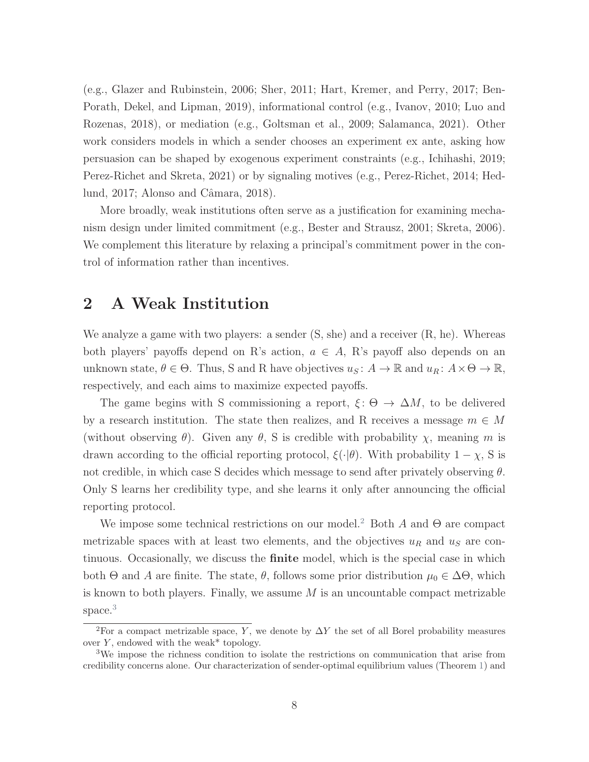(e.g., [Glazer and Rubinstein,](#page-44-6) [2006;](#page-44-6) [Sher,](#page-45-4) [2011;](#page-45-4) [Hart, Kremer, and Perry,](#page-44-7) [2017;](#page-44-7) [Ben-](#page-43-6)[Porath, Dekel, and Lipman,](#page-43-6) [2019\)](#page-43-6), informational control (e.g., [Ivanov,](#page-44-8) [2010;](#page-44-8) [Luo and](#page-45-5) [Rozenas,](#page-45-5) [2018\)](#page-45-5), or mediation (e.g., [Goltsman et al.,](#page-44-9) [2009;](#page-44-9) [Salamanca,](#page-45-6) [2021\)](#page-45-6). Other work considers models in which a sender chooses an experiment ex ante, asking how persuasion can be shaped by exogenous experiment constraints (e.g., [Ichihashi,](#page-44-10) [2019;](#page-44-10) [Perez-Richet and Skreta,](#page-45-7) [2021\)](#page-45-7) or by signaling motives (e.g., [Perez-Richet,](#page-45-8) [2014;](#page-45-8) [Hed](#page-44-11)[lund,](#page-44-11) [2017;](#page-44-11) Alonso and Câmara, [2018\)](#page-42-2).

More broadly, weak institutions often serve as a justification for examining mechanism design under limited commitment (e.g., [Bester and Strausz,](#page-43-7) [2001;](#page-43-7) [Skreta,](#page-46-0) [2006\)](#page-46-0). We complement this literature by relaxing a principal's commitment power in the control of information rather than incentives.

## <span id="page-7-0"></span>2 A Weak Institution

We analyze a game with two players: a sender  $(S, she)$  and a receiver  $(R, he)$ . Whereas both players' payoffs depend on R's action,  $a \in A$ , R's payoff also depends on an unknown state,  $\theta \in \Theta$ . Thus, S and R have objectives  $u_S: A \to \mathbb{R}$  and  $u_R: A \times \Theta \to \mathbb{R}$ , respectively, and each aims to maximize expected payoffs.

The game begins with S commissioning a report,  $\xi: \Theta \to \Delta M$ , to be delivered by a research institution. The state then realizes, and R receives a message  $m \in M$ (without observing  $\theta$ ). Given any  $\theta$ , S is credible with probability  $\chi$ , meaning m is drawn according to the official reporting protocol,  $\xi(\cdot|\theta)$ . With probability  $1 - \chi$ , S is not credible, in which case S decides which message to send after privately observing  $\theta$ . Only S learns her credibility type, and she learns it only after announcing the official reporting protocol.

We impose some technical restrictions on our model.<sup>[2](#page-0-0)</sup> Both A and  $\Theta$  are compact metrizable spaces with at least two elements, and the objectives  $u_R$  and  $u_S$  are continuous. Occasionally, we discuss the finite model, which is the special case in which both  $\Theta$  and A are finite. The state,  $\theta$ , follows some prior distribution  $\mu_0 \in \Delta \Theta$ , which is known to both players. Finally, we assume  $M$  is an uncountable compact metrizable space.<sup>[3](#page-0-0)</sup>

<sup>&</sup>lt;sup>2</sup>For a compact metrizable space, Y, we denote by  $\Delta Y$  the set of all Borel probability measures over  $Y$ , endowed with the weak\* topology.

<sup>3</sup>We impose the richness condition to isolate the restrictions on communication that arise from credibility concerns alone. Our characterization of sender-optimal equilibrium values (Theorem [1\)](#page-17-0) and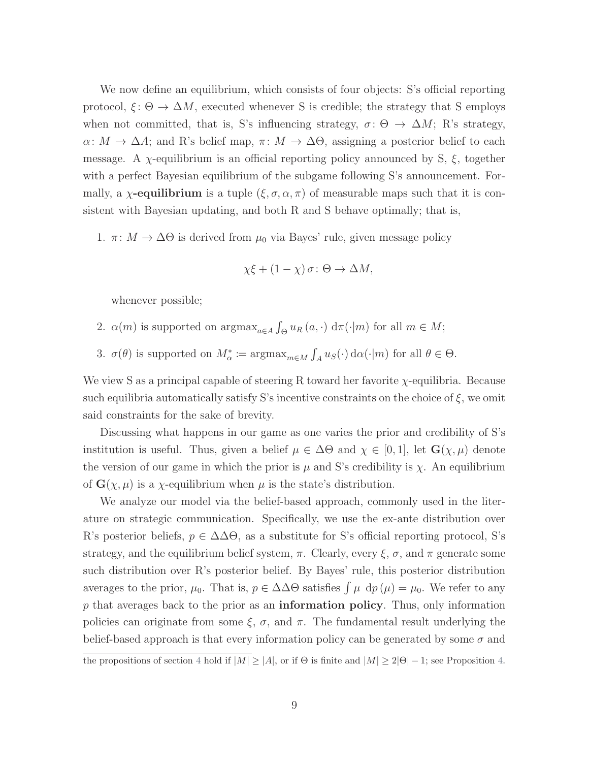We now define an equilibrium, which consists of four objects: S's official reporting protocol,  $\xi: \Theta \to \Delta M$ , executed whenever S is credible; the strategy that S employs when not committed, that is, S's influencing strategy,  $\sigma: \Theta \to \Delta M$ ; R's strategy,  $\alpha: M \to \Delta A$ ; and R's belief map,  $\pi: M \to \Delta \Theta$ , assigning a posterior belief to each message. A  $\chi$ -equilibrium is an official reporting policy announced by S,  $\xi$ , together with a perfect Bayesian equilibrium of the subgame following S's announcement. Formally, a  $\chi$ -equilibrium is a tuple  $(\xi, \sigma, \alpha, \pi)$  of measurable maps such that it is consistent with Bayesian updating, and both R and S behave optimally; that is,

1.  $\pi: M \to \Delta\Theta$  is derived from  $\mu_0$  via Bayes' rule, given message policy

$$
\chi\xi + (1 - \chi)\,\sigma \colon \Theta \to \Delta M,
$$

whenever possible;

- 2.  $\alpha(m)$  is supported on  $\arg\max_{a \in A} \int_{\Theta} u_R(a, \cdot) d\pi(\cdot | m)$  for all  $m \in M$ ;
- 3.  $\sigma(\theta)$  is supported on  $M_{\alpha}^* := \operatorname{argmax}_{m \in M} \int_A u_S(\cdot) d\alpha(\cdot | m)$  for all  $\theta \in \Theta$ .

We view S as a principal capable of steering R toward her favorite χ-equilibria. Because such equilibria automatically satisfy S's incentive constraints on the choice of  $\xi$ , we omit said constraints for the sake of brevity.

Discussing what happens in our game as one varies the prior and credibility of S's institution is useful. Thus, given a belief  $\mu \in \Delta\Theta$  and  $\chi \in [0,1]$ , let  $\mathbf{G}(\chi,\mu)$  denote the version of our game in which the prior is  $\mu$  and S's credibility is  $\chi$ . An equilibrium of  $\mathbf{G}(\chi,\mu)$  is a  $\chi$ -equilibrium when  $\mu$  is the state's distribution.

We analyze our model via the belief-based approach, commonly used in the literature on strategic communication. Specifically, we use the ex-ante distribution over R's posterior beliefs,  $p \in \Delta \Delta \Theta$ , as a substitute for S's official reporting protocol, S's strategy, and the equilibrium belief system,  $\pi$ . Clearly, every  $\xi$ ,  $\sigma$ , and  $\pi$  generate some such distribution over R's posterior belief. By Bayes' rule, this posterior distribution averages to the prior,  $\mu_0$ . That is,  $p \in \Delta\Delta\Theta$  satisfies  $\int \mu \, dp(\mu) = \mu_0$ . We refer to any  $p$  that averages back to the prior as an **information policy**. Thus, only information policies can originate from some  $\xi$ ,  $\sigma$ , and  $\pi$ . The fundamental result underlying the belief-based approach is that every information policy can be generated by some  $\sigma$  and

the propositions of section [4](#page-25-0) hold if  $|M| \ge |A|$ , or if  $\Theta$  is finite and  $|M| \ge 2|\Theta| - 1$ ; see Proposition [4.](#page-40-0)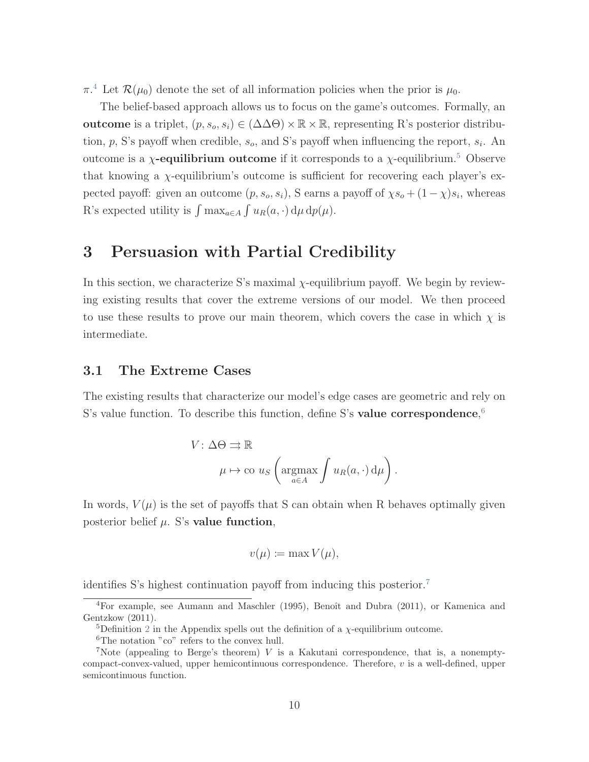$\pi$ <sup>[4](#page-0-0)</sup>. Let  $\mathcal{R}(\mu_0)$  denote the set of all information policies when the prior is  $\mu_0$ .

The belief-based approach allows us to focus on the game's outcomes. Formally, an outcome is a triplet,  $(p, s_o, s_i) \in (\Delta \Delta \Theta) \times \mathbb{R} \times \mathbb{R}$ , representing R's posterior distribution,  $p$ , S's payoff when credible,  $s_o$ , and S's payoff when influencing the report,  $s_i$ . An outcome is a *χ*-equilibrium outcome if it corresponds to a *χ*-equilibrium.<sup>[5](#page-0-0)</sup> Observe that knowing a  $\chi$ -equilibrium's outcome is sufficient for recovering each player's expected payoff: given an outcome  $(p, s_o, s_i)$ , S earns a payoff of  $\chi s_o + (1 - \chi)s_i$ , whereas R's expected utility is  $\int \max_{a \in A} \int u_R(a, \cdot) d\mu d\rho(\mu)$ .

### 3 Persuasion with Partial Credibility

In this section, we characterize S's maximal  $\chi$ -equilibrium payoff. We begin by reviewing existing results that cover the extreme versions of our model. We then proceed to use these results to prove our main theorem, which covers the case in which  $\chi$  is intermediate.

#### 3.1 The Extreme Cases

The existing results that characterize our model's edge cases are geometric and rely on S's value function. To describe this function, define S's value correspondence,  $6$ 

$$
V: \Delta \Theta \rightrightarrows \mathbb{R}
$$

$$
\mu \mapsto \text{co } u_{S} \left( \underset{a \in A}{\text{argmax}} \int u_{R}(a, \cdot) d\mu \right).
$$

In words,  $V(\mu)$  is the set of payoffs that S can obtain when R behaves optimally given posterior belief  $\mu$ . S's value function,

$$
v(\mu) \coloneqq \max V(\mu),
$$

identifies S's highest continuation payoff from inducing this posterior.[7](#page-0-0)

 ${}^{4}$ For example, see [Aumann and Maschler](#page-43-3) [\(1995\)](#page-43-3), Benoît and Dubra [\(2011\)](#page-43-8), or [Kamenica and](#page-44-0) [Gentzkow](#page-44-0) [\(2011\)](#page-44-0).

<sup>&</sup>lt;sup>5</sup>Definition [2](#page-48-0) in the Appendix spells out the definition of a  $\chi$ -equilibrium outcome.

<sup>&</sup>lt;sup>6</sup>The notation "co" refers to the convex hull.

<sup>7</sup>Note (appealing to Berge's theorem) V is a Kakutani correspondence, that is, a nonemptycompact-convex-valued, upper hemicontinuous correspondence. Therefore, v is a well-defined, upper semicontinuous function.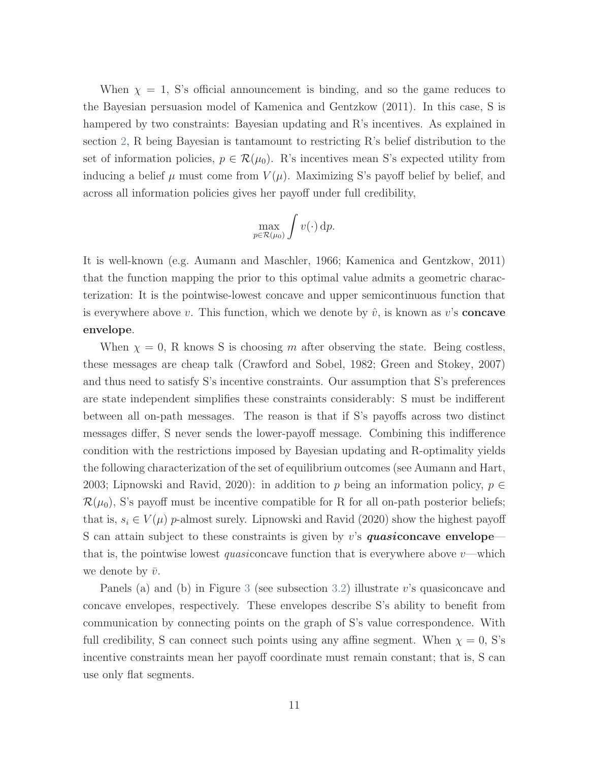When  $\chi = 1$ , S's official announcement is binding, and so the game reduces to the Bayesian persuasion model of [Kamenica and Gentzkow](#page-44-0) [\(2011\)](#page-44-0). In this case, S is hampered by two constraints: Bayesian updating and R's incentives. As explained in section [2,](#page-7-0) R being Bayesian is tantamount to restricting R's belief distribution to the set of information policies,  $p \in \mathcal{R}(\mu_0)$ . R's incentives mean S's expected utility from inducing a belief  $\mu$  must come from  $V(\mu)$ . Maximizing S's payoff belief by belief, and across all information policies gives her payoff under full credibility,

$$
\max_{p \in \mathcal{R}(\mu_0)} \int v(\cdot) \, \mathrm{d}p.
$$

It is well-known (e.g. [Aumann and Maschler,](#page-42-1) [1966;](#page-42-1) [Kamenica and Gentzkow,](#page-44-0) [2011\)](#page-44-0) that the function mapping the prior to this optimal value admits a geometric characterization: It is the pointwise-lowest concave and upper semicontinuous function that is everywhere above v. This function, which we denote by  $\hat{v}$ , is known as v's **concave** envelope.

When  $\chi = 0$ , R knows S is choosing m after observing the state. Being costless, these messages are cheap talk [\(Crawford and Sobel,](#page-43-0) [1982;](#page-43-0) [Green and Stokey,](#page-44-1) [2007\)](#page-44-1) and thus need to satisfy S's incentive constraints. Our assumption that S's preferences are state independent simplifies these constraints considerably: S must be indifferent between all on-path messages. The reason is that if S's payoffs across two distinct messages differ, S never sends the lower-payoff message. Combining this indifference condition with the restrictions imposed by Bayesian updating and R-optimality yields the following characterization of the set of equilibrium outcomes (see [Aumann and Hart,](#page-42-3) [2003;](#page-42-3) [Lipnowski and Ravid,](#page-45-0) [2020\)](#page-45-0): in addition to p being an information policy,  $p \in$  $\mathcal{R}(\mu_0)$ , S's payoff must be incentive compatible for R for all on-path posterior beliefs; that is,  $s_i \in V(\mu)$  p-almost surely. [Lipnowski and Ravid](#page-45-0) [\(2020\)](#page-45-0) show the highest payoff S can attain subject to these constraints is given by  $v$ 's quasiconcave envelope that is, the pointwise lowest *quasiconcave* function that is everywhere above  $v$ —which we denote by  $\bar{v}$ .

Panels (a) and (b) in Figure [3](#page-16-0) (see subsection [3.2\)](#page-13-0) illustrate v's quasiconcave and concave envelopes, respectively. These envelopes describe S's ability to benefit from communication by connecting points on the graph of S's value correspondence. With full credibility, S can connect such points using any affine segment. When  $\chi = 0$ , S's incentive constraints mean her payoff coordinate must remain constant; that is, S can use only flat segments.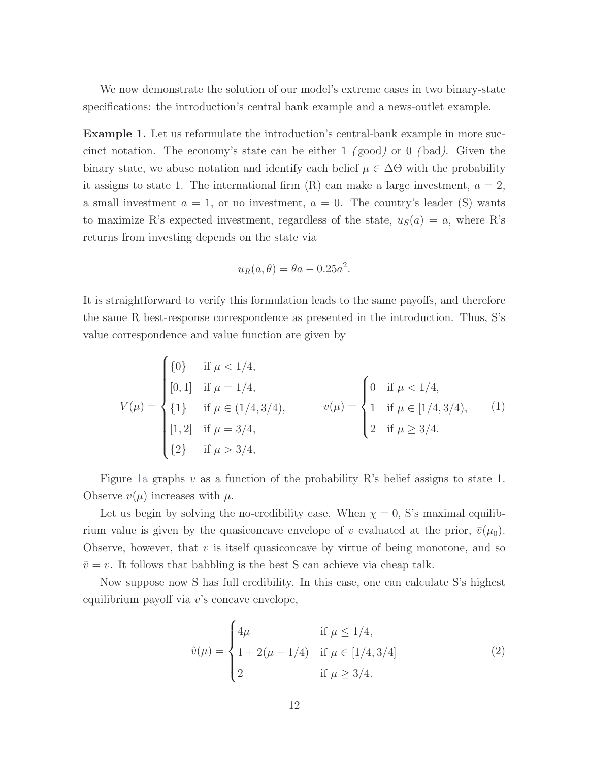We now demonstrate the solution of our model's extreme cases in two binary-state specifications: the introduction's central bank example and a news-outlet example.

<span id="page-11-0"></span>Example 1. Let us reformulate the introduction's central-bank example in more succinct notation. The economy's state can be either  $1 \pmod{0}$  or  $0 \pmod{0}$ . Given the binary state, we abuse notation and identify each belief  $\mu \in \Delta\Theta$  with the probability it assigns to state 1. The international firm  $(R)$  can make a large investment,  $a = 2$ , a small investment  $a = 1$ , or no investment,  $a = 0$ . The country's leader (S) wants to maximize R's expected investment, regardless of the state,  $u<sub>S</sub>(a) = a$ , where R's returns from investing depends on the state via

<span id="page-11-1"></span>
$$
u_R(a,\theta) = \theta a - 0.25a^2.
$$

It is straightforward to verify this formulation leads to the same payoffs, and therefore the same R best-response correspondence as presented in the introduction. Thus, S's value correspondence and value function are given by

$$
V(\mu) = \begin{cases} \{0\} & \text{if } \mu < 1/4, \\ [0,1] & \text{if } \mu = 1/4, \\ \{1\} & \text{if } \mu \in (1/4, 3/4), \\ [1,2] & \text{if } \mu = 3/4, \\ \{2\} & \text{if } \mu > 3/4, \end{cases} \qquad v(\mu) = \begin{cases} 0 & \text{if } \mu < 1/4, \\ 1 & \text{if } \mu \in [1/4, 3/4), \\ 2 & \text{if } \mu \ge 3/4. \end{cases} \qquad (1)
$$

Figure [1a](#page-12-0) graphs v as a function of the probability R's belief assigns to state 1. Observe  $v(\mu)$  increases with  $\mu$ .

Let us begin by solving the no-credibility case. When  $\chi = 0$ , S's maximal equilibrium value is given by the quasiconcave envelope of v evaluated at the prior,  $\bar{v}(\mu_0)$ . Observe, however, that  $v$  is itself quasiconcave by virtue of being monotone, and so  $\bar{v} = v$ . It follows that babbling is the best S can achieve via cheap talk.

Now suppose now S has full credibility. In this case, one can calculate S's highest equilibrium payoff via v's concave envelope,

<span id="page-11-2"></span>
$$
\hat{v}(\mu) = \begin{cases}\n4\mu & \text{if } \mu \le 1/4, \\
1 + 2(\mu - 1/4) & \text{if } \mu \in [1/4, 3/4] \\
2 & \text{if } \mu \ge 3/4.\n\end{cases}
$$
\n(2)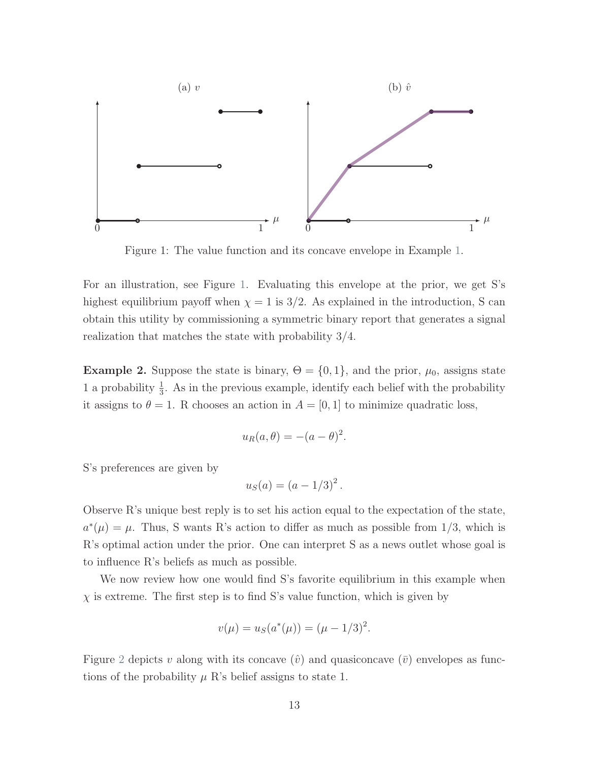<span id="page-12-0"></span>

Figure 1: The value function and its concave envelope in Example [1.](#page-11-0)

For an illustration, see Figure [1.](#page-12-0) Evaluating this envelope at the prior, we get S's highest equilibrium payoff when  $\chi = 1$  is 3/2. As explained in the introduction, S can obtain this utility by commissioning a symmetric binary report that generates a signal realization that matches the state with probability 3/4.

<span id="page-12-1"></span>**Example 2.** Suppose the state is binary,  $\Theta = \{0, 1\}$ , and the prior,  $\mu_0$ , assigns state 1 a probability  $\frac{1}{3}$ . As in the previous example, identify each belief with the probability it assigns to  $\theta = 1$ . R chooses an action in  $A = [0, 1]$  to minimize quadratic loss,

$$
u_R(a,\theta) = -(a-\theta)^2.
$$

S's preferences are given by

$$
u_S(a) = \left(a - 1/3\right)^2.
$$

Observe R's unique best reply is to set his action equal to the expectation of the state,  $a^*(\mu) = \mu$ . Thus, S wants R's action to differ as much as possible from 1/3, which is R's optimal action under the prior. One can interpret S as a news outlet whose goal is to influence R's beliefs as much as possible.

We now review how one would find S's favorite equilibrium in this example when  $\chi$  is extreme. The first step is to find S's value function, which is given by

$$
v(\mu) = u_S(a^*(\mu)) = (\mu - 1/3)^2.
$$

Figure [2](#page-13-1) depicts v along with its concave  $(\hat{v})$  and quasiconcave  $(\bar{v})$  envelopes as functions of the probability  $\mu$  R's belief assigns to state 1.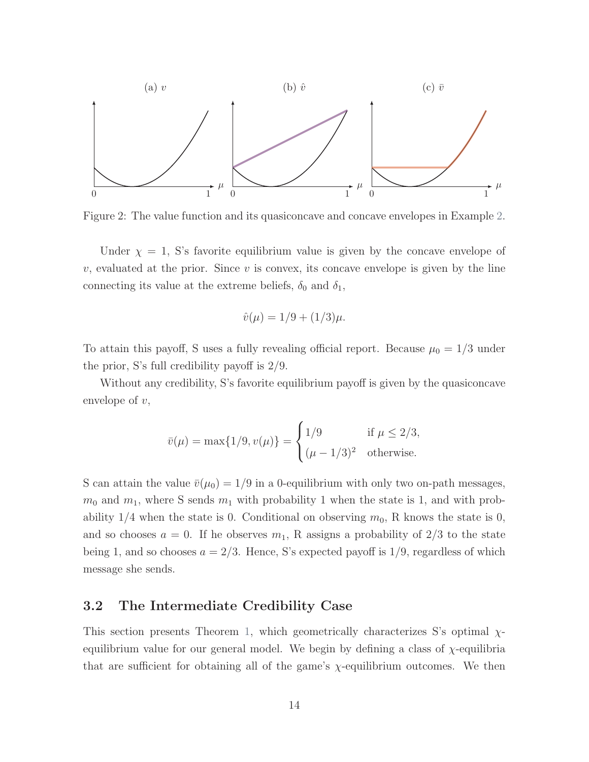<span id="page-13-1"></span>

Figure 2: The value function and its quasiconcave and concave envelopes in Example [2.](#page-12-1)

Under  $\chi = 1$ , S's favorite equilibrium value is given by the concave envelope of v, evaluated at the prior. Since v is convex, its concave envelope is given by the line connecting its value at the extreme beliefs,  $\delta_0$  and  $\delta_1$ ,

$$
\hat{v}(\mu) = 1/9 + (1/3)\mu.
$$

To attain this payoff, S uses a fully revealing official report. Because  $\mu_0 = 1/3$  under the prior, S's full credibility payoff is 2/9.

Without any credibility, S's favorite equilibrium payoff is given by the quasiconcave envelope of  $v$ ,

$$
\bar{v}(\mu) = \max\{1/9, v(\mu)\} = \begin{cases}\n1/9 & \text{if } \mu \leq 2/3, \\
(\mu - 1/3)^2 & \text{otherwise.} \n\end{cases}
$$

S can attain the value  $\bar{v}(\mu_0) = 1/9$  in a 0-equilibrium with only two on-path messages,  $m_0$  and  $m_1$ , where S sends  $m_1$  with probability 1 when the state is 1, and with probability  $1/4$  when the state is 0. Conditional on observing  $m_0$ , R knows the state is 0, and so chooses  $a = 0$ . If he observes  $m_1$ , R assigns a probability of  $2/3$  to the state being 1, and so chooses  $a = 2/3$ . Hence, S's expected payoff is 1/9, regardless of which message she sends.

#### <span id="page-13-0"></span>3.2 The Intermediate Credibility Case

This section presents Theorem [1,](#page-17-0) which geometrically characterizes S's optimal  $\chi$ equilibrium value for our general model. We begin by defining a class of  $\chi$ -equilibria that are sufficient for obtaining all of the game's  $\chi$ -equilibrium outcomes. We then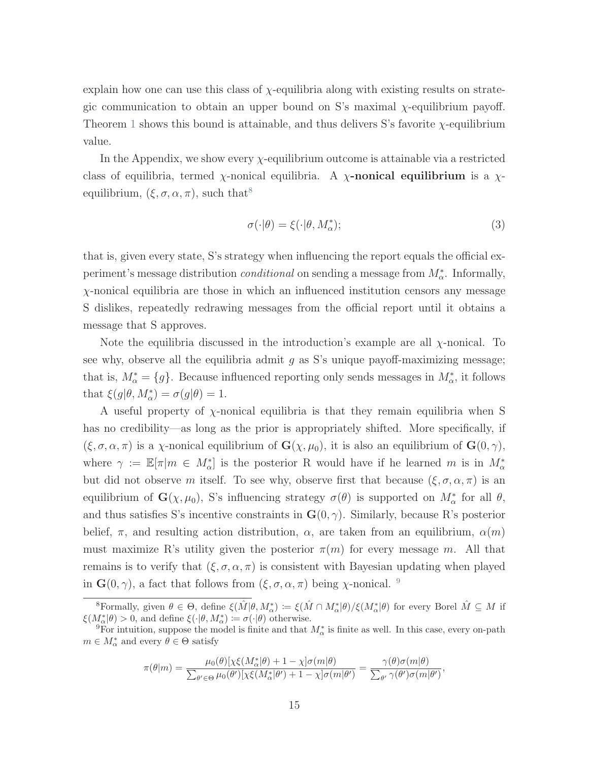explain how one can use this class of  $\chi$ -equilibria along with existing results on strategic communication to obtain an upper bound on S's maximal χ-equilibrium payoff. Theorem [1](#page-17-0) shows this bound is attainable, and thus delivers S's favorite  $\chi$ -equilibrium value.

In the Appendix, we show every  $\chi$ -equilibrium outcome is attainable via a restricted class of equilibria, termed  $\chi$ -nonical equilibria. A  $\chi$ -nonical equilibrium is a  $\chi$ equilibrium,  $(\xi, \sigma, \alpha, \pi)$ , such that<sup>[8](#page-0-0)</sup>

$$
\sigma(\cdot|\theta) = \xi(\cdot|\theta, M_{\alpha}^*); \tag{3}
$$

that is, given every state, S's strategy when influencing the report equals the official experiment's message distribution *conditional* on sending a message from  $M^*_{\alpha}$ . Informally, χ-nonical equilibria are those in which an influenced institution censors any message S dislikes, repeatedly redrawing messages from the official report until it obtains a message that S approves.

Note the equilibria discussed in the introduction's example are all  $\chi$ -nonical. To see why, observe all the equilibria admit  $g$  as S's unique payoff-maximizing message; that is,  $M^*_{\alpha} = \{g\}$ . Because influenced reporting only sends messages in  $M^*_{\alpha}$ , it follows that  $\xi(g|\theta, M^*_{\alpha}) = \sigma(g|\theta) = 1.$ 

A useful property of χ-nonical equilibria is that they remain equilibria when S has no credibility—as long as the prior is appropriately shifted. More specifically, if  $(\xi, \sigma, \alpha, \pi)$  is a *χ*-nonical equilibrium of  $\mathbf{G}(\chi, \mu_0)$ , it is also an equilibrium of  $\mathbf{G}(0, \gamma)$ , where  $\gamma := \mathbb{E}[\pi|m \in M_{\alpha}^*]$  is the posterior R would have if he learned m is in  $M_{\alpha}^*$ but did not observe m itself. To see why, observe first that because  $(\xi, \sigma, \alpha, \pi)$  is an equilibrium of  $\mathbf{G}(\chi,\mu_0)$ , S's influencing strategy  $\sigma(\theta)$  is supported on  $M^*_{\alpha}$  for all  $\theta$ , and thus satisfies S's incentive constraints in  $\mathbf{G}(0, \gamma)$ . Similarly, because R's posterior belief,  $\pi$ , and resulting action distribution,  $\alpha$ , are taken from an equilibrium,  $\alpha(m)$ must maximize R's utility given the posterior  $\pi(m)$  for every message m. All that remains is to verify that  $(\xi, \sigma, \alpha, \pi)$  is consistent with Bayesian updating when played in  $\mathbf{G}(0, \gamma)$ , a fact that follows from  $(\xi, \sigma, \alpha, \pi)$  being  $\chi$ -nonical. <sup>[9](#page-0-0)</sup>

$$
\pi(\theta|m) = \frac{\mu_0(\theta)[\chi\xi(M^*_{\alpha}|\theta) + 1 - \chi]\sigma(m|\theta)}{\sum_{\theta' \in \Theta} \mu_0(\theta')[\chi\xi(M^*_{\alpha}|\theta') + 1 - \chi]\sigma(m|\theta')} = \frac{\gamma(\theta)\sigma(m|\theta)}{\sum_{\theta'} \gamma(\theta')\sigma(m|\theta')},
$$

<sup>&</sup>lt;sup>8</sup>Formally, given  $\theta \in \Theta$ , define  $\xi(\hat{M}|\theta, M^*_{\alpha}) := \xi(\hat{M} \cap M^*_{\alpha}|\theta)/\xi(M^*_{\alpha}|\theta)$  for every Borel  $\hat{M} \subseteq M$  if  $\xi(M_{\alpha}^*|\theta) > 0$ , and define  $\xi(\cdot|\theta, M_{\alpha}^*) \coloneqq \sigma(\cdot|\theta)$  otherwise.

<sup>&</sup>lt;sup>9</sup>For intuition, suppose the model is finite and that  $M^*_{\alpha}$  is finite as well. In this case, every on-path  $m \in M_{\alpha}^*$  and every  $\theta \in \Theta$  satisfy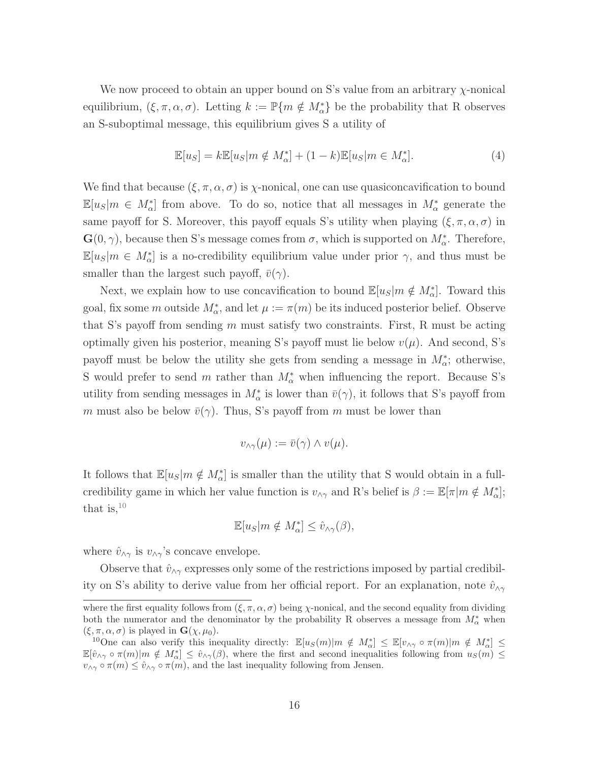We now proceed to obtain an upper bound on S's value from an arbitrary  $\chi$ -nonical equilibrium,  $(\xi, \pi, \alpha, \sigma)$ . Letting  $k := \mathbb{P}\{m \notin M_{\alpha}^*\}$  be the probability that R observes an S-suboptimal message, this equilibrium gives S a utility of

$$
\mathbb{E}[u_S] = k \mathbb{E}[u_S|m \notin M^*_{\alpha}] + (1 - k)\mathbb{E}[u_S|m \in M^*_{\alpha}].
$$
\n(4)

We find that because  $(\xi, \pi, \alpha, \sigma)$  is  $\chi$ -nonical, one can use quasiconcavification to bound  $\mathbb{E}[u_S|m \in M^*_{\alpha}]$  from above. To do so, notice that all messages in  $M^*_{\alpha}$  generate the same payoff for S. Moreover, this payoff equals S's utility when playing  $(\xi, \pi, \alpha, \sigma)$  in  $\mathbf{G}(0,\gamma)$ , because then S's message comes from  $\sigma$ , which is supported on  $M^*_{\alpha}$ . Therefore,  $\mathbb{E}[u_S|m \in M^*_{\alpha}]$  is a no-credibility equilibrium value under prior  $\gamma$ , and thus must be smaller than the largest such payoff,  $\bar{v}(\gamma)$ .

Next, we explain how to use concavification to bound  $\mathbb{E}[u_S|m \notin M^*_{\alpha}]$ . Toward this goal, fix some m outside  $M^*_{\alpha}$ , and let  $\mu := \pi(m)$  be its induced posterior belief. Observe that S's payoff from sending m must satisfy two constraints. First, R must be acting optimally given his posterior, meaning S's payoff must lie below  $v(\mu)$ . And second, S's payoff must be below the utility she gets from sending a message in  $M_{\alpha}^*$ ; otherwise, S would prefer to send m rather than  $M^*_{\alpha}$  when influencing the report. Because S's utility from sending messages in  $M^*_{\alpha}$  is lower than  $\bar{v}(\gamma)$ , it follows that S's payoff from m must also be below  $\bar{v}(\gamma)$ . Thus, S's payoff from m must be lower than

$$
v_{\wedge \gamma}(\mu) := \bar{v}(\gamma) \wedge v(\mu).
$$

It follows that  $\mathbb{E}[u_S|m \notin M^*_{\alpha}]$  is smaller than the utility that S would obtain in a fullcredibility game in which her value function is  $v_{\wedge \gamma}$  and R's belief is  $\beta := \mathbb{E}[\pi | m \notin M_{\alpha}^*];$ that is,  $^{10}$  $^{10}$  $^{10}$ 

$$
\mathbb{E}[u_S|m \notin M_{\alpha}^*] \leq \hat{v}_{\wedge \gamma}(\beta),
$$

where  $\hat{v}_{\wedge \gamma}$  is  $v_{\wedge \gamma}$ 's concave envelope.

Observe that  $\hat{v}_{\wedge \gamma}$  expresses only some of the restrictions imposed by partial credibility on S's ability to derive value from her official report. For an explanation, note  $\hat{v}_{\wedge\gamma}$ 

where the first equality follows from  $(\xi, \pi, \alpha, \sigma)$  being  $\chi$ -nonical, and the second equality from dividing both the numerator and the denominator by the probability R observes a message from  $M^*_{\alpha}$  when  $(\xi, \pi, \alpha, \sigma)$  is played in  $\mathbf{G}(\chi, \mu_0)$ .

<sup>&</sup>lt;sup>10</sup>One can also verify this inequality directly:  $\mathbb{E}[u_S(m)|m \notin M^*_{\alpha}] \leq \mathbb{E}[v_{\wedge \gamma} \circ \pi(m)|m \notin M^*_{\alpha}] \leq$  $\mathbb{E}[\hat{v}_{\wedge\gamma} \circ \pi(m)|m \notin M^*_{\alpha}] \leq \hat{v}_{\wedge\gamma}(\beta)$ , where the first and second inequalities following from  $u_S(m) \leq$  $v_{\wedge \gamma} \circ \pi(m) \leq \hat{v}_{\wedge \gamma} \circ \pi(m)$ , and the last inequality following from Jensen.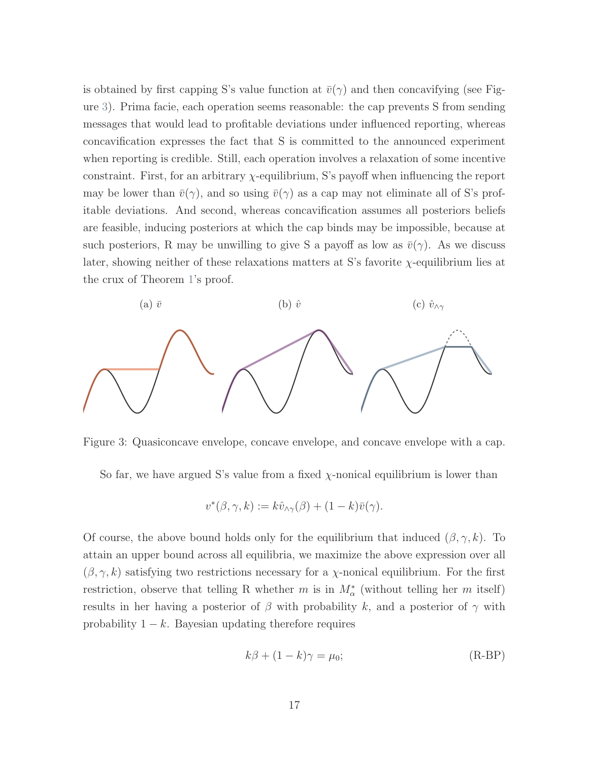is obtained by first capping S's value function at  $\bar{v}(\gamma)$  and then concavifying (see Figure [3\)](#page-16-0). Prima facie, each operation seems reasonable: the cap prevents S from sending messages that would lead to profitable deviations under influenced reporting, whereas concavification expresses the fact that S is committed to the announced experiment when reporting is credible. Still, each operation involves a relaxation of some incentive constraint. First, for an arbitrary χ-equilibrium, S's payoff when influencing the report may be lower than  $\bar{v}(\gamma)$ , and so using  $\bar{v}(\gamma)$  as a cap may not eliminate all of S's profitable deviations. And second, whereas concavification assumes all posteriors beliefs are feasible, inducing posteriors at which the cap binds may be impossible, because at such posteriors, R may be unwilling to give S a payoff as low as  $\bar{v}(\gamma)$ . As we discuss later, showing neither of these relaxations matters at S's favorite  $\chi$ -equilibrium lies at the crux of Theorem [1'](#page-17-0)s proof.

<span id="page-16-0"></span>

Figure 3: Quasiconcave envelope, concave envelope, and concave envelope with a cap.

So far, we have argued S's value from a fixed  $\chi$ -nonical equilibrium is lower than

$$
v^*(\beta, \gamma, k) := k\hat{v}_{\wedge \gamma}(\beta) + (1 - k)\overline{v}(\gamma).
$$

Of course, the above bound holds only for the equilibrium that induced  $(\beta, \gamma, k)$ . To attain an upper bound across all equilibria, we maximize the above expression over all  $(\beta, \gamma, k)$  satisfying two restrictions necessary for a *χ*-nonical equilibrium. For the first restriction, observe that telling R whether m is in  $M^*_{\alpha}$  (without telling her m itself) results in her having a posterior of  $\beta$  with probability k, and a posterior of  $\gamma$  with probability  $1 - k$ . Bayesian updating therefore requires

<span id="page-16-2"></span><span id="page-16-1"></span>
$$
k\beta + (1 - k)\gamma = \mu_0;
$$
 (R-BP)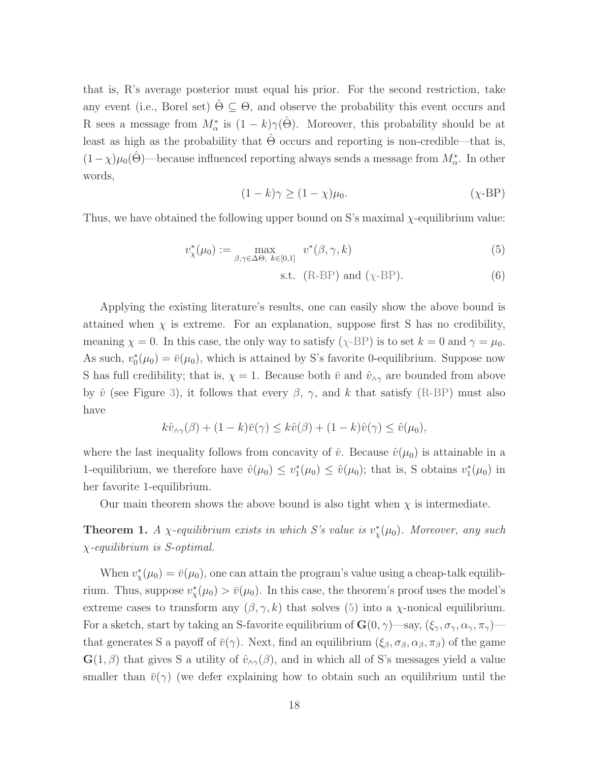that is, R's average posterior must equal his prior. For the second restriction, take any event (i.e., Borel set)  $\Theta \subseteq \Theta$ , and observe the probability this event occurs and R sees a message from  $M^*_{\alpha}$  is  $(1 - k)\gamma(\hat{\Theta})$ . Moreover, this probability should be at least as high as the probability that  $\ddot{\Theta}$  occurs and reporting is non-credible—that is,  $(1-\chi)\mu_0(\hat{\Theta})$ —because influenced reporting always sends a message from  $M^*_{\alpha}$ . In other words,

$$
(1 - k)\gamma \ge (1 - \chi)\mu_0. \tag{ \chi-BP}
$$

Thus, we have obtained the following upper bound on S's maximal  $\chi$ -equilibrium value:

$$
v_{\chi}^*(\mu_0) := \max_{\beta, \gamma \in \Delta \Theta, k \in [0,1]} v^*(\beta, \gamma, k) \tag{5}
$$

<span id="page-17-1"></span>
$$
s.t. (R-BP) and (\chi-BP). \tag{6}
$$

Applying the existing literature's results, one can easily show the above bound is attained when  $\chi$  is extreme. For an explanation, suppose first S has no credibility, meaning  $\chi = 0$ . In this case, the only way to satisfy ( $\chi$ [-BP\)](#page-17-1) is to set  $k = 0$  and  $\gamma = \mu_0$ . As such,  $v_0^*(\mu_0) = \bar{v}(\mu_0)$ , which is attained by S's favorite 0-equilibrium. Suppose now S has full credibility; that is,  $\chi = 1$ . Because both  $\bar{v}$  and  $\hat{v}_{\wedge \gamma}$  are bounded from above by  $\hat{v}$  (see Figure [3\)](#page-16-0), it follows that every  $\beta$ ,  $\gamma$ , and k that satisfy [\(R-BP\)](#page-16-1) must also have

$$
k\hat{v}_{\wedge\gamma}(\beta) + (1-k)\bar{v}(\gamma) \leq k\hat{v}(\beta) + (1-k)\hat{v}(\gamma) \leq \hat{v}(\mu_0),
$$

where the last inequality follows from concavity of  $\hat{v}$ . Because  $\hat{v}(\mu_0)$  is attainable in a 1-equilibrium, we therefore have  $\hat{v}(\mu_0) \leq v_1^*(\mu_0) \leq \hat{v}(\mu_0)$ ; that is, S obtains  $v_1^*(\mu_0)$  in her favorite 1-equilibrium.

Our main theorem shows the above bound is also tight when  $\chi$  is intermediate.

<span id="page-17-0"></span>**Theorem 1.** A  $\chi$ -equilibrium exists in which S's value is  $v^*_{\chi}(\mu_0)$ . Moreover, any such χ-equilibrium is S-optimal.

When  $v_{\chi}^*(\mu_0) = \bar{v}(\mu_0)$ , one can attain the program's value using a cheap-talk equilibrium. Thus, suppose  $v_{\chi}^*(\mu_0) > \bar{v}(\mu_0)$ . In this case, the theorem's proof uses the model's extreme cases to transform any  $(\beta, \gamma, k)$  that solves [\(5\)](#page-16-2) into a  $\chi$ -nonical equilibrium. For a sketch, start by taking an S-favorite equilibrium of  $\mathbf{G}(0, \gamma)$ —say,  $(\xi_{\gamma}, \sigma_{\gamma}, \alpha_{\gamma}, \pi_{\gamma})$  that generates S a payoff of  $\bar{v}(\gamma)$ . Next, find an equilibrium  $(\xi_{\beta}, \sigma_{\beta}, \alpha_{\beta}, \pi_{\beta})$  of the game  $\mathbf{G}(1,\beta)$  that gives S a utility of  $\hat{v}_{\wedge \gamma}(\beta)$ , and in which all of S's messages yield a value smaller than  $\bar{v}(\gamma)$  (we defer explaining how to obtain such an equilibrium until the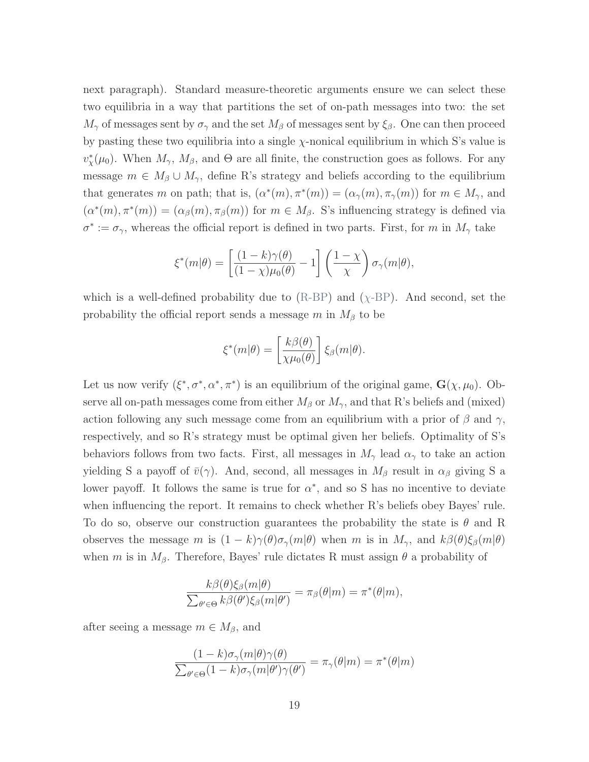next paragraph). Standard measure-theoretic arguments ensure we can select these two equilibria in a way that partitions the set of on-path messages into two: the set  $M_{\gamma}$  of messages sent by  $\sigma_{\gamma}$  and the set  $M_{\beta}$  of messages sent by  $\xi_{\beta}$ . One can then proceed by pasting these two equilibria into a single  $\chi$ -nonical equilibrium in which S's value is  $v_{\chi}^*(\mu_0)$ . When  $M_{\gamma}$ ,  $M_{\beta}$ , and  $\Theta$  are all finite, the construction goes as follows. For any message  $m \in M_\beta \cup M_\gamma$ , define R's strategy and beliefs according to the equilibrium that generates m on path; that is,  $(\alpha^*(m), \pi^*(m)) = (\alpha_{\gamma}(m), \pi_{\gamma}(m))$  for  $m \in M_{\gamma}$ , and  $(\alpha^*(m), \pi^*(m)) = (\alpha_\beta(m), \pi_\beta(m))$  for  $m \in M_\beta$ . S's influencing strategy is defined via  $\sigma^* := \sigma_{\gamma}$ , whereas the official report is defined in two parts. First, for m in  $M_{\gamma}$  take

$$
\xi^*(m|\theta) = \left[\frac{(1-k)\gamma(\theta)}{(1-\chi)\mu_0(\theta)} - 1\right] \left(\frac{1-\chi}{\chi}\right) \sigma_\gamma(m|\theta),
$$

which is a well-defined probability due to  $(R-BP)$  $(R-BP)$  and  $(\chi-BP)$ . And second, set the probability the official report sends a message m in  $M_\beta$  to be

$$
\xi^*(m|\theta) = \left[\frac{k\beta(\theta)}{\chi\mu_0(\theta)}\right] \xi_\beta(m|\theta).
$$

Let us now verify  $(\xi^*, \sigma^*, \alpha^*, \pi^*)$  is an equilibrium of the original game,  $\mathbf{G}(\chi, \mu_0)$ . Observe all on-path messages come from either  $M_{\beta}$  or  $M_{\gamma}$ , and that R's beliefs and (mixed) action following any such message come from an equilibrium with a prior of  $\beta$  and  $\gamma$ , respectively, and so R's strategy must be optimal given her beliefs. Optimality of S's behaviors follows from two facts. First, all messages in  $M_{\gamma}$  lead  $\alpha_{\gamma}$  to take an action yielding S a payoff of  $\bar{v}(\gamma)$ . And, second, all messages in  $M_\beta$  result in  $\alpha_\beta$  giving S a lower payoff. It follows the same is true for  $\alpha^*$ , and so S has no incentive to deviate when influencing the report. It remains to check whether R's beliefs obey Bayes' rule. To do so, observe our construction guarantees the probability the state is  $\theta$  and R observes the message m is  $(1 - k)\gamma(\theta)\sigma_{\gamma}(m|\theta)$  when m is in  $M_{\gamma}$ , and  $k\beta(\theta)\xi_{\beta}(m|\theta)$ when m is in  $M_\beta$ . Therefore, Bayes' rule dictates R must assign  $\theta$  a probability of

$$
\frac{k\beta(\theta)\xi_{\beta}(m|\theta)}{\sum_{\theta' \in \Theta} k\beta(\theta')\xi_{\beta}(m|\theta')} = \pi_{\beta}(\theta|m) = \pi^*(\theta|m),
$$

after seeing a message  $m \in M_\beta$ , and

$$
\frac{(1-k)\sigma_{\gamma}(m|\theta)\gamma(\theta)}{\sum_{\theta'\in\Theta} (1-k)\sigma_{\gamma}(m|\theta')\gamma(\theta')} = \pi_{\gamma}(\theta|m) = \pi^*(\theta|m)
$$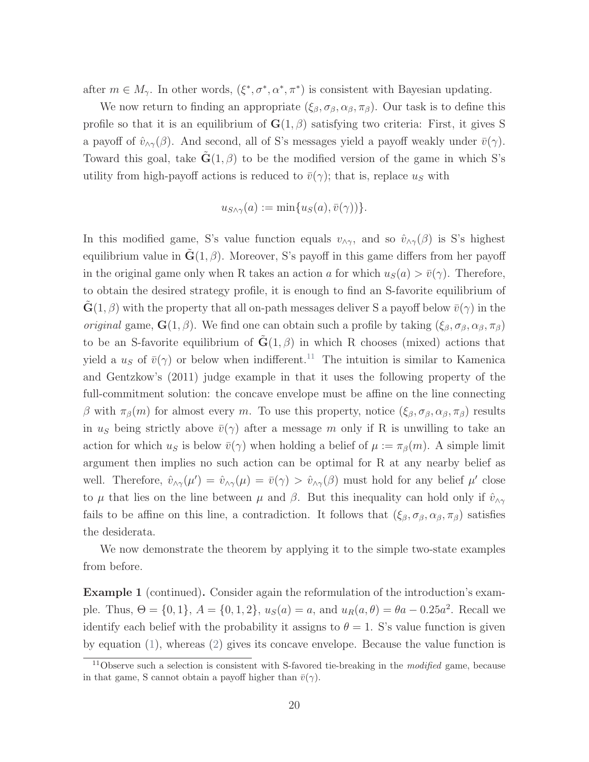after  $m \in M_\gamma$ . In other words,  $(\xi^*, \sigma^*, \alpha^*, \pi^*)$  is consistent with Bayesian updating.

We now return to finding an appropriate  $(\xi_{\beta}, \sigma_{\beta}, \alpha_{\beta}, \pi_{\beta})$ . Our task is to define this profile so that it is an equilibrium of  $\mathbf{G}(1,\beta)$  satisfying two criteria: First, it gives S a payoff of  $\hat{v}_{\wedge \gamma}(\beta)$ . And second, all of S's messages yield a payoff weakly under  $\bar{v}(\gamma)$ . Toward this goal, take  $\mathbf{G}(1,\beta)$  to be the modified version of the game in which S's utility from high-payoff actions is reduced to  $\bar{v}(\gamma)$ ; that is, replace  $u_s$  with

$$
u_{S \wedge \gamma}(a) := \min\{u_S(a), \bar{v}(\gamma)\}.
$$

In this modified game, S's value function equals  $v_{\wedge \gamma}$ , and so  $\hat{v}_{\wedge \gamma}(\beta)$  is S's highest equilibrium value in  $\mathbf{G}(1,\beta)$ . Moreover, S's payoff in this game differs from her payoff in the original game only when R takes an action a for which  $u_S(a) > \bar{v}(\gamma)$ . Therefore, to obtain the desired strategy profile, it is enough to find an S-favorite equilibrium of  $\mathbf{G}(1,\beta)$  with the property that all on-path messages deliver S a payoff below  $\bar{v}(\gamma)$  in the *original* game,  $\mathbf{G}(1,\beta)$ . We find one can obtain such a profile by taking  $(\xi_{\beta}, \sigma_{\beta}, \alpha_{\beta}, \pi_{\beta})$ to be an S-favorite equilibrium of  $\mathbf{G}(1,\beta)$  in which R chooses (mixed) actions that yield a  $u<sub>S</sub>$  of  $\bar{v}(\gamma)$  or below when indifferent.<sup>[11](#page-0-0)</sup> The intuition is similar to [Kamenica](#page-44-0) [and Gentzkow'](#page-44-0)s [\(2011\)](#page-44-0) judge example in that it uses the following property of the full-commitment solution: the concave envelope must be affine on the line connecting β with  $\pi_\beta(m)$  for almost every m. To use this property, notice  $(\xi_\beta, \sigma_\beta, \alpha_\beta, \pi_\beta)$  results in  $u_s$  being strictly above  $\bar{v}(\gamma)$  after a message m only if R is unwilling to take an action for which  $u_s$  is below  $\bar{v}(\gamma)$  when holding a belief of  $\mu := \pi_\beta(m)$ . A simple limit argument then implies no such action can be optimal for R at any nearby belief as well. Therefore,  $\hat{v}_{\wedge \gamma}(\mu') = \hat{v}_{\wedge \gamma}(\mu) = \bar{v}(\gamma) > \hat{v}_{\wedge \gamma}(\beta)$  must hold for any belief  $\mu'$  close to  $\mu$  that lies on the line between  $\mu$  and  $\beta$ . But this inequality can hold only if  $\hat{v}_{\wedge\gamma}$ fails to be affine on this line, a contradiction. It follows that  $(\xi_\beta, \sigma_\beta, \alpha_\beta, \pi_\beta)$  satisfies the desiderata.

We now demonstrate the theorem by applying it to the simple two-state examples from before.

Example 1 (continued). Consider again the reformulation of the introduction's example. Thus,  $\Theta = \{0, 1\}, A = \{0, 1, 2\}, u_S(a) = a$ , and  $u_R(a, \theta) = \theta a - 0.25a^2$ . Recall we identify each belief with the probability it assigns to  $\theta = 1$ . S's value function is given by equation [\(1\)](#page-11-1), whereas [\(2\)](#page-11-2) gives its concave envelope. Because the value function is

<sup>&</sup>lt;sup>11</sup>Observe such a selection is consistent with S-favored tie-breaking in the *modified* game, because in that game, S cannot obtain a payoff higher than  $\bar{v}(\gamma)$ .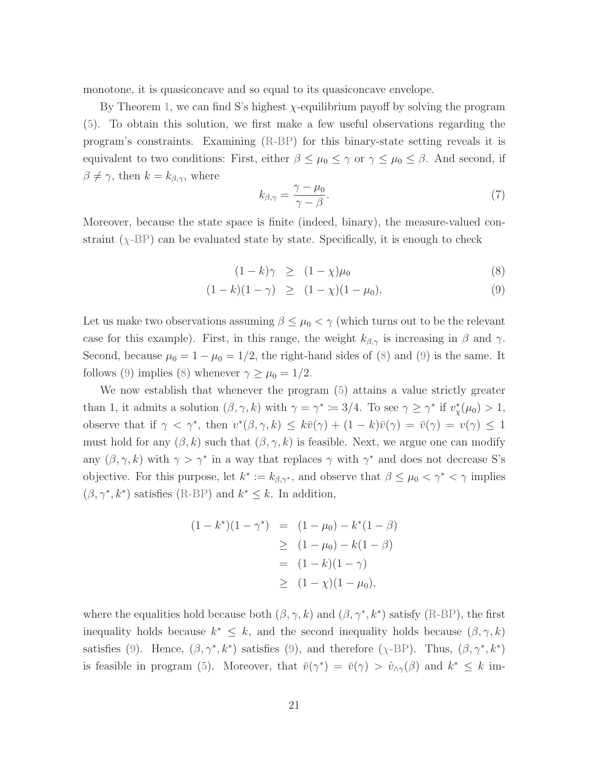monotone, it is quasiconcave and so equal to its quasiconcave envelope.

By Theorem [1,](#page-17-0) we can find S's highest  $\chi$ -equilibrium payoff by solving the program [\(5\)](#page-16-2). To obtain this solution, we first make a few useful observations regarding the program's constraints. Examining [\(R-BP\)](#page-16-1) for this binary-state setting reveals it is equivalent to two conditions: First, either  $\beta \leq \mu_0 \leq \gamma$  or  $\gamma \leq \mu_0 \leq \beta$ . And second, if  $\beta \neq \gamma$ , then  $k = k_{\beta,\gamma}$ , where

<span id="page-20-1"></span>
$$
k_{\beta,\gamma} = \frac{\gamma - \mu_0}{\gamma - \beta}.\tag{7}
$$

Moreover, because the state space is finite (indeed, binary), the measure-valued constraint  $(\chi$ [-BP\)](#page-17-1) can be evaluated state by state. Specifically, it is enough to check

<span id="page-20-0"></span>
$$
(1 - k)\gamma \ge (1 - \chi)\mu_0 \tag{8}
$$

$$
(1 - k)(1 - \gamma) \ge (1 - \chi)(1 - \mu_0). \tag{9}
$$

Let us make two observations assuming  $\beta \leq \mu_0 < \gamma$  (which turns out to be the relevant case for this example). First, in this range, the weight  $k_{\beta,\gamma}$  is increasing in  $\beta$  and  $\gamma$ . Second, because  $\mu_0 = 1 - \mu_0 = 1/2$ , the right-hand sides of [\(8\)](#page-20-0) and [\(9\)](#page-20-0) is the same. It follows [\(9\)](#page-20-0) implies [\(8\)](#page-20-0) whenever  $\gamma \geq \mu_0 = 1/2$ .

We now establish that whenever the program [\(5\)](#page-16-2) attains a value strictly greater than 1, it admits a solution  $(\beta, \gamma, k)$  with  $\gamma = \gamma^* \coloneqq 3/4$ . To see  $\gamma \geq \gamma^*$  if  $v^*_{\chi}(\mu_0) > 1$ , observe that if  $\gamma < \gamma^*$ , then  $v^*(\beta, \gamma, k) \leq k\bar{v}(\gamma) + (1 - k)\bar{v}(\gamma) = \bar{v}(\gamma) = v(\gamma) \leq 1$ must hold for any  $(\beta, k)$  such that  $(\beta, \gamma, k)$  is feasible. Next, we argue one can modify any  $(\beta, \gamma, k)$  with  $\gamma > \gamma^*$  in a way that replaces  $\gamma$  with  $\gamma^*$  and does not decrease S's objective. For this purpose, let  $k^* := k_{\beta,\gamma^*}$ , and observe that  $\beta \leq \mu_0 < \gamma^* < \gamma$  implies  $(\beta, \gamma^*, k^*)$  satisfies [\(R-BP\)](#page-16-1) and  $k^* \leq k$ . In addition,

$$
(1 - k^*)(1 - \gamma^*) = (1 - \mu_0) - k^*(1 - \beta)
$$
  
\n
$$
\geq (1 - \mu_0) - k(1 - \beta)
$$
  
\n
$$
= (1 - k)(1 - \gamma)
$$
  
\n
$$
\geq (1 - \chi)(1 - \mu_0),
$$

where the equalities hold because both  $(\beta, \gamma, k)$  and  $(\beta, \gamma^*, k^*)$  satisfy [\(R-BP\)](#page-16-1), the first inequality holds because  $k^* \leq k$ , and the second inequality holds because  $(\beta, \gamma, k)$ satisfies [\(9\)](#page-20-0). Hence,  $(\beta, \gamma^*, k^*)$  satisfies (9), and therefore ( $\chi$ [-BP\)](#page-17-1). Thus,  $(\beta, \gamma^*, k^*)$ is feasible in program [\(5\)](#page-16-2). Moreover, that  $\bar{v}(\gamma^*) = \bar{v}(\gamma) > \hat{v}_{\wedge \gamma}(\beta)$  and  $k^* \leq k$  im-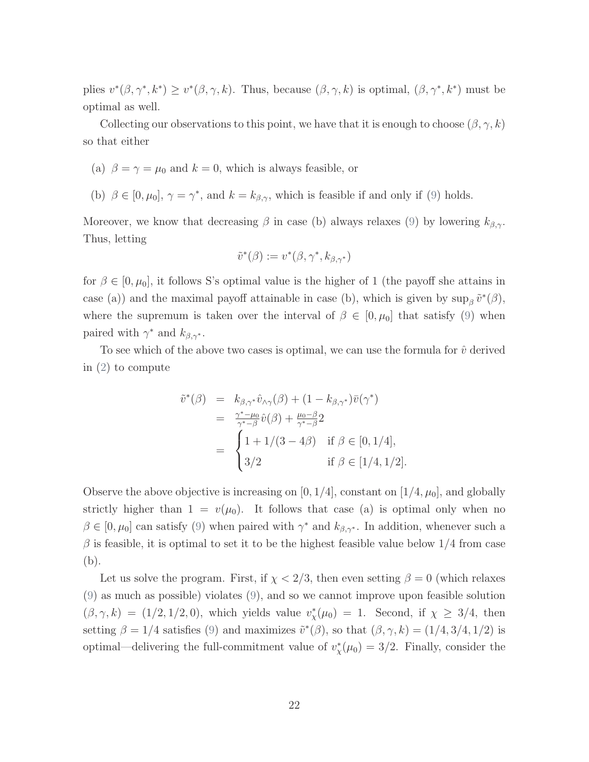plies  $v^*(\beta, \gamma^*, k^*) \geq v^*(\beta, \gamma, k)$ . Thus, because  $(\beta, \gamma, k)$  is optimal,  $(\beta, \gamma^*, k^*)$  must be optimal as well.

Collecting our observations to this point, we have that it is enough to choose  $(\beta, \gamma, k)$ so that either

- (a)  $\beta = \gamma = \mu_0$  and  $k = 0$ , which is always feasible, or
- (b)  $\beta \in [0, \mu_0], \gamma = \gamma^*$ , and  $k = k_{\beta, \gamma}$ , which is feasible if and only if [\(9\)](#page-20-0) holds.

Moreover, we know that decreasing  $\beta$  in case (b) always relaxes [\(9\)](#page-20-0) by lowering  $k_{\beta,\gamma}$ . Thus, letting

$$
\tilde{v}^*(\beta) := v^*(\beta, \gamma^*, k_{\beta, \gamma^*})
$$

for  $\beta \in [0, \mu_0]$ , it follows S's optimal value is the higher of 1 (the payoff she attains in case (a)) and the maximal payoff attainable in case (b), which is given by  $\sup_{\beta} \tilde{v}^*(\beta)$ , where the supremum is taken over the interval of  $\beta \in [0, \mu_0]$  that satisfy [\(9\)](#page-20-0) when paired with  $\gamma^*$  and  $k_{\beta,\gamma^*}$ .

To see which of the above two cases is optimal, we can use the formula for  $\hat{v}$  derived in [\(2\)](#page-11-2) to compute

$$
\tilde{v}^*(\beta) = k_{\beta,\gamma^*}\hat{v}_{\wedge\gamma}(\beta) + (1 - k_{\beta,\gamma^*})\bar{v}(\gamma^*)
$$
  
\n
$$
= \frac{\gamma^* - \mu_0}{\gamma^* - \beta}\hat{v}(\beta) + \frac{\mu_0 - \beta}{\gamma^* - \beta}2
$$
  
\n
$$
= \begin{cases}\n1 + 1/(3 - 4\beta) & \text{if } \beta \in [0, 1/4], \\
3/2 & \text{if } \beta \in [1/4, 1/2].\n\end{cases}
$$

Observe the above objective is increasing on  $[0, 1/4]$ , constant on  $[1/4, \mu_0]$ , and globally strictly higher than  $1 = v(\mu_0)$ . It follows that case (a) is optimal only when no  $\beta \in [0, \mu_0]$  can satisfy [\(9\)](#page-20-0) when paired with  $\gamma^*$  and  $k_{\beta, \gamma^*}$ . In addition, whenever such a  $\beta$  is feasible, it is optimal to set it to be the highest feasible value below 1/4 from case (b).

Let us solve the program. First, if  $\chi < 2/3$ , then even setting  $\beta = 0$  (which relaxes [\(9\)](#page-20-0) as much as possible) violates [\(9\)](#page-20-0), and so we cannot improve upon feasible solution  $(\beta, \gamma, k) = (1/2, 1/2, 0)$ , which yields value  $v_x^*(\mu_0) = 1$ . Second, if  $\chi \geq 3/4$ , then setting  $\beta = 1/4$  satisfies [\(9\)](#page-20-0) and maximizes  $\tilde{v}^*(\beta)$ , so that  $(\beta, \gamma, k) = (1/4, 3/4, 1/2)$  is optimal—delivering the full-commitment value of  $v^*_{\chi}(\mu_0) = 3/2$ . Finally, consider the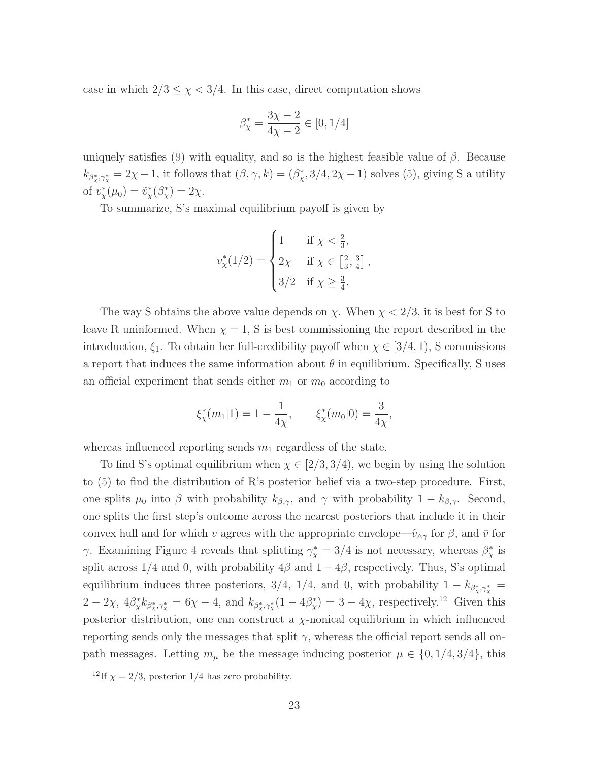case in which  $2/3 \leq \chi < 3/4$ . In this case, direct computation shows

$$
\beta_{\chi}^* = \frac{3\chi-2}{4\chi-2} \in [0,1/4]
$$

uniquely satisfies [\(9\)](#page-20-0) with equality, and so is the highest feasible value of  $\beta$ . Because  $k_{\beta^*_X,\gamma^*_X} = 2\chi - 1$ , it follows that  $(\beta, \gamma, k) = (\beta^*_X, 3/4, 2\chi - 1)$  solves [\(5\)](#page-16-2), giving S a utility of  $v_{\chi}^*(\mu_0) = \tilde{v}_{\chi}^*(\beta_{\chi}^*) = 2\chi$ .

To summarize, S's maximal equilibrium payoff is given by

$$
v_{\chi}^{*}(1/2) = \begin{cases} 1 & \text{if } \chi < \frac{2}{3}, \\ 2\chi & \text{if } \chi \in \left[\frac{2}{3}, \frac{3}{4}\right], \\ 3/2 & \text{if } \chi \ge \frac{3}{4}. \end{cases}
$$

The way S obtains the above value depends on  $\chi$ . When  $\chi < 2/3$ , it is best for S to leave R uninformed. When  $\chi = 1$ , S is best commissioning the report described in the introduction,  $\xi_1$ . To obtain her full-credibility payoff when  $\chi \in [3/4, 1)$ , S commissions a report that induces the same information about  $\theta$  in equilibrium. Specifically, S uses an official experiment that sends either  $m_1$  or  $m_0$  according to

$$
\xi_{\chi}^*(m_1|1) = 1 - \frac{1}{4\chi}, \qquad \xi_{\chi}^*(m_0|0) = \frac{3}{4\chi},
$$

whereas influenced reporting sends  $m_1$  regardless of the state.

To find S's optimal equilibrium when  $\chi \in [2/3, 3/4)$ , we begin by using the solution to [\(5\)](#page-16-2) to find the distribution of R's posterior belief via a two-step procedure. First, one splits  $\mu_0$  into  $\beta$  with probability  $k_{\beta,\gamma}$ , and  $\gamma$  with probability  $1 - k_{\beta,\gamma}$ . Second, one splits the first step's outcome across the nearest posteriors that include it in their convex hull and for which v agrees with the appropriate envelope— $\hat{v}_{\wedge \gamma}$  for  $\beta$ , and  $\bar{v}$  for γ. Examining Figure [4](#page-23-0) reveals that splitting  $\gamma^*_{\chi} = 3/4$  is not necessary, whereas  $\beta^*_{\chi}$  is split across 1/4 and 0, with probability  $4\beta$  and  $1 - 4\beta$ , respectively. Thus, S's optimal equilibrium induces three posteriors, 3/4, 1/4, and 0, with probability  $1 - k_{\beta_x^*, \gamma_x^*} =$  $2-2\chi$ ,  $4\beta_{\chi}^* k_{\beta_{\chi}^*,\gamma_{\chi}^*} = 6\chi - 4$ , and  $k_{\beta_{\chi}^*,\gamma_{\chi}^*}(1-4\beta_{\chi}^*)=3-4\chi$ , respectively.<sup>[12](#page-0-0)</sup> Given this posterior distribution, one can construct a  $\chi$ -nonical equilibrium in which influenced reporting sends only the messages that split  $\gamma$ , whereas the official report sends all onpath messages. Letting  $m_{\mu}$  be the message inducing posterior  $\mu \in \{0, 1/4, 3/4\}$ , this

<sup>&</sup>lt;sup>12</sup>If  $\chi = 2/3$ , posterior 1/4 has zero probability.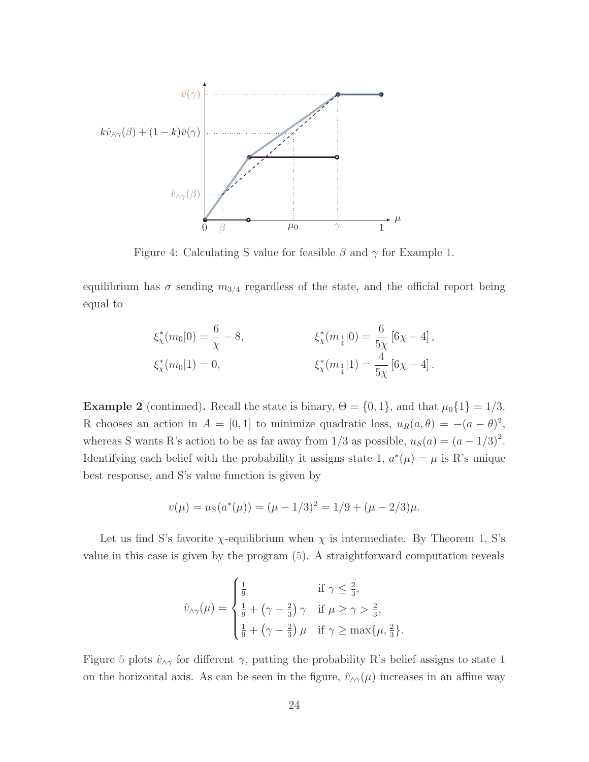<span id="page-23-0"></span>

Figure 4: Calculating S value for feasible  $\beta$  and  $\gamma$  for Example [1.](#page-11-0)

equilibrium has  $\sigma$  sending  $m_{3/4}$  regardless of the state, and the official report being equal to

$$
\xi_{\chi}^*(m_0|0) = \frac{6}{\chi} - 8, \qquad \xi_{\chi}^*(m_{\frac{1}{4}}|0) = \frac{6}{5\chi} [6\chi - 4],
$$
  

$$
\xi_{\chi}^*(m_0|1) = 0, \qquad \xi_{\chi}^*(m_{\frac{1}{4}}|1) = \frac{4}{5\chi} [6\chi - 4].
$$

**Example 2** (continued). Recall the state is binary,  $\Theta = \{0, 1\}$ , and that  $\mu_0\{1\} = 1/3$ . R chooses an action in  $A = [0, 1]$  to minimize quadratic loss,  $u_R(a, \theta) = -(a - \theta)^2$ , whereas S wants R's action to be as far away from  $1/3$  as possible,  $u_S(a) = (a - 1/3)^2$ . Identifying each belief with the probability it assigns state 1,  $a^*(\mu) = \mu$  is R's unique best response, and S's value function is given by

$$
v(\mu) = u_S(a^*(\mu)) = (\mu - 1/3)^2 = 1/9 + (\mu - 2/3)\mu.
$$

Let us find S's favorite  $\chi$ -equilibrium when  $\chi$  is intermediate. By Theorem [1,](#page-17-0) S's value in this case is given by the program [\(5\)](#page-16-2). A straightforward computation reveals

$$
\hat{v}_{\wedge \gamma}(\mu) = \begin{cases} \frac{1}{9} & \text{if } \gamma \leq \frac{2}{3}, \\ \frac{1}{9} + (\gamma - \frac{2}{3}) \gamma & \text{if } \mu \geq \gamma > \frac{2}{3}, \\ \frac{1}{9} + (\gamma - \frac{2}{3}) \mu & \text{if } \gamma \geq \max\{\mu, \frac{2}{3}\}. \end{cases}
$$

Figure [5](#page-25-1) plots  $\hat{v}_{\wedge \gamma}$  for different  $\gamma$ , putting the probability R's belief assigns to state 1 on the horizontal axis. As can be seen in the figure,  $\hat{v}_{\wedge \gamma}(\mu)$  increases in an affine way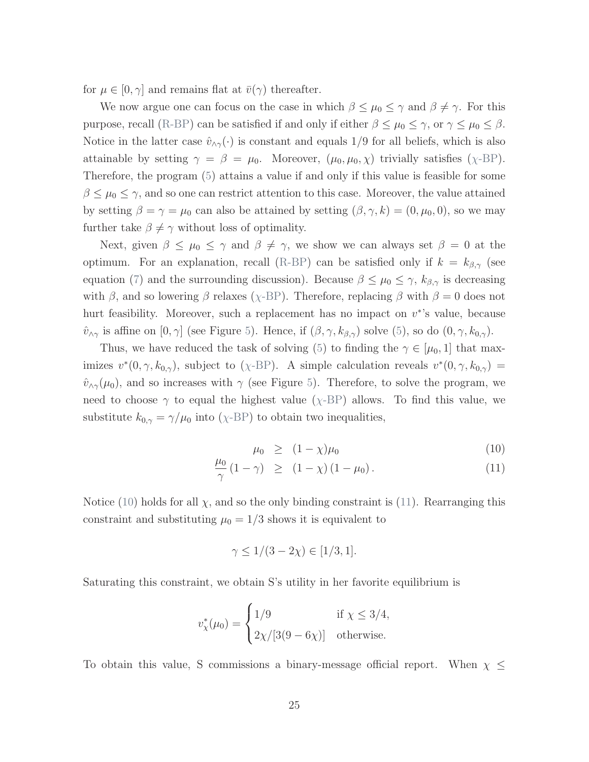for  $\mu \in [0, \gamma]$  and remains flat at  $\bar{v}(\gamma)$  thereafter.

We now argue one can focus on the case in which  $\beta \leq \mu_0 \leq \gamma$  and  $\beta \neq \gamma$ . For this purpose, recall [\(R-BP\)](#page-16-1) can be satisfied if and only if either  $\beta \leq \mu_0 \leq \gamma$ , or  $\gamma \leq \mu_0 \leq \beta$ . Notice in the latter case  $\hat{v}_{\wedge \gamma}(\cdot)$  is constant and equals 1/9 for all beliefs, which is also attainable by setting  $\gamma = \beta = \mu_0$ . Moreover,  $(\mu_0, \mu_0, \chi)$  trivially satisfies  $(\chi$ [-BP\)](#page-17-1). Therefore, the program [\(5\)](#page-16-2) attains a value if and only if this value is feasible for some  $\beta \leq \mu_0 \leq \gamma$ , and so one can restrict attention to this case. Moreover, the value attained by setting  $\beta = \gamma = \mu_0$  can also be attained by setting  $(\beta, \gamma, k) = (0, \mu_0, 0)$ , so we may further take  $\beta \neq \gamma$  without loss of optimality.

Next, given  $\beta \leq \mu_0 \leq \gamma$  and  $\beta \neq \gamma$ , we show we can always set  $\beta = 0$  at the optimum. For an explanation, recall [\(R-BP\)](#page-16-1) can be satisfied only if  $k = k_{\beta,\gamma}$  (see equation [\(7\)](#page-20-1) and the surrounding discussion). Because  $\beta \leq \mu_0 \leq \gamma$ ,  $k_{\beta,\gamma}$  is decreasing with  $\beta$ , and so lowering  $\beta$  relaxes ( $\chi$ [-BP\)](#page-17-1). Therefore, replacing  $\beta$  with  $\beta = 0$  does not hurt feasibility. Moreover, such a replacement has no impact on  $v^*$ 's value, because  $\hat{v}_{\wedge\gamma}$  is affine on  $[0, \gamma]$  (see Figure [5\)](#page-25-1). Hence, if  $(\beta, \gamma, k_{\beta, \gamma})$  solve [\(5\)](#page-16-2), so do  $(0, \gamma, k_{0, \gamma})$ .

Thus, we have reduced the task of solving [\(5\)](#page-16-2) to finding the  $\gamma \in [\mu_0, 1]$  that maximizes  $v^*(0, \gamma, k_{0,\gamma})$ , subject to (χ[-BP\)](#page-17-1). A simple calculation reveals  $v^*(0, \gamma, k_{0,\gamma}) =$  $\hat{v}_{\wedge \gamma}(\mu_0)$ , and so increases with  $\gamma$  (see Figure [5\)](#page-25-1). Therefore, to solve the program, we need to choose  $\gamma$  to equal the highest value ( $\chi$ [-BP\)](#page-17-1) allows. To find this value, we substitute  $k_{0,\gamma} = \gamma/\mu_0$  into ( $\chi$ [-BP\)](#page-17-1) to obtain two inequalities,

<span id="page-24-0"></span>
$$
\mu_0 \ge (1 - \chi)\mu_0 \tag{10}
$$

$$
\frac{\mu_0}{\gamma} (1 - \gamma) \ge (1 - \chi) (1 - \mu_0).
$$
\n(11)

Notice [\(10\)](#page-24-0) holds for all  $\chi$ , and so the only binding constraint is [\(11\)](#page-24-0). Rearranging this constraint and substituting  $\mu_0 = 1/3$  shows it is equivalent to

$$
\gamma \le 1/(3 - 2\chi) \in [1/3, 1].
$$

Saturating this constraint, we obtain S's utility in her favorite equilibrium is

$$
v_{\chi}^*(\mu_0) = \begin{cases} 1/9 & \text{if } \chi \le 3/4, \\ 2\chi/[3(9-6\chi)] & \text{otherwise.} \end{cases}
$$

To obtain this value, S commissions a binary-message official report. When  $\chi \leq$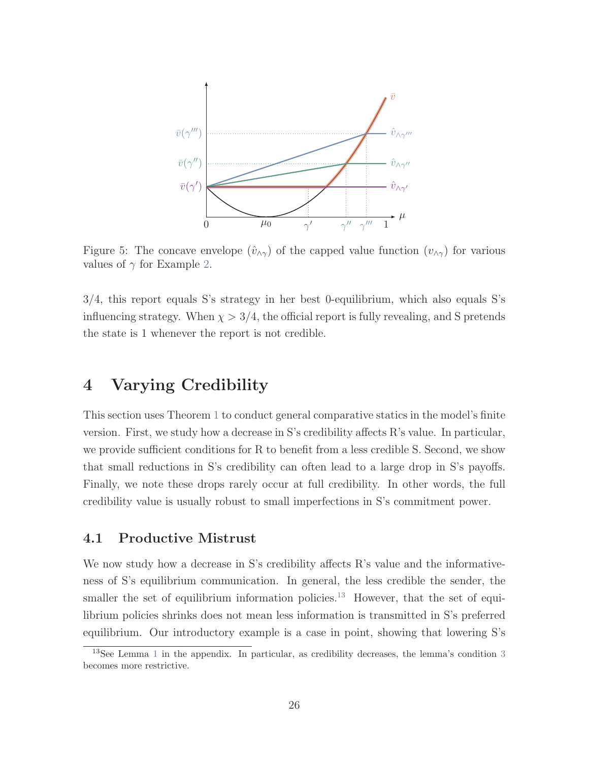<span id="page-25-1"></span>

Figure 5: The concave envelope  $(\hat{v}_{\wedge \gamma})$  of the capped value function  $(v_{\wedge \gamma})$  for various values of  $\gamma$  for Example [2.](#page-12-1)

3/4, this report equals S's strategy in her best 0-equilibrium, which also equals S's influencing strategy. When  $\chi > 3/4$ , the official report is fully revealing, and S pretends the state is 1 whenever the report is not credible.

### <span id="page-25-0"></span>4 Varying Credibility

This section uses Theorem [1](#page-17-0) to conduct general comparative statics in the model's finite version. First, we study how a decrease in S's credibility affects R's value. In particular, we provide sufficient conditions for R to benefit from a less credible S. Second, we show that small reductions in S's credibility can often lead to a large drop in S's payoffs. Finally, we note these drops rarely occur at full credibility. In other words, the full credibility value is usually robust to small imperfections in S's commitment power.

### 4.1 Productive Mistrust

We now study how a decrease in S's credibility affects R's value and the informativeness of S's equilibrium communication. In general, the less credible the sender, the smaller the set of equilibrium information policies.<sup>[13](#page-0-0)</sup> However, that the set of equilibrium policies shrinks does not mean less information is transmitted in S's preferred equilibrium. Our introductory example is a case in point, showing that lowering S's

<sup>&</sup>lt;sup>[1](#page-48-1)[3](#page-48-2)</sup>See Lemma 1 in the appendix. In particular, as credibility decreases, the lemma's condition 3 becomes more restrictive.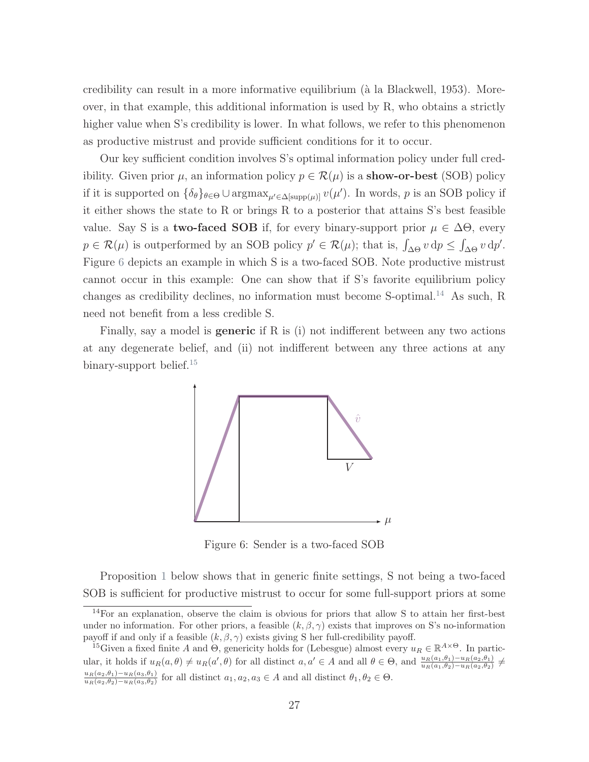credibility can result in a more informative equilibrium (à la [Blackwell,](#page-43-9) [1953\)](#page-43-9). Moreover, in that example, this additional information is used by R, who obtains a strictly higher value when S's credibility is lower. In what follows, we refer to this phenomenon as productive mistrust and provide sufficient conditions for it to occur.

Our key sufficient condition involves S's optimal information policy under full credibility. Given prior  $\mu$ , an information policy  $p \in \mathcal{R}(\mu)$  is a **show-or-best** (SOB) policy if it is supported on  $\{\delta_\theta\}_{\theta \in \Theta} \cup \operatorname{argmax}_{\mu' \in \Delta[\text{supp}(\mu)]} v(\mu')$ . In words, p is an SOB policy if it either shows the state to R or brings R to a posterior that attains S's best feasible value. Say S is a **two-faced SOB** if, for every binary-support prior  $\mu \in \Delta\Theta$ , every  $p \in \mathcal{R}(\mu)$  is outperformed by an SOB policy  $p' \in \mathcal{R}(\mu)$ ; that is,  $\int_{\Delta\Theta} v \, dp \leq \int_{\Delta\Theta} v \, dp'$ . Figure [6](#page-26-0) depicts an example in which S is a two-faced SOB. Note productive mistrust cannot occur in this example: One can show that if S's favorite equilibrium policy changes as credibility declines, no information must become S-optimal.<sup>[14](#page-0-0)</sup> As such, R need not benefit from a less credible S.

<span id="page-26-0"></span>Finally, say a model is **generic** if R is (i) not indifferent between any two actions at any degenerate belief, and (ii) not indifferent between any three actions at any binary-support belief.<sup>[15](#page-0-0)</sup>



Figure 6: Sender is a two-faced SOB

Proposition [1](#page-27-0) below shows that in generic finite settings, S not being a two-faced SOB is sufficient for productive mistrust to occur for some full-support priors at some

<sup>14</sup>For an explanation, observe the claim is obvious for priors that allow S to attain her first-best under no information. For other priors, a feasible  $(k, \beta, \gamma)$  exists that improves on S's no-information payoff if and only if a feasible  $(k, \beta, \gamma)$  exists giving S her full-credibility payoff.

<sup>&</sup>lt;sup>15</sup>Given a fixed finite A and  $\Theta$ , genericity holds for (Lebesgue) almost every  $u_R \in \mathbb{R}^{A \times \Theta}$ . In particular, it holds if  $u_R(a, \theta) \neq u_R(a', \theta)$  for all distinct  $a, a' \in A$  and all  $\theta \in \Theta$ , and  $\frac{u_R(a_1, \theta_1) - u_R(a_2, \theta_1)}{u_R(a_1, \theta_2) - u_R(a_2, \theta_2)} \neq$  $u_R(a_2,\theta_1)-u_R(a_3,\theta_1)$  $\frac{u_{R}(a_2,\theta_1)-u_{R}(a_3,\theta_1)}{u_{R}(a_2,\theta_2)-u_{R}(a_3,\theta_2)}$  for all distinct  $a_1, a_2, a_3 \in A$  and all distinct  $\theta_1, \theta_2 \in \Theta$ .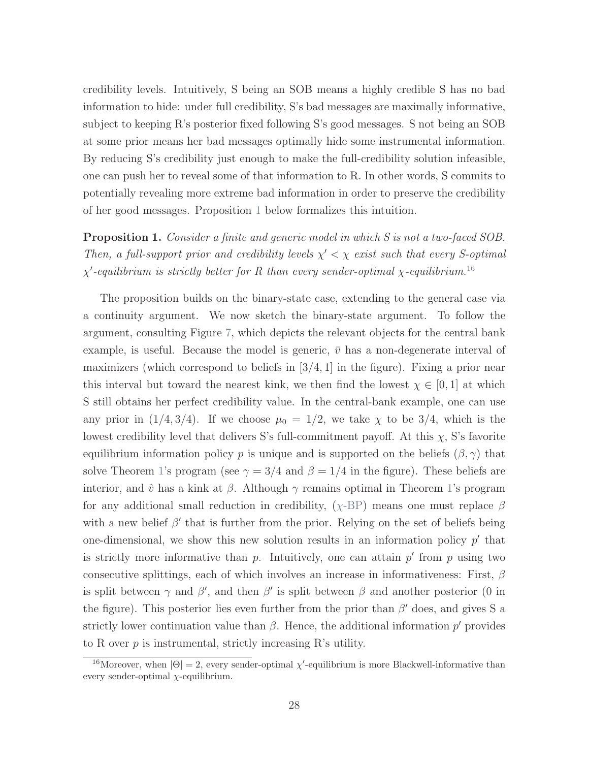credibility levels. Intuitively, S being an SOB means a highly credible S has no bad information to hide: under full credibility, S's bad messages are maximally informative, subject to keeping R's posterior fixed following S's good messages. S not being an SOB at some prior means her bad messages optimally hide some instrumental information. By reducing S's credibility just enough to make the full-credibility solution infeasible, one can push her to reveal some of that information to R. In other words, S commits to potentially revealing more extreme bad information in order to preserve the credibility of her good messages. Proposition [1](#page-27-0) below formalizes this intuition.

<span id="page-27-0"></span>**Proposition 1.** Consider a finite and generic model in which S is not a two-faced SOB. Then, a full-support prior and credibility levels  $\chi' < \chi$  exist such that every S-optimal  $\chi'$ -equilibrium is strictly better for R than every sender-optimal  $\chi$ -equilibrium.<sup>[16](#page-0-0)</sup>

The proposition builds on the binary-state case, extending to the general case via a continuity argument. We now sketch the binary-state argument. To follow the argument, consulting Figure [7,](#page-28-1) which depicts the relevant objects for the central bank example, is useful. Because the model is generic,  $\bar{v}$  has a non-degenerate interval of maximizers (which correspond to beliefs in  $[3/4, 1]$  in the figure). Fixing a prior near this interval but toward the nearest kink, we then find the lowest  $\chi \in [0,1]$  at which S still obtains her perfect credibility value. In the central-bank example, one can use any prior in  $(1/4, 3/4)$ . If we choose  $\mu_0 = 1/2$ , we take  $\chi$  to be 3/4, which is the lowest credibility level that delivers S's full-commitment payoff. At this  $\chi$ , S's favorite equilibrium information policy p is unique and is supported on the beliefs  $(\beta, \gamma)$  that solve Theorem [1'](#page-17-0)s program (see  $\gamma = 3/4$  and  $\beta = 1/4$  in the figure). These beliefs are interior, and  $\hat{v}$  has a kink at  $\beta$ . Although  $\gamma$  remains optimal in Theorem [1'](#page-17-0)s program for any additional small reduction in credibility,  $(\chi$ [-BP\)](#page-17-1) means one must replace  $\beta$ with a new belief  $\beta'$  that is further from the prior. Relying on the set of beliefs being one-dimensional, we show this new solution results in an information policy  $p'$  that is strictly more informative than  $p$ . Intuitively, one can attain  $p'$  from  $p$  using two consecutive splittings, each of which involves an increase in informativeness: First,  $\beta$ is split between  $\gamma$  and  $\beta'$ , and then  $\beta'$  is split between  $\beta$  and another posterior (0 in the figure). This posterior lies even further from the prior than  $\beta'$  does, and gives S a strictly lower continuation value than  $\beta$ . Hence, the additional information  $p'$  provides to R over  $p$  is instrumental, strictly increasing R's utility.

<sup>&</sup>lt;sup>16</sup>Moreover, when  $|\Theta| = 2$ , every sender-optimal  $\chi'$ -equilibrium is more Blackwell-informative than every sender-optimal  $\chi$ -equilibrium.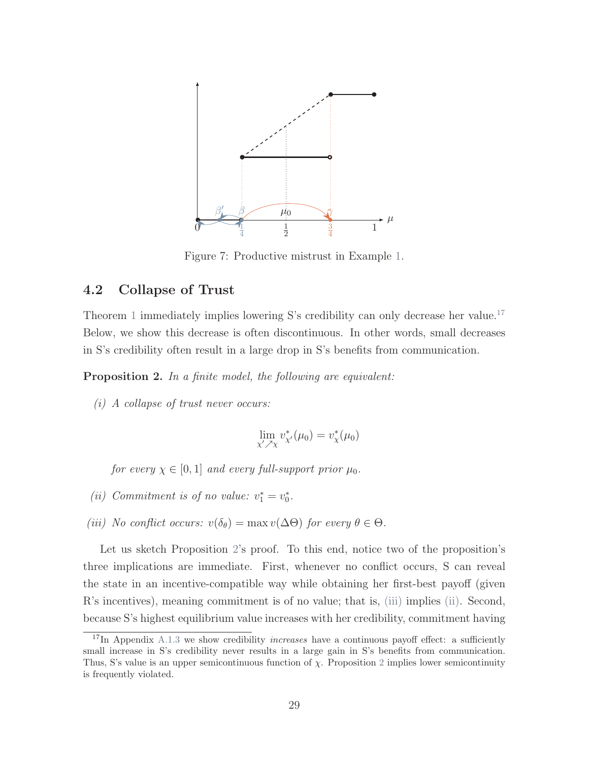<span id="page-28-1"></span>

Figure 7: Productive mistrust in Example [1.](#page-11-0)

### 4.2 Collapse of Trust

Theorem [1](#page-17-0) immediately implies lowering S's credibility can only decrease her value.<sup>[17](#page-0-0)</sup> Below, we show this decrease is often discontinuous. In other words, small decreases in S's credibility often result in a large drop in S's benefits from communication.

<span id="page-28-0"></span>Proposition 2. In a finite model, the following are equivalent:

<span id="page-28-4"></span> $(i)$  A collapse of trust never occurs:

$$
\lim_{\chi' \nearrow \chi} v_{\chi'}^*(\mu_0) = v_{\chi}^*(\mu_0)
$$

for every  $\chi \in [0, 1]$  and every full-support prior  $\mu_0$ .

- <span id="page-28-3"></span>(ii) Commitment is of no value:  $v_1^* = v_0^*$ .
- <span id="page-28-2"></span>(iii) No conflict occurs:  $v(\delta_{\theta}) = \max v(\Delta\Theta)$  for every  $\theta \in \Theta$ .

Let us sketch Proposition [2'](#page-28-0)s proof. To this end, notice two of the proposition's three implications are immediate. First, whenever no conflict occurs, S can reveal the state in an incentive-compatible way while obtaining her first-best payoff (given R's incentives), meaning commitment is of no value; that is, [\(iii\)](#page-28-2) implies [\(ii\).](#page-28-3) Second, because S's highest equilibrium value increases with her credibility, commitment having

 $17$ In Appendix [A.1.3](#page-58-0) we show credibility *increases* have a continuous payoff effect: a sufficiently small increase in S's credibility never results in a large gain in S's benefits from communication. Thus, S's value is an upper semicontinuous function of  $\chi$ . Proposition [2](#page-28-0) implies lower semicontinuity is frequently violated.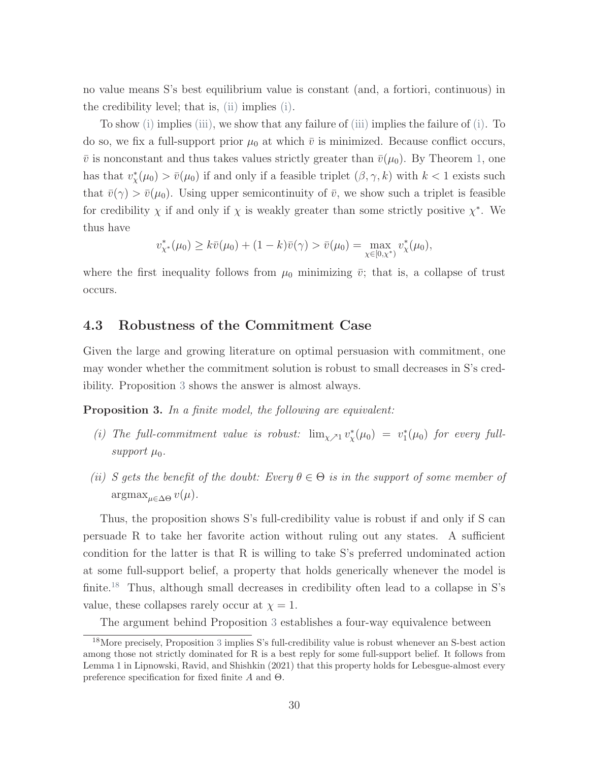no value means S's best equilibrium value is constant (and, a fortiori, continuous) in the credibility level; that is, [\(ii\)](#page-28-3) implies [\(i\).](#page-28-4)

To show [\(i\)](#page-28-4) implies [\(iii\),](#page-28-2) we show that any failure of [\(iii\)](#page-28-2) implies the failure of [\(i\).](#page-28-4) To do so, we fix a full-support prior  $\mu_0$  at which  $\bar{v}$  is minimized. Because conflict occurs,  $\bar{v}$  is nonconstant and thus takes values strictly greater than  $\bar{v}(\mu_0)$ . By Theorem [1,](#page-17-0) one has that  $v^*_{\chi}(\mu_0) > \bar{v}(\mu_0)$  if and only if a feasible triplet  $(\beta, \gamma, k)$  with  $k < 1$  exists such that  $\bar{v}(\gamma) > \bar{v}(\mu_0)$ . Using upper semicontinuity of  $\bar{v}$ , we show such a triplet is feasible for credibility  $\chi$  if and only if  $\chi$  is weakly greater than some strictly positive  $\chi^*$ . We thus have

$$
v_{\chi^*}^*(\mu_0) \ge k\bar{v}(\mu_0) + (1-k)\bar{v}(\gamma) > \bar{v}(\mu_0) = \max_{\chi \in [0,\chi^*)} v_{\chi}^*(\mu_0),
$$

where the first inequality follows from  $\mu_0$  minimizing  $\bar{v}$ ; that is, a collapse of trust occurs.

#### 4.3 Robustness of the Commitment Case

Given the large and growing literature on optimal persuasion with commitment, one may wonder whether the commitment solution is robust to small decreases in S's credibility. Proposition [3](#page-29-0) shows the answer is almost always.

<span id="page-29-0"></span>Proposition 3. In a finite model, the following are equivalent:

- (i) The full-commitment value is robust:  $\lim_{\chi \nearrow 1} v_{\chi}^*(\mu_0) = v_1^*(\mu_0)$  for every fullsupport  $\mu_0$ .
- (ii) S gets the benefit of the doubt: Every  $\theta \in \Theta$  is in the support of some member of  $\mathop{\mathrm{argmax}}_{\mu \in \Delta \Theta} v(\mu).$

Thus, the proposition shows S's full-credibility value is robust if and only if S can persuade R to take her favorite action without ruling out any states. A sufficient condition for the latter is that R is willing to take S's preferred undominated action at some full-support belief, a property that holds generically whenever the model is finite.<sup>[18](#page-0-0)</sup> Thus, although small decreases in credibility often lead to a collapse in S's value, these collapses rarely occur at  $\chi = 1$ .

The argument behind Proposition [3](#page-29-0) establishes a four-way equivalence between

<sup>18</sup>More precisely, Proposition [3](#page-29-0) implies S's full-credibility value is robust whenever an S-best action among those not strictly dominated for R is a best reply for some full-support belief. It follows from Lemma 1 in [Lipnowski, Ravid, and Shishkin](#page-45-9) [\(2021\)](#page-45-9) that this property holds for Lebesgue-almost every preference specification for fixed finite A and Θ.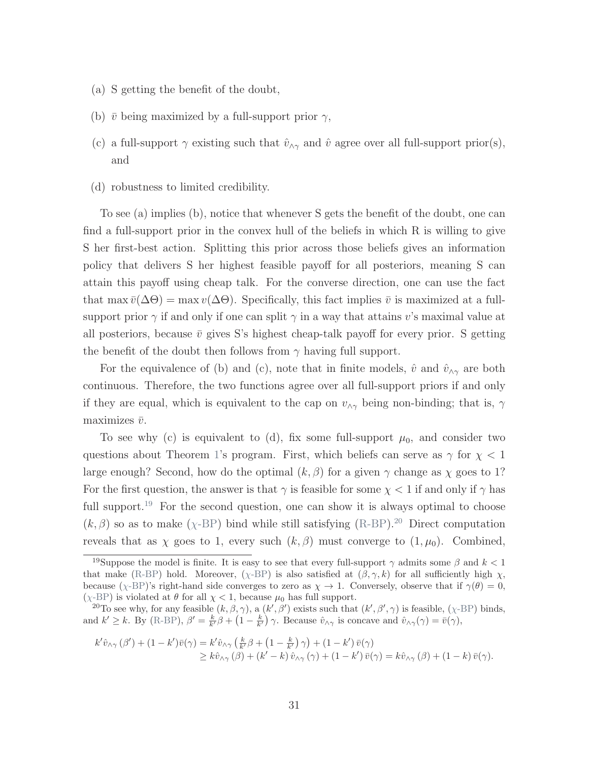- (a) S getting the benefit of the doubt,
- (b)  $\bar{v}$  being maximized by a full-support prior  $\gamma$ ,
- (c) a full-support  $\gamma$  existing such that  $\hat{v}_{\gamma\gamma}$  and  $\hat{v}$  agree over all full-support prior(s), and
- (d) robustness to limited credibility.

To see (a) implies (b), notice that whenever S gets the benefit of the doubt, one can find a full-support prior in the convex hull of the beliefs in which R is willing to give S her first-best action. Splitting this prior across those beliefs gives an information policy that delivers S her highest feasible payoff for all posteriors, meaning S can attain this payoff using cheap talk. For the converse direction, one can use the fact that max  $\bar{v}(\Delta\Theta) = \max v(\Delta\Theta)$ . Specifically, this fact implies  $\bar{v}$  is maximized at a fullsupport prior  $\gamma$  if and only if one can split  $\gamma$  in a way that attains v's maximal value at all posteriors, because  $\bar{v}$  gives S's highest cheap-talk payoff for every prior. S getting the benefit of the doubt then follows from  $\gamma$  having full support.

For the equivalence of (b) and (c), note that in finite models,  $\hat{v}$  and  $\hat{v}_{\wedge \gamma}$  are both continuous. Therefore, the two functions agree over all full-support priors if and only if they are equal, which is equivalent to the cap on  $v_{\wedge\gamma}$  being non-binding; that is,  $\gamma$ maximizes  $\bar{v}$ .

To see why (c) is equivalent to (d), fix some full-support  $\mu_0$ , and consider two questions about Theorem [1'](#page-17-0)s program. First, which beliefs can serve as  $\gamma$  for  $\chi < 1$ large enough? Second, how do the optimal  $(k, \beta)$  for a given  $\gamma$  change as  $\chi$  goes to 1? For the first question, the answer is that  $\gamma$  is feasible for some  $\chi < 1$  if and only if  $\gamma$  has full support.<sup>[19](#page-0-0)</sup> For the second question, one can show it is always optimal to choose  $(k, \beta)$  so as to make ( $\chi$ [-BP\)](#page-17-1) bind while still satisfying [\(R-BP\)](#page-16-1).<sup>[20](#page-0-0)</sup> Direct computation reveals that as  $\chi$  goes to 1, every such  $(k, \beta)$  must converge to  $(1, \mu_0)$ . Combined,

$$
k'\hat{v}_{\wedge\gamma}(\beta') + (1 - k')\bar{v}(\gamma) = k'\hat{v}_{\wedge\gamma}\left(\frac{k}{k'}\beta + (1 - \frac{k}{k'})\gamma\right) + (1 - k')\bar{v}(\gamma)
$$
  
\n
$$
\geq k\hat{v}_{\wedge\gamma}(\beta) + (k' - k)\hat{v}_{\wedge\gamma}(\gamma) + (1 - k')\bar{v}(\gamma) = k\hat{v}_{\wedge\gamma}(\beta) + (1 - k)\bar{v}(\gamma).
$$

<sup>&</sup>lt;sup>19</sup>Suppose the model is finite. It is easy to see that every full-support  $\gamma$  admits some  $\beta$  and  $k < 1$ that make [\(R-BP\)](#page-16-1) hold. Moreover, ( $\chi$ [-BP\)](#page-17-1) is also satisfied at  $(\beta, \gamma, k)$  for all sufficiently high  $\chi$ , because ( $\chi$ [-BP\)](#page-17-1)'s right-hand side converges to zero as  $\chi \to 1$ . Conversely, observe that if  $\gamma(\theta) = 0$ , ( $\chi$ [-BP\)](#page-17-1) is violated at  $\theta$  for all  $\chi$  < 1, because  $\mu_0$  has full support.

<sup>&</sup>lt;sup>20</sup>To see why, for any feasible  $(k, \beta, \gamma)$ , a  $(k', \beta')$  exists such that  $(k', \beta', \gamma)$  is feasible,  $(\chi$ [-BP\)](#page-17-1) binds, and  $k' \geq k$ . By [\(R-BP\)](#page-16-1),  $\beta' = \frac{k}{k'}\beta + \left(1 - \frac{k}{k'}\right)\gamma$ . Because  $\hat{v}_{\wedge\gamma}$  is concave and  $\hat{v}_{\wedge\gamma}(\gamma) = \bar{v}(\gamma)$ ,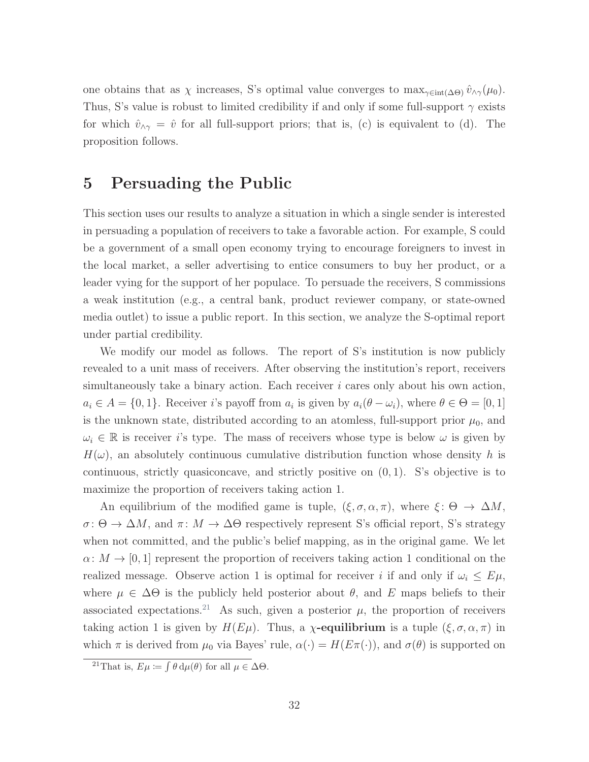one obtains that as  $\chi$  increases, S's optimal value converges to  $\max_{\gamma \in \text{int}(\Delta\Theta)} \hat{v}_{\wedge \gamma}(\mu_0)$ . Thus, S's value is robust to limited credibility if and only if some full-support  $\gamma$  exists for which  $\hat{v}_{\wedge \gamma} = \hat{v}$  for all full-support priors; that is, (c) is equivalent to (d). The proposition follows.

## <span id="page-31-0"></span>5 Persuading the Public

This section uses our results to analyze a situation in which a single sender is interested in persuading a population of receivers to take a favorable action. For example, S could be a government of a small open economy trying to encourage foreigners to invest in the local market, a seller advertising to entice consumers to buy her product, or a leader vying for the support of her populace. To persuade the receivers, S commissions a weak institution (e.g., a central bank, product reviewer company, or state-owned media outlet) to issue a public report. In this section, we analyze the S-optimal report under partial credibility.

We modify our model as follows. The report of S's institution is now publicly revealed to a unit mass of receivers. After observing the institution's report, receivers simultaneously take a binary action. Each receiver  $i$  cares only about his own action,  $a_i \in A = \{0, 1\}.$  Receiver i's payoff from  $a_i$  is given by  $a_i(\theta - \omega_i)$ , where  $\theta \in \Theta = [0, 1]$ is the unknown state, distributed according to an atomless, full-support prior  $\mu_0$ , and  $\omega_i \in \mathbb{R}$  is receiver i's type. The mass of receivers whose type is below  $\omega$  is given by  $H(\omega)$ , an absolutely continuous cumulative distribution function whose density h is continuous, strictly quasiconcave, and strictly positive on  $(0, 1)$ . S's objective is to maximize the proportion of receivers taking action 1.

An equilibrium of the modified game is tuple,  $(\xi, \sigma, \alpha, \pi)$ , where  $\xi \colon \Theta \to \Delta M$ ,  $\sigma: \Theta \to \Delta M$ , and  $\pi: M \to \Delta \Theta$  respectively represent S's official report, S's strategy when not committed, and the public's belief mapping, as in the original game. We let  $\alpha: M \to [0, 1]$  represent the proportion of receivers taking action 1 conditional on the realized message. Observe action 1 is optimal for receiver i if and only if  $\omega_i \leq E\mu$ , where  $\mu \in \Delta\Theta$  is the publicly held posterior about  $\theta$ , and E maps beliefs to their associated expectations.<sup>[21](#page-0-0)</sup> As such, given a posterior  $\mu$ , the proportion of receivers taking action 1 is given by  $H(E\mu)$ . Thus, a  $\chi$ -equilibrium is a tuple  $(\xi, \sigma, \alpha, \pi)$  in which  $\pi$  is derived from  $\mu_0$  via Bayes' rule,  $\alpha(\cdot) = H(E\pi(\cdot))$ , and  $\sigma(\theta)$  is supported on

<sup>&</sup>lt;sup>21</sup>That is,  $E\mu := \int \theta \, d\mu(\theta)$  for all  $\mu \in \Delta\Theta$ .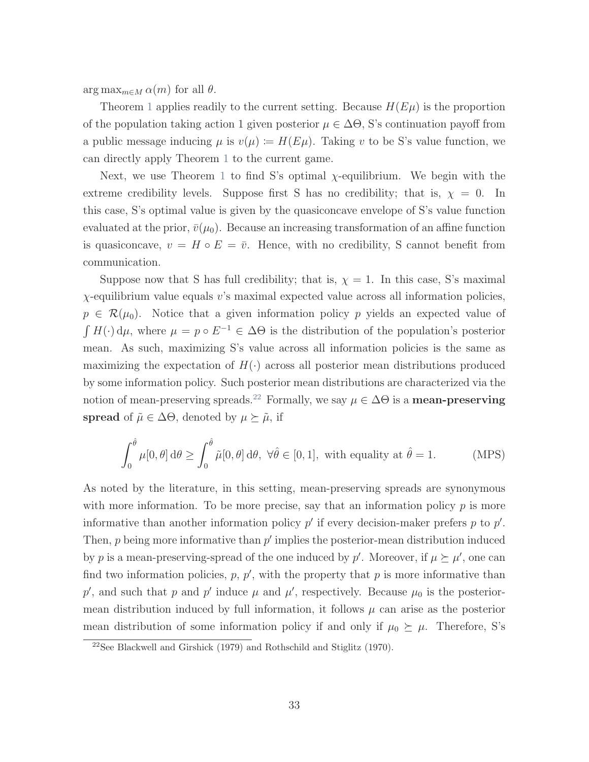$\arg \max_{m \in M} \alpha(m)$  for all  $\theta$ .

Theorem [1](#page-17-0) applies readily to the current setting. Because  $H(E\mu)$  is the proportion of the population taking action 1 given posterior  $\mu \in \Delta\Theta$ , S's continuation payoff from a public message inducing  $\mu$  is  $v(\mu) := H(E\mu)$ . Taking v to be S's value function, we can directly apply Theorem [1](#page-17-0) to the current game.

Next, we use Theorem [1](#page-17-0) to find S's optimal  $\chi$ -equilibrium. We begin with the extreme credibility levels. Suppose first S has no credibility; that is,  $\chi = 0$ . In this case, S's optimal value is given by the quasiconcave envelope of S's value function evaluated at the prior,  $\bar{v}(\mu_0)$ . Because an increasing transformation of an affine function is quasiconcave,  $v = H \circ E = \overline{v}$ . Hence, with no credibility, S cannot benefit from communication.

Suppose now that S has full credibility; that is,  $\chi = 1$ . In this case, S's maximal  $\chi$ -equilibrium value equals v's maximal expected value across all information policies,  $p \in \mathcal{R}(\mu_0)$ . Notice that a given information policy p yields an expected value of  $\int H(\cdot) d\mu$ , where  $\mu = p \circ E^{-1} \in \Delta \Theta$  is the distribution of the population's posterior mean. As such, maximizing S's value across all information policies is the same as maximizing the expectation of  $H(\cdot)$  across all posterior mean distributions produced by some information policy. Such posterior mean distributions are characterized via the notion of mean-preserving spreads.<sup>[22](#page-0-0)</sup> Formally, we say  $\mu \in \Delta\Theta$  is a **mean-preserving** spread of  $\tilde{\mu} \in \Delta\Theta$ , denoted by  $\mu \succeq \tilde{\mu}$ , if

$$
\int_0^{\hat{\theta}} \mu[0,\theta] d\theta \ge \int_0^{\hat{\theta}} \tilde{\mu}[0,\theta] d\theta, \ \forall \hat{\theta} \in [0,1], \text{ with equality at } \hat{\theta} = 1. \tag{MPS}
$$

As noted by the literature, in this setting, mean-preserving spreads are synonymous with more information. To be more precise, say that an information policy  $p$  is more informative than another information policy  $p'$  if every decision-maker prefers  $p$  to  $p'$ . Then,  $p$  being more informative than  $p'$  implies the posterior-mean distribution induced by p is a mean-preserving-spread of the one induced by p'. Moreover, if  $\mu \succeq \mu'$ , one can find two information policies,  $p, p'$ , with the property that  $p$  is more informative than p', and such that p and p' induce  $\mu$  and  $\mu'$ , respectively. Because  $\mu_0$  is the posteriormean distribution induced by full information, it follows  $\mu$  can arise as the posterior mean distribution of some information policy if and only if  $\mu_0 \succeq \mu$ . Therefore, S's

<sup>22</sup>See [Blackwell and Girshick](#page-43-10) [\(1979\)](#page-43-10) and [Rothschild and Stiglitz](#page-45-10) [\(1970\)](#page-45-10).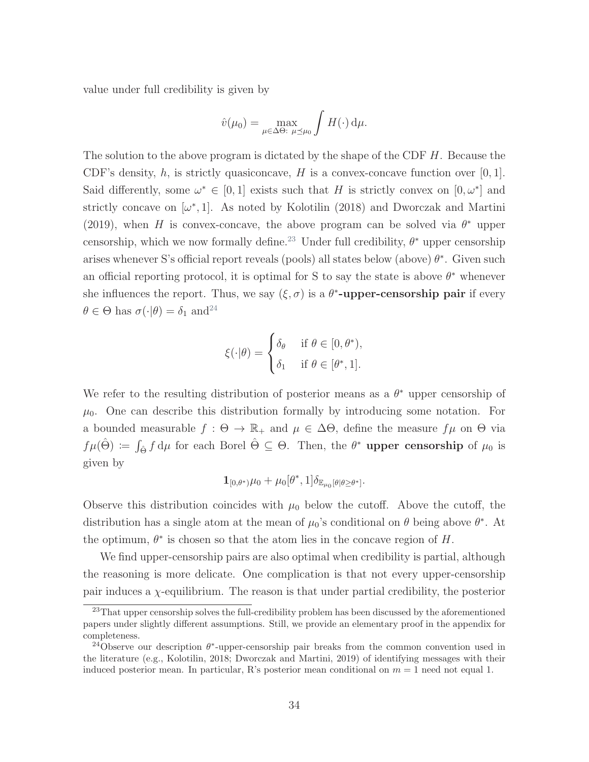value under full credibility is given by

$$
\hat{v}(\mu_0) = \max_{\mu \in \Delta \Theta: \ \mu \preceq \mu_0} \int H(\cdot) \, \mathrm{d}\mu.
$$

The solution to the above program is dictated by the shape of the CDF H. Because the CDF's density, h, is strictly quasiconcave, H is a convex-concave function over  $[0, 1]$ . Said differently, some  $\omega^* \in [0,1]$  exists such that H is strictly convex on  $[0,\omega^*]$  and strictly concave on  $[\omega^*,1]$ . As noted by [Kolotilin](#page-45-11) [\(2018\)](#page-45-11) and [Dworczak and Martini](#page-43-11) [\(2019\)](#page-43-11), when H is convex-concave, the above program can be solved via  $\theta^*$  upper censorship, which we now formally define.<sup>[23](#page-0-0)</sup> Under full credibility,  $\theta^*$  upper censorship arises whenever S's official report reveals (pools) all states below (above)  $\theta^*$ . Given such an official reporting protocol, it is optimal for S to say the state is above  $\theta^*$  whenever she influences the report. Thus, we say  $(\xi, \sigma)$  is a  $\theta^*$ -upper-censorship pair if every  $\theta \in \Theta$  has  $\sigma(\cdot|\theta) = \delta_1$  and<sup>[24](#page-0-0)</sup>

$$
\xi(\cdot|\theta) = \begin{cases} \delta_{\theta} & \text{if } \theta \in [0, \theta^*), \\ \delta_1 & \text{if } \theta \in [\theta^*, 1]. \end{cases}
$$

We refer to the resulting distribution of posterior means as a  $\theta^*$  upper censorship of  $\mu_0$ . One can describe this distribution formally by introducing some notation. For a bounded measurable  $f : \Theta \to \mathbb{R}_+$  and  $\mu \in \Delta \Theta$ , define the measure  $f\mu$  on  $\Theta$  via  $f\mu(\hat{\Theta}) \coloneqq \int_{\hat{\Theta}} f d\mu$  for each Borel  $\hat{\Theta} \subseteq \Theta$ . Then, the  $\theta^*$  upper censorship of  $\mu_0$  is given by

$$
\mathbf{1}_{[0,\theta^*)}\mu_0+\mu_0[\theta^*,1]\delta_{\mathbb{E}_{\mu_0}[\theta|\theta\geq\theta^*]}.
$$

Observe this distribution coincides with  $\mu_0$  below the cutoff. Above the cutoff, the distribution has a single atom at the mean of  $\mu_0$ 's conditional on  $\theta$  being above  $\theta^*$ . At the optimum,  $\theta^*$  is chosen so that the atom lies in the concave region of H.

We find upper-censorship pairs are also optimal when credibility is partial, although the reasoning is more delicate. One complication is that not every upper-censorship pair induces a  $\chi$ -equilibrium. The reason is that under partial credibility, the posterior

<sup>&</sup>lt;sup>23</sup>That upper censorship solves the full-credibility problem has been discussed by the aforementioned papers under slightly different assumptions. Still, we provide an elementary proof in the appendix for completeness.

<sup>&</sup>lt;sup>24</sup>Observe our description  $\theta^*$ -upper-censorship pair breaks from the common convention used in the literature (e.g., [Kolotilin,](#page-45-11) [2018;](#page-45-11) [Dworczak and Martini,](#page-43-11) [2019\)](#page-43-11) of identifying messages with their induced posterior mean. In particular, R's posterior mean conditional on  $m = 1$  need not equal 1.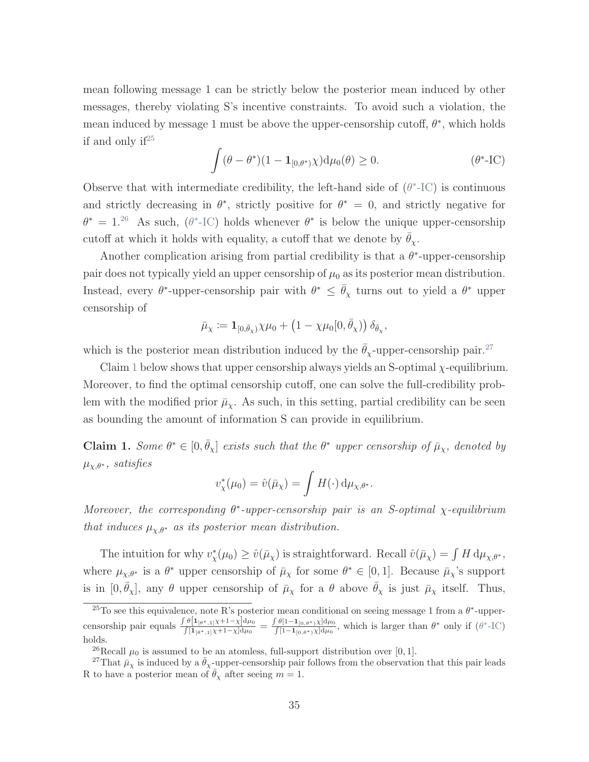mean following message 1 can be strictly below the posterior mean induced by other messages, thereby violating S's incentive constraints. To avoid such a violation, the mean induced by message 1 must be above the upper-censorship cutoff,  $\theta^*$ , which holds if and only if  $2^5$ 

<span id="page-34-1"></span>
$$
\int (\theta - \theta^*)(1 - \mathbf{1}_{[0,\theta^*)}\chi) d\mu_0(\theta) \ge 0.
$$
 \t\t(\theta\*-IC)

Observe that with intermediate credibility, the left-hand side of  $(\theta^*$ [-IC\)](#page-34-1) is continuous and strictly decreasing in  $\theta^*$ , strictly positive for  $\theta^* = 0$ , and strictly negative for  $\theta^* = 1.^{26}$  $\theta^* = 1.^{26}$  $\theta^* = 1.^{26}$  As such,  $(\theta^*$ [-IC\)](#page-34-1) holds whenever  $\theta^*$  is below the unique upper-censorship cutoff at which it holds with equality, a cutoff that we denote by  $\bar{\theta}_{\chi}$ .

Another complication arising from partial credibility is that a  $\theta^*$ -upper-censorship pair does not typically yield an upper censorship of  $\mu_0$  as its posterior mean distribution. Instead, every  $\theta^*$ -upper-censorship pair with  $\theta^* \leq \bar{\theta}_\chi$  turns out to yield a  $\theta^*$  upper censorship of

$$
\bar{\mu}_{\chi}:=\mathbf{1}_{[0,\bar{\theta}_{\chi})}\chi\mu_{0}+\left(1-\chi\mu_{0}[0,\bar{\theta}_{\chi})\right)\delta_{\bar{\theta}_{\chi}},
$$

which is the posterior mean distribution induced by the  $\bar{\theta}_x$ -upper-censorship pair.<sup>[27](#page-0-0)</sup>

Claim [1](#page-34-0) below shows that upper censorship always yields an S-optimal  $\chi$ -equilibrium. Moreover, to find the optimal censorship cutoff, one can solve the full-credibility problem with the modified prior  $\bar{\mu}_{\chi}$ . As such, in this setting, partial credibility can be seen as bounding the amount of information S can provide in equilibrium.

<span id="page-34-0"></span>**Claim 1.** Some  $\theta^* \in [0, \bar{\theta}_\chi]$  exists such that the  $\theta^*$  upper censorship of  $\bar{\mu}_\chi$ , denoted by  $\mu_{\chi,\theta^*}$ , satisfies

$$
v_{\chi}^*(\mu_0) = \hat{v}(\bar{\mu}_{\chi}) = \int H(\cdot) \, \mathrm{d}\mu_{\chi,\theta^*}.
$$

Moreover, the corresponding  $\theta^*$ -upper-censorship pair is an S-optimal  $\chi$ -equilibrium that induces  $\mu_{\chi,\theta^*}$  as its posterior mean distribution.

The intuition for why  $v^*_{\chi}(\mu_0) \ge \hat{v}(\bar{\mu}_{\chi})$  is straightforward. Recall  $\hat{v}(\bar{\mu}_{\chi}) = \int H d\mu_{\chi,\theta^*},$ where  $\mu_{\chi,\theta^*}$  is a  $\theta^*$  upper censorship of  $\bar{\mu}_{\chi}$  for some  $\theta^* \in [0,1]$ . Because  $\bar{\mu}_{\chi}$ 's support is in  $[0, \bar{\theta}_{\chi}]$ , any  $\theta$  upper censorship of  $\bar{\mu}_{\chi}$  for a  $\theta$  above  $\bar{\theta}_{\chi}$  is just  $\bar{\mu}_{\chi}$  itself. Thus,

<sup>&</sup>lt;sup>25</sup>To see this equivalence, note R's posterior mean conditional on seeing message 1 from a  $\theta^*$ -uppercensorship pair equals  $\frac{\int \theta\left[1_{\theta^*,1}\right]\chi+1-\chi\left]\mathrm{d}\mu_0}{\int [1_{\theta^*,1}\right]\chi+1-\chi\left]\mathrm{d}\mu_0} = \frac{\int \theta\left[1-1_{[0,\theta^*)}\chi\right]\mathrm{d}\mu_0}{\int [1-1_{[0,\theta^*)}\chi\left]\mathrm{d}\mu_0}\right]$ , which is larger than  $\theta^*$  only if  $(\theta^*\text{-IC})$ holds.

<sup>&</sup>lt;sup>26</sup>Recall  $\mu_0$  is assumed to be an atomless, full-support distribution over [0, 1].

<sup>&</sup>lt;sup>27</sup>That  $\bar{\mu}_{\chi}$  is induced by a  $\bar{\theta}_{\chi}$ -upper-censorship pair follows from the observation that this pair leads R to have a posterior mean of  $\bar{\theta}_{\chi}$  after seeing  $m = 1$ .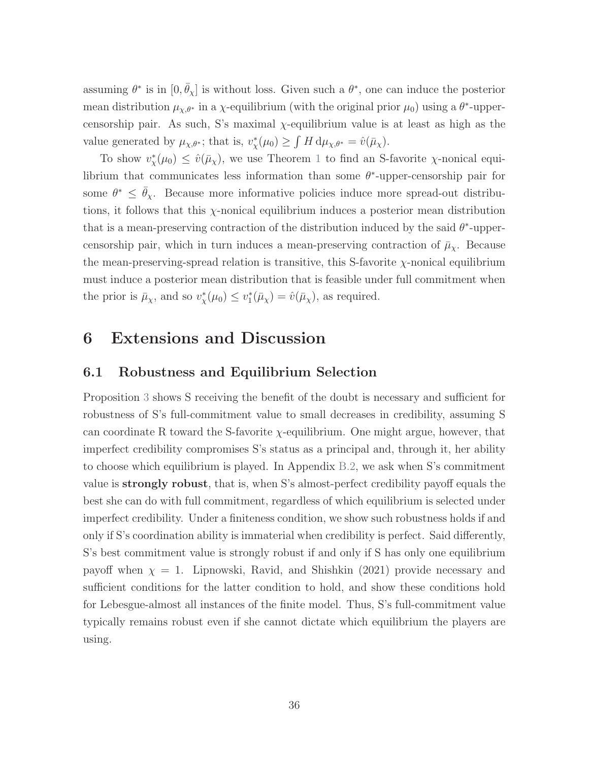assuming  $\theta^*$  is in  $[0, \bar{\theta}_\chi]$  is without loss. Given such a  $\theta^*$ , one can induce the posterior mean distribution  $\mu_{\chi,\theta^*}$  in a  $\chi$ -equilibrium (with the original prior  $\mu_0$ ) using a  $\theta^*$ -uppercensorship pair. As such, S's maximal χ-equilibrium value is at least as high as the value generated by  $\mu_{\chi,\theta^*}$ ; that is,  $v^*_{\chi}(\mu_0) \geq \int H d\mu_{\chi,\theta^*} = \hat{v}(\bar{\mu}_{\chi}).$ 

To show  $v_{\chi}^*(\mu_0) \leq \hat{v}(\bar{\mu}_{\chi})$ , we use Theorem [1](#page-17-0) to find an S-favorite  $\chi$ -nonical equilibrium that communicates less information than some  $\theta^*$ -upper-censorship pair for some  $\theta^* \leq \bar{\theta}_{\chi}$ . Because more informative policies induce more spread-out distributions, it follows that this  $\chi$ -nonical equilibrium induces a posterior mean distribution that is a mean-preserving contraction of the distribution induced by the said  $\theta^*$ -uppercensorship pair, which in turn induces a mean-preserving contraction of  $\bar{\mu}_{\chi}$ . Because the mean-preserving-spread relation is transitive, this S-favorite  $\chi$ -nonical equilibrium must induce a posterior mean distribution that is feasible under full commitment when the prior is  $\bar{\mu}_{\chi}$ , and so  $v_{\chi}^*(\mu_0) \leq v_1^*(\bar{\mu}_{\chi}) = \hat{v}(\bar{\mu}_{\chi})$ , as required.

### 6 Extensions and Discussion

#### 6.1 Robustness and Equilibrium Selection

Proposition [3](#page-29-0) shows S receiving the benefit of the doubt is necessary and sufficient for robustness of S's full-commitment value to small decreases in credibility, assuming S can coordinate R toward the S-favorite  $\chi$ -equilibrium. One might argue, however, that imperfect credibility compromises S's status as a principal and, through it, her ability to choose which equilibrium is played. In Appendix [B.2,](#page-81-0) we ask when S's commitment value is strongly robust, that is, when S's almost-perfect credibility payoff equals the best she can do with full commitment, regardless of which equilibrium is selected under imperfect credibility. Under a finiteness condition, we show such robustness holds if and only if S's coordination ability is immaterial when credibility is perfect. Said differently, S's best commitment value is strongly robust if and only if S has only one equilibrium payoff when  $\chi = 1$ . [Lipnowski, Ravid, and Shishkin](#page-45-9) [\(2021\)](#page-45-9) provide necessary and sufficient conditions for the latter condition to hold, and show these conditions hold for Lebesgue-almost all instances of the finite model. Thus, S's full-commitment value typically remains robust even if she cannot dictate which equilibrium the players are using.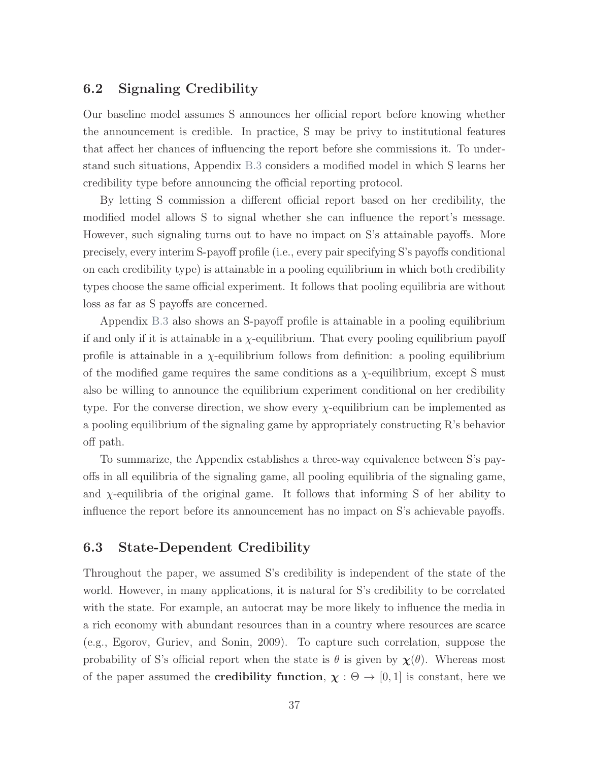## 6.2 Signaling Credibility

Our baseline model assumes S announces her official report before knowing whether the announcement is credible. In practice, S may be privy to institutional features that affect her chances of influencing the report before she commissions it. To understand such situations, Appendix [B.3](#page-87-0) considers a modified model in which S learns her credibility type before announcing the official reporting protocol.

By letting S commission a different official report based on her credibility, the modified model allows S to signal whether she can influence the report's message. However, such signaling turns out to have no impact on S's attainable payoffs. More precisely, every interim S-payoff profile (i.e., every pair specifying S's payoffs conditional on each credibility type) is attainable in a pooling equilibrium in which both credibility types choose the same official experiment. It follows that pooling equilibria are without loss as far as S payoffs are concerned.

Appendix [B.3](#page-87-0) also shows an S-payoff profile is attainable in a pooling equilibrium if and only if it is attainable in a  $\chi$ -equilibrium. That every pooling equilibrium payoff profile is attainable in a  $\chi$ -equilibrium follows from definition: a pooling equilibrium of the modified game requires the same conditions as a  $\chi$ -equilibrium, except S must also be willing to announce the equilibrium experiment conditional on her credibility type. For the converse direction, we show every  $\chi$ -equilibrium can be implemented as a pooling equilibrium of the signaling game by appropriately constructing R's behavior off path.

To summarize, the Appendix establishes a three-way equivalence between S's payoffs in all equilibria of the signaling game, all pooling equilibria of the signaling game, and  $\chi$ -equilibria of the original game. It follows that informing S of her ability to influence the report before its announcement has no impact on S's achievable payoffs.

## <span id="page-36-0"></span>6.3 State-Dependent Credibility

Throughout the paper, we assumed S's credibility is independent of the state of the world. However, in many applications, it is natural for S's credibility to be correlated with the state. For example, an autocrat may be more likely to influence the media in a rich economy with abundant resources than in a country where resources are scarce (e.g., [Egorov, Guriev, and Sonin,](#page-43-0) [2009\)](#page-43-0). To capture such correlation, suppose the probability of S's official report when the state is  $\theta$  is given by  $\chi(\theta)$ . Whereas most of the paper assumed the **credibility function**,  $\chi : \Theta \to [0, 1]$  is constant, here we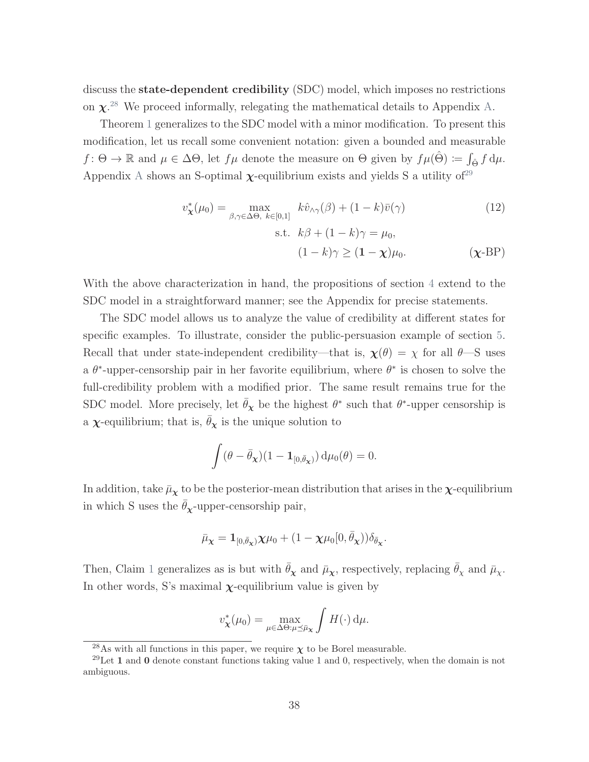discuss the state-dependent credibility (SDC) model, which imposes no restrictions on  $\chi^{.28}$  $\chi^{.28}$  $\chi^{.28}$  We proceed informally, relegating the mathematical details to Appendix [A.](#page-47-0)

Theorem [1](#page-17-0) generalizes to the SDC model with a minor modification. To present this modification, let us recall some convenient notation: given a bounded and measurable  $f: \Theta \to \mathbb{R}$  and  $\mu \in \Delta \Theta$ , let  $f\mu$  denote the measure on  $\Theta$  given by  $f\mu(\hat{\Theta}) := \int_{\hat{\Theta}} f d\mu$ . [A](#page-47-0)ppendix A shows an S-optimal  $\chi$ -equilibrium exists and yields S a utility of<sup>[29](#page-0-0)</sup>

<span id="page-37-1"></span><span id="page-37-0"></span>
$$
v_{\mathbf{x}}^*(\mu_0) = \max_{\beta, \gamma \in \Delta\Theta, k \in [0,1]} k\hat{v}_{\gamma}(\beta) + (1-k)\bar{v}(\gamma)
$$
(12)  
s.t.  $k\beta + (1-k)\gamma = \mu_0$ ,  

$$
(1-k)\gamma \ge (1-\mathbf{x})\mu_0.
$$
( $\mathbf{x}$ -BP)

With the above characterization in hand, the propositions of section [4](#page-25-0) extend to the SDC model in a straightforward manner; see the Appendix for precise statements.

The SDC model allows us to analyze the value of credibility at different states for specific examples. To illustrate, consider the public-persuasion example of section [5.](#page-31-0) Recall that under state-independent credibility—that is,  $\chi(\theta) = \chi$  for all  $\theta$ —S uses a  $\theta^*$ -upper-censorship pair in her favorite equilibrium, where  $\theta^*$  is chosen to solve the full-credibility problem with a modified prior. The same result remains true for the SDC model. More precisely, let  $\bar{\theta}_{\chi}$  be the highest  $\theta^*$  such that  $\theta^*$ -upper censorship is a  $\chi$ -equilibrium; that is,  $\bar{\theta}_{\chi}$  is the unique solution to

$$
\int (\theta - \bar{\theta}_{\mathbf{\chi}})(1 - \mathbf{1}_{[0,\bar{\theta}_{\mathbf{\chi}})}) \, \mathrm{d}\mu_0(\theta) = 0.
$$

In addition, take  $\bar{\mu}_{\chi}$  to be the posterior-mean distribution that arises in the  $\chi$ -equilibrium in which S uses the  $\bar{\theta}_{\chi}$ -upper-censorship pair,

$$
\bar{\mu}_{\boldsymbol{\chi}} = \mathbf{1}_{[0,\bar{\theta}_{\boldsymbol{\chi}})}\boldsymbol{\chi}\mu_0 + (1-\chi\mu_0[0,\bar{\theta}_{\boldsymbol{\chi}}))\delta_{\bar{\theta}_{\boldsymbol{\chi}}}.
$$

Then, Claim [1](#page-34-0) generalizes as is but with  $\bar{\theta}_{\chi}$  and  $\bar{\mu}_{\chi}$ , respectively, replacing  $\bar{\theta}_{\chi}$  and  $\bar{\mu}_{\chi}$ . In other words, S's maximal  $\chi$ -equilibrium value is given by

$$
v_{\mathbf{\chi}}^*(\mu_0) = \max_{\mu \in \Delta \Theta: \mu \preceq \bar{\mu}_{\mathbf{\chi}}} \int H(\cdot) \, \mathrm{d}\mu.
$$

<sup>&</sup>lt;sup>28</sup>As with all functions in this paper, we require  $\chi$  to be Borel measurable.

<sup>&</sup>lt;sup>29</sup>Let 1 and 0 denote constant functions taking value 1 and 0, respectively, when the domain is not ambiguous.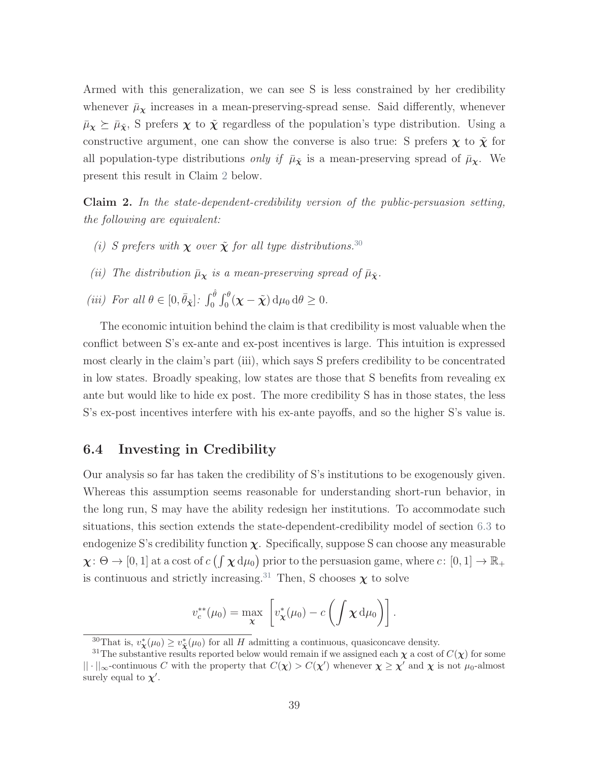Armed with this generalization, we can see S is less constrained by her credibility whenever  $\bar{\mu}_{\chi}$  increases in a mean-preserving-spread sense. Said differently, whenever  $\bar{\mu}_{\chi} \succeq \bar{\mu}_{\tilde{\chi}}$ , S prefers  $\chi$  to  $\tilde{\chi}$  regardless of the population's type distribution. Using a constructive argument, one can show the converse is also true: S prefers  $\chi$  to  $\tilde{\chi}$  for all population-type distributions *only if*  $\bar{\mu}_{\tilde{\chi}}$  is a mean-preserving spread of  $\bar{\mu}_{\chi}$ . We present this result in Claim [2](#page-38-0) below.

<span id="page-38-0"></span>Claim 2. In the state-dependent-credibility version of the public-persuasion setting, the following are equivalent:

- (i) S prefers with  $\chi$  over  $\tilde{\chi}$  for all type distributions.<sup>[30](#page-0-0)</sup>
- (ii) The distribution  $\bar{\mu}_{\chi}$  is a mean-preserving spread of  $\bar{\mu}_{\tilde{\chi}}$ .
- (iii) For all  $\theta \in [0, \bar{\theta}_{\tilde{\mathbf{X}}}]$ :  $\int_0^{\hat{\theta}} \int_0^{\theta} (\mathbf{\chi} \tilde{\mathbf{\chi}}) d\mu_0 d\theta \ge 0$ .

The economic intuition behind the claim is that credibility is most valuable when the conflict between S's ex-ante and ex-post incentives is large. This intuition is expressed most clearly in the claim's part (iii), which says S prefers credibility to be concentrated in low states. Broadly speaking, low states are those that S benefits from revealing ex ante but would like to hide ex post. The more credibility S has in those states, the less S's ex-post incentives interfere with his ex-ante payoffs, and so the higher S's value is.

## 6.4 Investing in Credibility

Our analysis so far has taken the credibility of S's institutions to be exogenously given. Whereas this assumption seems reasonable for understanding short-run behavior, in the long run, S may have the ability redesign her institutions. To accommodate such situations, this section extends the state-dependent-credibility model of section [6.3](#page-36-0) to endogenize S's credibility function  $\chi$ . Specifically, suppose S can choose any measurable  $\chi: \Theta \to [0,1]$  at a cost of  $c \left( \int \chi \, d\mu_0 \right)$  prior to the persuasion game, where  $c: [0,1] \to \mathbb{R}_+$ is continuous and strictly increasing.<sup>[31](#page-0-0)</sup> Then, S chooses  $\chi$  to solve

$$
v_c^{**}(\mu_0) = \max_{\mathbf{\chi}} \left[ v_{\mathbf{\chi}}^*(\mu_0) - c \left( \int \mathbf{\chi} \, \mathrm{d}\mu_0 \right) \right].
$$

<sup>&</sup>lt;sup>30</sup>That is,  $v^*_{\mathbf{x}}(\mu_0) \ge v^*_{\mathbf{x}}(\mu_0)$  for all H admitting a continuous, quasiconcave density.

<sup>&</sup>lt;sup>31</sup>The substantive results reported below would remain if we assigned each  $\chi$  a cost of  $C(\chi)$  for some  $||\cdot||_{\infty}$ -continuous C with the property that  $C(\chi) > C(\chi')$  whenever  $\chi \geq \chi'$  and  $\chi$  is not  $\mu_0$ -almost surely equal to  $\chi'$ .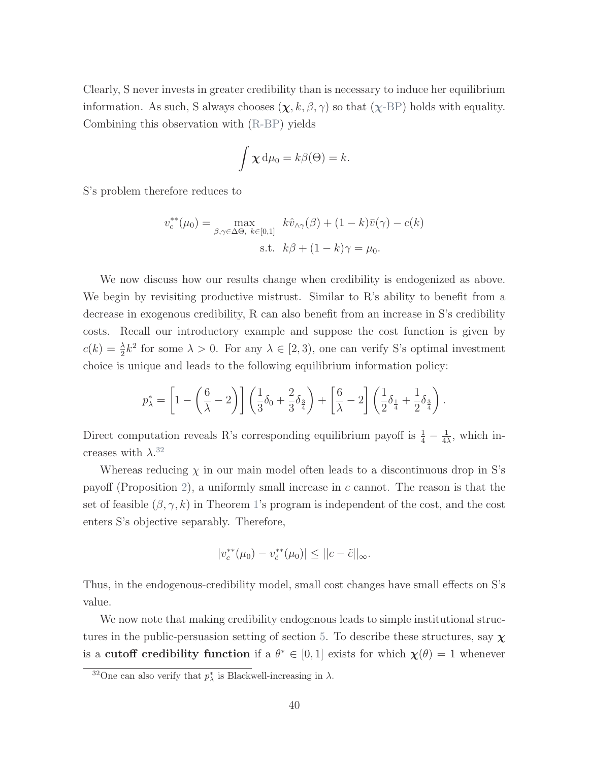Clearly, S never invests in greater credibility than is necessary to induce her equilibrium information. As such, S always chooses  $(\chi, k, \beta, \gamma)$  so that  $(\chi$ [-BP\)](#page-37-0) holds with equality. Combining this observation with [\(R-BP\)](#page-16-0) yields

$$
\int \chi \, d\mu_0 = k\beta(\Theta) = k.
$$

S's problem therefore reduces to

$$
v_c^{**}(\mu_0) = \max_{\beta, \gamma \in \Delta\Theta, k \in [0,1]} k\hat{v}_{\wedge \gamma}(\beta) + (1-k)\bar{v}(\gamma) - c(k)
$$
  
s.t.  $k\beta + (1-k)\gamma = \mu_0$ .

We now discuss how our results change when credibility is endogenized as above. We begin by revisiting productive mistrust. Similar to R's ability to benefit from a decrease in exogenous credibility, R can also benefit from an increase in S's credibility costs. Recall our introductory example and suppose the cost function is given by  $c(k) = \frac{\lambda}{2}k^2$  for some  $\lambda > 0$ . For any  $\lambda \in [2, 3)$ , one can verify S's optimal investment choice is unique and leads to the following equilibrium information policy:

$$
p_{\lambda}^{*} = \left[1 - \left(\frac{6}{\lambda} - 2\right)\right] \left(\frac{1}{3}\delta_{0} + \frac{2}{3}\delta_{\frac{3}{4}}\right) + \left[\frac{6}{\lambda} - 2\right] \left(\frac{1}{2}\delta_{\frac{1}{4}} + \frac{1}{2}\delta_{\frac{3}{4}}\right).
$$

Direct computation reveals R's corresponding equilibrium payoff is  $\frac{1}{4} - \frac{1}{4}$  $\frac{1}{4\lambda}$ , which increases with  $\lambda$ .<sup>[32](#page-0-0)</sup>

Whereas reducing  $\chi$  in our main model often leads to a discontinuous drop in S's payoff (Proposition [2\)](#page-28-0), a uniformly small increase in  $c$  cannot. The reason is that the set of feasible  $(\beta, \gamma, k)$  in Theorem [1'](#page-17-0)s program is independent of the cost, and the cost enters S's objective separably. Therefore,

$$
|v_c^{**}(\mu_0) - v_{\tilde{c}}^{**}(\mu_0)| \le ||c - \tilde{c}||_{\infty}.
$$

Thus, in the endogenous-credibility model, small cost changes have small effects on S's value.

We now note that making credibility endogenous leads to simple institutional struc-tures in the public-persuasion setting of section [5.](#page-31-0) To describe these structures, say  $\chi$ is a cutoff credibility function if a  $\theta^* \in [0,1]$  exists for which  $\chi(\theta) = 1$  whenever

<sup>&</sup>lt;sup>32</sup>One can also verify that  $p_{\lambda}^*$  is Blackwell-increasing in  $\lambda$ .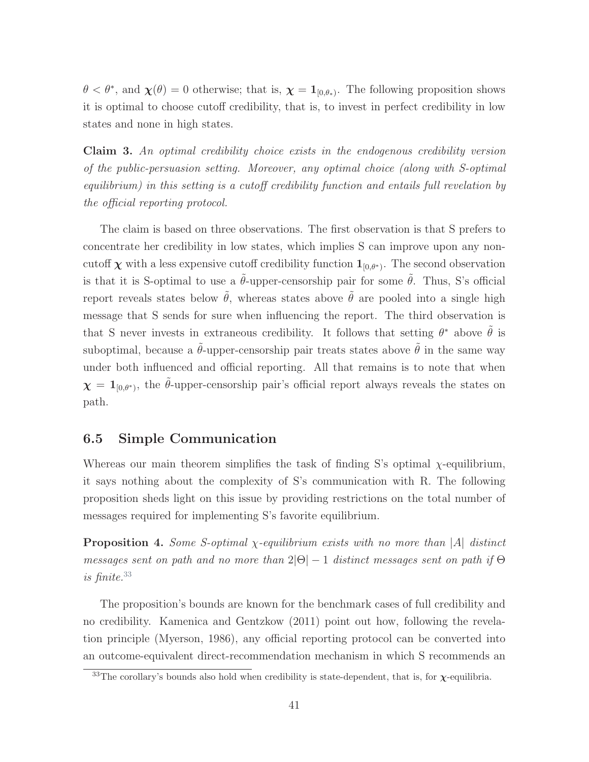$\theta < \theta^*$ , and  $\chi(\theta) = 0$  otherwise; that is,  $\chi = \mathbf{1}_{[0,\theta_*]}$ . The following proposition shows it is optimal to choose cutoff credibility, that is, to invest in perfect credibility in low states and none in high states.

Claim 3. An optimal credibility choice exists in the endogenous credibility version of the public-persuasion setting. Moreover, any optimal choice (along with S-optimal equilibrium) in this setting is a cutoff credibility function and entails full revelation by the official reporting protocol.

The claim is based on three observations. The first observation is that S prefers to concentrate her credibility in low states, which implies S can improve upon any noncutoff  $\chi$  with a less expensive cutoff credibility function  $1_{[0,\theta^*)}$ . The second observation is that it is S-optimal to use a  $\tilde{\theta}$ -upper-censorship pair for some  $\tilde{\theta}$ . Thus, S's official report reveals states below  $\tilde{\theta}$ , whereas states above  $\tilde{\theta}$  are pooled into a single high message that S sends for sure when influencing the report. The third observation is that S never invests in extraneous credibility. It follows that setting  $\theta^*$  above  $\tilde{\theta}$  is suboptimal, because a  $\tilde{\theta}$ -upper-censorship pair treats states above  $\tilde{\theta}$  in the same way under both influenced and official reporting. All that remains is to note that when  $\boldsymbol{\chi} = \mathbf{1}_{[0,\theta^*)}$ , the  $\tilde{\theta}$ -upper-censorship pair's official report always reveals the states on path.

## 6.5 Simple Communication

Whereas our main theorem simplifies the task of finding S's optimal  $\chi$ -equilibrium, it says nothing about the complexity of S's communication with R. The following proposition sheds light on this issue by providing restrictions on the total number of messages required for implementing S's favorite equilibrium.

<span id="page-40-0"></span>**Proposition 4.** Some S-optimal  $\chi$ -equilibrium exists with no more than |A| distinct messages sent on path and no more than  $2|\Theta|-1$  distinct messages sent on path if  $\Theta$ is finite.[33](#page-0-0)

The proposition's bounds are known for the benchmark cases of full credibility and no credibility. [Kamenica and Gentzkow](#page-44-0) [\(2011\)](#page-44-0) point out how, following the revelation principle [\(Myerson,](#page-45-0) [1986\)](#page-45-0), any official reporting protocol can be converted into an outcome-equivalent direct-recommendation mechanism in which S recommends an

<sup>&</sup>lt;sup>33</sup>The corollary's bounds also hold when credibility is state-dependent, that is, for  $\chi$ -equilibria.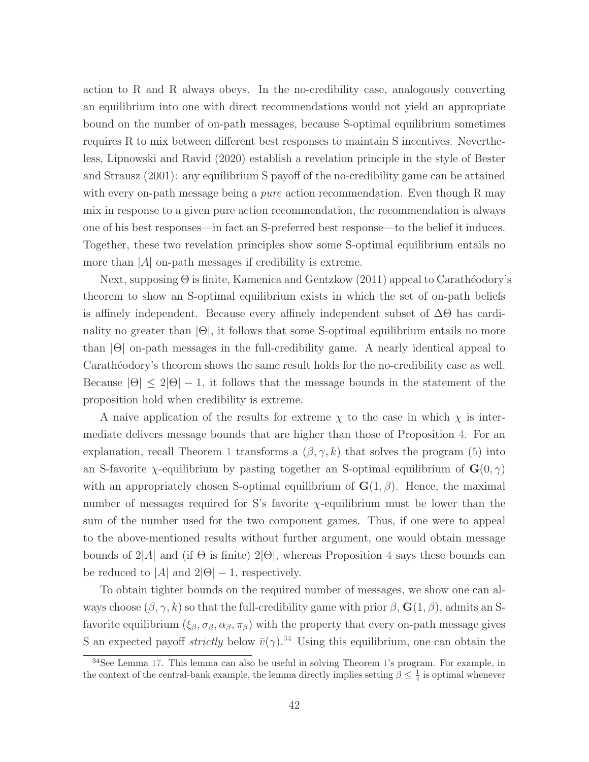action to R and R always obeys. In the no-credibility case, analogously converting an equilibrium into one with direct recommendations would not yield an appropriate bound on the number of on-path messages, because S-optimal equilibrium sometimes requires R to mix between different best responses to maintain S incentives. Nevertheless, [Lipnowski and Ravid](#page-45-1) [\(2020\)](#page-45-1) establish a revelation principle in the style of [Bester](#page-43-1) [and Strausz](#page-43-1) [\(2001\)](#page-43-1): any equilibrium S payoff of the no-credibility game can be attained with every on-path message being a *pure* action recommendation. Even though R may mix in response to a given pure action recommendation, the recommendation is always one of his best responses—in fact an S-preferred best response—to the belief it induces. Together, these two revelation principles show some S-optimal equilibrium entails no more than  $|A|$  on-path messages if credibility is extreme.

Next, supposing  $\Theta$  is finite, [Kamenica and Gentzkow](#page-44-0) [\(2011\)](#page-44-0) appeal to Carathéodory's theorem to show an S-optimal equilibrium exists in which the set of on-path beliefs is affinely independent. Because every affinely independent subset of ∆Θ has cardinality no greater than  $|\Theta|$ , it follows that some S-optimal equilibrium entails no more than |Θ| on-path messages in the full-credibility game. A nearly identical appeal to Carathéodory's theorem shows the same result holds for the no-credibility case as well. Because  $|\Theta| \leq 2|\Theta| - 1$ , it follows that the message bounds in the statement of the proposition hold when credibility is extreme.

A naive application of the results for extreme  $\chi$  to the case in which  $\chi$  is intermediate delivers message bounds that are higher than those of Proposition [4.](#page-40-0) For an explanation, recall Theorem [1](#page-17-0) transforms a  $(\beta, \gamma, k)$  that solves the program [\(5\)](#page-16-1) into an S-favorite  $\chi$ -equilibrium by pasting together an S-optimal equilibrium of  $\mathbf{G}(0, \gamma)$ with an appropriately chosen S-optimal equilibrium of  $\mathbf{G}(1,\beta)$ . Hence, the maximal number of messages required for S's favorite  $\chi$ -equilibrium must be lower than the sum of the number used for the two component games. Thus, if one were to appeal to the above-mentioned results without further argument, one would obtain message bounds of  $2|A|$  and (if  $\Theta$  is finite)  $2|\Theta|$ , whereas Proposition [4](#page-40-0) says these bounds can be reduced to  $|A|$  and  $2|\Theta|-1$ , respectively.

To obtain tighter bounds on the required number of messages, we show one can always choose  $(\beta, \gamma, k)$  so that the full-credibility game with prior  $\beta$ ,  $\mathbf{G}(1, \beta)$ , admits an Sfavorite equilibrium  $(\xi_\beta, \sigma_\beta, \alpha_\beta, \pi_\beta)$  with the property that every on-path message gives S an expected payoff *strictly* below  $\bar{v}(\gamma)$ .<sup>[34](#page-0-0)</sup> Using this equilibrium, one can obtain the

<sup>34</sup>See Lemma [17.](#page-92-0) This lemma can also be useful in solving Theorem [1'](#page-17-0)s program. For example, in the context of the central-bank example, the lemma directly implies setting  $\beta \leq \frac{1}{4}$  is optimal whenever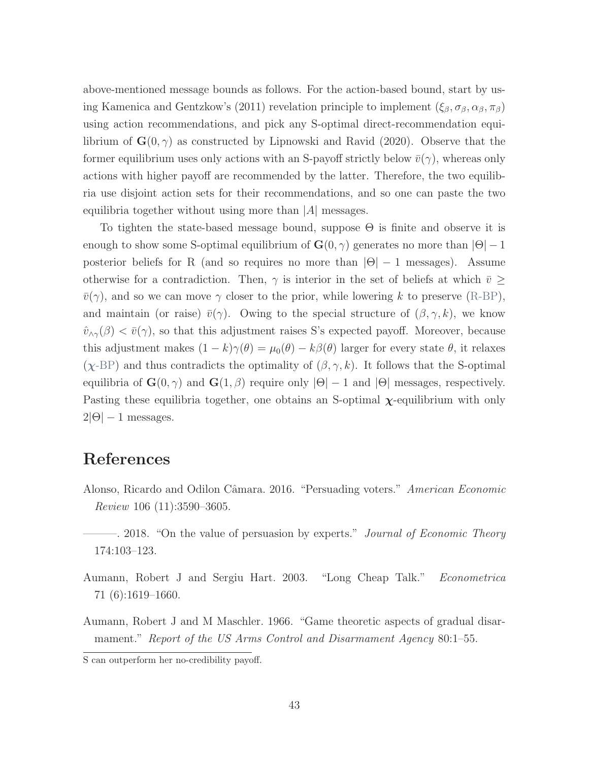above-mentioned message bounds as follows. For the action-based bound, start by us-ing [Kamenica and Gentzkow'](#page-44-0)s [\(2011\)](#page-44-0) revelation principle to implement  $(\xi_\beta, \sigma_\beta, \alpha_\beta, \pi_\beta)$ using action recommendations, and pick any S-optimal direct-recommendation equilibrium of  $\mathbf{G}(0, \gamma)$  as constructed by [Lipnowski and Ravid](#page-45-1) [\(2020\)](#page-45-1). Observe that the former equilibrium uses only actions with an S-payoff strictly below  $\bar{v}(\gamma)$ , whereas only actions with higher payoff are recommended by the latter. Therefore, the two equilibria use disjoint action sets for their recommendations, and so one can paste the two equilibria together without using more than  $|A|$  messages.

To tighten the state-based message bound, suppose Θ is finite and observe it is enough to show some S-optimal equilibrium of  $\mathbf{G}(0, \gamma)$  generates no more than  $|\Theta| - 1$ posterior beliefs for R (and so requires no more than  $|\Theta| - 1$  messages). Assume otherwise for a contradiction. Then,  $\gamma$  is interior in the set of beliefs at which  $\bar{v} \geq$  $\bar{v}(\gamma)$ , and so we can move  $\gamma$  closer to the prior, while lowering k to preserve [\(R-BP\)](#page-16-0), and maintain (or raise)  $\bar{v}(\gamma)$ . Owing to the special structure of  $(\beta, \gamma, k)$ , we know  $\hat{v}_{\wedge\gamma}(\beta) < \bar{v}(\gamma)$ , so that this adjustment raises S's expected payoff. Moreover, because this adjustment makes  $(1 - k)\gamma(\theta) = \mu_0(\theta) - k\beta(\theta)$  larger for every state  $\theta$ , it relaxes  $(\chi$ [-BP\)](#page-37-0) and thus contradicts the optimality of  $(\beta, \gamma, k)$ . It follows that the S-optimal equilibria of  $\mathbf{G}(0, \gamma)$  and  $\mathbf{G}(1, \beta)$  require only  $|\Theta| - 1$  and  $|\Theta|$  messages, respectively. Pasting these equilibria together, one obtains an S-optimal  $\chi$ -equilibrium with only  $2|\Theta| - 1$  messages.

# References

- Alonso, Ricardo and Odilon Câmara. 2016. "Persuading voters." American Economic Review 106 (11):3590–3605.
- 2018. "On the value of persuasion by experts." *Journal of Economic Theory* 174:103–123.
- Aumann, Robert J and Sergiu Hart. 2003. "Long Cheap Talk." Econometrica 71 (6):1619–1660.
- Aumann, Robert J and M Maschler. 1966. "Game theoretic aspects of gradual disarmament." Report of the US Arms Control and Disarmament Agency 80:1–55.

S can outperform her no-credibility payoff.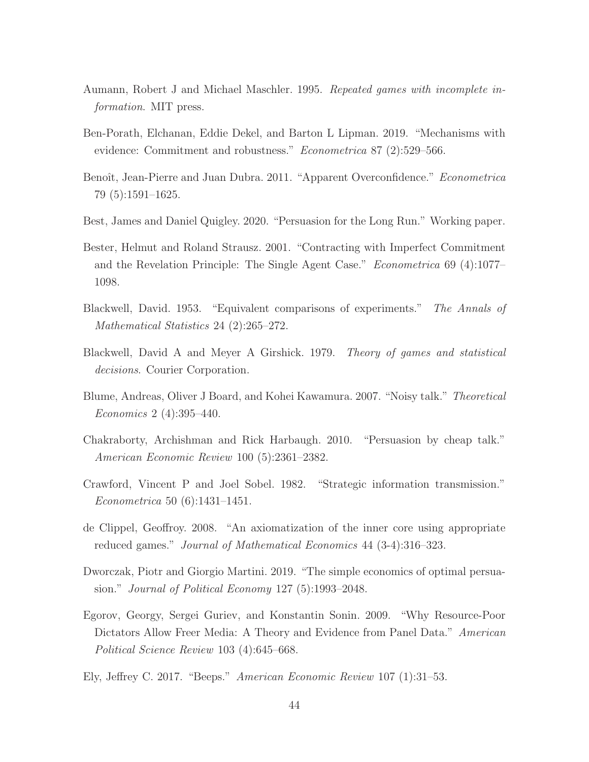- Aumann, Robert J and Michael Maschler. 1995. Repeated games with incomplete information. MIT press.
- Ben-Porath, Elchanan, Eddie Dekel, and Barton L Lipman. 2019. "Mechanisms with evidence: Commitment and robustness." Econometrica 87 (2):529–566.
- Benoît, Jean-Pierre and Juan Dubra. 2011. "Apparent Overconfidence." *Econometrica* 79 (5):1591–1625.
- Best, James and Daniel Quigley. 2020. "Persuasion for the Long Run." Working paper.
- <span id="page-43-1"></span>Bester, Helmut and Roland Strausz. 2001. "Contracting with Imperfect Commitment and the Revelation Principle: The Single Agent Case." Econometrica 69 (4):1077– 1098.
- Blackwell, David. 1953. "Equivalent comparisons of experiments." The Annals of Mathematical Statistics 24 (2):265–272.
- Blackwell, David A and Meyer A Girshick. 1979. Theory of games and statistical decisions. Courier Corporation.
- Blume, Andreas, Oliver J Board, and Kohei Kawamura. 2007. "Noisy talk." Theoretical Economics 2 (4):395–440.
- Chakraborty, Archishman and Rick Harbaugh. 2010. "Persuasion by cheap talk." American Economic Review 100 (5):2361–2382.
- Crawford, Vincent P and Joel Sobel. 1982. "Strategic information transmission." Econometrica 50 (6):1431–1451.
- de Clippel, Geoffroy. 2008. "An axiomatization of the inner core using appropriate reduced games." Journal of Mathematical Economics 44 (3-4):316–323.
- Dworczak, Piotr and Giorgio Martini. 2019. "The simple economics of optimal persuasion." Journal of Political Economy 127 (5):1993–2048.
- <span id="page-43-0"></span>Egorov, Georgy, Sergei Guriev, and Konstantin Sonin. 2009. "Why Resource-Poor Dictators Allow Freer Media: A Theory and Evidence from Panel Data." American Political Science Review 103 (4):645–668.
- Ely, Jeffrey C. 2017. "Beeps." American Economic Review 107 (1):31–53.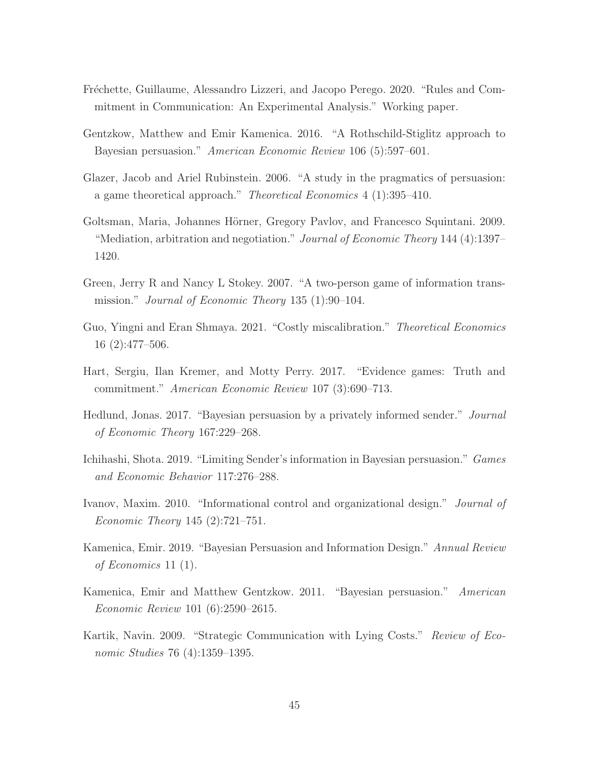- Fréchette, Guillaume, Alessandro Lizzeri, and Jacopo Perego. 2020. "Rules and Commitment in Communication: An Experimental Analysis." Working paper.
- <span id="page-44-1"></span>Gentzkow, Matthew and Emir Kamenica. 2016. "A Rothschild-Stiglitz approach to Bayesian persuasion." American Economic Review 106 (5):597–601.
- Glazer, Jacob and Ariel Rubinstein. 2006. "A study in the pragmatics of persuasion: a game theoretical approach." Theoretical Economics 4 (1):395–410.
- Goltsman, Maria, Johannes Hörner, Gregory Pavlov, and Francesco Squintani. 2009. "Mediation, arbitration and negotiation." *Journal of Economic Theory* 144 (4):1397– 1420.
- Green, Jerry R and Nancy L Stokey. 2007. "A two-person game of information transmission." Journal of Economic Theory 135 (1):90–104.
- Guo, Yingni and Eran Shmaya. 2021. "Costly miscalibration." Theoretical Economics 16 (2):477–506.
- Hart, Sergiu, Ilan Kremer, and Motty Perry. 2017. "Evidence games: Truth and commitment." American Economic Review 107 (3):690–713.
- Hedlund, Jonas. 2017. "Bayesian persuasion by a privately informed sender." Journal of Economic Theory 167:229–268.
- Ichihashi, Shota. 2019. "Limiting Sender's information in Bayesian persuasion." Games and Economic Behavior 117:276–288.
- Ivanov, Maxim. 2010. "Informational control and organizational design." Journal of Economic Theory 145 (2):721–751.
- Kamenica, Emir. 2019. "Bayesian Persuasion and Information Design." Annual Review of Economics 11 (1).
- <span id="page-44-0"></span>Kamenica, Emir and Matthew Gentzkow. 2011. "Bayesian persuasion." American Economic Review 101 (6):2590–2615.
- Kartik, Navin. 2009. "Strategic Communication with Lying Costs." Review of Economic Studies 76 (4):1359–1395.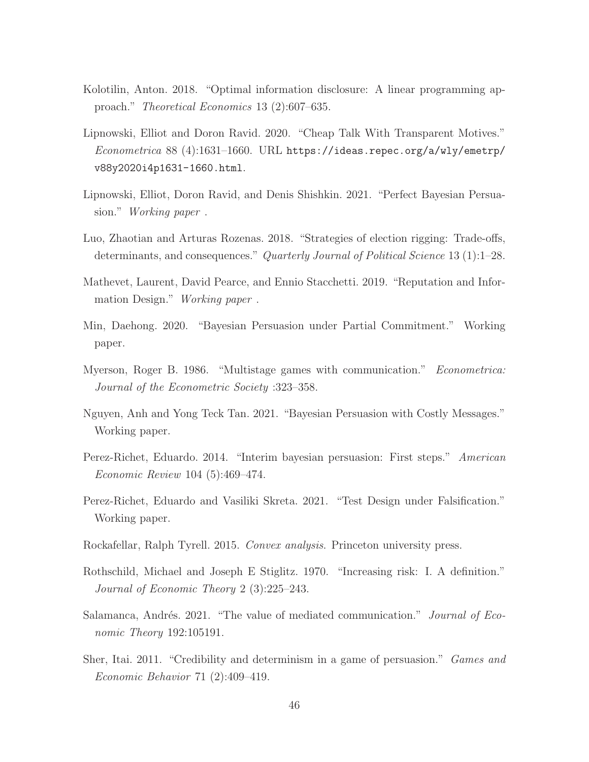- Kolotilin, Anton. 2018. "Optimal information disclosure: A linear programming approach." Theoretical Economics 13 (2):607–635.
- <span id="page-45-1"></span>Lipnowski, Elliot and Doron Ravid. 2020. "Cheap Talk With Transparent Motives." Econometrica 88 (4):1631–1660. URL [https://ideas.repec.org/a/wly/emetrp/](https://ideas.repec.org/a/wly/emetrp/v88y2020i4p1631-1660.html) [v88y2020i4p1631-1660.html](https://ideas.repec.org/a/wly/emetrp/v88y2020i4p1631-1660.html).
- Lipnowski, Elliot, Doron Ravid, and Denis Shishkin. 2021. "Perfect Bayesian Persuasion." Working paper .
- Luo, Zhaotian and Arturas Rozenas. 2018. "Strategies of election rigging: Trade-offs, determinants, and consequences." Quarterly Journal of Political Science 13 (1):1–28.
- Mathevet, Laurent, David Pearce, and Ennio Stacchetti. 2019. "Reputation and Information Design." Working paper .
- Min, Daehong. 2020. "Bayesian Persuasion under Partial Commitment." Working paper.
- <span id="page-45-0"></span>Myerson, Roger B. 1986. "Multistage games with communication." Econometrica: Journal of the Econometric Society :323–358.
- Nguyen, Anh and Yong Teck Tan. 2021. "Bayesian Persuasion with Costly Messages." Working paper.
- Perez-Richet, Eduardo. 2014. "Interim bayesian persuasion: First steps." American Economic Review 104 (5):469–474.
- Perez-Richet, Eduardo and Vasiliki Skreta. 2021. "Test Design under Falsification." Working paper.
- Rockafellar, Ralph Tyrell. 2015. Convex analysis. Princeton university press.
- Rothschild, Michael and Joseph E Stiglitz. 1970. "Increasing risk: I. A definition." Journal of Economic Theory 2 (3):225–243.
- Salamanca, Andrés. 2021. "The value of mediated communication." Journal of Economic Theory 192:105191.
- Sher, Itai. 2011. "Credibility and determinism in a game of persuasion." Games and Economic Behavior 71 (2):409–419.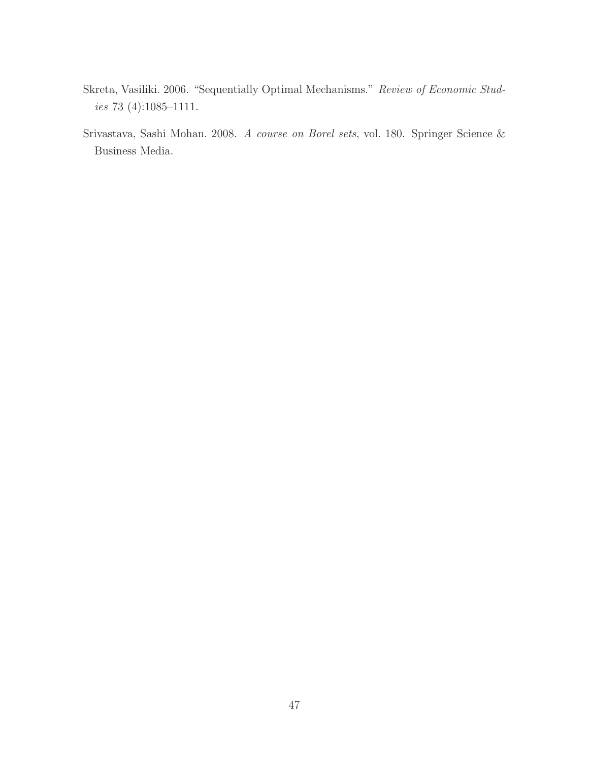- Skreta, Vasiliki. 2006. "Sequentially Optimal Mechanisms." Review of Economic Studies 73 (4):1085–1111.
- <span id="page-46-0"></span>Srivastava, Sashi Mohan. 2008. A course on Borel sets, vol. 180. Springer Science & Business Media.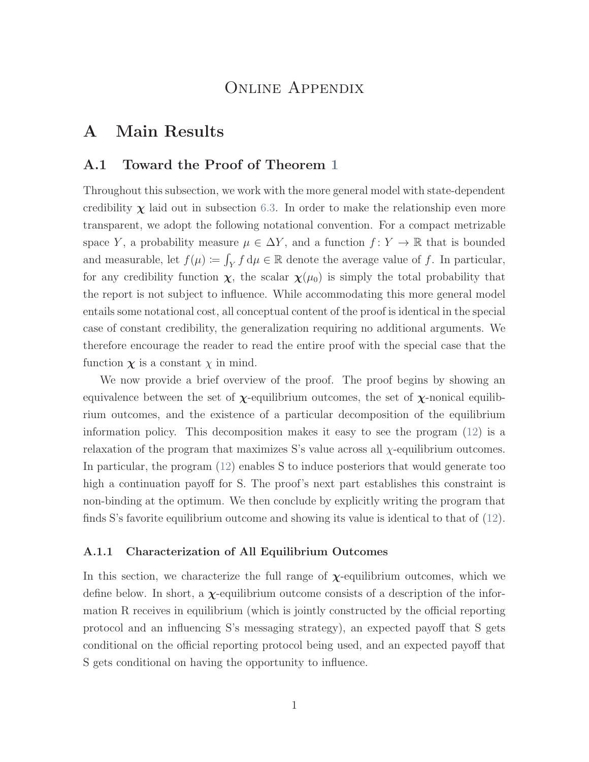## Online Appendix

## <span id="page-47-0"></span>A Main Results

## <span id="page-47-1"></span>A.1 Toward the Proof of Theorem [1](#page-17-0)

Throughout this subsection, we work with the more general model with state-dependent credibility  $\chi$  laid out in subsection [6.3.](#page-36-0) In order to make the relationship even more transparent, we adopt the following notational convention. For a compact metrizable space Y, a probability measure  $\mu \in \Delta Y$ , and a function  $f: Y \to \mathbb{R}$  that is bounded and measurable, let  $f(\mu) \coloneqq \int_Y f d\mu \in \mathbb{R}$  denote the average value of f. In particular, for any credibility function  $\chi$ , the scalar  $\chi(\mu_0)$  is simply the total probability that the report is not subject to influence. While accommodating this more general model entails some notational cost, all conceptual content of the proof is identical in the special case of constant credibility, the generalization requiring no additional arguments. We therefore encourage the reader to read the entire proof with the special case that the function  $\chi$  is a constant  $\chi$  in mind.

We now provide a brief overview of the proof. The proof begins by showing an equivalence between the set of  $\chi$ -equilibrium outcomes, the set of  $\chi$ -nonical equilibrium outcomes, and the existence of a particular decomposition of the equilibrium information policy. This decomposition makes it easy to see the program [\(12\)](#page-37-1) is a relaxation of the program that maximizes S's value across all  $\chi$ -equilibrium outcomes. In particular, the program [\(12\)](#page-37-1) enables S to induce posteriors that would generate too high a continuation payoff for S. The proof's next part establishes this constraint is non-binding at the optimum. We then conclude by explicitly writing the program that finds S's favorite equilibrium outcome and showing its value is identical to that of [\(12\)](#page-37-1).

#### A.1.1 Characterization of All Equilibrium Outcomes

In this section, we characterize the full range of  $\chi$ -equilibrium outcomes, which we define below. In short, a  $\chi$ -equilibrium outcome consists of a description of the information R receives in equilibrium (which is jointly constructed by the official reporting protocol and an influencing S's messaging strategy), an expected payoff that S gets conditional on the official reporting protocol being used, and an expected payoff that S gets conditional on having the opportunity to influence.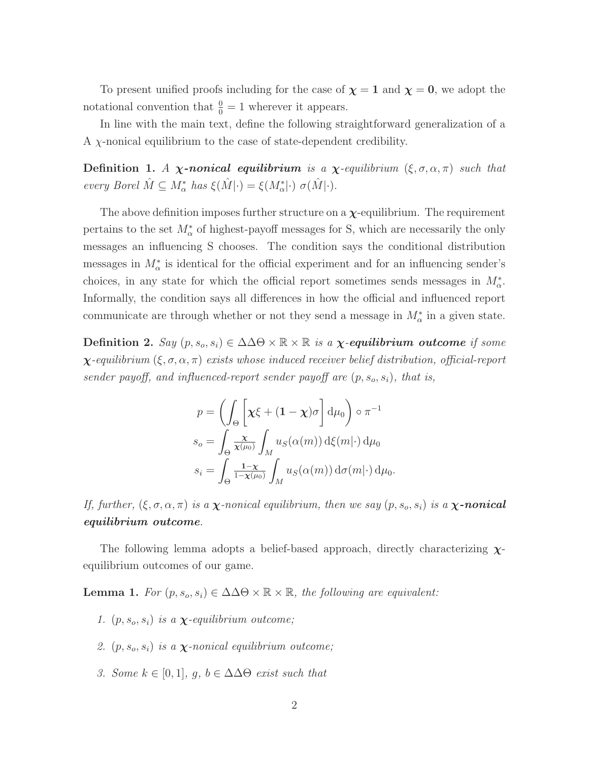To present unified proofs including for the case of  $\chi = 1$  and  $\chi = 0$ , we adopt the notational convention that  $\frac{0}{0} = 1$  wherever it appears.

In line with the main text, define the following straightforward generalization of a A χ-nonical equilibrium to the case of state-dependent credibility.

Definition 1. A *χ*-nonical equilibrium is a *χ*-equilibrium  $(\xi, \sigma, \alpha, \pi)$  such that every Borel  $\hat{M} \subseteq M_{\alpha}^*$  has  $\xi(\hat{M}|\cdot) = \xi(M_{\alpha}^*|\cdot) \sigma(\hat{M}|\cdot).$ 

The above definition imposes further structure on a  $\chi$ -equilibrium. The requirement pertains to the set  $M^*_{\alpha}$  of highest-payoff messages for S, which are necessarily the only messages an influencing S chooses. The condition says the conditional distribution messages in  $M^*_{\alpha}$  is identical for the official experiment and for an influencing sender's choices, in any state for which the official report sometimes sends messages in  $M^*_{\alpha}$ . Informally, the condition says all differences in how the official and influenced report communicate are through whether or not they send a message in  $M^*_{\alpha}$  in a given state.

Definition 2.  $Say(p, s_o, s_i) \in \Delta \Delta \Theta \times \mathbb{R} \times \mathbb{R}$  is a  $\chi$ -equilibrium outcome if some  $\chi$ -equilibrium (ξ,  $\sigma$ ,  $\alpha$ ,  $\pi$ ) exists whose induced receiver belief distribution, official-report sender payoff, and influenced-report sender payoff are  $(p, s_o, s_i)$ , that is,

$$
p = \left(\int_{\Theta} \left[\chi \xi + (1 - \chi)\sigma\right] d\mu_0\right) \circ \pi^{-1}
$$

$$
s_o = \int_{\Theta} \frac{\chi}{\chi(\mu_0)} \int_M u_S(\alpha(m)) d\xi(m) \, d\mu_0
$$

$$
s_i = \int_{\Theta} \frac{1 - \chi}{1 - \chi(\mu_0)} \int_M u_S(\alpha(m)) d\sigma(m) \, d\mu_0.
$$

If, further,  $(\xi, \sigma, \alpha, \pi)$  is a  $\chi$ -nonical equilibrium, then we say  $(p, s_o, s_i)$  is a  $\chi$ -nonical equilibrium outcome.

The following lemma adopts a belief-based approach, directly characterizing  $\chi$ equilibrium outcomes of our game.

<span id="page-48-0"></span>**Lemma 1.** For  $(p, s_o, s_i) \in \Delta \Delta \Theta \times \mathbb{R} \times \mathbb{R}$ , the following are equivalent:

- 1.  $(p, s_o, s_i)$  is a  $\chi$ -equilibrium outcome;
- 2.  $(p, s_o, s_i)$  is a **χ**-nonical equilibrium outcome;
- 3. Some  $k \in [0,1]$ ,  $g, b \in \Delta \Delta \Theta$  exist such that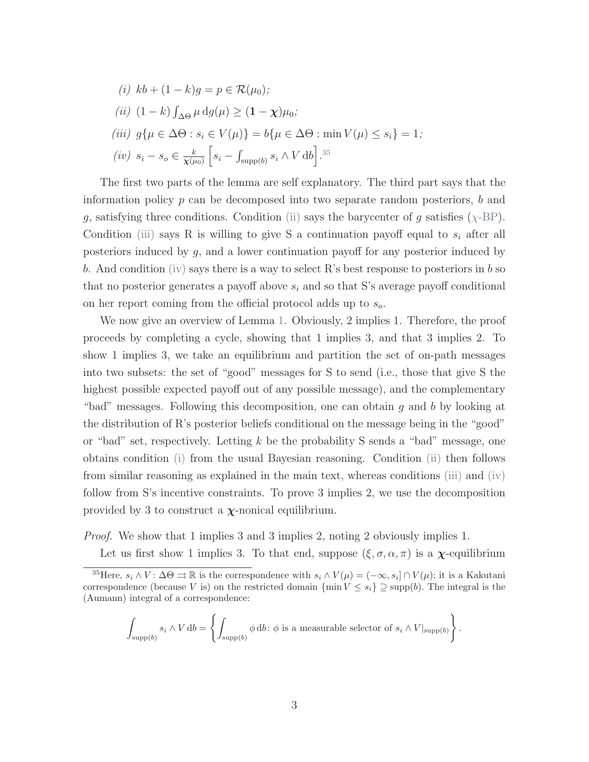<span id="page-49-3"></span><span id="page-49-1"></span><span id="page-49-0"></span>(i) 
$$
kb + (1 - k)g = p \in \mathcal{R}(\mu_0);
$$
  
\n(ii)  $(1 - k) \int_{\Delta\Theta} \mu \, dg(\mu) \ge (1 - \chi)\mu_0;$   
\n(iii)  $g\{\mu \in \Delta\Theta : s_i \in V(\mu)\} = b\{\mu \in \Delta\Theta : \min V(\mu) \le s_i\} = 1;$   
\n(iv)  $s_i - s_o \in \frac{k}{\chi(\mu_0)} \left[s_i - \int_{\text{supp}(b)} s_i \wedge V \, db\right].^{35}$ 

<span id="page-49-2"></span>The first two parts of the lemma are self explanatory. The third part says that the information policy  $p$  can be decomposed into two separate random posteriors,  $b$  and g, satisfying three conditions. Condition [\(ii\)](#page-49-0) says the barycenter of g satisfies  $(\chi$ [-BP\)](#page-17-1). Condition [\(iii\)](#page-49-1) says R is willing to give S a continuation payoff equal to  $s_i$  after all posteriors induced by g, and a lower continuation payoff for any posterior induced by b. And condition [\(iv\)](#page-49-2) says there is a way to select R's best response to posteriors in b so that no posterior generates a payoff above  $s_i$  and so that S's average payoff conditional on her report coming from the official protocol adds up to  $s_o$ .

We now give an overview of Lemma [1.](#page-48-0) Obviously, 2 implies 1. Therefore, the proof proceeds by completing a cycle, showing that 1 implies 3, and that 3 implies 2. To show 1 implies 3, we take an equilibrium and partition the set of on-path messages into two subsets: the set of "good" messages for S to send (i.e., those that give S the highest possible expected payoff out of any possible message), and the complementary "bad" messages. Following this decomposition, one can obtain g and b by looking at the distribution of R's posterior beliefs conditional on the message being in the "good" or "bad" set, respectively. Letting  $k$  be the probability S sends a "bad" message, one obtains condition [\(i\)](#page-49-3) from the usual Bayesian reasoning. Condition [\(ii\)](#page-49-0) then follows from similar reasoning as explained in the main text, whereas conditions [\(iii\)](#page-49-1) and [\(iv\)](#page-49-2) follow from S's incentive constraints. To prove 3 implies 2, we use the decomposition provided by 3 to construct a  $\chi$ -nonical equilibrium.

Proof. We show that 1 implies 3 and 3 implies 2, noting 2 obviously implies 1.

Let us first show 1 implies 3. To that end, suppose  $(\xi, \sigma, \alpha, \pi)$  is a  $\chi$ -equilibrium

$$
\int_{\text{supp}(b)} s_i \wedge V \, db = \left\{ \int_{\text{supp}(b)} \phi \, db \colon \phi \text{ is a measurable selector of } s_i \wedge V|_{\text{supp}(b)} \right\}.
$$

<sup>&</sup>lt;sup>35</sup>Here,  $s_i \wedge V: \Delta\Theta \rightrightarrows \mathbb{R}$  is the correspondence with  $s_i \wedge V(\mu) = (-\infty, s_i] \cap V(\mu)$ ; it is a Kakutani correspondence (because V is) on the restricted domain  $\{\min V \le s_i\} \supseteq \text{supp}(b)$ . The integral is the (Aumann) integral of a correspondence: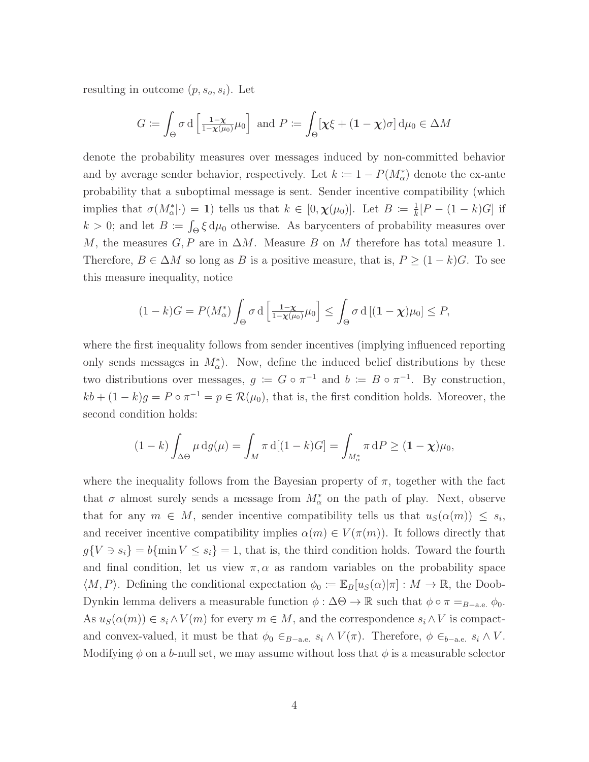resulting in outcome  $(p, s_o, s_i)$ . Let

$$
G := \int_{\Theta} \sigma \, d \left[ \frac{1 - \chi}{1 - \chi(\mu_0)} \mu_0 \right] \text{ and } P := \int_{\Theta} \left[ \chi \xi + (1 - \chi) \sigma \right] d\mu_0 \in \Delta M
$$

denote the probability measures over messages induced by non-committed behavior and by average sender behavior, respectively. Let  $k := 1 - P(M^*_{\alpha})$  denote the ex-ante probability that a suboptimal message is sent. Sender incentive compatibility (which implies that  $\sigma(M^*_{\alpha}|\cdot) = 1$ ) tells us that  $k \in [0, \chi(\mu_0)]$ . Let  $B \coloneqq \frac{1}{k}$  $\frac{1}{k}[P - (1 - k)G]$  if  $k > 0$ ; and let  $B := \int_{\Theta} \xi \, d\mu_0$  otherwise. As barycenters of probability measures over M, the measures  $G, P$  are in  $\Delta M$ . Measure B on M therefore has total measure 1. Therefore,  $B \in \Delta M$  so long as B is a positive measure, that is,  $P \geq (1 - k)G$ . To see this measure inequality, notice

$$
(1-k)G = P(M_{\alpha}^*) \int_{\Theta} \sigma \, d \left[ \frac{1-\chi}{1-\chi(\mu_0)} \mu_0 \right] \leq \int_{\Theta} \sigma \, d \left[ (1-\chi) \mu_0 \right] \leq P,
$$

where the first inequality follows from sender incentives (implying influenced reporting only sends messages in  $M_{\alpha}^*$ ). Now, define the induced belief distributions by these two distributions over messages,  $g := G \circ \pi^{-1}$  and  $b := B \circ \pi^{-1}$ . By construction,  $kb + (1 - k)g = P \circ \pi^{-1} = p \in \mathcal{R}(\mu_0)$ , that is, the first condition holds. Moreover, the second condition holds:

$$
(1-k)\int_{\Delta\Theta} \mu \, dg(\mu) = \int_M \pi \, d[(1-k)G] = \int_{M^*_{\alpha}} \pi \, dP \ge (1-\chi)\mu_0,
$$

where the inequality follows from the Bayesian property of  $\pi$ , together with the fact that  $\sigma$  almost surely sends a message from  $M^*_{\alpha}$  on the path of play. Next, observe that for any  $m \in M$ , sender incentive compatibility tells us that  $u_S(\alpha(m)) \leq s_i$ , and receiver incentive compatibility implies  $\alpha(m) \in V(\pi(m))$ . It follows directly that  $g\{V \ni s_i\} = b\{\min V \leq s_i\} = 1$ , that is, the third condition holds. Toward the fourth and final condition, let us view  $\pi, \alpha$  as random variables on the probability space  $\langle M, P \rangle$ . Defining the conditional expectation  $\phi_0 := \mathbb{E}_B[u_S(\alpha)|\pi] : M \to \mathbb{R}$ , the Doob-Dynkin lemma delivers a measurable function  $\phi : \Delta \Theta \to \mathbb{R}$  such that  $\phi \circ \pi =_{B-\text{a.e.}} \phi_0$ . As  $u_S(\alpha(m)) \in s_i \wedge V(m)$  for every  $m \in M$ , and the correspondence  $s_i \wedge V$  is compactand convex-valued, it must be that  $\phi_0 \in_{B-a.e.} s_i \wedge V(\pi)$ . Therefore,  $\phi \in_{b-a.e.} s_i \wedge V$ . Modifying  $\phi$  on a b-null set, we may assume without loss that  $\phi$  is a measurable selector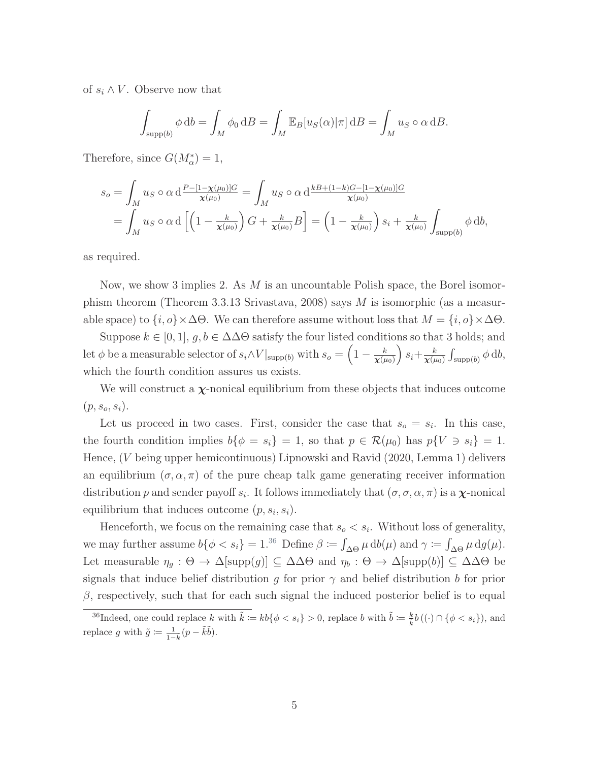of  $s_i \wedge V$ . Observe now that

$$
\int_{\text{supp}(b)} \phi \, \mathrm{d}b = \int_M \phi_0 \, \mathrm{d}B = \int_M \mathbb{E}_B[u_S(\alpha)|\pi] \, \mathrm{d}B = \int_M u_S \circ \alpha \, \mathrm{d}B.
$$

Therefore, since  $G(M^*_{\alpha}) = 1$ ,

$$
s_o = \int_M u_S \circ \alpha \, d \frac{P - [1 - \chi(\mu_0)]G}{\chi(\mu_0)} = \int_M u_S \circ \alpha \, d \frac{k B + (1 - k)G - [1 - \chi(\mu_0)]G}{\chi(\mu_0)}
$$
  
= 
$$
\int_M u_S \circ \alpha \, d \left[ \left( 1 - \frac{k}{\chi(\mu_0)} \right) G + \frac{k}{\chi(\mu_0)} B \right] = \left( 1 - \frac{k}{\chi(\mu_0)} \right) s_i + \frac{k}{\chi(\mu_0)} \int_{\text{supp}(b)} \phi \, db,
$$

as required.

Now, we show 3 implies 2. As  $M$  is an uncountable Polish space, the Borel isomor-phism theorem (Theorem 3.3.13 [Srivastava,](#page-46-0) [2008\)](#page-46-0) says  $M$  is isomorphic (as a measurable space) to  $\{i, o\} \times \Delta \Theta$ . We can therefore assume without loss that  $M = \{i, o\} \times \Delta \Theta$ .

Suppose  $k \in [0,1], g, b \in \Delta \Delta \Theta$  satisfy the four listed conditions so that 3 holds; and let  $\phi$  be a measurable selector of  $s_i \wedge V|_{\text{supp}(b)}$  with  $s_o = \left(1 - \frac{k}{\sqrt{b}}\right)$  $\pmb{\chi}(\mu_0)$  $s_i+\frac{k}{\mathbf{x}^{(i)}}$  $\frac{k}{\chi(\mu_0)}\int_{\text{supp}(b)}\phi\,\mathrm{d}b,$ which the fourth condition assures us exists.

We will construct a  $\chi$ -nonical equilibrium from these objects that induces outcome  $(p, s_o, s_i)$ .

Let us proceed in two cases. First, consider the case that  $s_o = s_i$ . In this case, the fourth condition implies  $b\{\phi = s_i\} = 1$ , so that  $p \in \mathcal{R}(\mu_0)$  has  $p\{V \ni s_i\} = 1$ . Hence, (V being upper hemicontinuous) [Lipnowski and Ravid](#page-45-1) [\(2020,](#page-45-1) Lemma 1) delivers an equilibrium  $(\sigma, \alpha, \pi)$  of the pure cheap talk game generating receiver information distribution p and sender payoff  $s_i$ . It follows immediately that  $(\sigma, \sigma, \alpha, \pi)$  is a  $\chi$ -nonical equilibrium that induces outcome  $(p, s_i, s_i)$ .

Henceforth, we focus on the remaining case that  $s_o < s_i$ . Without loss of generality, we may further assume  $b\{\phi < s_i\} = 1^{36}$  $b\{\phi < s_i\} = 1^{36}$  $b\{\phi < s_i\} = 1^{36}$  Define  $\beta \coloneqq \int_{\Delta\Theta} \mu \, db(\mu)$  and  $\gamma \coloneqq \int_{\Delta\Theta} \mu \, dg(\mu)$ . Let measurable  $\eta_g : \Theta \to \Delta[\text{supp}(g)] \subseteq \Delta\Delta\Theta$  and  $\eta_b : \Theta \to \Delta[\text{supp}(b)] \subseteq \Delta\Delta\Theta$  be signals that induce belief distribution g for prior  $\gamma$  and belief distribution b for prior  $\beta$ , respectively, such that for each such signal the induced posterior belief is to equal

<sup>&</sup>lt;sup>36</sup>Indeed, one could replace k with  $\tilde{k} := kb\{\phi < s_i\} > 0$ , replace b with  $\tilde{b} := \frac{k}{\tilde{k}}b((.) \cap {\phi < s_i\})$ , and replace g with  $\tilde{g} \coloneqq \frac{1}{1-\tilde{k}}(p-\tilde{k}\tilde{b}).$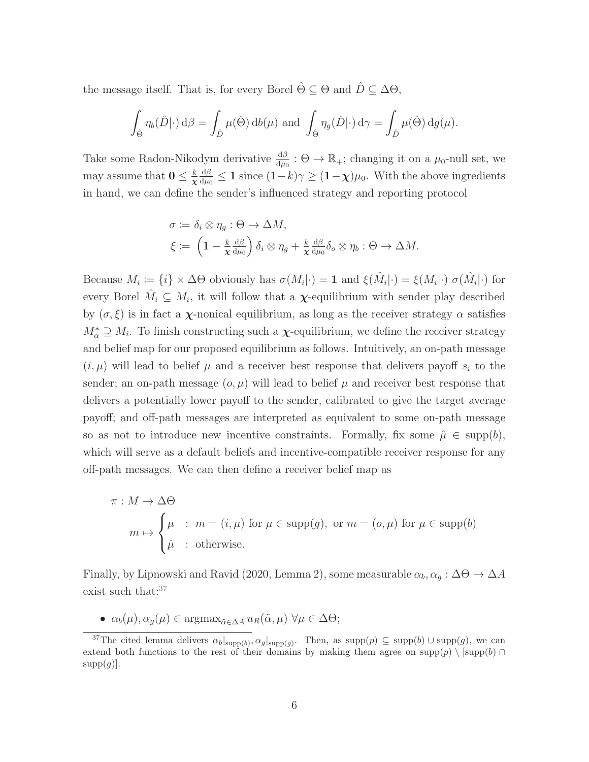the message itself. That is, for every Borel  $\hat{\Theta} \subseteq \Theta$  and  $\hat{D} \subseteq \Delta \Theta$ ,

$$
\int_{\hat{\Theta}} \eta_b(\hat{D}|\cdot) d\beta = \int_{\hat{D}} \mu(\hat{\Theta}) d b(\mu) \text{ and } \int_{\hat{\Theta}} \eta_g(\hat{D}|\cdot) d\gamma = \int_{\hat{D}} \mu(\hat{\Theta}) d g(\mu).
$$

Take some Radon-Nikodym derivative  $\frac{d\beta}{d\mu_0}$ :  $\Theta \to \mathbb{R}_+$ ; changing it on a  $\mu_0$ -null set, we may assume that  $0 \leq \frac{k}{\infty}$ χ dβ  $\frac{d\beta}{d\mu_0} \leq 1$  since  $(1-k)\gamma \geq (1-\chi)\mu_0$ . With the above ingredients in hand, we can define the sender's influenced strategy and reporting protocol

$$
\sigma := \delta_i \otimes \eta_g : \Theta \to \Delta M,
$$
  

$$
\xi := \left(1 - \frac{k}{\chi} \frac{d\beta}{d\mu_0}\right) \delta_i \otimes \eta_g + \frac{k}{\chi} \frac{d\beta}{d\mu_0} \delta_o \otimes \eta_b : \Theta \to \Delta M.
$$

Because  $M_i := \{i\} \times \Delta\Theta$  obviously has  $\sigma(M_i|\cdot) = 1$  and  $\xi(\hat{M}_i|\cdot) = \xi(M_i|\cdot) \sigma(\hat{M}_i|\cdot)$  for every Borel  $\hat{M}_i \subseteq M_i$ , it will follow that a  $\chi$ -equilibrium with sender play described by  $(\sigma, \xi)$  is in fact a  $\chi$ -nonical equilibrium, as long as the receiver strategy  $\alpha$  satisfies  $M^*_{\alpha} \supseteq M_i$ . To finish constructing such a  $\chi$ -equilibrium, we define the receiver strategy and belief map for our proposed equilibrium as follows. Intuitively, an on-path message  $(i, \mu)$  will lead to belief  $\mu$  and a receiver best response that delivers payoff  $s_i$  to the sender; an on-path message  $(o, \mu)$  will lead to belief  $\mu$  and receiver best response that delivers a potentially lower payoff to the sender, calibrated to give the target average payoff; and off-path messages are interpreted as equivalent to some on-path message so as not to introduce new incentive constraints. Formally, fix some  $\hat{\mu} \in \text{supp}(b)$ , which will serve as a default beliefs and incentive-compatible receiver response for any off-path messages. We can then define a receiver belief map as

$$
\pi: M \to \Delta\Theta
$$
  
\n
$$
m \mapsto \begin{cases} \mu & \text{: } m = (i, \mu) \text{ for } \mu \in \text{supp}(g), \text{ or } m = (o, \mu) \text{ for } \mu \in \text{supp}(b) \\ \hat{\mu} & \text{: } \text{otherwise.} \end{cases}
$$

Finally, by [Lipnowski and Ravid](#page-45-1) [\(2020,](#page-45-1) Lemma 2), some measurable  $\alpha_b, \alpha_g : \Delta\Theta \to \Delta A$ exist such that: $37$ 

•  $\alpha_b(\mu), \alpha_g(\mu) \in \text{argmax}_{\tilde{\alpha} \in \Delta A} u_R(\tilde{\alpha}, \mu) \,\forall \mu \in \Delta \Theta;$ 

<sup>&</sup>lt;sup>37</sup>The cited lemma delivers  $\alpha_b|_{\text{supp}(b)}, \alpha_g|_{\text{supp}(g)}$ . Then, as supp $(p) \subseteq \text{supp}(b) \cup \text{supp}(g)$ , we can extend both functions to the rest of their domains by making them agree on supp(p)  $\log(p)$  $supp(g)$ .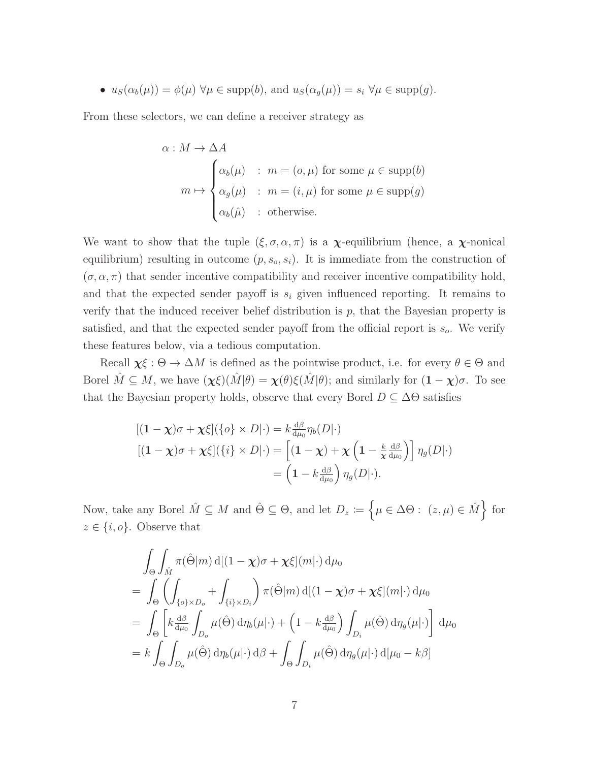•  $u_S(\alpha_b(\mu)) = \phi(\mu) \,\forall \mu \in \text{supp}(b)$ , and  $u_S(\alpha_g(\mu)) = s_i \,\forall \mu \in \text{supp}(g)$ .

From these selectors, we can define a receiver strategy as

$$
\alpha: M \to \Delta A
$$
  
\n
$$
m \mapsto \begin{cases}\n\alpha_b(\mu) & : m = (o, \mu) \text{ for some } \mu \in \text{supp}(b) \\
\alpha_g(\mu) & : m = (i, \mu) \text{ for some } \mu \in \text{supp}(g) \\
\alpha_b(\hat{\mu}) & : \text{otherwise.} \n\end{cases}
$$

We want to show that the tuple  $(\xi, \sigma, \alpha, \pi)$  is a  $\chi$ -equilibrium (hence, a  $\chi$ -nonical equilibrium) resulting in outcome  $(p, s_o, s_i)$ . It is immediate from the construction of  $(\sigma, \alpha, \pi)$  that sender incentive compatibility and receiver incentive compatibility hold, and that the expected sender payoff is  $s_i$  given influenced reporting. It remains to verify that the induced receiver belief distribution is  $p$ , that the Bayesian property is satisfied, and that the expected sender payoff from the official report is  $s_o$ . We verify these features below, via a tedious computation.

Recall  $\chi \xi : \Theta \to \Delta M$  is defined as the pointwise product, i.e. for every  $\theta \in \Theta$  and Borel  $\hat{M} \subseteq M$ , we have  $(\chi \xi)(\hat{M}|\theta) = \chi(\theta)\xi(\hat{M}|\theta)$ ; and similarly for  $(1 - \chi)\sigma$ . To see that the Bayesian property holds, observe that every Borel  $D \subseteq \Delta\Theta$  satisfies

$$
[(1 - \chi)\sigma + \chi\xi](\{o\} \times D|\cdot) = k \frac{d\beta}{d\mu_0} \eta_b(D|\cdot)
$$
  

$$
[(1 - \chi)\sigma + \chi\xi](\{i\} \times D|\cdot) = [(1 - \chi) + \chi \left(1 - \frac{k}{\chi} \frac{d\beta}{d\mu_0}\right)] \eta_g(D|\cdot)
$$
  

$$
= \left(1 - k \frac{d\beta}{d\mu_0}\right) \eta_g(D|\cdot).
$$

Now, take any Borel  $\hat{M} \subseteq M$  and  $\hat{\Theta} \subseteq \Theta$ , and let  $D_z := \{ \mu \in \Delta \Theta : (z, \mu) \in \hat{M} \}$  for  $z \in \{i, o\}$ . Observe that

$$
\int_{\Theta} \int_{\hat{M}} \pi(\hat{\Theta}|m) d[(1-\chi)\sigma + \chi\xi](m|\cdot) d\mu_0
$$
\n
$$
= \int_{\Theta} \left( \int_{\{\sigma\} \times D_o} + \int_{\{i\} \times D_i} \right) \pi(\hat{\Theta}|m) d[(1-\chi)\sigma + \chi\xi](m|\cdot) d\mu_0
$$
\n
$$
= \int_{\Theta} \left[ k \frac{d\beta}{d\mu_0} \int_{D_o} \mu(\hat{\Theta}) d\eta_b(\mu|\cdot) + \left(1 - k \frac{d\beta}{d\mu_0}\right) \int_{D_i} \mu(\hat{\Theta}) d\eta_g(\mu|\cdot) \right] d\mu_0
$$
\n
$$
= k \int_{\Theta} \int_{D_o} \mu(\hat{\Theta}) d\eta_b(\mu|\cdot) d\beta + \int_{\Theta} \int_{D_i} \mu(\hat{\Theta}) d\eta_g(\mu|\cdot) d[\mu_0 - k\beta]
$$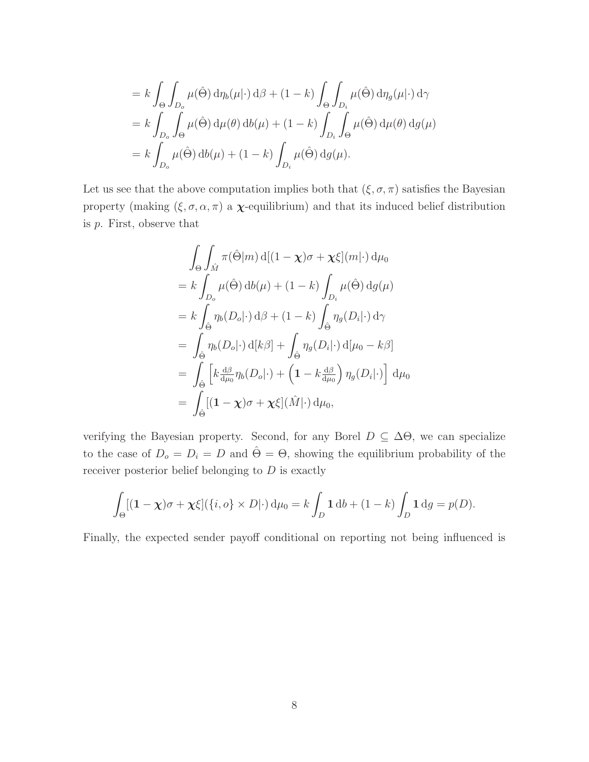$$
= k \int_{\Theta} \int_{D_o} \mu(\hat{\Theta}) d\eta_b(\mu|\cdot) d\beta + (1 - k) \int_{\Theta} \int_{D_i} \mu(\hat{\Theta}) d\eta_g(\mu|\cdot) d\gamma
$$
  
=  $k \int_{D_o} \int_{\Theta} \mu(\hat{\Theta}) d\mu(\theta) d b(\mu) + (1 - k) \int_{D_i} \int_{\Theta} \mu(\hat{\Theta}) d\mu(\theta) d g(\mu)$   
=  $k \int_{D_o} \mu(\hat{\Theta}) d b(\mu) + (1 - k) \int_{D_i} \mu(\hat{\Theta}) d g(\mu).$ 

Let us see that the above computation implies both that  $(\xi, \sigma, \pi)$  satisfies the Bayesian property (making  $(\xi, \sigma, \alpha, \pi)$  a  $\chi$ -equilibrium) and that its induced belief distribution is  $p$ . First, observe that

$$
\int_{\Theta} \int_{\hat{M}} \pi(\hat{\Theta}|m) d[(1-\chi)\sigma + \chi\xi](m|\cdot) d\mu_0
$$
\n
$$
= k \int_{D_o} \mu(\hat{\Theta}) d b(\mu) + (1-k) \int_{D_i} \mu(\hat{\Theta}) d g(\mu)
$$
\n
$$
= k \int_{\hat{\Theta}} \eta_b(D_o|\cdot) d\beta + (1-k) \int_{\hat{\Theta}} \eta_g(D_i|\cdot) d\gamma
$$
\n
$$
= \int_{\hat{\Theta}} \eta_b(D_o|\cdot) d[k\beta] + \int_{\hat{\Theta}} \eta_g(D_i|\cdot) d[\mu_0 - k\beta]
$$
\n
$$
= \int_{\hat{\Theta}} \left[ k \frac{d\beta}{d\mu_0} \eta_b(D_o|\cdot) + \left( 1 - k \frac{d\beta}{d\mu_0} \right) \eta_g(D_i|\cdot) \right] d\mu_0
$$
\n
$$
= \int_{\hat{\Theta}} [(1-\chi)\sigma + \chi\xi](\hat{M}|\cdot) d\mu_0,
$$

verifying the Bayesian property. Second, for any Borel  $D \subseteq \Delta\Theta$ , we can specialize to the case of  $D_o = D_i = D$  and  $\hat{\Theta} = \Theta$ , showing the equilibrium probability of the receiver posterior belief belonging to  $D$  is exactly

$$
\int_{\Theta} [(1-\chi)\sigma + \chi\xi] (\{i,o\} \times D) \cdot d\mu_0 = k \int_D 1 \, db + (1-k) \int_D 1 \, dg = p(D).
$$

Finally, the expected sender payoff conditional on reporting not being influenced is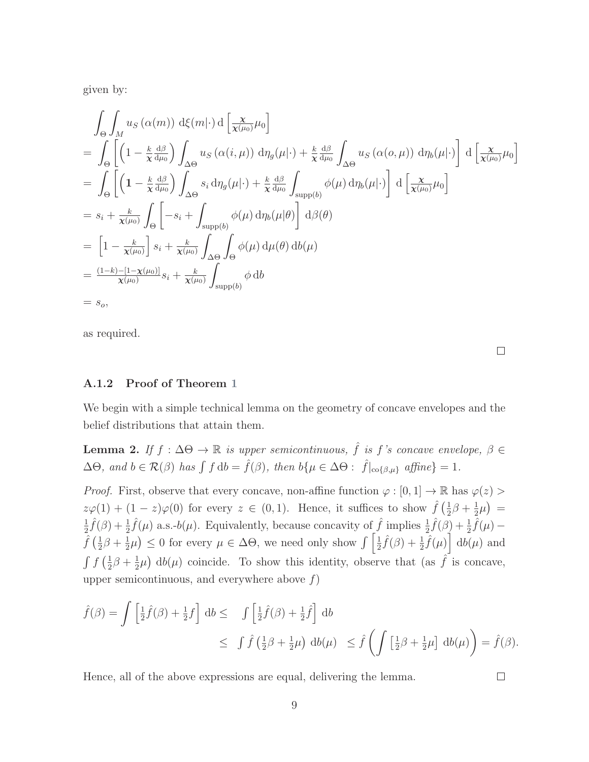given by:

$$
\int_{\Theta} \int_{M} u_{S} (\alpha(m)) \, d\xi(m|\cdot) d \left[ \frac{x}{\chi(\mu_{0})} \mu_{0} \right]
$$
\n
$$
= \int_{\Theta} \left[ \left( 1 - \frac{k}{\chi} \frac{d\beta}{d\mu_{0}} \right) \int_{\Delta\Theta} u_{S} (\alpha(i,\mu)) \, d\eta_{g}(\mu|\cdot) + \frac{k}{\chi} \frac{d\beta}{d\mu_{0}} \int_{\Delta\Theta} u_{S} (\alpha(o,\mu)) \, d\eta_{b}(\mu|\cdot) \right] d \left[ \frac{x}{\chi(\mu_{0})} \mu_{0} \right]
$$
\n
$$
= \int_{\Theta} \left[ \left( 1 - \frac{k}{\chi} \frac{d\beta}{d\mu_{0}} \right) \int_{\Delta\Theta} s_{i} d\eta_{g}(\mu|\cdot) + \frac{k}{\chi} \frac{d\beta}{d\mu_{0}} \int_{\text{supp}(b)} \phi(\mu) d\eta_{b}(\mu|\cdot) \right] d \left[ \frac{x}{\chi(\mu_{0})} \mu_{0} \right]
$$
\n
$$
= s_{i} + \frac{k}{\chi(\mu_{0})} \int_{\Theta} \left[ -s_{i} + \int_{\text{supp}(b)} \phi(\mu) d\eta_{b}(\mu|\theta) \right] d\beta(\theta)
$$
\n
$$
= \left[ 1 - \frac{k}{\chi(\mu_{0})} \right] s_{i} + \frac{k}{\chi(\mu_{0})} \int_{\Delta\Theta} \int_{\Theta} \phi(\mu) d\mu(\theta) d\theta(\mu)
$$
\n
$$
= \frac{(1 - k) - [1 - \chi(\mu_{0})]}{\chi(\mu_{0})} s_{i} + \frac{k}{\chi(\mu_{0})} \int_{\text{supp}(b)} \phi d\theta
$$
\n
$$
= s_{o},
$$

as required.

 $\Box$ 

#### A.1.2 Proof of Theorem [1](#page-17-0)

We begin with a simple technical lemma on the geometry of concave envelopes and the belief distributions that attain them.

<span id="page-55-0"></span>**Lemma 2.** If  $f : \Delta\Theta \to \mathbb{R}$  is upper semicontinuous,  $\hat{f}$  is  $f$ 's concave envelope,  $\beta \in$  $\Delta\Theta$ , and  $b \in \mathcal{R}(\beta)$  has  $\int f d\mathbf{b} = \hat{f}(\beta)$ , then  $b\{\mu \in \Delta\Theta : \hat{f}|_{\text{co}\{\beta,\mu\}} \text{ affine}\}=1$ .

*Proof.* First, observe that every concave, non-affine function  $\varphi : [0,1] \to \mathbb{R}$  has  $\varphi(z)$  $z\varphi(1) + (1-z)\varphi(0)$  for every  $z \in (0,1)$ . Hence, it suffices to show  $\hat{f}(\frac{1}{2})$  $rac{1}{2}\beta + \frac{1}{2}$  $(\frac{1}{2}\mu)$  = 1  $\frac{1}{2}\hat{f}(\beta) + \frac{1}{2}\hat{f}(\mu)$  a.s.-b( $\mu$ ). Equivalently, because concavity of  $\hat{f}$  implies  $\frac{1}{2}\hat{f}(\beta) + \frac{1}{2}\hat{f}(\mu)$  –  $\hat{f}(\frac{1}{2})$  $\frac{1}{2}\beta + \frac{1}{2}$  $\frac{1}{2}\mu$   $\leq$  0 for every  $\mu \in \Delta\Theta$ , we need only show  $\int \left[\frac{1}{2}\right]$  $\frac{1}{2}\hat{f}(\beta) + \frac{1}{2}\hat{f}(\mu)\hat{d}b(\mu)$  and  $\int f\left(\frac{1}{2}\right)$  $rac{1}{2}\beta + \frac{1}{2}$  $\frac{1}{2}\mu$  db( $\mu$ ) coincide. To show this identity, observe that (as  $\hat{f}$  is concave, upper semicontinuous, and everywhere above  $f$ )

$$
\hat{f}(\beta) = \int \left[\frac{1}{2}\hat{f}(\beta) + \frac{1}{2}f\right] \, \mathrm{d}b \leq \int \left[\frac{1}{2}\hat{f}(\beta) + \frac{1}{2}\hat{f}\right] \, \mathrm{d}b
$$
\n
$$
\leq \int \hat{f}\left(\frac{1}{2}\beta + \frac{1}{2}\mu\right) \, \mathrm{d}b(\mu) \leq \hat{f}\left(\int \left[\frac{1}{2}\beta + \frac{1}{2}\mu\right] \, \mathrm{d}b(\mu)\right) = \hat{f}(\beta).
$$

Hence, all of the above expressions are equal, delivering the lemma.

 $\Box$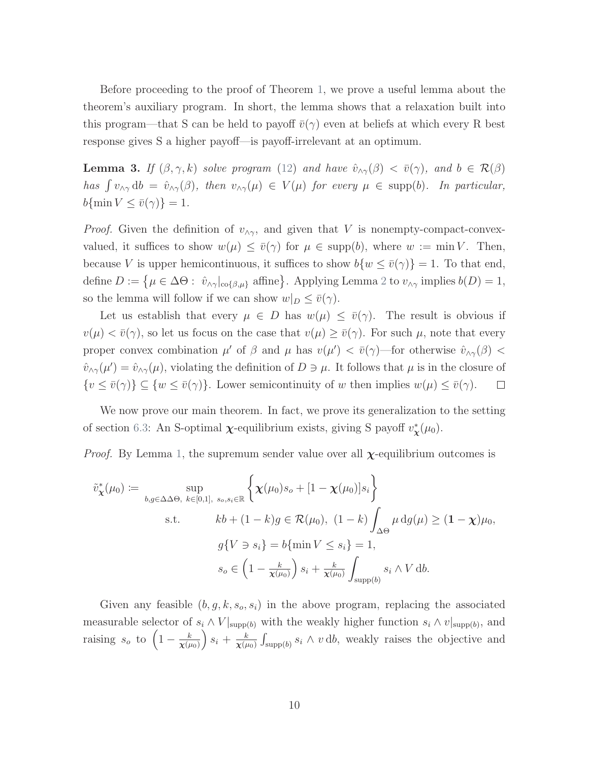Before proceeding to the proof of Theorem [1,](#page-17-0) we prove a useful lemma about the theorem's auxiliary program. In short, the lemma shows that a relaxation built into this program—that S can be held to payoff  $\bar{v}(\gamma)$  even at beliefs at which every R best response gives S a higher payoff—is payoff-irrelevant at an optimum.

<span id="page-56-0"></span>**Lemma 3.** If  $(\beta, \gamma, k)$  solve program [\(12\)](#page-37-1) and have  $\hat{v}_{\alpha\gamma}(\beta) < \bar{v}(\gamma)$ , and  $b \in \mathcal{R}(\beta)$ has  $\int v_{\wedge \gamma} db = \hat{v}_{\wedge \gamma}(\beta)$ , then  $v_{\wedge \gamma}(\mu) \in V(\mu)$  for every  $\mu \in \text{supp}(b)$ . In particular,  $b{\{\min V \le \bar{v}(\gamma)\} = 1}.$ 

*Proof.* Given the definition of  $v_{\wedge \gamma}$ , and given that V is nonempty-compact-convexvalued, it suffices to show  $w(\mu) \leq \bar{v}(\gamma)$  for  $\mu \in \text{supp}(b)$ , where  $w := \min V$ . Then, because V is upper hemicontinuous, it suffices to show  $b\{w \leq \bar{v}(\gamma)\}=1$ . To that end, define  $D := \{ \mu \in \Delta \Theta : \hat{v}_{\Delta \gamma}|_{\text{co}\{\beta,\mu\}} \text{ affine} \}.$  Applying Lemma [2](#page-55-0) to  $v_{\Delta \gamma}$  implies  $b(D) = 1$ , so the lemma will follow if we can show  $w|_D \leq \overline{v}(\gamma)$ .

Let us establish that every  $\mu \in D$  has  $w(\mu) \leq \bar{v}(\gamma)$ . The result is obvious if  $v(\mu) < \bar{v}(\gamma)$ , so let us focus on the case that  $v(\mu) \ge \bar{v}(\gamma)$ . For such  $\mu$ , note that every proper convex combination  $\mu'$  of  $\beta$  and  $\mu$  has  $v(\mu') < \bar{v}(\gamma)$ —for otherwise  $\hat{v}_{\alpha\gamma}(\beta)$  $\hat{v}_{\wedge\gamma}(\mu') = \hat{v}_{\wedge\gamma}(\mu)$ , violating the definition of  $D \ni \mu$ . It follows that  $\mu$  is in the closure of  $\{v \leq \bar{v}(\gamma)\} \subseteq \{w \leq \bar{v}(\gamma)\}\$ . Lower semicontinuity of w then implies  $w(\mu) \leq \bar{v}(\gamma)$ .  $\Box$ 

We now prove our main theorem. In fact, we prove its generalization to the setting of section [6.3:](#page-36-0) An S-optimal  $\chi$ -equilibrium exists, giving S payoff  $v^*_{\chi}(\mu_0)$ .

*Proof.* By Lemma [1,](#page-48-0) the supremum sender value over all  $\chi$ -equilibrium outcomes is

$$
\tilde{v}_{\mathbf{x}}^*(\mu_0) := \sup_{b,g \in \Delta \Delta \Theta, \ k \in [0,1], \ s_o, s_i \in \mathbb{R}} \left\{ \mathbf{\chi}(\mu_0) s_o + [1 - \mathbf{\chi}(\mu_0)] s_i \right\}
$$
\ns.t. 
$$
kb + (1 - k)g \in \mathcal{R}(\mu_0), \ (1 - k) \int_{\Delta \Theta} \mu \, dg(\mu) \ge (1 - \mathbf{\chi}) \mu_0,
$$
\n
$$
g\{V \ni s_i\} = b\{\min V \le s_i\} = 1,
$$
\n
$$
s_o \in \left(1 - \frac{k}{\mathbf{\chi}(\mu_0)}\right) s_i + \frac{k}{\mathbf{\chi}(\mu_0)} \int_{\text{supp}(b)} s_i \wedge V \, db.
$$

Given any feasible  $(b, g, k, s_o, s_i)$  in the above program, replacing the associated measurable selector of  $s_i \wedge V|_{\text{supp}(b)}$  with the weakly higher function  $s_i \wedge v|_{\text{supp}(b)}$ , and raising  $s_o$  to  $\left(1-\frac{k}{\sqrt{a}}\right)$  $\pmb{\chi}(\mu_0)$  $s_i + \frac{k}{\sqrt{u}}$  $\frac{k}{\chi(\mu_0)} \int_{\text{supp}(b)} s_i \wedge v \, db$ , weakly raises the objective and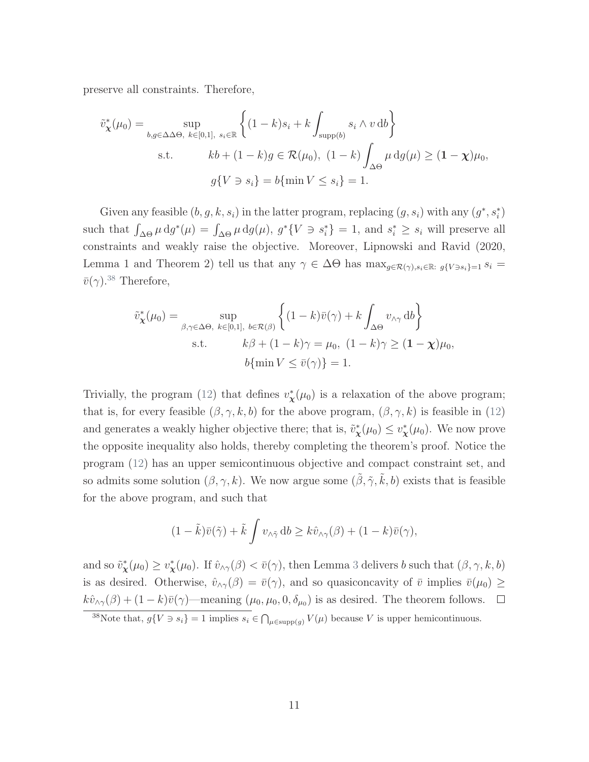preserve all constraints. Therefore,

$$
\tilde{v}_{\mathbf{x}}^*(\mu_0) = \sup_{b,g \in \Delta \Delta \Theta, \ k \in [0,1], \ s_i \in \mathbb{R}} \left\{ (1-k)s_i + k \int_{\text{supp}(b)} s_i \wedge v \, db \right\}
$$
  
s.t. 
$$
kb + (1-k)g \in \mathcal{R}(\mu_0), \ (1-k) \int_{\Delta \Theta} \mu \, dg(\mu) \ge (1-\mathbf{x})\mu_0,
$$

$$
g\{V \ni s_i\} = b\{\min V \le s_i\} = 1.
$$

Given any feasible  $(b, g, k, s_i)$  in the latter program, replacing  $(g, s_i)$  with any  $(g^*, s_i^*)$ such that  $\int_{\Delta\Theta} \mu \, dg^*(\mu) = \int_{\Delta\Theta} \mu \, dg(\mu)$ ,  $g^*\{V \ni s_i^*\} = 1$ , and  $s_i^* \geq s_i$  will preserve all constraints and weakly raise the objective. Moreover, [Lipnowski and Ravid](#page-45-1) [\(2020,](#page-45-1) Lemma 1 and Theorem 2) tell us that any  $\gamma \in \Delta\Theta$  has  $\max_{g \in \mathcal{R}(\gamma), s_i \in \mathbb{R} : g\{V \ni s_i\} = 1} s_i =$  $\bar{v}(\gamma)$ <sup>[38](#page-0-0)</sup> Therefore,

$$
\tilde{v}_{\mathbf{x}}^*(\mu_0) = \sup_{\beta, \gamma \in \Delta\Theta, k \in [0,1], b \in \mathcal{R}(\beta)} \left\{ (1-k)\bar{v}(\gamma) + k \int_{\Delta\Theta} v_{\wedge \gamma} \, \mathrm{d}b \right\}
$$
\ns.t. 
$$
k\beta + (1-k)\gamma = \mu_0, (1-k)\gamma \ge (1-\chi)\mu_0,
$$
\n
$$
b\{\min V \le \bar{v}(\gamma)\} = 1.
$$

Trivially, the program [\(12\)](#page-37-1) that defines  $v^*_{\mathbf{x}}(\mu_0)$  is a relaxation of the above program; that is, for every feasible  $(\beta, \gamma, k, b)$  for the above program,  $(\beta, \gamma, k)$  is feasible in [\(12\)](#page-37-1) and generates a weakly higher objective there; that is,  $\tilde{v}_{\chi}^*(\mu_0) \leq v_{\chi}^*(\mu_0)$ . We now prove the opposite inequality also holds, thereby completing the theorem's proof. Notice the program [\(12\)](#page-37-1) has an upper semicontinuous objective and compact constraint set, and so admits some solution  $(\beta, \gamma, k)$ . We now argue some  $(\tilde{\beta}, \tilde{\gamma}, \tilde{k}, b)$  exists that is feasible for the above program, and such that

$$
(1 - \tilde{k})\bar{v}(\tilde{\gamma}) + \tilde{k} \int v_{\wedge \tilde{\gamma}} \, \mathrm{d}b \geq k \hat{v}_{\wedge \gamma}(\beta) + (1 - k)\bar{v}(\gamma),
$$

and so  $\tilde{v}^*_{\mathbf{x}}(\mu_0) \geq v^*_{\mathbf{x}}(\mu_0)$ . If  $\hat{v}_{\wedge \gamma}(\beta) < \bar{v}(\gamma)$ , then Lemma [3](#page-56-0) delivers b such that  $(\beta, \gamma, k, b)$ is as desired. Otherwise,  $\hat{v}_{\wedge \gamma}(\beta) = \bar{v}(\gamma)$ , and so quasiconcavity of  $\bar{v}$  implies  $\bar{v}(\mu_0) \geq$  $k\hat{v}_{\wedge\gamma}(\beta) + (1 - k)\bar{v}(\gamma)$ —meaning  $(\mu_0, \mu_0, 0, \delta_{\mu_0})$  is as desired. The theorem follows.  $\Box$ 

<sup>&</sup>lt;sup>38</sup>Note that,  $g\{V \ni s_i\} = 1$  implies  $s_i \in \bigcap_{\mu \in \text{supp}(g)} V(\mu)$  because V is upper hemicontinuous.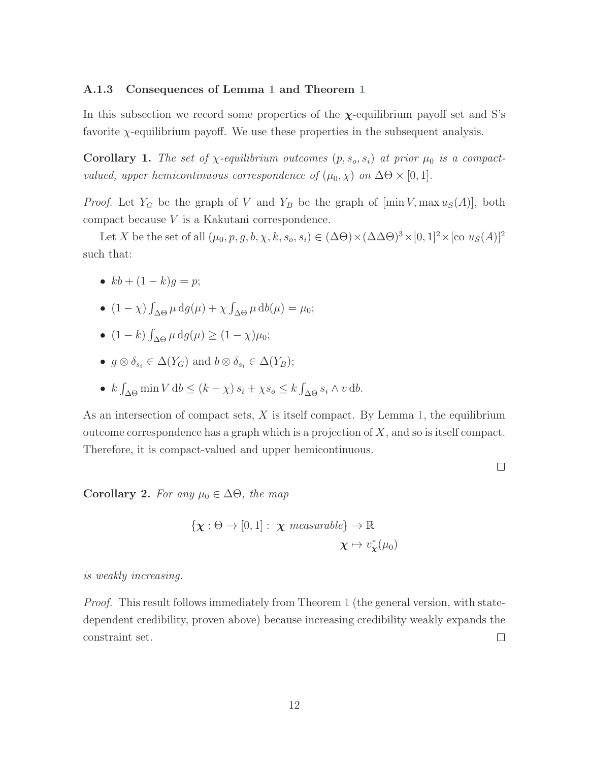#### A.1.3 Consequences of Lemma [1](#page-48-0) and Theorem [1](#page-17-0)

In this subsection we record some properties of the  $\chi$ -equilibrium payoff set and S's favorite  $\chi$ -equilibrium payoff. We use these properties in the subsequent analysis.

<span id="page-58-1"></span>**Corollary 1.** The set of  $\chi$ -equilibrium outcomes  $(p, s_o, s_i)$  at prior  $\mu_0$  is a compactvalued, upper hemicontinuous correspondence of  $(\mu_0, \chi)$  on  $\Delta\Theta \times [0, 1]$ .

*Proof.* Let  $Y_G$  be the graph of V and  $Y_B$  be the graph of  $[\min V, \max u_S(A)],$  both compact because V is a Kakutani correspondence.

Let X be the set of all  $(\mu_0, p, g, b, \chi, k, s_o, s_i) \in (\Delta \Theta) \times (\Delta \Delta \Theta)^3 \times [0, 1]^2 \times [\text{co } u_S(A)]^2$ such that:

- $kb + (1 k)q = p;$
- $(1 \chi) \int_{\Delta \Theta} \mu \, dg(\mu) + \chi \int_{\Delta \Theta} \mu \, db(\mu) = \mu_0;$
- $(1-k)\int_{\Delta\Theta} \mu \, dg(\mu) \ge (1-\chi)\mu_0;$
- $g \otimes \delta_{s_i} \in \Delta(Y_G)$  and  $b \otimes \delta_{s_i} \in \Delta(Y_B);$
- $k \int_{\Delta \Theta} \min V \, \mathrm{d}b \leq (k \chi) s_i + \chi s_o \leq k \int_{\Delta \Theta} s_i \wedge v \, \mathrm{d}b.$

As an intersection of compact sets,  $X$  is itself compact. By Lemma [1,](#page-48-0) the equilibrium outcome correspondence has a graph which is a projection of  $X$ , and so is itself compact. Therefore, it is compact-valued and upper hemicontinuous.

 $\Box$ 

<span id="page-58-0"></span>Corollary 2. For any  $\mu_0 \in \Delta\Theta$ , the map

$$
\{\chi : \Theta \to [0,1]: \ \chi \ \text{measurable}\} \to \mathbb{R}
$$

$$
\chi \mapsto v^*_\chi(\mu_0)
$$

#### is weakly increasing.

<span id="page-58-2"></span>Proof. This result follows immediately from Theorem [1](#page-17-0) (the general version, with statedependent credibility, proven above) because increasing credibility weakly expands the constraint set.  $\Box$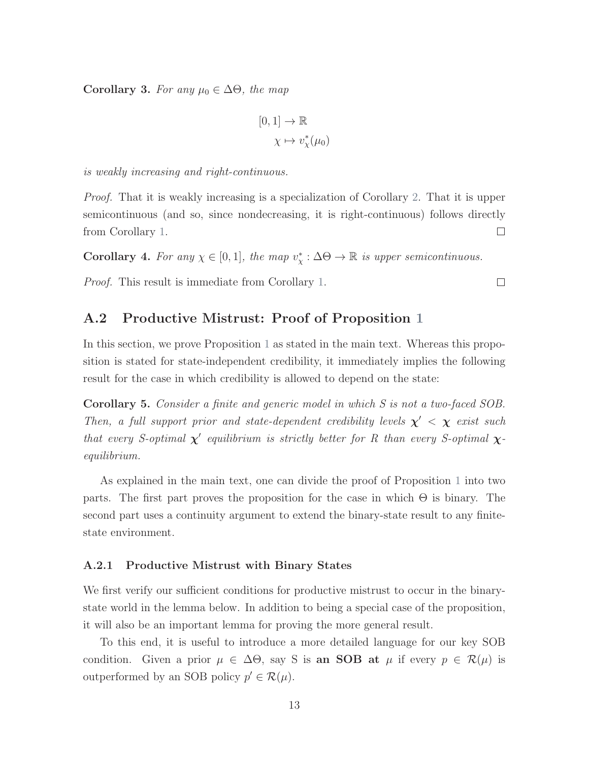Corollary 3. For any  $\mu_0 \in \Delta\Theta$ , the map

$$
[0,1] \to \mathbb{R}
$$

$$
\chi \mapsto v_{\chi}^*(\mu_0)
$$

is weakly increasing and right-continuous.

*Proof.* That it is weakly increasing is a specialization of Corollary [2.](#page-58-0) That it is upper semicontinuous (and so, since nondecreasing, it is right-continuous) follows directly from Corollary [1.](#page-58-1)  $\Box$ 

Corollary 4. For any  $\chi \in [0,1]$ , the map  $v^*_{\chi} : \Delta \Theta \to \mathbb{R}$  is upper semicontinuous.

Proof. This result is immediate from Corollary [1.](#page-58-1)

## A.2 Productive Mistrust: Proof of Proposition [1](#page-27-0)

In this section, we prove Proposition [1](#page-27-0) as stated in the main text. Whereas this proposition is stated for state-independent credibility, it immediately implies the following result for the case in which credibility is allowed to depend on the state:

Corollary 5. Consider a finite and generic model in which S is not a two-faced SOB. Then, a full support prior and state-dependent credibility levels  $\chi' < \chi$  exist such that every S-optimal  $\chi'$  equilibrium is strictly better for R than every S-optimal  $\chi$ equilibrium.

As explained in the main text, one can divide the proof of Proposition [1](#page-27-0) into two parts. The first part proves the proposition for the case in which  $\Theta$  is binary. The second part uses a continuity argument to extend the binary-state result to any finitestate environment.

#### A.2.1 Productive Mistrust with Binary States

We first verify our sufficient conditions for productive mistrust to occur in the binarystate world in the lemma below. In addition to being a special case of the proposition, it will also be an important lemma for proving the more general result.

<span id="page-59-0"></span>To this end, it is useful to introduce a more detailed language for our key SOB condition. Given a prior  $\mu \in \Delta\Theta$ , say S is an SOB at  $\mu$  if every  $p \in \mathcal{R}(\mu)$  is outperformed by an SOB policy  $p' \in \mathcal{R}(\mu)$ .

 $\Box$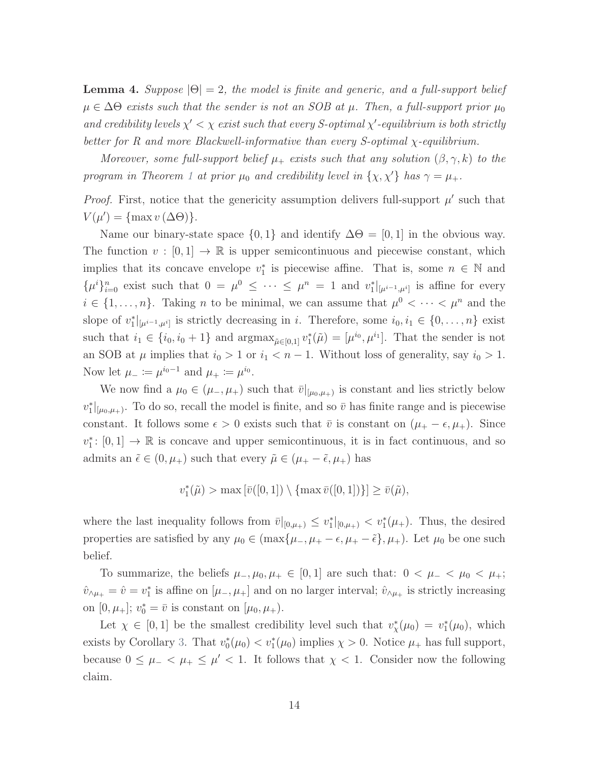**Lemma 4.** Suppose  $|\Theta| = 2$ , the model is finite and generic, and a full-support belief  $\mu \in \Delta \Theta$  exists such that the sender is not an SOB at  $\mu$ . Then, a full-support prior  $\mu_0$ and credibility levels  $\chi' < \chi$  exist such that every S-optimal  $\chi'$ -equilibrium is both strictly better for R and more Blackwell-informative than every S-optimal χ-equilibrium.

Moreover, some full-support belief  $\mu_+$  exists such that any solution  $(\beta, \gamma, k)$  to the program in Theorem [1](#page-17-0) at prior  $\mu_0$  and credibility level in  $\{\chi, \chi'\}$  has  $\gamma = \mu_+$ .

*Proof.* First, notice that the genericity assumption delivers full-support  $\mu'$  such that  $V(\mu') = \{\max v(\Delta\Theta)\}.$ 

Name our binary-state space  $\{0,1\}$  and identify  $\Delta\Theta = [0,1]$  in the obvious way. The function  $v : [0,1] \to \mathbb{R}$  is upper semicontinuous and piecewise constant, which implies that its concave envelope  $v_1^*$  is piecewise affine. That is, some  $n \in \mathbb{N}$  and  $\{\mu^i\}_{i=0}^n$  exist such that  $0 = \mu^0 \leq \cdots \leq \mu^n = 1$  and  $v_1^*|_{\mu^{i-1},\mu^{i}}$  is affine for every  $i \in \{1, \ldots, n\}$ . Taking *n* to be minimal, we can assume that  $\mu^0 < \cdots < \mu^n$  and the slope of  $v_1^*|_{\mu^{i-1},\mu^{i}}$  is strictly decreasing in i. Therefore, some  $i_0, i_1 \in \{0,\ldots,n\}$  exist such that  $i_1 \in \{i_0, i_0+1\}$  and  $\operatorname{argmax}_{\tilde{\mu} \in [0,1]} v_1^*(\tilde{\mu}) = [\mu^{i_0}, \mu^{i_1}].$  That the sender is not an SOB at  $\mu$  implies that  $i_0 > 1$  or  $i_1 < n - 1$ . Without loss of generality, say  $i_0 > 1$ . Now let  $\mu_{-} \coloneqq \mu^{i_0 - 1}$  and  $\mu_{+} \coloneqq \mu^{i_0}$ .

We now find a  $\mu_0 \in (\mu_-, \mu_+)$  such that  $\bar{v}|_{[\mu_0,\mu_+)}$  is constant and lies strictly below  $v_1^*|_{\mu_0,\mu_+}$ . To do so, recall the model is finite, and so  $\bar{v}$  has finite range and is piecewise constant. It follows some  $\epsilon > 0$  exists such that  $\bar{v}$  is constant on  $(\mu_+ - \epsilon, \mu_+).$  Since  $v_1^* \colon [0,1] \to \mathbb{R}$  is concave and upper semicontinuous, it is in fact continuous, and so admits an  $\tilde{\epsilon} \in (0, \mu_+)$  such that every  $\tilde{\mu} \in (\mu_+ - \tilde{\epsilon}, \mu_+)$  has

 $v_1^*(\tilde{\mu}) > \max\left[\bar{v}([0,1]) \setminus \{\max \bar{v}([0,1])\}\right] \ge \bar{v}(\tilde{\mu}),$ 

where the last inequality follows from  $\bar{v}|_{[0,\mu_+)} \leq v_1^*|_{[0,\mu_+)} < v_1^*(\mu_+).$  Thus, the desired properties are satisfied by any  $\mu_0 \in (\max{\{\mu_-, \mu_+ - \epsilon, \mu_+ - \tilde{\epsilon}\}, \mu_+)}$ . Let  $\mu_0$  be one such belief.

To summarize, the beliefs  $\mu_-, \mu_0, \mu_+ \in [0,1]$  are such that:  $0 < \mu_- < \mu_0 < \mu_+$ ;  $\hat{v}_{\wedge\mu_+} = \hat{v} = v_1^*$  is affine on  $[\mu_-, \mu_+]$  and on no larger interval;  $\hat{v}_{\wedge\mu_+}$  is strictly increasing on  $[0, \mu_+]$ ;  $v_0^* = \bar{v}$  is constant on  $[\mu_0, \mu_+).$ 

Let  $\chi \in [0,1]$  be the smallest credibility level such that  $v_{\chi}^*(\mu_0) = v_1^*(\mu_0)$ , which exists by Corollary [3.](#page-58-2) That  $v_0^*(\mu_0) < v_1^*(\mu_0)$  implies  $\chi > 0$ . Notice  $\mu_+$  has full support, because  $0 \leq \mu_- < \mu_+ \leq \mu' < 1$ . It follows that  $\chi < 1$ . Consider now the following claim.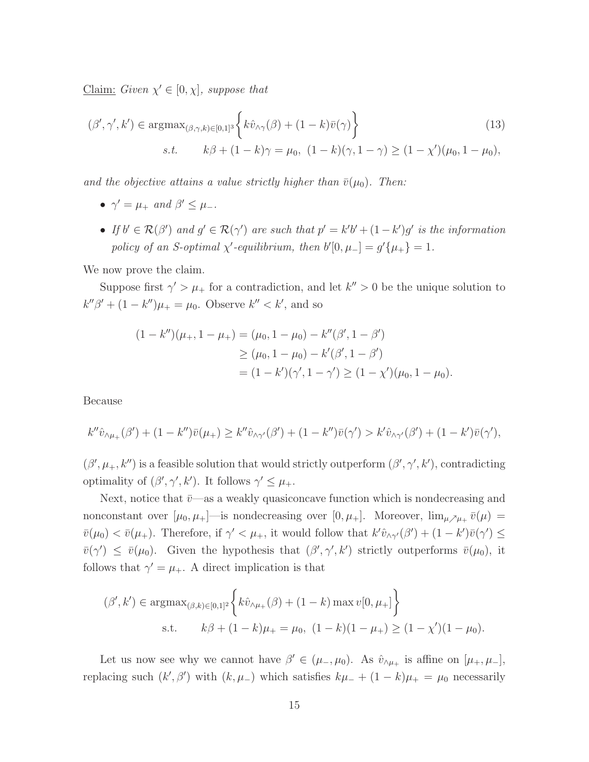Claim: Given  $\chi' \in [0, \chi]$ , suppose that

$$
(\beta', \gamma', k') \in \operatorname{argmax}_{(\beta, \gamma, k) \in [0, 1]^3} \left\{ k\hat{v}_{\wedge \gamma}(\beta) + (1 - k)\bar{v}(\gamma) \right\}
$$
\n
$$
s.t. \qquad k\beta + (1 - k)\gamma = \mu_0, \ (1 - k)(\gamma, 1 - \gamma) \ge (1 - \chi')(\mu_0, 1 - \mu_0),
$$
\n
$$
(13)
$$

and the objective attains a value strictly higher than  $\bar{v}(\mu_0)$ . Then:

- <span id="page-61-0"></span>•  $\gamma' = \mu_+$  and  $\beta' \leq \mu_-$ .
- If  $b' \in \mathcal{R}(\beta')$  and  $g' \in \mathcal{R}(\gamma')$  are such that  $p' = k'b' + (1-k')g'$  is the information policy of an S-optimal  $\chi'$ -equilibrium, then  $b'[0, \mu_-] = g'\{\mu_+\} = 1$ .

We now prove the claim.

Suppose first  $\gamma' > \mu_+$  for a contradiction, and let  $k'' > 0$  be the unique solution to  $k''\beta' + (1 - k'')\mu_+ = \mu_0$ . Observe  $k'' < k'$ , and so

$$
(1 - k'')(\mu_+, 1 - \mu_+) = (\mu_0, 1 - \mu_0) - k''(\beta', 1 - \beta')
$$
  
\n
$$
\geq (\mu_0, 1 - \mu_0) - k'(\beta', 1 - \beta')
$$
  
\n
$$
= (1 - k')(\gamma', 1 - \gamma') \geq (1 - \chi')(\mu_0, 1 - \mu_0).
$$

Because

$$
k''\hat{v}_{\wedge\mu_{+}}(\beta') + (1-k'')\bar{v}(\mu_{+}) \geq k''\hat{v}_{\wedge\gamma'}(\beta') + (1-k'')\bar{v}(\gamma') > k'\hat{v}_{\wedge\gamma'}(\beta') + (1-k')\bar{v}(\gamma'),
$$

 $(\beta', \mu_+, k'')$  is a feasible solution that would strictly outperform  $(\beta', \gamma', k')$ , contradicting optimality of  $(\beta', \gamma', k')$ . It follows  $\gamma' \leq \mu_+$ .

Next, notice that  $\bar{v}$ —as a weakly quasiconcave function which is nondecreasing and nonconstant over  $[\mu_0, \mu_+]$ —is nondecreasing over  $[0, \mu_+]$ . Moreover,  $\lim_{\mu \nearrow \mu_+} \bar{v}(\mu) =$  $\bar{v}(\mu_0) < \bar{v}(\mu_+)$ . Therefore, if  $\gamma' < \mu_+$ , it would follow that  $k' \hat{v}_{\wedge \gamma'}(\beta') + (1 - k')\bar{v}(\gamma') \leq$  $\bar{v}(\gamma') \leq \bar{v}(\mu_0)$ . Given the hypothesis that  $(\beta', \gamma', k')$  strictly outperforms  $\bar{v}(\mu_0)$ , it follows that  $\gamma' = \mu_+$ . A direct implication is that

$$
(\beta', k') \in \operatorname{argmax}_{(\beta, k) \in [0,1]^2} \left\{ k \hat{v}_{\wedge \mu_+}(\beta) + (1 - k) \max v[0, \mu_+] \right\}
$$
  
s.t.  $k\beta + (1 - k)\mu_+ = \mu_0, (1 - k)(1 - \mu_+) \ge (1 - \chi')(1 - \mu_0).$ 

Let us now see why we cannot have  $\beta' \in (\mu_-, \mu_0)$ . As  $\hat{v}_{\wedge \mu_+}$  is affine on  $[\mu_+, \mu_-]$ , replacing such  $(k', \beta')$  with  $(k, \mu_{-})$  which satisfies  $k\mu_{-} + (1 - k)\mu_{+} = \mu_{0}$  necessarily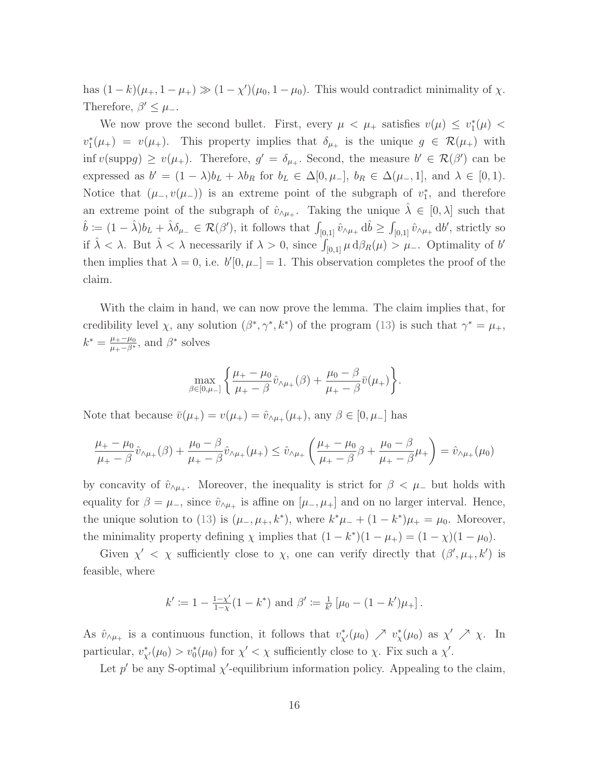has  $(1-k)(\mu_+, 1-\mu_+) \gg (1-\chi')(\mu_0, 1-\mu_0)$ . This would contradict minimality of  $\chi$ . Therefore,  $\beta' \leq \mu_{-}$ .

We now prove the second bullet. First, every  $\mu < \mu_{+}$  satisfies  $v(\mu) \leq v_{1}^{*}(\mu)$  $v_1^*(\mu_+) = v(\mu_+).$  This property implies that  $\delta_{\mu_+}$  is the unique  $g \in \mathcal{R}(\mu_+)$  with inf  $v(\text{supp} g) \ge v(\mu_+)$ . Therefore,  $g' = \delta_{\mu_+}$ . Second, the measure  $b' \in \mathcal{R}(\beta')$  can be expressed as  $b' = (1 - \lambda)b_L + \lambda b_R$  for  $b_L \in \Delta[0, \mu_-, b_R \in \Delta(\mu_-, 1],$  and  $\lambda \in [0, 1)$ . Notice that  $(\mu_-, v(\mu_-))$  is an extreme point of the subgraph of  $v_1^*$ , and therefore an extreme point of the subgraph of  $\hat{v}_{\wedge \mu_+}$ . Taking the unique  $\hat{\lambda} \in [0, \lambda]$  such that  $\hat{b} := (1 - \hat{\lambda})b_L + \hat{\lambda}\delta_{\mu} \in \mathcal{R}(\beta'),$  it follows that  $\int_{[0,1]} \hat{v}_{\wedge\mu_+} d\hat{b} \ge \int_{[0,1]} \hat{v}_{\wedge\mu_+} d\theta'$ , strictly so if  $\hat{\lambda} < \lambda$ . But  $\hat{\lambda} < \lambda$  necessarily if  $\lambda > 0$ , since  $\int_{[0,1]} \mu \, d\beta_R(\mu) > \mu_-$ . Optimality of b' then implies that  $\lambda = 0$ , i.e.  $b'[0, \mu_{-}] = 1$ . This observation completes the proof of the claim.

With the claim in hand, we can now prove the lemma. The claim implies that, for credibility level  $\chi$ , any solution  $(\beta^*, \gamma^*, k^*)$  of the program [\(13\)](#page-61-0) is such that  $\gamma^* = \mu_+$ ,  $k^* = \frac{\mu_+ - \mu_0}{\mu_+ - \beta^*}$ , and  $\beta^*$  solves

$$
\max_{\beta \in [0,\mu_{-}]} \left\{ \frac{\mu_{+} - \mu_{0}}{\mu_{+} - \beta} \hat{v}_{\wedge\mu_{+}}(\beta) + \frac{\mu_{0} - \beta}{\mu_{+} - \beta} \bar{v}(\mu_{+}) \right\}.
$$

Note that because  $\bar{v}(\mu_+) = v(\mu_+) = \hat{v}_{\wedge \mu_+}(\mu_+),$  any  $\beta \in [0, \mu_-]$  has

$$
\frac{\mu_{+} - \mu_{0}}{\mu_{+} - \beta} \hat{v}_{\wedge \mu_{+}}(\beta) + \frac{\mu_{0} - \beta}{\mu_{+} - \beta} \hat{v}_{\wedge \mu_{+}}(\mu_{+}) \leq \hat{v}_{\wedge \mu_{+}}\left(\frac{\mu_{+} - \mu_{0}}{\mu_{+} - \beta}\beta + \frac{\mu_{0} - \beta}{\mu_{+} - \beta}\mu_{+}\right) = \hat{v}_{\wedge \mu_{+}}(\mu_{0})
$$

by concavity of  $\hat{v}_{\land\mu_+}$ . Moreover, the inequality is strict for  $\beta < \mu_-$  but holds with equality for  $\beta = \mu_{-}$ , since  $\hat{v}_{\wedge\mu_{+}}$  is affine on  $[\mu_{-}, \mu_{+}]$  and on no larger interval. Hence, the unique solution to [\(13\)](#page-61-0) is  $(\mu_-, \mu_+, k^*)$ , where  $k^* \mu_- + (1 - k^*) \mu_+ = \mu_0$ . Moreover, the minimality property defining  $\chi$  implies that  $(1 - k^*)(1 - \mu_+) = (1 - \chi)(1 - \mu_0)$ .

Given  $\chi' < \chi$  sufficiently close to  $\chi$ , one can verify directly that  $(\beta', \mu_+, k')$  is feasible, where

$$
k' \coloneqq 1 - \frac{1-\chi'}{1-\chi}(1-k^*)
$$
 and  $\beta' \coloneqq \frac{1}{k'}[\mu_0 - (1-k')\mu_+].$ 

As  $\hat{v}_{\lambda\mu_{+}}$  is a continuous function, it follows that  $v_{\chi}^{*}(\mu_{0}) \nearrow v_{\chi}^{*}(\mu_{0})$  as  $\chi' \nearrow \chi$ . In particular,  $v_{\chi}^*(\mu_0) > v_0^*(\mu_0)$  for  $\chi' < \chi$  sufficiently close to  $\chi$ . Fix such a  $\chi'$ .

Let p' be any S-optimal  $\chi'$ -equilibrium information policy. Appealing to the claim,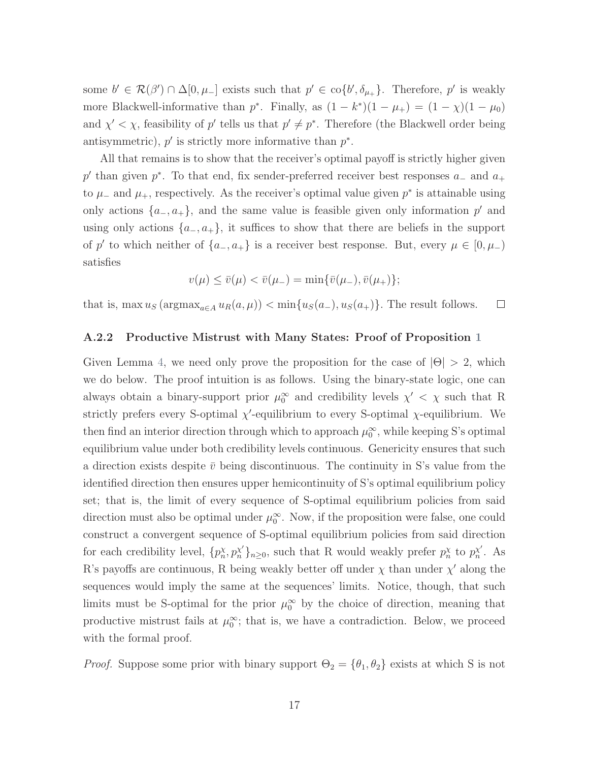some  $b' \in \mathcal{R}(\beta') \cap \Delta[0, \mu_{-}]$  exists such that  $p' \in \text{co}\{b', \delta_{\mu_{+}}\}$ . Therefore,  $p'$  is weakly more Blackwell-informative than  $p^*$ . Finally, as  $(1 - k^*)(1 - \mu_+) = (1 - \chi)(1 - \mu_0)$ and  $\chi' < \chi$ , feasibility of p' tells us that  $p' \neq p^*$ . Therefore (the Blackwell order being antisymmetric),  $p'$  is strictly more informative than  $p^*$ .

All that remains is to show that the receiver's optimal payoff is strictly higher given p' than given p<sup>\*</sup>. To that end, fix sender-preferred receiver best responses  $a_$  and  $a_+$ to  $\mu$ <sub>−</sub> and  $\mu$ <sub>+</sub>, respectively. As the receiver's optimal value given  $p^*$  is attainable using only actions  $\{a_-, a_+\}$ , and the same value is feasible given only information p' and using only actions  $\{a_-, a_+\}$ , it suffices to show that there are beliefs in the support of p' to which neither of  $\{a_-, a_+\}$  is a receiver best response. But, every  $\mu \in [0, \mu_-)$ satisfies

$$
v(\mu) \le \bar{v}(\mu) < \bar{v}(\mu_-) = \min\{\bar{v}(\mu_-), \bar{v}(\mu_+)\};
$$

that is, max  $u_S$  (argmax<sub>a∈A</sub>  $u_R(a, \mu)$ ) < min{ $u_S(a_-)$ ,  $u_S(a_+)$ }. The result follows.  $\Box$ 

#### A.2.2 Productive Mistrust with Many States: Proof of Proposition [1](#page-27-0)

Given Lemma [4,](#page-59-0) we need only prove the proposition for the case of  $|\Theta| > 2$ , which we do below. The proof intuition is as follows. Using the binary-state logic, one can always obtain a binary-support prior  $\mu_0^{\infty}$  and credibility levels  $\chi' < \chi$  such that R strictly prefers every S-optimal  $\chi'$ -equilibrium to every S-optimal  $\chi$ -equilibrium. We then find an interior direction through which to approach  $\mu_0^{\infty}$ , while keeping S's optimal equilibrium value under both credibility levels continuous. Genericity ensures that such a direction exists despite  $\bar{v}$  being discontinuous. The continuity in S's value from the identified direction then ensures upper hemicontinuity of S's optimal equilibrium policy set; that is, the limit of every sequence of S-optimal equilibrium policies from said direction must also be optimal under  $\mu_0^{\infty}$ . Now, if the proposition were false, one could construct a convergent sequence of S-optimal equilibrium policies from said direction for each credibility level,  $\{p_n^{\chi}, p_n^{\chi'}\}_{n\geq 0}$ , such that R would weakly prefer  $p_n^{\chi}$  to  $p_n^{\chi'}$  $_{n}^{\chi'}$ . As R's payoffs are continuous, R being weakly better off under  $\chi$  than under  $\chi'$  along the sequences would imply the same at the sequences' limits. Notice, though, that such limits must be S-optimal for the prior  $\mu_0^{\infty}$  by the choice of direction, meaning that productive mistrust fails at  $\mu_0^{\infty}$ ; that is, we have a contradiction. Below, we proceed with the formal proof.

*Proof.* Suppose some prior with binary support  $\Theta_2 = {\theta_1, \theta_2}$  exists at which S is not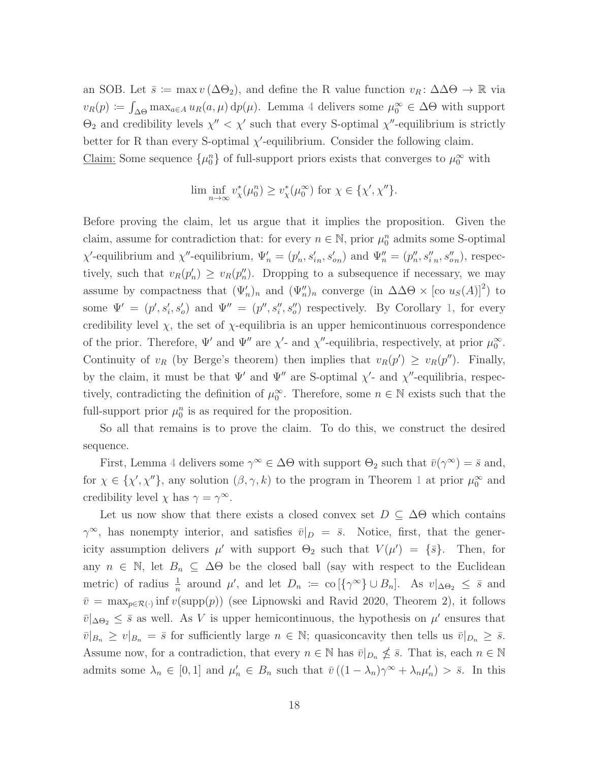an SOB. Let  $\bar{s} := \max v (\Delta \Theta_2)$ , and define the R value function  $v_R : \Delta \Delta \Theta \to \mathbb{R}$  via  $v_R(p) \coloneqq \int_{\Delta\Theta} \max_{a \in A} u_R(a,\mu) dp(\mu)$ . Lemma [4](#page-59-0) delivers some  $\mu_0^{\infty} \in \Delta\Theta$  with support  $\Theta_2$  and credibility levels  $\chi'' < \chi'$  such that every S-optimal  $\chi''$ -equilibrium is strictly better for R than every S-optimal  $\chi'$ -equilibrium. Consider the following claim.

Claim: Some sequence  $\{\mu_0^n\}$  of full-support priors exists that converges to  $\mu_0^{\infty}$  with

$$
\liminf_{n\to\infty} v^*_\chi(\mu_0^n) \geq v^*_\chi(\mu_0^\infty) \text{ for } \chi\in\{\chi',\chi''\}.
$$

Before proving the claim, let us argue that it implies the proposition. Given the claim, assume for contradiction that: for every  $n \in \mathbb{N}$ , prior  $\mu_0^n$  admits some S-optimal  $\chi'$ -equilibrium and  $\chi''$ -equilibrium,  $\Psi'_n = (p'_n, s'_{in}, s'_{on})$  and  $\Psi''_n = (p''_n, s''_{in}, s''_{on})$ , respectively, such that  $v_R(p'_n) \ge v_R(p''_n)$ . Dropping to a subsequence if necessary, we may assume by compactness that  $(\Psi'_n)_n$  and  $(\Psi''_n)_n$  converge (in  $\Delta\Delta\Theta \times [\text{co } u_s(A)]^2$ ) to some  $\Psi' = (p', s'_i, s'_o)$  and  $\Psi'' = (p'', s''_i, s''_o)$  respectively. By Corollary [1,](#page-58-1) for every credibility level  $\chi$ , the set of  $\chi$ -equilibria is an upper hemicontinuous correspondence of the prior. Therefore,  $\Psi'$  and  $\Psi''$  are  $\chi'$ - and  $\chi''$ -equilibria, respectively, at prior  $\mu_0^{\infty}$ . Continuity of  $v_R$  (by Berge's theorem) then implies that  $v_R(p') \ge v_R(p'')$ . Finally, by the claim, it must be that  $\Psi'$  and  $\Psi''$  are S-optimal  $\chi'$ - and  $\chi''$ -equilibria, respectively, contradicting the definition of  $\mu_0^{\infty}$ . Therefore, some  $n \in \mathbb{N}$  exists such that the full-support prior  $\mu_0^n$  is as required for the proposition.

So all that remains is to prove the claim. To do this, we construct the desired sequence.

First, Lemma [4](#page-59-0) delivers some  $\gamma^{\infty} \in \Delta\Theta$  with support  $\Theta_2$  such that  $\bar{v}(\gamma^{\infty}) = \bar{s}$  and, for  $\chi \in {\chi', \chi''}$ , any solution  $(\beta, \gamma, k)$  to the program in Theorem [1](#page-17-0) at prior  $\mu_0^{\infty}$  and credibility level  $\chi$  has  $\gamma = \gamma^{\infty}$ .

Let us now show that there exists a closed convex set  $D \subseteq \Delta\Theta$  which contains  $\gamma^{\infty}$ , has nonempty interior, and satisfies  $\bar{v}|_D = \bar{s}$ . Notice, first, that the genericity assumption delivers  $\mu'$  with support  $\Theta_2$  such that  $V(\mu') = {\bar{s}}$ . Then, for any  $n \in \mathbb{N}$ , let  $B_n \subseteq \Delta \Theta$  be the closed ball (say with respect to the Euclidean metric) of radius  $\frac{1}{n}$  around  $\mu'$ , and let  $D_n := \text{co}(\{\gamma^{\infty}\} \cup B_n]$ . As  $v|_{\Delta\Theta_2} \leq \overline{s}$  and  $\bar{v} = \max_{p \in \mathcal{R}(\cdot)} \inf v(\text{supp}(p))$  (see [Lipnowski and Ravid](#page-45-1) [2020,](#page-45-1) Theorem 2), it follows  $\bar{v}|_{\Delta\Theta_2} \leq \bar{s}$  as well. As V is upper hemicontinuous, the hypothesis on  $\mu'$  ensures that  $\overline{v}|_{B_n} \geq v|_{B_n} = \overline{s}$  for sufficiently large  $n \in \mathbb{N}$ ; quasiconcavity then tells us  $\overline{v}|_{D_n} \geq \overline{s}$ . Assume now, for a contradiction, that every  $n \in \mathbb{N}$  has  $\overline{v}|_{D_n} \nleq \overline{s}$ . That is, each  $n \in \mathbb{N}$ admits some  $\lambda_n \in [0,1]$  and  $\mu'_n \in B_n$  such that  $\bar{v}((1-\lambda_n)\gamma^\infty + \lambda_n\mu'_n) > \bar{s}$ . In this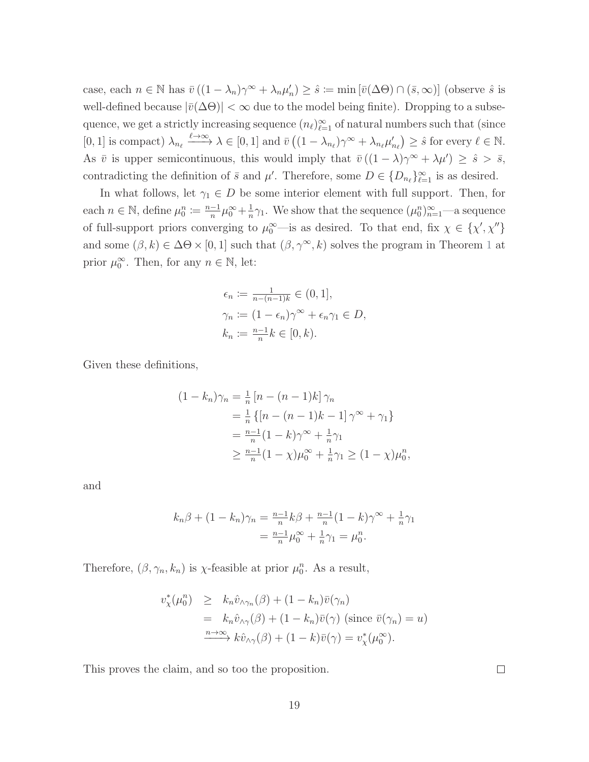case, each  $n \in \mathbb{N}$  has  $\bar{v}((1 - \lambda_n)\gamma^{\infty} + \lambda_n\mu'_n) \geq \hat{s} := \min[\bar{v}(\Delta\Theta) \cap (\bar{s}, \infty)]$  (observe  $\hat{s}$  is well-defined because  $|\bar{v}(\Delta\Theta)| < \infty$  due to the model being finite). Dropping to a subsequence, we get a strictly increasing sequence  $(n_\ell)_{\ell=1}^\infty$  of natural numbers such that (since  $[0, 1]$  is compact)  $\lambda_{n_\ell} \xrightarrow{\ell \to \infty} \lambda \in [0, 1]$  and  $\bar{v} \left( (1 - \lambda_{n_\ell}) \gamma^\infty + \lambda_{n_\ell} \mu'_{n_\ell} \right) \geq \hat{s}$  for every  $\ell \in \mathbb{N}$ . As  $\bar{v}$  is upper semicontinuous, this would imply that  $\bar{v}((1 - \lambda)\gamma^{\infty} + \lambda\mu') \geq \hat{s} > \bar{s}$ , contradicting the definition of  $\bar{s}$  and  $\mu'$ . Therefore, some  $D \in \{D_{n_{\ell}}\}_{\ell=1}^{\infty}$  is as desired.

In what follows, let  $\gamma_1 \in D$  be some interior element with full support. Then, for each  $n \in \mathbb{N}$ , define  $\mu_0^n \coloneqq \frac{n-1}{n}$  $\frac{-1}{n}\mu_0^{\infty}+\frac{1}{n}$  $\frac{1}{n}\gamma_1$ . We show that the sequence  $(\mu_0^n)_{n=1}^{\infty}$ —a sequence of full-support priors converging to  $\mu_0^{\infty}$ —is as desired. To that end, fix  $\chi \in {\{\chi',\chi''\}}$ and some  $(\beta, k) \in \Delta\Theta \times [0, 1]$  $(\beta, k) \in \Delta\Theta \times [0, 1]$  $(\beta, k) \in \Delta\Theta \times [0, 1]$  such that  $(\beta, \gamma^{\infty}, k)$  solves the program in Theorem 1 at prior  $\mu_0^{\infty}$ . Then, for any  $n \in \mathbb{N}$ , let:

$$
\epsilon_n := \frac{1}{n - (n-1)k} \in (0, 1],
$$
  
\n
$$
\gamma_n := (1 - \epsilon_n)\gamma^\infty + \epsilon_n \gamma_1 \in D,
$$
  
\n
$$
k_n := \frac{n-1}{n}k \in [0, k).
$$

Given these definitions,

$$
(1 - k_n)\gamma_n = \frac{1}{n} [n - (n - 1)k] \gamma_n
$$
  
=  $\frac{1}{n} \{ [n - (n - 1)k - 1] \gamma^{\infty} + \gamma_1 \}$   
=  $\frac{n-1}{n} (1 - k) \gamma^{\infty} + \frac{1}{n} \gamma_1$   
 $\ge \frac{n-1}{n} (1 - \chi) \mu_0^{\infty} + \frac{1}{n} \gamma_1 \ge (1 - \chi) \mu_0^n,$ 

and

$$
k_n \beta + (1 - k_n)\gamma_n = \frac{n-1}{n}k\beta + \frac{n-1}{n}(1 - k)\gamma^{\infty} + \frac{1}{n}\gamma_1
$$
  
=  $\frac{n-1}{n}\mu_0^{\infty} + \frac{1}{n}\gamma_1 = \mu_0^n$ .

Therefore,  $(\beta, \gamma_n, k_n)$  is  $\chi$ -feasible at prior  $\mu_0^n$ . As a result,

$$
v_{\chi}^{*}(\mu_{0}^{n}) \geq k_{n} \hat{v}_{\wedge \gamma_{n}}(\beta) + (1 - k_{n}) \bar{v}(\gamma_{n})
$$
  
=  $k_{n} \hat{v}_{\wedge \gamma}(\beta) + (1 - k_{n}) \bar{v}(\gamma)$  (since  $\bar{v}(\gamma_{n}) = u$ )  

$$
\xrightarrow{n \to \infty} k \hat{v}_{\wedge \gamma}(\beta) + (1 - k) \bar{v}(\gamma) = v_{\chi}^{*}(\mu_{0}^{\infty}).
$$

This proves the claim, and so too the proposition.

 $\Box$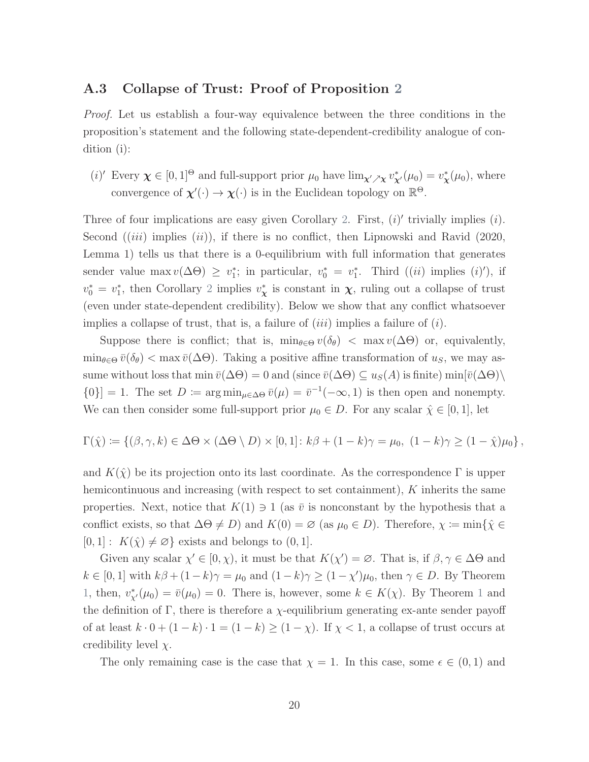## A.3 Collapse of Trust: Proof of Proposition [2](#page-28-0)

Proof. Let us establish a four-way equivalence between the three conditions in the proposition's statement and the following state-dependent-credibility analogue of condition (i):

(*i*)' Every  $\chi \in [0,1]^\Theta$  and full-support prior  $\mu_0$  have  $\lim_{\chi' \nearrow \chi} v_{\chi'}^*(\mu_0) = v_{\chi}^*(\mu_0)$ , where convergence of  $\chi'(\cdot) \to \chi(\cdot)$  is in the Euclidean topology on  $\mathbb{R}^{\Theta}$ .

Three of four implications are easy given Corollary [2.](#page-58-0) First,  $(i)'$  trivially implies  $(i)$ . Second  $(iii)$  implies  $(ii)$ , if there is no conflict, then [Lipnowski and Ravid](#page-45-1) [\(2020,](#page-45-1) Lemma 1) tells us that there is a 0-equilibrium with full information that generates sender value max  $v(\Delta\Theta) \geq v_1^*$ ; in particular,  $v_0^* = v_1^*$ . Third  $((ii)$  implies  $(i)$ , if  $v_0^* = v_1^*$ , then Corollary [2](#page-58-0) implies  $v_{\mathbf{x}}^*$  is constant in  $\mathbf{x}$ , ruling out a collapse of trust (even under state-dependent credibility). Below we show that any conflict whatsoever implies a collapse of trust, that is, a failure of  $(iii)$  implies a failure of  $(i)$ .

Suppose there is conflict; that is,  $\min_{\theta \in \Theta} v(\delta_{\theta}) < \max v(\Delta \Theta)$  or, equivalently,  $\min_{\theta \in \Theta} \bar{v}(\delta_{\theta}) < \max \bar{v}(\Delta \Theta)$ . Taking a positive affine transformation of  $u_S$ , we may assume without loss that min  $\bar{v}(\Delta\Theta) = 0$  and (since  $\bar{v}(\Delta\Theta) \subseteq u_S(A)$  is finite) min $[\bar{v}(\Delta\Theta)]$  ${0}$ ] = 1. The set  $D := \arg\min_{\mu \in \Delta \Theta} \bar{v}(\mu) = \bar{v}^{-1}(-\infty, 1)$  is then open and nonempty. We can then consider some full-support prior  $\mu_0 \in D$ . For any scalar  $\hat{\chi} \in [0,1]$ , let

$$
\Gamma(\hat{\chi}) := \left\{ (\beta, \gamma, k) \in \Delta\Theta \times (\Delta\Theta \setminus D) \times [0, 1] \colon k\beta + (1 - k)\gamma = \mu_0, \ (1 - k)\gamma \ge (1 - \hat{\chi})\mu_0 \right\},\
$$

and  $K(\hat{\chi})$  be its projection onto its last coordinate. As the correspondence  $\Gamma$  is upper hemicontinuous and increasing (with respect to set containment), K inherits the same properties. Next, notice that  $K(1) \ni 1$  (as  $\bar{v}$  is nonconstant by the hypothesis that a conflict exists, so that  $\Delta\Theta \neq D$ ) and  $K(0) = \varnothing$  (as  $\mu_0 \in D$ ). Therefore,  $\chi \coloneqq \min\{\hat{\chi} \in$  $[0, 1] : K(\hat{\chi}) \neq \emptyset$  exists and belongs to  $(0, 1]$ .

Given any scalar  $\chi' \in [0, \chi)$ , it must be that  $K(\chi') = \emptyset$ . That is, if  $\beta, \gamma \in \Delta \Theta$  and  $k \in [0,1]$  with  $k\beta + (1-k)\gamma = \mu_0$  and  $(1-k)\gamma \ge (1-\chi')\mu_0$ , then  $\gamma \in D$ . By Theorem [1,](#page-17-0) then,  $v_{\chi}^*(\mu_0) = \bar{v}(\mu_0) = 0$ . There is, however, some  $k \in K(\chi)$ . By Theorem [1](#page-17-0) and the definition of Γ, there is therefore a  $\chi$ -equilibrium generating ex-ante sender payoff of at least  $k \cdot 0 + (1 - k) \cdot 1 = (1 - k) \ge (1 - \chi)$ . If  $\chi < 1$ , a collapse of trust occurs at credibility level  $\chi$ .

The only remaining case is the case that  $\chi = 1$ . In this case, some  $\epsilon \in (0,1)$  and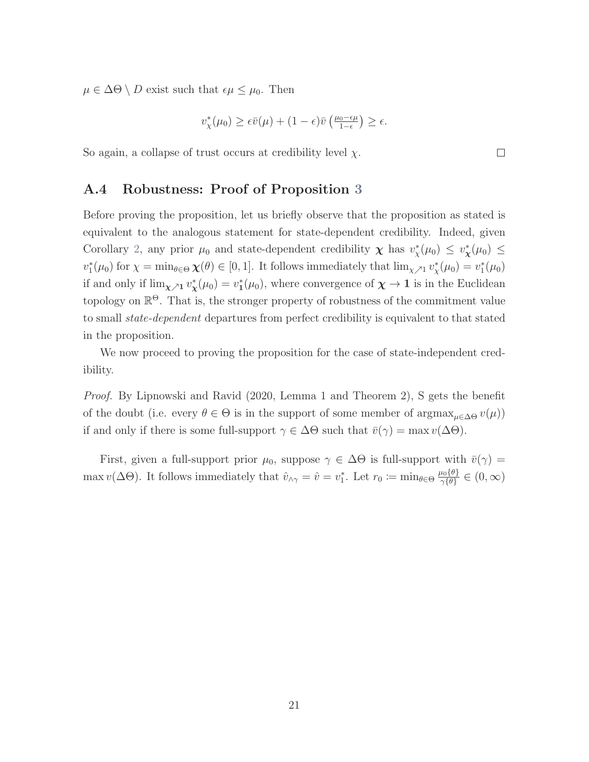$\mu \in \Delta\Theta \setminus D$  exist such that  $\epsilon \mu \leq \mu_0$ . Then

$$
v_{\chi}^*(\mu_0) \geq \epsilon \bar v(\mu) + (1-\epsilon) \bar v\left(\tfrac{\mu_0-\epsilon\mu}{1-\epsilon}\right) \geq \epsilon.
$$

So again, a collapse of trust occurs at credibility level  $\chi$ .

### A.4 Robustness: Proof of Proposition [3](#page-29-0)

Before proving the proposition, let us briefly observe that the proposition as stated is equivalent to the analogous statement for state-dependent credibility. Indeed, given Corollary [2,](#page-58-0) any prior  $\mu_0$  and state-dependent credibility  $\chi$  has  $v^*_{\chi}(\mu_0) \leq v^*_{\chi}(\mu_0) \leq$  $v_1^*(\mu_0)$  for  $\chi = \min_{\theta \in \Theta} \chi(\theta) \in [0,1]$ . It follows immediately that  $\lim_{\chi \nearrow 1} v_\chi^*(\mu_0) = v_1^*(\mu_0)$ if and only if  $\lim_{\chi \to 1} v^*_{\chi}(\mu_0) = v^*_{1}(\mu_0)$ , where convergence of  $\chi \to 1$  is in the Euclidean topology on  $\mathbb{R}^{\Theta}$ . That is, the stronger property of robustness of the commitment value to small state-dependent departures from perfect credibility is equivalent to that stated in the proposition.

We now proceed to proving the proposition for the case of state-independent credibility.

Proof. By [Lipnowski and Ravid](#page-45-1) [\(2020,](#page-45-1) Lemma 1 and Theorem 2), S gets the benefit of the doubt (i.e. every  $\theta \in \Theta$  is in the support of some member of  $\arg\max_{\mu \in \Delta \Theta} v(\mu)$ ) if and only if there is some full-support  $\gamma \in \Delta\Theta$  such that  $\bar{v}(\gamma) = \max v(\Delta\Theta)$ .

First, given a full-support prior  $\mu_0$ , suppose  $\gamma \in \Delta\Theta$  is full-support with  $\bar{v}(\gamma) =$ max  $v(\Delta\Theta)$ . It follows immediately that  $\hat{v}_{\wedge\gamma} = \hat{v} = v_1^*$ . Let  $r_0 \coloneqq \min_{\theta \in \Theta} \frac{\mu_0}{\gamma_i \theta}$  $\frac{\mu_0\{\theta\}}{\gamma\{\theta\}}\in(0,\infty)$ 

 $\Box$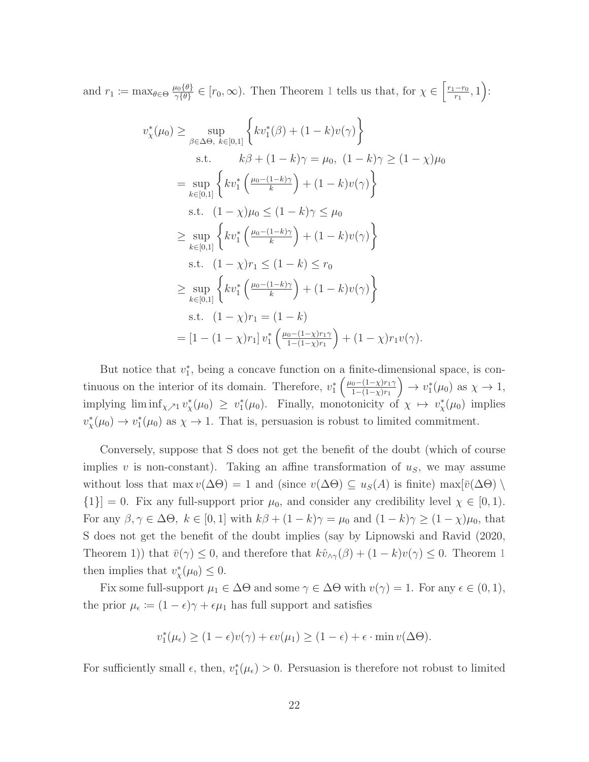and  $r_1 \coloneqq \max_{\theta \in \Theta} \frac{\mu_0 \{\theta\}}{\gamma \{\theta\}}$  $\frac{\mu_0(\theta)}{\gamma(\theta)} \in [r_0, \infty)$ . Then Theorem [1](#page-17-0) tells us that, for  $\chi \in \left[\frac{r_1-r_0}{r_1}\right]$  $\frac{-r_0}{r_1}, 1$ :

$$
v_{\chi}^{*}(\mu_{0}) \geq \sup_{\beta \in \Delta\Theta, k \in [0,1]} \left\{ kv_{1}^{*}(\beta) + (1-k)v(\gamma) \right\}
$$
  
s.t.  $k\beta + (1-k)\gamma = \mu_{0}, (1-k)\gamma \geq (1-\chi)\mu_{0}$   

$$
= \sup_{k \in [0,1]} \left\{ kv_{1}^{*}\left(\frac{\mu_{0}-(1-k)\gamma}{k}\right) + (1-k)v(\gamma) \right\}
$$
  
s.t.  $(1-\chi)\mu_{0} \leq (1-k)\gamma \leq \mu_{0}$   

$$
\geq \sup_{k \in [0,1]} \left\{ kv_{1}^{*}\left(\frac{\mu_{0}-(1-k)\gamma}{k}\right) + (1-k)v(\gamma) \right\}
$$
  
s.t.  $(1-\chi)r_{1} \leq (1-k) \leq r_{0}$   

$$
\geq \sup_{k \in [0,1]} \left\{ kv_{1}^{*}\left(\frac{\mu_{0}-(1-k)\gamma}{k}\right) + (1-k)v(\gamma) \right\}
$$
  
s.t.  $(1-\chi)r_{1} = (1-k)$   

$$
= [1 - (1-\chi)r_{1}]v_{1}^{*}\left(\frac{\mu_{0}-(1-\chi)r_{1}\gamma}{1-(1-\chi)r_{1}}\right) + (1-\chi)r_{1}v(\gamma).
$$

But notice that  $v_1^*$ , being a concave function on a finite-dimensional space, is continuous on the interior of its domain. Therefore,  $v_1^* \left( \frac{\mu_0 - (1 - \chi)r_1 \gamma_1}{1 - (1 - \chi)r_1} \right)$  $1-(1-\chi)r_1$  $\Big) \to v_1^*(\mu_0)$  as  $\chi \to 1$ , implying  $\liminf_{\chi \nearrow 1} v^*_{\chi}(\mu_0) \geq v^*_{1}(\mu_0)$ . Finally, monotonicity of  $\chi \mapsto v^*_{\chi}(\mu_0)$  implies  $v_{\chi}^*(\mu_0) \to v_1^*(\mu_0)$  as  $\chi \to 1$ . That is, persuasion is robust to limited commitment.

Conversely, suppose that S does not get the benefit of the doubt (which of course implies v is non-constant). Taking an affine transformation of  $u<sub>S</sub>$ , we may assume without loss that max  $v(\Delta\Theta) = 1$  and (since  $v(\Delta\Theta) \subseteq u_S(A)$  is finite) max $[\bar{v}(\Delta\Theta) \setminus$  ${1}$ ] = 0. Fix any full-support prior  $\mu_0$ , and consider any credibility level  $\chi \in [0,1)$ . For any  $\beta, \gamma \in \Delta\Theta$ ,  $k \in [0, 1]$  with  $k\beta + (1 - k)\gamma = \mu_0$  and  $(1 - k)\gamma \ge (1 - \chi)\mu_0$ , that S does not get the benefit of the doubt implies (say by [Lipnowski and Ravid](#page-45-1) [\(2020,](#page-45-1) Theorem [1](#page-17-0))) that  $\bar{v}(\gamma) \leq 0$ , and therefore that  $k\hat{v}_{\wedge \gamma}(\beta) + (1 - k)v(\gamma) \leq 0$ . Theorem 1 then implies that  $v_{\chi}^*(\mu_0) \leq 0$ .

Fix some full-support  $\mu_1 \in \Delta\Theta$  and some  $\gamma \in \Delta\Theta$  with  $v(\gamma) = 1$ . For any  $\epsilon \in (0, 1)$ , the prior  $\mu_{\epsilon} \coloneqq (1 - \epsilon)\gamma + \epsilon \mu_1$  has full support and satisfies

$$
v_1^*(\mu_{\epsilon}) \ge (1 - \epsilon)v(\gamma) + \epsilon v(\mu_1) \ge (1 - \epsilon) + \epsilon \cdot \min v(\Delta\Theta).
$$

For sufficiently small  $\epsilon$ , then,  $v_1^*(\mu_{\epsilon}) > 0$ . Persuasion is therefore not robust to limited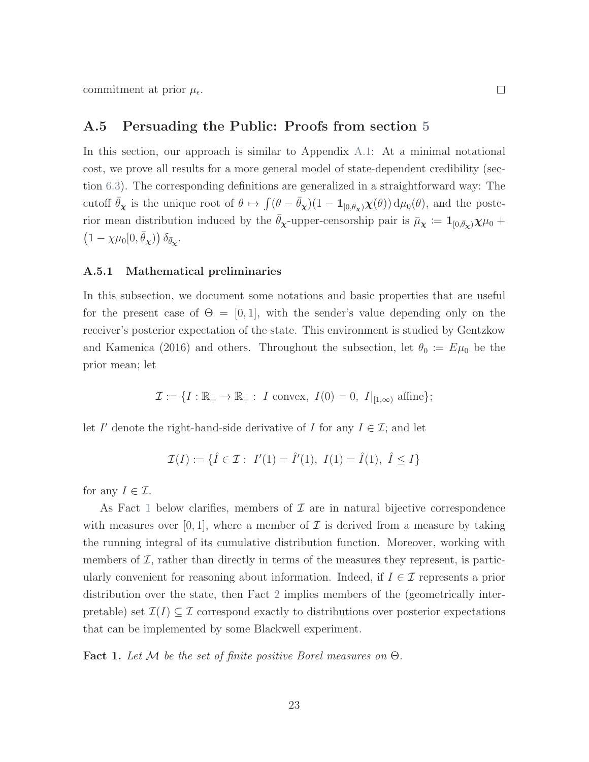commitment at prior  $\mu_{\epsilon}$ .

### A.5 Persuading the Public: Proofs from section [5](#page-31-0)

In this section, our approach is similar to Appendix [A.1:](#page-47-1) At a minimal notational cost, we prove all results for a more general model of state-dependent credibility (section [6.3\)](#page-36-0). The corresponding definitions are generalized in a straightforward way: The cutoff  $\bar{\theta}_{\chi}$  is the unique root of  $\theta \mapsto \int (\theta - \bar{\theta}_{\chi})(1 - \mathbf{1}_{[0,\bar{\theta}_{\chi})}\chi(\theta)) d\mu_{0}(\theta)$ , and the posterior mean distribution induced by the  $\bar{\theta}_{\chi}$ -upper-censorship pair is  $\bar{\mu}_{\chi} := 1_{[0,\bar{\theta}_{\chi})}\chi\mu_0 +$  $(1 - \chi \mu_0[0, \bar{\theta}_{\chi}) \partial_{\bar{\theta}_{\chi}}.$ 

#### A.5.1 Mathematical preliminaries

In this subsection, we document some notations and basic properties that are useful for the present case of  $\Theta = [0, 1]$ , with the sender's value depending only on the receiver's posterior expectation of the state. This environment is studied by [Gentzkow](#page-44-1) [and Kamenica](#page-44-1) [\(2016\)](#page-44-1) and others. Throughout the subsection, let  $\theta_0 := E\mu_0$  be the prior mean; let

$$
\mathcal{I} \coloneqq \{I : \mathbb{R}_+ \to \mathbb{R}_+ : I \text{ convex}, I(0) = 0, I|_{[1,\infty)} \text{ affine}\};
$$

let I' denote the right-hand-side derivative of I for any  $I \in \mathcal{I}$ ; and let

$$
\mathcal{I}(I) := \{ \hat{I} \in \mathcal{I} : I'(1) = \hat{I}'(1), I(1) = \hat{I}(1), \ \hat{I} \le I \}
$$

for any  $I \in \mathcal{I}$ .

As Fact [1](#page-69-0) below clarifies, members of  $\mathcal I$  are in natural bijective correspondence with measures over [0, 1], where a member of  $\mathcal I$  is derived from a measure by taking the running integral of its cumulative distribution function. Moreover, working with members of  $\mathcal{I}$ , rather than directly in terms of the measures they represent, is particularly convenient for reasoning about information. Indeed, if  $I \in \mathcal{I}$  represents a prior distribution over the state, then Fact [2](#page-70-0) implies members of the (geometrically interpretable) set  $\mathcal{I}(I) \subseteq \mathcal{I}$  correspond exactly to distributions over posterior expectations that can be implemented by some Blackwell experiment.

<span id="page-69-0"></span>Fact 1. Let  $M$  be the set of finite positive Borel measures on  $\Theta$ .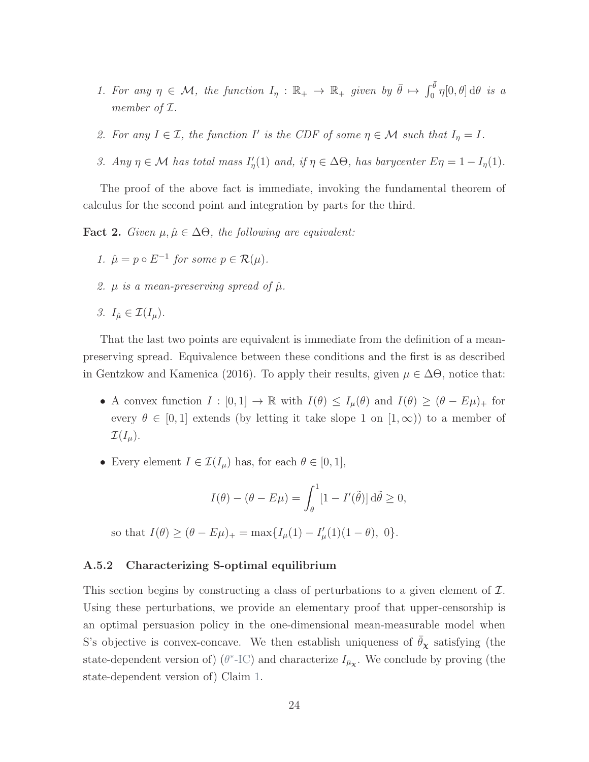- 1. For any  $\eta \in \mathcal{M}$ , the function  $I_{\eta}: \mathbb{R}_{+} \to \mathbb{R}_{+}$  given by  $\bar{\theta} \mapsto \int_{0}^{\bar{\theta}} \eta[0,\theta] d\theta$  is a member of  $\mathcal I$ .
- 2. For any  $I \in \mathcal{I}$ , the function I' is the CDF of some  $\eta \in \mathcal{M}$  such that  $I_{\eta} = I$ .
- 3. Any  $\eta \in \mathcal{M}$  has total mass  $I'_{\eta}(1)$  and, if  $\eta \in \Delta\Theta$ , has barycenter  $E\eta = 1 I_{\eta}(1)$ .

The proof of the above fact is immediate, invoking the fundamental theorem of calculus for the second point and integration by parts for the third.

<span id="page-70-0"></span>**Fact 2.** Given  $\mu, \hat{\mu} \in \Delta\Theta$ , the following are equivalent:

- 1.  $\hat{\mu} = p \circ E^{-1}$  for some  $p \in \mathcal{R}(\mu)$ .
- 2.  $\mu$  is a mean-preserving spread of  $\hat{\mu}$ .
- 3.  $I_{\hat{\mu}} \in \mathcal{I}(I_{\mu}).$

That the last two points are equivalent is immediate from the definition of a meanpreserving spread. Equivalence between these conditions and the first is as described in [Gentzkow and Kamenica](#page-44-1) [\(2016\)](#page-44-1). To apply their results, given  $\mu \in \Delta\Theta$ , notice that:

- A convex function  $I : [0,1] \to \mathbb{R}$  with  $I(\theta) \leq I_{\mu}(\theta)$  and  $I(\theta) \geq (\theta E\mu)_{+}$  for every  $\theta \in [0, 1]$  extends (by letting it take slope 1 on  $[1, \infty)$ ) to a member of  $\mathcal{I}(I_{\mu}).$
- Every element  $I \in \mathcal{I}(I_{\mu})$  has, for each  $\theta \in [0,1],$

$$
I(\theta) - (\theta - E\mu) = \int_{\theta}^{1} [1 - I'(\tilde{\theta})] d\tilde{\theta} \ge 0,
$$

so that  $I(\theta) \geq (\theta - E\mu)_{+} = \max\{I_{\mu}(1) - I'_{\mu}(1)(1 - \theta), 0\}.$ 

#### A.5.2 Characterizing S-optimal equilibrium

This section begins by constructing a class of perturbations to a given element of  $\mathcal{I}$ . Using these perturbations, we provide an elementary proof that upper-censorship is an optimal persuasion policy in the one-dimensional mean-measurable model when S's objective is convex-concave. We then establish uniqueness of  $\bar{\theta}_{\chi}$  satisfying (the state-dependent version of) ( $\theta^*$ [-IC\)](#page-34-1) and characterize  $I_{\bar{\mu}_{\chi}}$ . We conclude by proving (the state-dependent version of) Claim [1.](#page-34-0)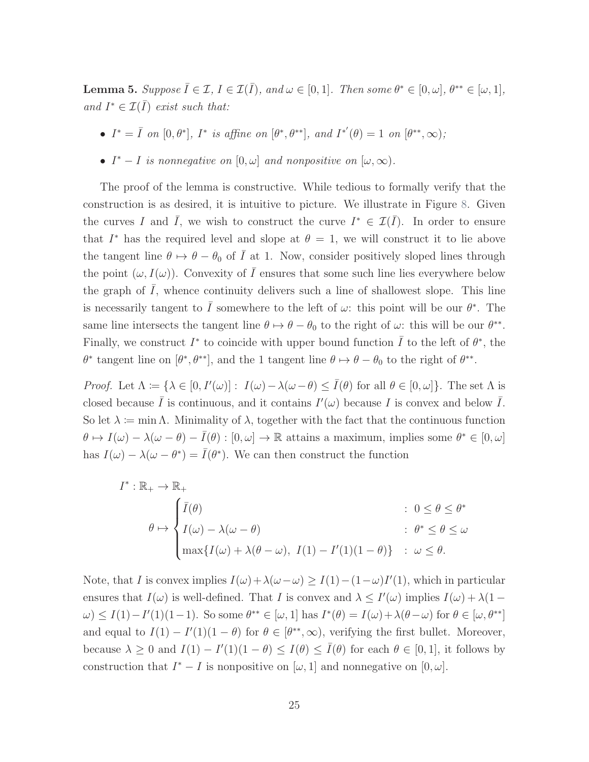**Lemma 5.** Suppose  $\overline{I} \in \mathcal{I}, I \in \mathcal{I}(\overline{I})$ , and  $\omega \in [0,1]$ . Then some  $\theta^* \in [0,\omega]$ ,  $\theta^{**} \in [\omega,1]$ , and  $I^* \in \mathcal{I}(\overline{I})$  exist such that:

- $I^* = \overline{I}$  on  $[0, \theta^*]$ ,  $I^*$  is affine on  $[\theta^*, \theta^{**}]$ , and  $I^{*'}(\theta) = 1$  on  $[\theta^{**}, \infty)$ ;
- $I^* I$  is nonnegative on  $[0, \omega]$  and nonpositive on  $[\omega, \infty)$ .

The proof of the lemma is constructive. While tedious to formally verify that the construction is as desired, it is intuitive to picture. We illustrate in Figure [8.](#page-72-0) Given the curves I and  $\overline{I}$ , we wish to construct the curve  $I^* \in \mathcal{I}(\overline{I})$ . In order to ensure that  $I^*$  has the required level and slope at  $\theta = 1$ , we will construct it to lie above the tangent line  $\theta \mapsto \theta - \theta_0$  of  $\overline{I}$  at 1. Now, consider positively sloped lines through the point  $(\omega, I(\omega))$ . Convexity of  $\overline{I}$  ensures that some such line lies everywhere below the graph of  $\overline{I}$ , whence continuity delivers such a line of shallowest slope. This line is necessarily tangent to  $\overline{I}$  somewhere to the left of  $\omega$ : this point will be our  $\theta^*$ . The same line intersects the tangent line  $\theta \mapsto \theta - \theta_0$  to the right of  $\omega$ : this will be our  $\theta^{**}$ . Finally, we construct  $I^*$  to coincide with upper bound function  $\overline{I}$  to the left of  $\theta^*$ , the  $\theta^*$  tangent line on  $[\theta^*, \theta^{**}]$ , and the 1 tangent line  $\theta \mapsto \theta - \theta_0$  to the right of  $\theta^{**}$ .

*Proof.* Let  $\Lambda := {\lambda \in [0, I'(\omega)] : I(\omega) - \lambda(\omega - \theta) \leq \overline{I}(\theta)$  for all  $\theta \in [0, \omega]}.$  The set  $\Lambda$  is closed because  $\overline{I}$  is continuous, and it contains  $I'(\omega)$  because  $I$  is convex and below  $\overline{I}$ . So let  $\lambda := \min \Lambda$ . Minimality of  $\lambda$ , together with the fact that the continuous function  $\theta \mapsto I(\omega) - \lambda(\omega - \theta) - \overline{I}(\theta) : [0, \omega] \to \mathbb{R}$  attains a maximum, implies some  $\theta^* \in [0, \omega]$ has  $I(\omega) - \lambda(\omega - \theta^*) = \overline{I}(\theta^*)$ . We can then construct the function

$$
I^* : \mathbb{R}_+ \to \mathbb{R}_+ \\
\theta \mapsto \begin{cases} \bar{I}(\theta) & : \ 0 \le \theta \le \theta^* \\ I(\omega) - \lambda(\omega - \theta) & : \ \theta^* \le \theta \le \omega \\ \max\{I(\omega) + \lambda(\theta - \omega), \ I(1) - I'(1)(1 - \theta)\} & : \ \omega \le \theta. \end{cases}
$$

Note, that I is convex implies  $I(\omega) + \lambda(\omega - \omega) \geq I(1) - (1 - \omega)I'(1)$ , which in particular ensures that  $I(\omega)$  is well-defined. That I is convex and  $\lambda \leq I'(\omega)$  implies  $I(\omega) + \lambda(1 - \lambda)$  $\omega$ ) ≤ I(1)-I'(1)(1-1). So some  $\theta^{**} \in [\omega, 1]$  has  $I^*(\theta) = I(\omega) + \lambda(\theta - \omega)$  for  $\theta \in [\omega, \theta^{**}]$ and equal to  $I(1) - I'(1)(1 - \theta)$  for  $\theta \in [\theta^{**}, \infty)$ , verifying the first bullet. Moreover, because  $\lambda \geq 0$  and  $I(1) - I'(1)(1 - \theta) \leq I(\theta) \leq \overline{I}(\theta)$  for each  $\theta \in [0, 1]$ , it follows by construction that  $I^* - I$  is nonpositive on  $[\omega, 1]$  and nonnegative on  $[0, \omega]$ .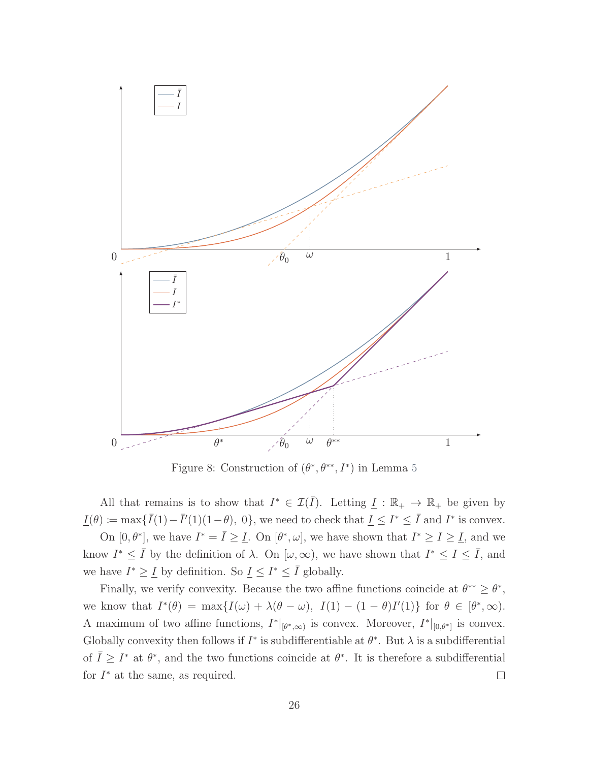

Figure 8: Construction of  $(\theta^*, \theta^{**}, I^*)$  in Lemma [5](#page-70-0)

All that remains is to show that  $I^* \in \mathcal{I}(\overline{I})$ . Letting  $\underline{I} : \mathbb{R}_+ \to \mathbb{R}_+$  be given by  $\underline{I}(\theta) \coloneqq \max \{ \overline{I}(1) - \overline{I}'(1)(1-\theta), 0 \},$  we need to check that  $\underline{I} \leq I^* \leq \overline{I}$  and  $I^*$  is convex.

On  $[0, \theta^*]$ , we have  $I^* = \overline{I} \geq \underline{I}$ . On  $[\theta^*, \omega]$ , we have shown that  $I^* \geq I \geq \underline{I}$ , and we know  $I^* \leq \overline{I}$  by the definition of  $\lambda$ . On  $[\omega, \infty)$ , we have shown that  $I^* \leq I \leq \overline{I}$ , and we have  $I^* \geq I$  by definition. So  $I \leq I^* \leq \overline{I}$  globally.

<span id="page-72-0"></span>Finally, we verify convexity. Because the two affine functions coincide at  $\theta^{**} \geq \theta^*$ , we know that  $I^*(\theta) = \max\{I(\omega) + \lambda(\theta - \omega), I(1) - (1 - \theta)I'(1)\}\$  for  $\theta \in [\theta^*, \infty)$ . A maximum of two affine functions,  $I^*|_{[\theta^*,\infty)}$  is convex. Moreover,  $I^*|_{[0,\theta^*]}$  is convex. Globally convexity then follows if  $I^*$  is subdifferentiable at  $\theta^*$ . But  $\lambda$  is a subdifferential of  $\overline{I} \geq I^*$  at  $\theta^*$ , and the two functions coincide at  $\theta^*$ . It is therefore a subdifferential for  $I^*$  at the same, as required.  $\Box$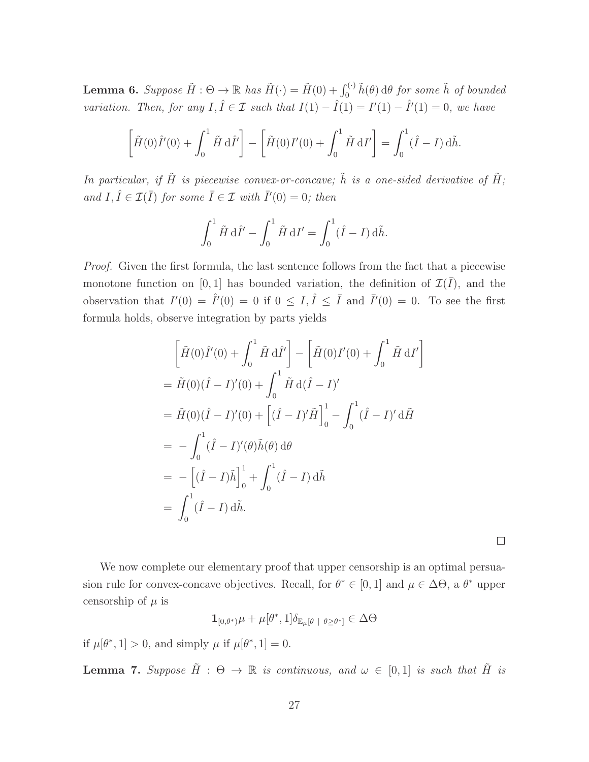**Lemma 6.** Suppose  $\tilde{H}: \Theta \to \mathbb{R}$  has  $\tilde{H}(\cdot) = \tilde{H}(0) + \int_0^{(\cdot)} \tilde{h}(\theta) d\theta$  for some  $\tilde{h}$  of bounded variation. Then, for any  $I, \hat{I} \in \mathcal{I}$  such that  $I(1) - \hat{I}(1) = I'(1) - \hat{I}'(1) = 0$ , we have

$$
\left[\tilde{H}(0)\hat{I}'(0) + \int_0^1 \tilde{H} \, \mathrm{d}\hat{I}'\right] - \left[\tilde{H}(0)I'(0) + \int_0^1 \tilde{H} \, \mathrm{d}I'\right] = \int_0^1 (\hat{I} - I) \, \mathrm{d}\tilde{h}.
$$

In particular, if  $\tilde{H}$  is piecewise convex-or-concave;  $\tilde{h}$  is a one-sided derivative of  $\tilde{H}$ ; and  $I, \hat{I} \in \mathcal{I}(\bar{I})$  for some  $\bar{I} \in \mathcal{I}$  with  $\bar{I}'(0) = 0$ ; then

$$
\int_0^1 \tilde{H} \, \mathrm{d}\hat{I}' - \int_0^1 \tilde{H} \, \mathrm{d}I' = \int_0^1 (\hat{I} - I) \, \mathrm{d}\tilde{h}.
$$

Proof. Given the first formula, the last sentence follows from the fact that a piecewise monotone function on [0, 1] has bounded variation, the definition of  $\mathcal{I}(\bar{I})$ , and the observation that  $I'(0) = \hat{I}'(0) = 0$  if  $0 \leq I, \hat{I} \leq \bar{I}$  and  $\bar{I}'(0) = 0$ . To see the first formula holds, observe integration by parts yields

$$
\begin{aligned}\n&\left[\tilde{H}(0)\hat{I}'(0) + \int_0^1 \tilde{H} \,d\hat{I}'\right] - \left[\tilde{H}(0)I'(0) + \int_0^1 \tilde{H} \,dI'\right] \\
&= \tilde{H}(0)(\hat{I} - I)'(0) + \int_0^1 \tilde{H} \,d(\hat{I} - I)' \\
&= \tilde{H}(0)(\hat{I} - I)'(0) + \left[(\hat{I} - I)'\tilde{H}\right]_0^1 - \int_0^1 (\hat{I} - I)' \,d\tilde{H} \\
&= -\int_0^1 (\hat{I} - I)'(\theta)\tilde{h}(\theta) \,d\theta \\
&= -\left[(\hat{I} - I)\tilde{h}\right]_0^1 + \int_0^1 (\hat{I} - I) \,d\tilde{h} \\
&= \int_0^1 (\hat{I} - I) \,d\tilde{h}.\n\end{aligned}
$$

 $\Box$ 

We now complete our elementary proof that upper censorship is an optimal persuasion rule for convex-concave objectives. Recall, for  $\theta^* \in [0,1]$  and  $\mu \in \Delta\Theta$ , a  $\theta^*$  upper censorship of  $\mu$  is

$$
\mathbf{1}_{[0,\theta^*)}\mu + \mu[\theta^*,1]\delta_{\mathbb{E}_\mu[\theta+\theta \ge \theta^*]} \in \Delta\Theta
$$

if  $\mu[\theta^*, 1] > 0$ , and simply  $\mu$  if  $\mu[\theta^*, 1] = 0$ .

<span id="page-73-0"></span>**Lemma 7.** Suppose  $\tilde{H}$  :  $\Theta \rightarrow \mathbb{R}$  is continuous, and  $\omega \in [0,1]$  is such that  $\tilde{H}$  is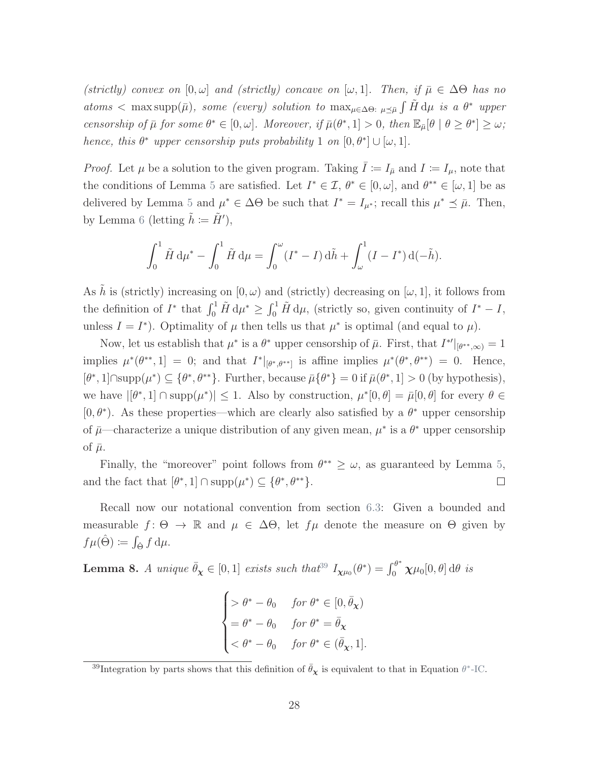(strictly) convex on  $[0, \omega]$  and (strictly) concave on  $[\omega, 1]$ . Then, if  $\bar{\mu} \in \Delta \Theta$  has no atoms < max supp(¯µ), some (every) solution to maxµ∈∆Θ: <sup>µ</sup>µ¯ R H˜ dµ is a θ <sup>∗</sup> upper censorship of  $\bar{\mu}$  for some  $\theta^* \in [0, \omega]$ . Moreover, if  $\bar{\mu}(\theta^*, 1] > 0$ , then  $\mathbb{E}_{\bar{\mu}}[\theta \mid \theta \geq \theta^*] \geq \omega$ ; hence, this  $\theta^*$  upper censorship puts probability 1 on  $[0, \theta^*] \cup [\omega, 1]$ .

*Proof.* Let  $\mu$  be a solution to the given program. Taking  $\overline{I} := I_{\overline{\mu}}$  and  $I := I_{\mu}$ , note that the conditions of Lemma [5](#page-70-0) are satisfied. Let  $I^* \in \mathcal{I}, \theta^* \in [0, \omega]$ , and  $\theta^{**} \in [\omega, 1]$  be as delivered by Lemma [5](#page-70-0) and  $\mu^* \in \Delta\Theta$  be such that  $I^* = I_{\mu^*}$ ; recall this  $\mu^* \preceq \bar{\mu}$ . Then, by Lemma [6](#page-72-0) (letting  $\tilde{h} \coloneqq \tilde{H}'$ ),

$$
\int_0^1 \tilde{H} \, \mathrm{d}\mu^* - \int_0^1 \tilde{H} \, \mathrm{d}\mu = \int_0^\omega (I^* - I) \, \mathrm{d}\tilde{h} + \int_\omega^1 (I - I^*) \, \mathrm{d}(-\tilde{h}).
$$

As  $\tilde{h}$  is (strictly) increasing on  $[0, \omega)$  and (strictly) decreasing on  $[\omega, 1]$ , it follows from the definition of  $I^*$  that  $\int_0^1 \tilde{H} d\mu^* \ge \int_0^1 \tilde{H} d\mu$ , (strictly so, given continuity of  $I^* - I$ , unless  $I = I^*$ ). Optimality of  $\mu$  then tells us that  $\mu^*$  is optimal (and equal to  $\mu$ ).

Now, let us establish that  $\mu^*$  is a  $\theta^*$  upper censorship of  $\bar{\mu}$ . First, that  $I^{*'}|_{[\theta^{**},\infty)}=1$ implies  $\mu^*(\theta^{**}, 1] = 0$ ; and that  $I^*|_{[\theta^*, \theta^{**}]}$  is affine implies  $\mu^*(\theta^*, \theta^{**}) = 0$ . Hence,  $[\theta^*, 1] \cap \text{supp}(\mu^*) \subseteq {\theta^*, \theta^{**}}$ . Further, because  $\bar{\mu} {\theta^*} = 0$  if  $\bar{\mu}(\theta^*, 1] > 0$  (by hypothesis), we have  $|[\theta^*, 1] \cap \text{supp}(\mu^*)| \leq 1$ . Also by construction,  $\mu^*[0, \theta] = \bar{\mu}[0, \theta]$  for every  $\theta \in$ [0, $\theta^*$ ). As these properties—which are clearly also satisfied by a  $\theta^*$  upper censorship of  $\bar{\mu}$ —characterize a unique distribution of any given mean,  $\mu^*$  is a  $\theta^*$  upper censorship of  $\bar{\mu}$ .

Finally, the "moreover" point follows from  $\theta^{**} \geq \omega$ , as guaranteed by Lemma [5,](#page-70-0) and the fact that  $[\theta^*, 1] \cap \text{supp}(\mu^*) \subseteq {\theta^*, \theta^{**}}$ .  $\Box$ 

Recall now our notational convention from section [6.3:](#page-36-0) Given a bounded and measurable  $f: \Theta \to \mathbb{R}$  and  $\mu \in \Delta \Theta$ , let  $f\mu$  denote the measure on  $\Theta$  given by  $f\mu(\hat{\Theta}) \coloneqq \int_{\hat{\Theta}} f \, \mathrm{d}\mu.$ 

<span id="page-74-0"></span>**Lemma 8.** A unique  $\bar{\theta}_{\chi} \in [0, 1]$  exists such that<sup>[39](#page-0-0)</sup>  $I_{\chi\mu_0}(\theta^*) = \int_0^{\theta^*} \chi\mu_0[0, \theta] d\theta$  is

$$
\begin{cases}\n> \theta^* - \theta_0 & \text{for } \theta^* \in [0, \bar{\theta}_\mathbf{X}) \\
= \theta^* - \theta_0 & \text{for } \theta^* = \bar{\theta}_\mathbf{X} \\
< \theta^* - \theta_0 & \text{for } \theta^* \in (\bar{\theta}_\mathbf{X}, 1].\n\end{cases}
$$

<sup>&</sup>lt;sup>39</sup>Integration by parts shows that this definition of  $\bar{\theta}_{\chi}$  is equivalent to that in Equation  $\theta^*$ [-IC.](#page-34-0)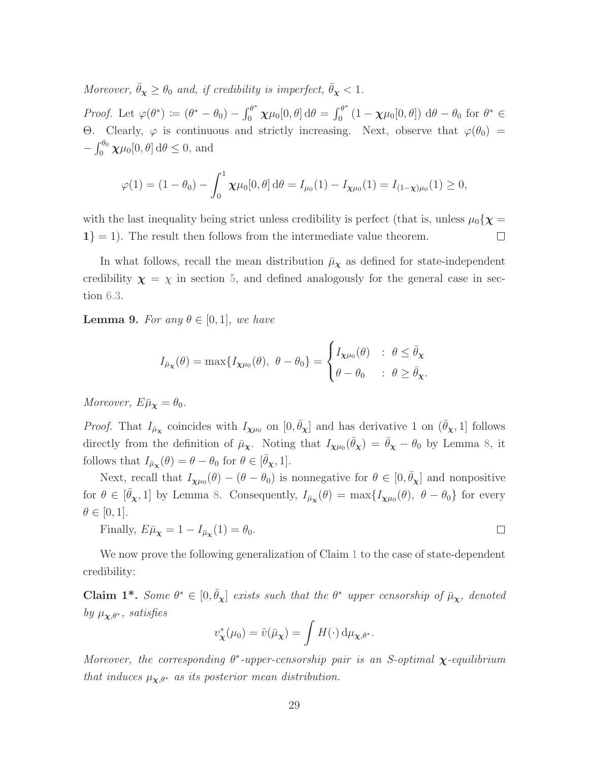Moreover,  $\bar{\theta}_{\chi} \geq \theta_0$  and, if credibility is imperfect,  $\bar{\theta}_{\chi} < 1$ .

Proof. Let  $\varphi(\theta^*) \coloneqq (\theta^* - \theta_0) - \int_0^{\theta^*} \chi \mu_0[0, \theta] d\theta = \int_0^{\theta^*}$  $\int_0^{\theta^*} (1 - \chi \mu_0[0, \theta]) d\theta - \theta_0$  for  $\theta^* \in$ Θ. Clearly,  $\varphi$  is continuous and strictly increasing. Next, observe that  $\varphi(\theta_0)$  =  $-\int_0^{\theta_0} \chi \mu_0[0,\theta] d\theta \leq 0$ , and

$$
\varphi(1) = (1 - \theta_0) - \int_0^1 \chi \mu_0[0, \theta] d\theta = I_{\mu_0}(1) - I_{\chi \mu_0}(1) = I_{(1 - \chi)\mu_0}(1) \ge 0,
$$

with the last inequality being strict unless credibility is perfect (that is, unless  $\mu_0\{\chi =$  $1$ } = 1). The result then follows from the intermediate value theorem.  $\Box$ 

In what follows, recall the mean distribution  $\bar{\mu}_{\chi}$  as defined for state-independent credibility  $\chi = \chi$  in section [5,](#page-31-0) and defined analogously for the general case in section [6.3.](#page-36-0)

<span id="page-75-0"></span>**Lemma 9.** For any  $\theta \in [0, 1]$ , we have

$$
I_{\bar{\mu}_{\mathbf{X}}}(\theta) = \max\{I_{\mathbf{X}^{\mu_0}}(\theta), \ \theta - \theta_0\} = \begin{cases} I_{\mathbf{X}^{\mu_0}}(\theta) & \colon \ \theta \leq \bar{\theta}_{\mathbf{X}} \\ \theta - \theta_0 & \colon \ \theta \geq \bar{\theta}_{\mathbf{X}}.\end{cases}
$$

Moreover,  $E\bar{\mu}_{\chi}=\theta_0$ .

*Proof.* That  $I_{\bar{\mu}_{\chi}}$  coincides with  $I_{\chi\mu_0}$  on  $[0,\bar{\theta}_{\chi}]$  and has derivative 1 on  $(\bar{\theta}_{\chi},1]$  follows directly from the definition of  $\bar{\mu}_{\chi}$ . Noting that  $I_{\chi\mu_0}(\bar{\theta}_{\chi}) = \bar{\theta}_{\chi} - \theta_0$  by Lemma [8,](#page-74-0) it follows that  $I_{\bar{\mu}_{\mathbf{X}}}(\theta) = \theta - \theta_0$  for  $\theta \in [\bar{\theta}_{\mathbf{X}}, 1].$ 

Next, recall that  $I_{\chi\mu_0}(\theta) - (\theta - \theta_0)$  is nonnegative for  $\theta \in [0, \bar{\theta}_\chi]$  and nonpositive for  $\theta \in [\bar{\theta}_{\chi}, 1]$  by Lemma [8.](#page-74-0) Consequently,  $I_{\bar{\mu}_{\chi}}(\theta) = \max\{I_{\chi\mu_0}(\theta), \ \theta - \theta_0\}$  for every  $\theta \in [0,1].$ 

Finally,  $E\bar{\mu}_{\chi} = 1 - I_{\bar{\mu}_{\chi}}(1) = \theta_0$ .  $\Box$ 

We now prove the following generalization of Claim [1](#page-34-1) to the case of state-dependent credibility:

Claim 1<sup>\*</sup>. Some  $\theta^* \in [0, \bar{\theta}_{\chi}]$  exists such that the  $\theta^*$  upper censorship of  $\bar{\mu}_{\chi}$ , denoted by  $\mu_{\mathbf{x},\theta^*}$ , satisfies

$$
v_{\mathbf{\chi}}^*(\mu_0) = \hat{v}(\bar{\mu}_{\mathbf{\chi}}) = \int H(\cdot) \, \mathrm{d}\mu_{\mathbf{\chi},\theta^*}.
$$

Moreover, the corresponding  $\theta^*$ -upper-censorship pair is an S-optimal  $\chi$ -equilibrium that induces  $\mu_{\mathbf{X},\theta^*}$  as its posterior mean distribution.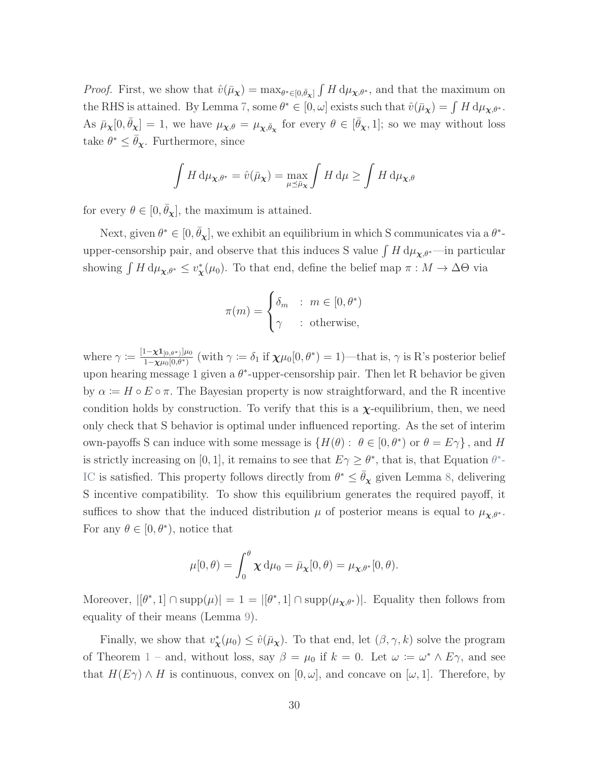*Proof.* First, we show that  $\hat{v}(\bar{\mu}_{\chi}) = \max_{\theta^* \in [0,\bar{\theta}_{\chi}]} \int H d\mu_{\chi,\theta^*}$ , and that the maximum on the RHS is attained. By Lemma [7,](#page-73-0) some  $\theta^* \in [0, \omega]$  exists such that  $\hat{v}(\bar{\mu}_{\chi}) = \int H d\mu_{\chi,\theta^*}$ . As  $\bar{\mu}_{\chi}[0, \bar{\theta}_{\chi}] = 1$ , we have  $\mu_{\chi,\theta} = \mu_{\chi,\bar{\theta}_{\chi}}$  for every  $\theta \in [\bar{\theta}_{\chi}, 1]$ ; so we may without loss take  $\theta^* \leq \bar{\theta}_{\chi}$ . Furthermore, since

$$
\int H \, \mathrm{d}\mu_{\mathbf{X},\theta^*} = \hat{v}(\bar{\mu}_{\mathbf{X}}) = \max_{\mu \le \bar{\mu}_{\mathbf{X}}} \int H \, \mathrm{d}\mu \ge \int H \, \mathrm{d}\mu_{\mathbf{X},\theta}
$$

for every  $\theta \in [0, \bar{\theta}_{\chi}]$ , the maximum is attained.

Next, given  $\theta^* \in [0, \bar{\theta}_\chi]$ , we exhibit an equilibrium in which S communicates via a  $\theta^*$ upper-censorship pair, and observe that this induces S value  $\int H d\mu_{\chi,\theta^*}$ —in particular showing  $\int H d\mu_{\chi,\theta^*} \leq v^*_{\chi}(\mu_0)$ . To that end, define the belief map  $\pi : M \to \Delta\Theta$  via

$$
\pi(m) = \begin{cases} \delta_m & : m \in [0, \theta^*) \\ \gamma & : \text{otherwise,} \end{cases}
$$

where  $\gamma \coloneqq \frac{[1-\chi\mathbf{1}_{[0,\theta^*)}]\mu_0}{1-\chi\mu_0[0,\theta^*)}$  $\frac{1-\chi\mathbf{1}_{[0,\theta^*)}\mu_0}{1-\chi\mu_0[0,\theta^*)}$  (with  $\gamma \coloneqq \delta_1$  if  $\chi\mu_0[0,\theta^*)=1$ )—that is,  $\gamma$  is R's posterior belief upon hearing message 1 given a  $\theta^*$ -upper-censorship pair. Then let R behavior be given by  $\alpha := H \circ E \circ \pi$ . The Bayesian property is now straightforward, and the R incentive condition holds by construction. To verify that this is a  $\chi$ -equilibrium, then, we need only check that S behavior is optimal under influenced reporting. As the set of interim own-payoffs S can induce with some message is  $\{H(\theta): \theta \in [0, \theta^*) \text{ or } \theta = E\gamma\}$ , and H is strictly increasing on [0, 1], it remains to see that  $E\gamma \geq \theta^*$ , that is, that Equation  $\theta^*$ -[IC](#page-34-0) is satisfied. This property follows directly from  $\theta^* \leq \bar{\theta}_{\chi}$  given Lemma [8,](#page-74-0) delivering S incentive compatibility. To show this equilibrium generates the required payoff, it suffices to show that the induced distribution  $\mu$  of posterior means is equal to  $\mu_{\chi,\theta^*}$ . For any  $\theta \in [0, \theta^*),$  notice that

$$
\mu[0,\theta) = \int_0^{\theta} \chi \,d\mu_0 = \bar{\mu}_{\chi}[0,\theta) = \mu_{\chi,\theta^*}[0,\theta).
$$

Moreover,  $|[\theta^*, 1] \cap \text{supp}(\mu)| = 1 = |[\theta^*, 1] \cap \text{supp}(\mu_{\chi, \theta^*})|$ . Equality then follows from equality of their means (Lemma [9\)](#page-75-0).

Finally, we show that  $v^*_{\mathbf{x}}(\mu_0) \leq \hat{v}(\bar{\mu}_{\mathbf{x}})$ . To that end, let  $(\beta, \gamma, k)$  solve the program of Theorem [1](#page-17-0) – and, without loss, say  $\beta = \mu_0$  if  $k = 0$ . Let  $\omega := \omega^* \wedge E\gamma$ , and see that  $H(E\gamma) \wedge H$  is continuous, convex on  $[0, \omega]$ , and concave on  $[\omega, 1]$ . Therefore, by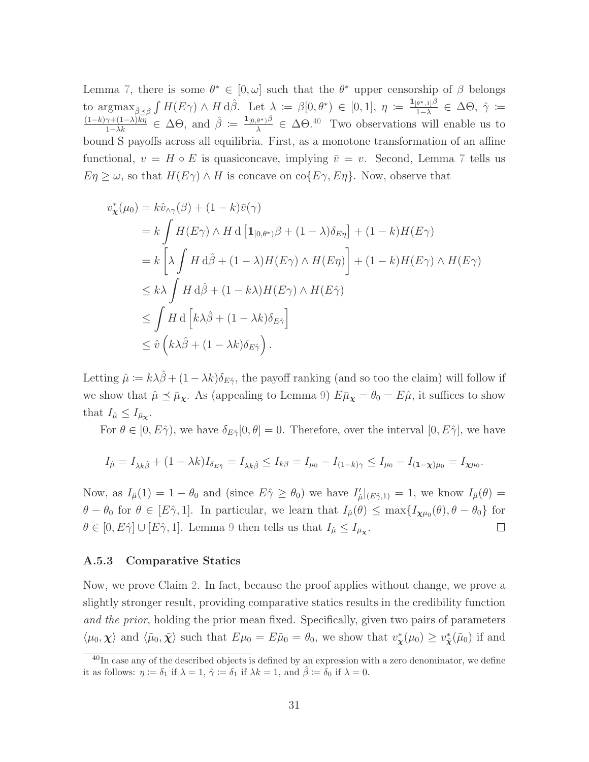Lemma [7,](#page-73-0) there is some  $\theta^* \in [0, \omega]$  such that the  $\theta^*$  upper censorship of  $\beta$  belongs to  $\operatorname{argmax}_{\hat{\beta} \preceq \beta} \int H(E\gamma) \wedge H d\hat{\beta}$ . Let  $\lambda := \beta[0, \theta^*) \in [0, 1], \eta := \frac{\mathbf{1}_{[\theta^*,1]}\beta}{1-\lambda}$  $\frac{1}{(1-\lambda)^{\alpha}} \in \Delta \Theta$ ,  $\hat{\gamma} \coloneqq$  $\frac{(1-k)\gamma+(1-\lambda)\bar{k}\eta}{1-\lambda k} \in \Delta\Theta$ , and  $\hat{\beta} := \frac{\mathbf{1}_{[0,\theta^*)}\beta}{\lambda}$  $\frac{\partial^*}{\partial \lambda} \in \Delta \Theta$ <sup>[40](#page-0-0)</sup> Two observations will enable us to bound S payoffs across all equilibria. First, as a monotone transformation of an affine functional,  $v = H \circ E$  is quasiconcave, implying  $\bar{v} = v$ . Second, Lemma [7](#page-73-0) tells us  $E\eta \geq \omega$ , so that  $H(E\gamma) \wedge H$  is concave on  $\text{co}\{E\gamma, E\eta\}$ . Now, observe that

$$
v_{\chi}^{*}(\mu_{0}) = k\hat{v}_{\wedge\gamma}(\beta) + (1 - k)\bar{v}(\gamma)
$$
  
\n
$$
= k \int H(E\gamma) \wedge H d \left[ \mathbf{1}_{[0,\theta^{*})} \beta + (1 - \lambda) \delta_{E\eta} \right] + (1 - k)H(E\gamma)
$$
  
\n
$$
= k \left[ \lambda \int H d\hat{\beta} + (1 - \lambda)H(E\gamma) \wedge H(E\eta) \right] + (1 - k)H(E\gamma) \wedge H(E\gamma)
$$
  
\n
$$
\leq k \lambda \int H d\hat{\beta} + (1 - k\lambda)H(E\gamma) \wedge H(E\hat{\gamma})
$$
  
\n
$$
\leq \int H d \left[ k \lambda \hat{\beta} + (1 - \lambda k) \delta_{E\hat{\gamma}} \right]
$$
  
\n
$$
\leq \hat{v} \left( k \lambda \hat{\beta} + (1 - \lambda k) \delta_{E\hat{\gamma}} \right).
$$

Letting  $\hat{\mu} := k\lambda\hat{\beta} + (1 - \lambda k)\delta_{E\hat{\gamma}}$ , the payoff ranking (and so too the claim) will follow if we show that  $\hat{\mu} \preceq \bar{\mu}_{\chi}$ . As (appealing to Lemma [9\)](#page-75-0)  $E\bar{\mu}_{\chi} = \theta_0 = E\hat{\mu}$ , it suffices to show that  $I_{\hat{\mu}} \leq I_{\bar{\mu}_{\chi}}$ .

For  $\theta \in [0, E\hat{\gamma}$ , we have  $\delta_{E\hat{\gamma}}[0, \theta] = 0$ . Therefore, over the interval  $[0, E\hat{\gamma}]$ , we have

$$
I_{\hat{\mu}} = I_{\lambda k \hat{\beta}} + (1 - \lambda k)I_{\delta_{E\hat{\gamma}}} = I_{\lambda k \hat{\beta}} \leq I_{k\beta} = I_{\mu_0} - I_{(1-k)\gamma} \leq I_{\mu_0} - I_{(1-\chi)\mu_0} = I_{\chi\mu_0}.
$$

Now, as  $I_{\hat{\mu}}(1) = 1 - \theta_0$  and (since  $E\hat{\gamma} \ge \theta_0$ ) we have  $I'_{\hat{\mu}}|_{(E\hat{\gamma},1)} = 1$ , we know  $I_{\hat{\mu}}(\theta) =$  $\theta - \theta_0$  for  $\theta \in [E\hat{\gamma}, 1]$ . In particular, we learn that  $I_{\hat{\mu}}(\theta) \leq \max\{I_{\chi\mu_0}(\theta), \theta - \theta_0\}$  for  $\theta \in [0, E\hat{\gamma}] \cup [E\hat{\gamma}, 1]$ . Lemma [9](#page-75-0) then tells us that  $I_{\hat{\mu}} \leq I_{\bar{\mu}_{\chi}}$ .  $\Box$ 

#### A.5.3 Comparative Statics

Now, we prove Claim [2.](#page-38-0) In fact, because the proof applies without change, we prove a slightly stronger result, providing comparative statics results in the credibility function and the prior, holding the prior mean fixed. Specifically, given two pairs of parameters  $\langle \mu_0, \chi \rangle$  and  $\langle \tilde{\mu}_0, \tilde{\chi} \rangle$  such that  $E\mu_0 = E\tilde{\mu}_0 = \theta_0$ , we show that  $v^*_{\chi}(\mu_0) \geq v^*_{\tilde{\chi}}(\tilde{\mu}_0)$  if and

 $40$ In case any of the described objects is defined by an expression with a zero denominator, we define it as follows:  $\eta := \delta_1$  if  $\lambda = 1$ ,  $\hat{\gamma} := \delta_1$  if  $\lambda k = 1$ , and  $\hat{\beta} := \delta_0$  if  $\lambda = 0$ .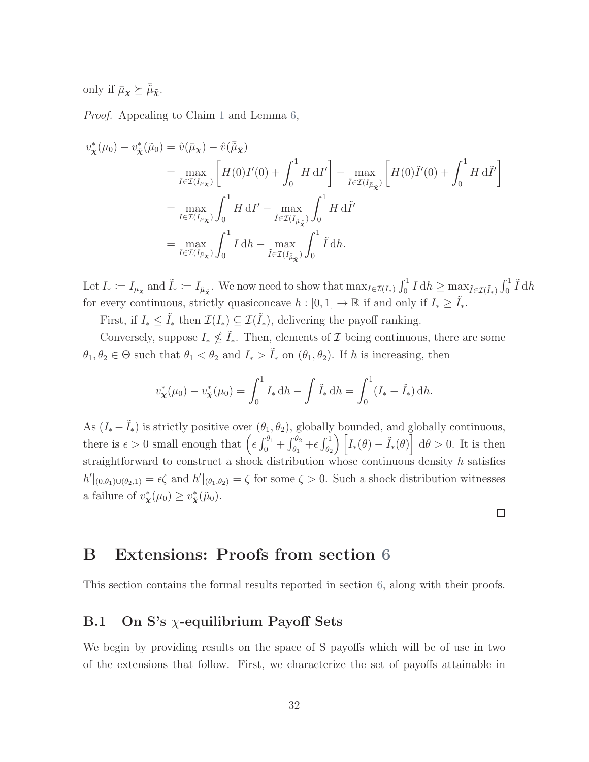only if  $\bar{\mu}_{\mathbf{x}} \succeq \bar{\tilde{\mu}}_{\tilde{\mathbf{x}}}$ .

Proof. Appealing to Claim [1](#page-34-1) and Lemma [6,](#page-72-0)

$$
v_{\mathbf{x}}^*(\mu_0) - v_{\tilde{\mathbf{x}}}^*(\tilde{\mu}_0) = \hat{v}(\bar{\mu}_{\mathbf{x}}) - \hat{v}(\bar{\tilde{\mu}}_{\tilde{\mathbf{x}}})
$$
  
\n
$$
= \max_{I \in \mathcal{I}(I_{\tilde{\mu}_{\mathbf{x}}})} \left[ H(0)I'(0) + \int_0^1 H \, \mathrm{d}I' \right] - \max_{\tilde{I} \in \mathcal{I}(I_{\tilde{\mu}_{\tilde{\mathbf{x}}}})} \left[ H(0)\tilde{I}'(0) + \int_0^1 H \, \mathrm{d}\tilde{I}' \right]
$$
  
\n
$$
= \max_{I \in \mathcal{I}(I_{\tilde{\mu}_{\mathbf{x}}})} \int_0^1 H \, \mathrm{d}I' - \max_{\tilde{I} \in \mathcal{I}(I_{\tilde{\mu}_{\tilde{\mathbf{x}}}})} \int_0^1 H \, \mathrm{d}\tilde{I}'
$$
  
\n
$$
= \max_{I \in \mathcal{I}(I_{\mu_{\mathbf{x}}})} \int_0^1 I \, \mathrm{d}h - \max_{\tilde{I} \in \mathcal{I}(I_{\tilde{\mu}_{\tilde{\mathbf{x}}})}} \int_0^1 \tilde{I} \, \mathrm{d}h.
$$

Let  $I_* \coloneqq I_{\bar{\mu}_{\mathbf{X}}}$  and  $\tilde{I}_* \coloneqq I_{\tilde{\mu}_{\mathbf{X}}}$ . We now need to show that  $\max_{I \in \mathcal{I}(I_*)} \int_0^1 I \, dh \ge \max_{\tilde{I} \in \mathcal{I}(\tilde{I}_*)} \int_0^1 \tilde{I} \, dh$ for every continuous, strictly quasiconcave  $h : [0, 1] \to \mathbb{R}$  if and only if  $I_* \geq I_*$ .

First, if  $I_* \leq \tilde{I}_*$  then  $\mathcal{I}(I_*) \subseteq \mathcal{I}(\tilde{I}_*)$ , delivering the payoff ranking.

Conversely, suppose  $I_* \nleq \tilde{I}_*$ . Then, elements of  $\mathcal I$  being continuous, there are some  $\theta_1, \theta_2 \in \Theta$  such that  $\theta_1 < \theta_2$  and  $I_* > \tilde{I}_*$  on  $(\theta_1, \theta_2)$ . If h is increasing, then

$$
v_{\mathbf{\tilde{\chi}}}^*(\mu_0) - v_{\tilde{\mathbf{\tilde{\chi}}}}^*(\mu_0) = \int_0^1 I_* \, \mathrm{d}h - \int \tilde{I}_* \, \mathrm{d}h = \int_0^1 (I_* - \tilde{I}_*) \, \mathrm{d}h.
$$

As  $(I_* - \tilde{I}_*)$  is strictly positive over  $(\theta_1, \theta_2)$ , globally bounded, and globally continuous, there is  $\epsilon > 0$  small enough that  $\left(\epsilon \int_0^{\theta_1} + \int_{\theta_1}^{\theta_2} + \epsilon \int_{\theta_2}^1\right) \left[I_*(\theta) - \tilde{I}_*(\theta)\right] d\theta > 0$ . It is then straightforward to construct a shock distribution whose continuous density h satisfies  $h' |_{(0,\theta_1)\cup(\theta_2,1)} = \epsilon \zeta$  and  $h' |_{(\theta_1,\theta_2)} = \zeta$  for some  $\zeta > 0$ . Such a shock distribution witnesses a failure of  $v^*_{\mathbf{\chi}}(\mu_0) \geq v^*_{\tilde{\mathbf{\chi}}}(\tilde{\mu}_0)$ .

 $\Box$ 

B Extensions: Proofs from section [6](#page-35-0)

This section contains the formal results reported in section [6,](#page-35-0) along with their proofs.

### B.1 On S's  $\chi$ -equilibrium Payoff Sets

We begin by providing results on the space of S payoffs which will be of use in two of the extensions that follow. First, we characterize the set of payoffs attainable in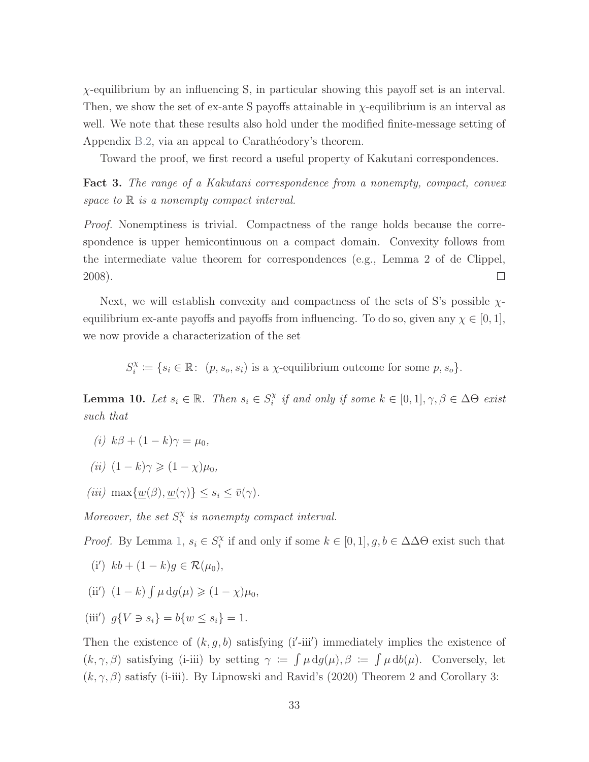$\chi$ -equilibrium by an influencing S, in particular showing this payoff set is an interval. Then, we show the set of ex-ante S payoffs attainable in  $\chi$ -equilibrium is an interval as well. We note that these results also hold under the modified finite-message setting of Appendix [B.2,](#page-81-0) via an appeal to Carathéodory's theorem.

Toward the proof, we first record a useful property of Kakutani correspondences.

<span id="page-79-0"></span>Fact 3. The range of a Kakutani correspondence from a nonempty, compact, convex space to  $\mathbb R$  is a nonempty compact interval.

*Proof.* Nonemptiness is trivial. Compactness of the range holds because the correspondence is upper hemicontinuous on a compact domain. Convexity follows from the intermediate value theorem for correspondences (e.g., Lemma 2 of [de Clippel,](#page-43-0) [2008\)](#page-43-0).  $\Box$ 

Next, we will establish convexity and compactness of the sets of S's possible  $\chi$ equilibrium ex-ante payoffs and payoffs from influencing. To do so, given any  $\chi \in [0,1]$ , we now provide a characterization of the set

> $S_i^{\chi}$  $X_i^{\chi} := \{s_i \in \mathbb{R} : (p, s_o, s_i) \text{ is a } \chi\text{-equilibrium outcome for some } p, s_o\}.$

<span id="page-79-1"></span>**Lemma 10.** Let  $s_i \in \mathbb{R}$ . Then  $s_i \in S_i^{\chi}$  $i \atop i$  if and only if some  $k \in [0,1], \gamma, \beta \in \Delta \Theta$  exist such that

- (i)  $k\beta + (1 k)\gamma = \mu_0$ ,
- (ii)  $(1 k)\gamma \geqslant (1 \chi)\mu_0$ ,
- (iii)  $\max\{w(\beta), w(\gamma)\} \leq s_i \leq \overline{v}(\gamma).$

Moreover, the set  $S_i^{\chi}$  $\alpha_i^{\chi}$  is nonempty compact interval.

*Proof.* By Lemma [1,](#page-48-0)  $s_i \in S_i^{\chi}$  $i$ <sup> $\chi$ </sup> if and only if some  $k \in [0, 1], g, b \in \Delta \Delta \Theta$  exist such that

- (i')  $kb + (1 k)g \in \mathcal{R}(\mu_0),$
- (ii')  $(1 k) \int \mu \, dg(\mu) \geq (1 \chi) \mu_0$ ,
- (iii')  $g\{V \ni s_i\} = b\{w \le s_i\} = 1.$

Then the existence of  $(k, g, b)$  satisfying  $(i'-iii')$  immediately implies the existence of  $(k, \gamma, \beta)$  satisfying (i-iii) by setting  $\gamma := \int \mu \, dg(\mu), \beta := \int \mu \, db(\mu)$ . Conversely, let  $(k, \gamma, \beta)$  satisfy (i-iii). By [Lipnowski and Ravid'](#page-45-0)s [\(2020\)](#page-45-0) Theorem 2 and Corollary 3: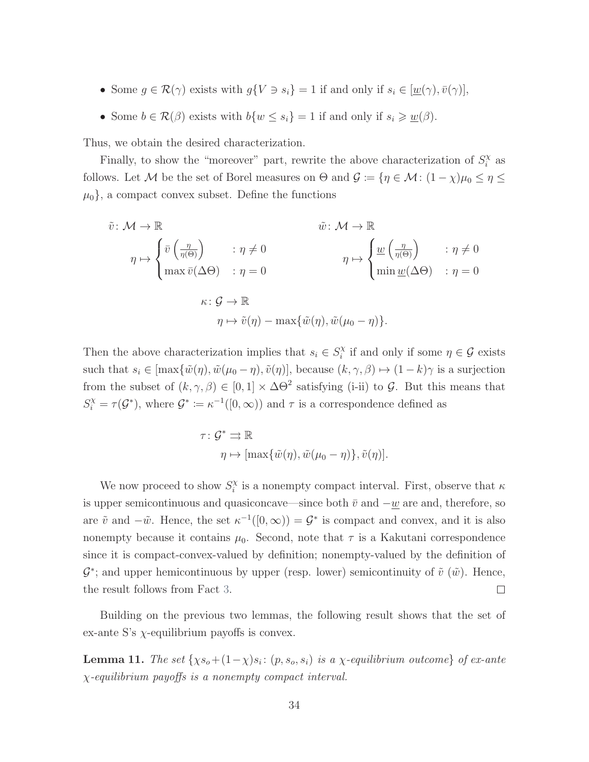- Some  $g \in \mathcal{R}(\gamma)$  exists with  $g\{V \ni s_i\} = 1$  if and only if  $s_i \in [\underline{w}(\gamma), \overline{v}(\gamma)],$
- Some  $b \in \mathcal{R}(\beta)$  exists with  $b\{w \leq s_i\} = 1$  if and only if  $s_i \geq \underline{w}(\beta)$ .

Thus, we obtain the desired characterization.

Finally, to show the "moreover" part, rewrite the above characterization of  $S_i^{\chi}$  $i^{\chi}$  as follows. Let M be the set of Borel measures on  $\Theta$  and  $\mathcal{G} \coloneqq \{\eta \in \mathcal{M} : (1 - \chi)\mu_0 \leq \eta \leq \eta\}$  $\mu_0$ , a compact convex subset. Define the functions

$$
\tilde{v}: \mathcal{M} \to \mathbb{R}
$$
\n
$$
\tilde{v}: \mathcal{M} \to \mathbb{R}
$$
\n
$$
\tilde{v}: \mathcal{M} \to \mathbb{R}
$$
\n
$$
\tilde{v}: \mathcal{M} \to \mathbb{R}
$$
\n
$$
\max \bar{v}(\Delta \Theta) : \eta = 0
$$
\n
$$
\kappa: \mathcal{G} \to \mathbb{R}
$$
\n
$$
\eta \mapsto \tilde{v}(\eta) - \max{\{\tilde{w}(\eta), \tilde{w}(\mu_0 - \eta)\}}.
$$
\n
$$
\tilde{v} \to \eta \neq 0
$$

Then the above characterization implies that  $s_i \in S_i^{\chi}$  $i_i^{\chi}$  if and only if some  $\eta \in \mathcal{G}$  exists such that  $s_i \in [\max{\{\tilde{w}(\eta), \tilde{w}(\mu_0 - \eta), \tilde{v}(\eta)\}}, \text{ because } (k, \gamma, \beta) \mapsto (1 - k)\gamma \text{ is a surjection}$ from the subset of  $(k, \gamma, \beta) \in [0, 1] \times \Delta\Theta^2$  satisfying (i-ii) to G. But this means that  $S_i^{\chi} = \tau(\mathcal{G}^*)$ , where  $\mathcal{G}^* := \kappa^{-1}([0,\infty))$  and  $\tau$  is a correspondence defined as

$$
\tau: \mathcal{G}^* \rightrightarrows \mathbb{R}
$$

$$
\eta \mapsto [\max{\{\tilde{w}(\eta), \tilde{w}(\mu_0 - \eta)\}, \tilde{v}(\eta)]}.
$$

We now proceed to show  $S_i^{\chi}$  $\alpha_i^{\chi}$  is a nonempty compact interval. First, observe that  $\kappa$ is upper semicontinuous and quasiconcave—since both  $\bar{v}$  and  $-w$  are and, therefore, so are  $\tilde{v}$  and  $-\tilde{w}$ . Hence, the set  $\kappa^{-1}([0,\infty)) = \mathcal{G}^*$  is compact and convex, and it is also nonempty because it contains  $\mu_0$ . Second, note that  $\tau$  is a Kakutani correspondence since it is compact-convex-valued by definition; nonempty-valued by the definition of  $\mathcal{G}^*$ ; and upper hemicontinuous by upper (resp. lower) semicontinuity of  $\tilde{v}(\tilde{w})$ . Hence, the result follows from Fact [3.](#page-79-0)  $\Box$ 

Building on the previous two lemmas, the following result shows that the set of ex-ante S's  $\chi$ -equilibrium payoffs is convex.

<span id="page-80-0"></span>**Lemma 11.** The set  $\{ \chi s_o + (1-\chi)s_i : (p, s_o, s_i) \text{ is a } \chi \text{-equilibrium outcome} \}$  of ex-ante  $\chi$ -equilibrium payoffs is a nonempty compact interval.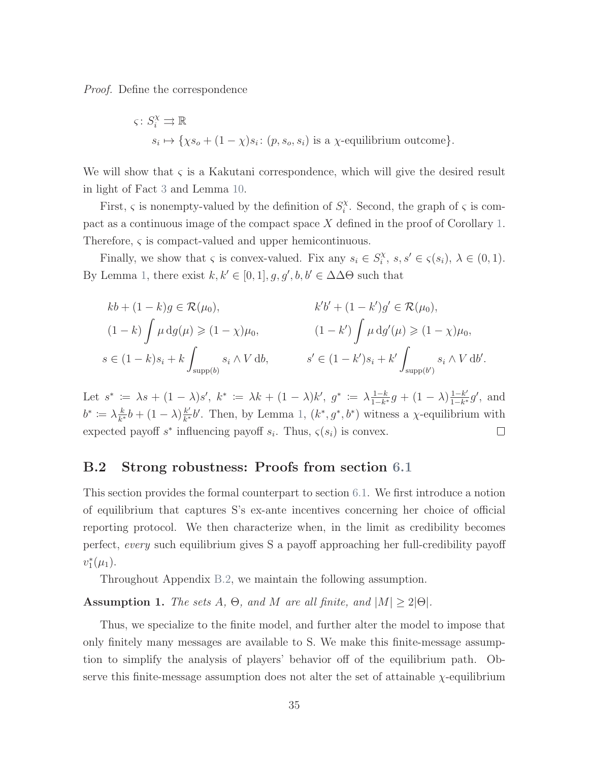Proof. Define the correspondence

$$
\varsigma \colon S_i^{\chi} \rightrightarrows \mathbb{R}
$$
  

$$
s_i \mapsto \{\chi s_o + (1 - \chi)s_i \colon (p, s_o, s_i) \text{ is a } \chi \text{-equilibrium outcome}\}.
$$

We will show that  $\varsigma$  is a Kakutani correspondence, which will give the desired result in light of Fact [3](#page-79-0) and Lemma [10.](#page-79-1)

First,  $\varsigma$  is nonempty-valued by the definition of  $S_i^{\chi}$  $i^{\chi}$ . Second, the graph of  $\varsigma$  is compact as a continuous image of the compact space  $X$  defined in the proof of Corollary [1.](#page-58-0) Therefore, ς is compact-valued and upper hemicontinuous.

Finally, we show that  $\varsigma$  is convex-valued. Fix any  $s_i \in S_i^{\chi}$  $s_i^{\chi}, s, s' \in \varsigma(s_i), \lambda \in (0,1).$ By Lemma [1,](#page-48-0) there exist  $k, k' \in [0, 1], g, g', b, b' \in \Delta \Delta \Theta$  such that

$$
kb + (1 - k)g \in \mathcal{R}(\mu_0),
$$
  
\n
$$
(1 - k) \int \mu \, dg(\mu) \ge (1 - \chi)\mu_0,
$$
  
\n
$$
s \in (1 - k)s_i + k \int_{\text{supp}(b)} s_i \wedge V \, db,
$$
  
\n
$$
(1 - k') \int \mu \, dg'(\mu) \ge (1 - \chi)\mu_0,
$$
  
\n
$$
s' \in (1 - k')s_i + k' \int_{\text{supp}(b')} s_i \wedge V \, db'.
$$

 $\frac{1-k}{1-k^*}g + (1-\lambda)\frac{1-k'}{1-k^*}$ Let  $s^* := \lambda s + (1 - \lambda)s'$ ,  $k^* := \lambda k + (1 - \lambda)k'$ ,  $g^* := \lambda \frac{1 - k}{1 - k^*}$  $\frac{1-k'}{1-k^*}g'$ , and  $\frac{k}{k^*}b + (1-\lambda)\frac{k'}{k^*}$  $b^* \coloneqq \lambda \frac{k}{k^*}$  $\frac{k'}{k^*}$ b'. Then, by Lemma [1,](#page-48-0)  $(k^*, g^*, b^*)$  witness a  $\chi$ -equilibrium with expected payoff  $s^*$  influencing payoff  $s_i$ . Thus,  $\varsigma(s_i)$  is convex.  $\Box$ 

### <span id="page-81-0"></span>B.2 Strong robustness: Proofs from section [6.1](#page-35-1)

This section provides the formal counterpart to section [6.1.](#page-35-1) We first introduce a notion of equilibrium that captures S's ex-ante incentives concerning her choice of official reporting protocol. We then characterize when, in the limit as credibility becomes perfect, every such equilibrium gives S a payoff approaching her full-credibility payoff  $v_1^*(\mu_1)$ .

Throughout Appendix [B.2,](#page-81-0) we maintain the following assumption.

Assumption 1. The sets A,  $\Theta$ , and M are all finite, and  $|M| \geq 2|\Theta|$ .

Thus, we specialize to the finite model, and further alter the model to impose that only finitely many messages are available to S. We make this finite-message assumption to simplify the analysis of players' behavior off of the equilibrium path. Observe this finite-message assumption does not alter the set of attainable  $\chi$ -equilibrium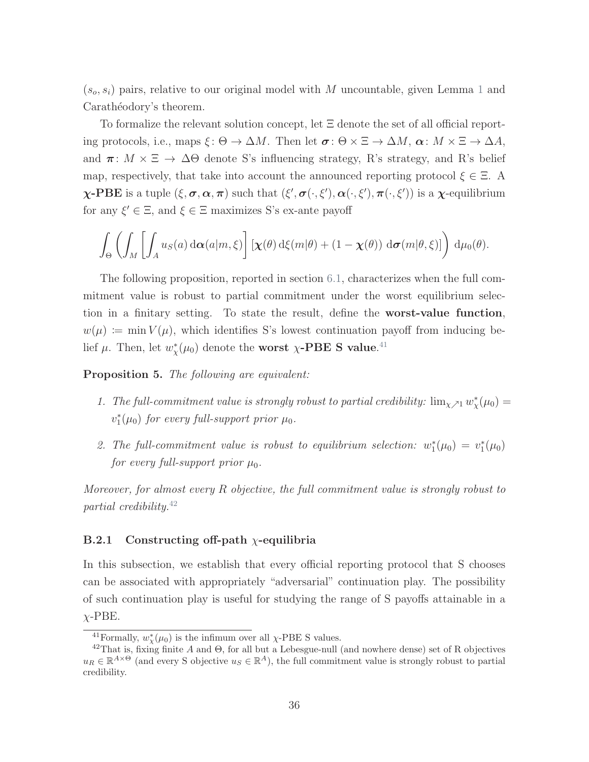$(s_o, s_i)$  pairs, relative to our original model with M uncountable, given Lemma [1](#page-48-0) and Carathéodory's theorem.

To formalize the relevant solution concept, let Ξ denote the set of all official reporting protocols, i.e., maps  $\xi: \Theta \to \Delta M$ . Then let  $\sigma: \Theta \times \Xi \to \Delta M$ ,  $\alpha: M \times \Xi \to \Delta A$ , and  $\pi: M \times \Xi \to \Delta\Theta$  denote S's influencing strategy, R's strategy, and R's belief map, respectively, that take into account the announced reporting protocol  $\xi \in \Xi$ . A  $\chi$ -PBE is a tuple  $(\xi, \sigma, \alpha, \pi)$  such that  $(\xi', \sigma(\cdot, \xi'), \alpha(\cdot, \xi'), \pi(\cdot, \xi'))$  is a  $\chi$ -equilibrium for any  $\xi' \in \Xi$ , and  $\xi \in \Xi$  maximizes S's ex-ante payoff

$$
\int_{\Theta} \left( \int_M \left[ \int_A u_S(a) \, \mathrm{d} \alpha(a|m,\xi) \right] \left[ \chi(\theta) \, \mathrm{d} \xi(m|\theta) + (1 - \chi(\theta)) \, \mathrm{d} \sigma(m|\theta,\xi) \right] \right) \, \mathrm{d} \mu_0(\theta).
$$

The following proposition, reported in section [6.1,](#page-35-1) characterizes when the full commitment value is robust to partial commitment under the worst equilibrium selection in a finitary setting. To state the result, define the worst-value function,  $w(\mu) := \min V(\mu)$ , which identifies S's lowest continuation payoff from inducing belief  $\mu$ . Then, let  $w^*_{\chi}(\mu_0)$  denote the worst  $\chi$ -PBE S value.<sup>[41](#page-0-0)</sup>

<span id="page-82-0"></span>Proposition 5. The following are equivalent:

- 1. The full-commitment value is strongly robust to partial credibility:  $\lim_{\chi \nearrow 1} w^*_{\chi}(\mu_0) =$  $v_1^*(\mu_0)$  for every full-support prior  $\mu_0$ .
- 2. The full-commitment value is robust to equilibrium selection:  $w_1^*(\mu_0) = v_1^*(\mu_0)$ for every full-support prior  $\mu_0$ .

Moreover, for almost every R objective, the full commitment value is strongly robust to partial credibility. $42$ 

### B.2.1 Constructing off-path  $\chi$ -equilibria

In this subsection, we establish that every official reporting protocol that S chooses can be associated with appropriately "adversarial" continuation play. The possibility of such continuation play is useful for studying the range of S payoffs attainable in a  $\chi$ -PBE.

<sup>&</sup>lt;sup>41</sup> Formally,  $w_{\chi}^*(\mu_0)$  is the infimum over all  $\chi$ -PBE S values.

<sup>42</sup>That is, fixing finite A and Θ, for all but a Lebesgue-null (and nowhere dense) set of R objectives  $u_R \in \mathbb{R}^{A \times \Theta}$  (and every S objective  $u_S \in \mathbb{R}^{A}$ ), the full commitment value is strongly robust to partial credibility.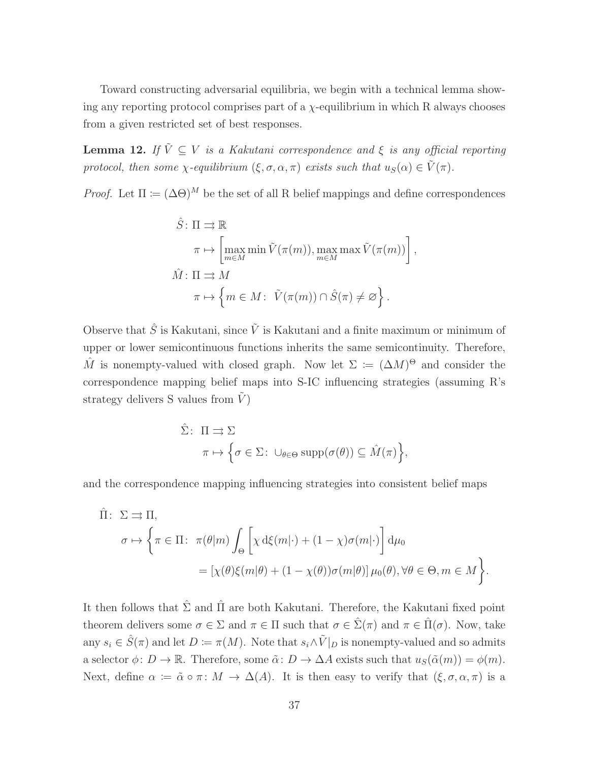Toward constructing adversarial equilibria, we begin with a technical lemma showing any reporting protocol comprises part of a  $\chi$ -equilibrium in which R always chooses from a given restricted set of best responses.

<span id="page-83-0"></span>**Lemma 12.** If  $\tilde{V} \subseteq V$  is a Kakutani correspondence and  $\xi$  is any official reporting protocol, then some  $\chi$ -equilibrium  $(\xi, \sigma, \alpha, \pi)$  exists such that  $u_S(\alpha) \in \tilde{V}(\pi)$ .

*Proof.* Let  $\Pi := (\Delta \Theta)^M$  be the set of all R belief mappings and define correspondences

$$
\hat{S}: \Pi \rightrightarrows \mathbb{R}
$$
\n
$$
\pi \mapsto \left[ \max_{m \in M} \min \tilde{V}(\pi(m)), \max_{m \in M} \max \tilde{V}(\pi(m)) \right],
$$
\n
$$
\hat{M}: \Pi \rightrightarrows M
$$
\n
$$
\pi \mapsto \left\{ m \in M: \ \tilde{V}(\pi(m)) \cap \hat{S}(\pi) \neq \varnothing \right\}.
$$

Observe that  $\hat{S}$  is Kakutani, since  $\tilde{V}$  is Kakutani and a finite maximum or minimum of upper or lower semicontinuous functions inherits the same semicontinuity. Therefore,  $\hat{M}$  is nonempty-valued with closed graph. Now let  $\Sigma := (\Delta M)^{\Theta}$  and consider the correspondence mapping belief maps into S-IC influencing strategies (assuming R's strategy delivers S values from  $V$ )

$$
\hat{\Sigma}: \Pi \rightrightarrows \Sigma
$$
  

$$
\pi \mapsto \left\{ \sigma \in \Sigma: \cup_{\theta \in \Theta} \text{supp}(\sigma(\theta)) \subseteq \hat{M}(\pi) \right\},\
$$

and the correspondence mapping influencing strategies into consistent belief maps

$$
\hat{\Pi}: \ \Sigma \rightrightarrows \Pi,
$$
\n
$$
\sigma \mapsto \left\{ \pi \in \Pi: \ \pi(\theta|m) \int_{\Theta} \left[ \chi \, d\xi(m|\cdot) + (1-\chi)\sigma(m|\cdot) \right] d\mu_0 \right\}
$$
\n
$$
= \left[ \chi(\theta)\xi(m|\theta) + (1-\chi(\theta))\sigma(m|\theta) \right] \mu_0(\theta), \forall \theta \in \Theta, m \in M \right\}.
$$

It then follows that  $\hat{\Sigma}$  and  $\hat{\Pi}$  are both Kakutani. Therefore, the Kakutani fixed point theorem delivers some  $\sigma \in \Sigma$  and  $\pi \in \Pi$  such that  $\sigma \in \hat{\Sigma}(\pi)$  and  $\pi \in \hat{\Pi}(\sigma)$ . Now, take any  $s_i \in \hat{S}(\pi)$  and let  $D \coloneqq \pi(M)$ . Note that  $s_i \wedge \tilde{V}|_D$  is nonempty-valued and so admits a selector  $\phi: D \to \mathbb{R}$ . Therefore, some  $\tilde{\alpha}: D \to \Delta A$  exists such that  $u_S(\tilde{\alpha}(m)) = \phi(m)$ . Next, define  $\alpha := \tilde{\alpha} \circ \pi : M \to \Delta(A)$ . It is then easy to verify that  $(\xi, \sigma, \alpha, \pi)$  is a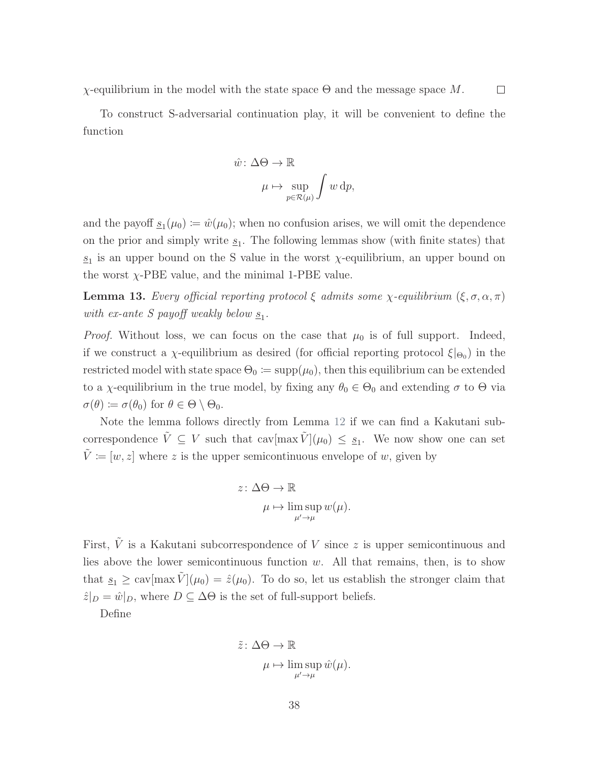χ-equilibrium in the model with the state space Θ and the message space M.  $\Box$ 

To construct S-adversarial continuation play, it will be convenient to define the function

$$
\hat{w}: \Delta \Theta \to \mathbb{R}
$$

$$
\mu \mapsto \sup_{p \in \mathcal{R}(\mu)} \int w \, dp,
$$

and the payoff  $s_1(\mu_0) \coloneqq \hat{w}(\mu_0)$ ; when no confusion arises, we will omit the dependence on the prior and simply write  $s_1$ . The following lemmas show (with finite states) that  $s_1$  is an upper bound on the S value in the worst  $\chi$ -equilibrium, an upper bound on the worst  $\chi$ -PBE value, and the minimal 1-PBE value.

<span id="page-84-0"></span>**Lemma 13.** Every official reporting protocol  $\xi$  admits some  $\chi$ -equilibrium  $(\xi, \sigma, \alpha, \pi)$ with ex-ante S payoff weakly below  $\underline{s}_1$ .

*Proof.* Without loss, we can focus on the case that  $\mu_0$  is of full support. Indeed, if we construct a  $\chi$ -equilibrium as desired (for official reporting protocol  $\xi|_{\Theta_0}$ ) in the restricted model with state space  $\Theta_0 \coloneqq \mathrm{supp}(\mu_0)$ , then this equilibrium can be extended to a  $\chi$ -equilibrium in the true model, by fixing any  $\theta_0 \in \Theta_0$  and extending  $\sigma$  to  $\Theta$  via  $\sigma(\theta) \coloneqq \sigma(\theta_0)$  for  $\theta \in \Theta \setminus \Theta_0$ .

Note the lemma follows directly from Lemma [12](#page-83-0) if we can find a Kakutani subcorrespondence  $\tilde{V} \subseteq V$  such that  $\text{cav}[\max \tilde{V}](\mu_0) \leq \underline{s}_1$ . We now show one can set  $\tilde{V} \coloneqq [w,z]$  where  $z$  is the upper semicontinuous envelope of  $w,$  given by

$$
z \colon \Delta \Theta \to \mathbb{R}
$$

$$
\mu \mapsto \limsup_{\mu' \to \mu} w(\mu).
$$

First,  $\tilde{V}$  is a Kakutani subcorrespondence of V since z is upper semicontinuous and lies above the lower semicontinuous function  $w$ . All that remains, then, is to show that  $s_1 \geq \text{cav}[\max \tilde{V}](\mu_0) = \hat{z}(\mu_0)$ . To do so, let us establish the stronger claim that  $\hat{z}|_D = \hat{w}|_D$ , where  $D \subseteq \Delta\Theta$  is the set of full-support beliefs.

Define

$$
\tilde{z} : \Delta \Theta \to \mathbb{R}
$$

$$
\mu \mapsto \limsup_{\mu' \to \mu} \hat{w}(\mu).
$$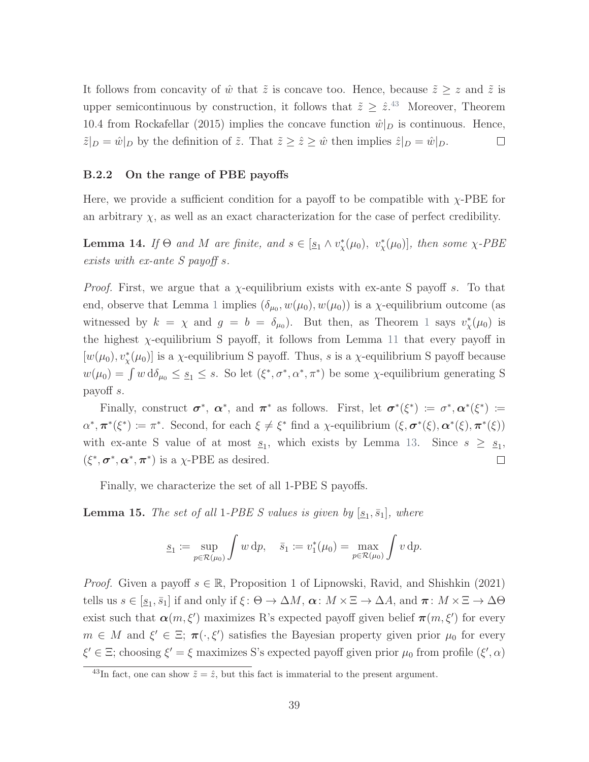It follows from concavity of  $\hat{w}$  that  $\tilde{z}$  is concave too. Hence, because  $\tilde{z} \geq z$  and  $\tilde{z}$  is upper semicontinuous by construction, it follows that  $\tilde{z} \geq \hat{z}^{43}$  $\tilde{z} \geq \hat{z}^{43}$  $\tilde{z} \geq \hat{z}^{43}$  Moreover, Theorem 10.4 from [Rockafellar](#page-45-1) [\(2015\)](#page-45-1) implies the concave function  $\hat{w}|_D$  is continuous. Hence,  $\tilde{z}|_D = \hat{w}|_D$  by the definition of  $\tilde{z}$ . That  $\tilde{z} \geq \hat{z} \geq \hat{w}$  then implies  $\hat{z}|_D = \hat{w}|_D$ .  $\Box$ 

#### B.2.2 On the range of PBE payoffs

Here, we provide a sufficient condition for a payoff to be compatible with  $\chi$ -PBE for an arbitrary  $\chi$ , as well as an exact characterization for the case of perfect credibility.

<span id="page-85-0"></span>**Lemma 14.** If  $\Theta$  and M are finite, and  $s \in [\underline{s_1} \wedge v_x^*(\mu_0), v_x^*(\mu_0)]$ , then some  $\chi$ -PBE exists with ex-ante S payoff s.

*Proof.* First, we argue that a  $\chi$ -equilibrium exists with ex-ante S payoff s. To that end, observe that Lemma [1](#page-48-0) implies  $(\delta_{\mu_0}, w(\mu_0), w(\mu_0))$  is a  $\chi$ -equilibrium outcome (as witnessed by  $k = \chi$  and  $g = b = \delta_{\mu_0}$ . But then, as Theorem [1](#page-17-0) says  $v^*_{\chi}(\mu_0)$  is the highest  $\chi$ -equilibrium S payoff, it follows from Lemma [11](#page-80-0) that every payoff in  $[w(\mu_0), v^*_{\chi}(\mu_0)]$  is a  $\chi$ -equilibrium S payoff. Thus, s is a  $\chi$ -equilibrium S payoff because  $w(\mu_0) = \int w d\delta_{\mu_0} \leq \underline{s}_1 \leq s$ . So let  $(\xi^*, \sigma^*, \alpha^*, \pi^*)$  be some  $\chi$ -equilibrium generating S payoff s.

Finally, construct  $\sigma^*$ ,  $\alpha^*$ , and  $\pi^*$  as follows. First, let  $\sigma^*(\xi^*) \coloneqq \sigma^*, \alpha^*(\xi^*) \coloneqq$  $\alpha^*, \pi^*(\xi^*) \coloneqq \pi^*.$  Second, for each  $\xi \neq \xi^*$  find a  $\chi$ -equilibrium  $(\xi, \sigma^*(\xi), \alpha^*(\xi), \pi^*(\xi))$ with ex-ante S value of at most  $s_1$ , which exists by Lemma [13.](#page-84-0) Since  $s \geq s_1$ ,  $(\xi^*, \sigma^*, \alpha^*, \pi^*)$  is a  $\chi$ -PBE as desired.  $\Box$ 

Finally, we characterize the set of all 1-PBE S payoffs.

<span id="page-85-1"></span>**Lemma 15.** The set of all 1-PBE S values is given by  $[\underline{s}_1, \overline{s}_1]$ , where

$$
\underline{s}_1 := \sup_{p \in \mathcal{R}(\mu_0)} \int w \, dp, \quad \bar{s}_1 := v_1^*(\mu_0) = \max_{p \in \mathcal{R}(\mu_0)} \int v \, dp.
$$

*Proof.* Given a payoff  $s \in \mathbb{R}$ , Proposition 1 of [Lipnowski, Ravid, and Shishkin](#page-45-2) [\(2021\)](#page-45-2) tells us  $s \in [\underline{s}_1, \overline{s}_1]$  if and only if  $\xi : \Theta \to \Delta M$ ,  $\alpha : M \times \Xi \to \Delta A$ , and  $\pi : M \times \Xi \to \Delta \Theta$ exist such that  $\alpha(m,\xi')$  maximizes R's expected payoff given belief  $\pi(m,\xi')$  for every  $m \in M$  and  $\xi' \in \Xi$ ;  $\pi(\cdot, \xi')$  satisfies the Bayesian property given prior  $\mu_0$  for every  $\xi' \in \Xi$ ; choosing  $\xi' = \xi$  maximizes S's expected payoff given prior  $\mu_0$  from profile  $(\xi', \alpha)$ 

<sup>&</sup>lt;sup>43</sup>In fact, one can show  $\tilde{z} = \hat{z}$ , but this fact is immaterial to the present argument.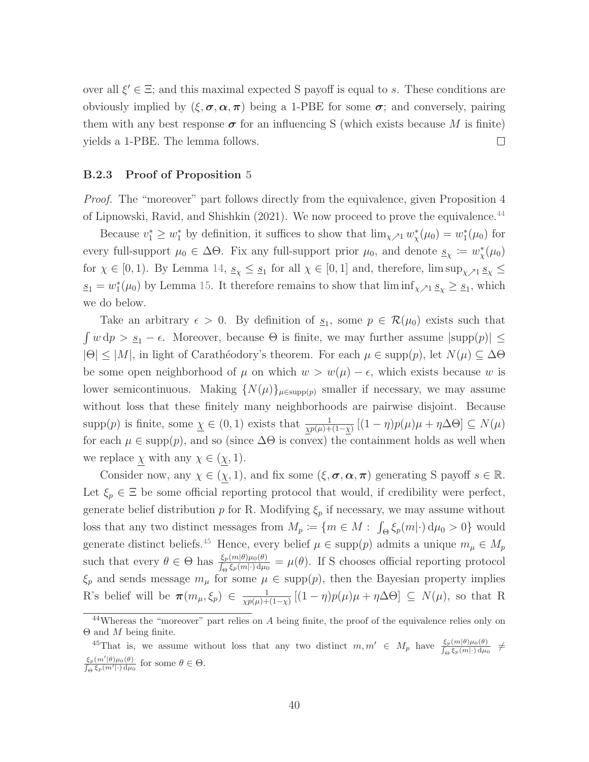over all  $\xi' \in \Xi$ ; and this maximal expected S payoff is equal to s. These conditions are obviously implied by  $(\xi, \sigma, \alpha, \pi)$  being a 1-PBE for some  $\sigma$ ; and conversely, pairing them with any best response  $\sigma$  for an influencing S (which exists because M is finite) yields a 1-PBE. The lemma follows.  $\Box$ 

#### B.2.3 Proof of Proposition [5](#page-82-0)

Proof. The "moreover" part follows directly from the equivalence, given Proposition 4 of [Lipnowski, Ravid, and Shishkin](#page-45-2) [\(2021\)](#page-45-2). We now proceed to prove the equivalence.<sup>[44](#page-0-0)</sup>

Because  $v_1^* \geq w_1^*$  by definition, it suffices to show that  $\lim_{\chi \nearrow 1} w_{\chi}^*(\mu_0) = w_1^*(\mu_0)$  for every full-support  $\mu_0 \in \Delta\Theta$ . Fix any full-support prior  $\mu_0$ , and denote  $\underline{s}_{\chi} := w_{\chi}^*(\mu_0)$ for  $\chi \in [0,1)$ . By Lemma [14,](#page-85-0)  $\underline{s}_{\chi} \leq \underline{s}_1$  for all  $\chi \in [0,1]$  and, therefore,  $\limsup_{\chi \nearrow 1} \underline{s}_{\chi} \leq$  $s_1 = w_1^*(\mu_0)$  by Lemma [15.](#page-85-1) It therefore remains to show that  $\liminf_{\chi \nearrow 1} s_\chi \ge s_1$ , which we do below.

Take an arbitrary  $\epsilon > 0$ . By definition of  $s_1$ , some  $p \in \mathcal{R}(\mu_0)$  exists such that  $\int w \, dp > S_1 - \epsilon$ . Moreover, because  $\Theta$  is finite, we may further assume  $|\text{supp}(p)| \le$  $|\Theta| \leq |M|$ , in light of Carathéodory's theorem. For each  $\mu \in \text{supp}(p)$ , let  $N(\mu) \subseteq \Delta\Theta$ be some open neighborhood of  $\mu$  on which  $w > w(\mu) - \epsilon$ , which exists because w is lower semicontinuous. Making  $\{N(\mu)\}_{\mu \in \text{supp}(p)}$  smaller if necessary, we may assume without loss that these finitely many neighborhoods are pairwise disjoint. Because supp(p) is finite, some  $\underline{\chi} \in (0,1)$  exists that  $\frac{1}{\chi p(\mu)+(1-\chi)}[(1-\eta)p(\mu)\mu+\eta\Delta\Theta] \subseteq N(\mu)$ for each  $\mu \in \text{supp}(p)$ , and so (since  $\Delta\Theta$  is convex) the containment holds as well when we replace  $\chi$  with any  $\chi \in (\chi, 1)$ .

Consider now, any  $\chi \in (\chi, 1)$ , and fix some  $(\xi, \sigma, \alpha, \pi)$  generating S payoff  $s \in \mathbb{R}$ . Let  $\xi_p \in \Xi$  be some official reporting protocol that would, if credibility were perfect, generate belief distribution p for R. Modifying  $\xi_p$  if necessary, we may assume without loss that any two distinct messages from  $M_p := \{m \in M : \int_{\Theta} \xi_p(m|\cdot) d\mu_0 > 0\}$  would generate distinct beliefs.<sup>[45](#page-0-0)</sup> Hence, every belief  $\mu \in \text{supp}(p)$  admits a unique  $m_{\mu} \in M_p$ such that every  $\theta \in \Theta$  has  $\frac{\xi_p(m|\theta)\mu_0(\theta)}{\int_{\Theta} \xi_p(m|\cdot) d\mu_0} = \mu(\theta)$ . If S chooses official reporting protocol  $\xi_p$  and sends message  $m_\mu$  for some  $\mu \in \text{supp}(p)$ , then the Bayesian property implies R's belief will be  $\pi(m_\mu,\xi_p) \in \frac{1}{\sqrt{m(\mu)+1}}$  $\frac{1}{\chi p(\mu)+(1-\chi)}\left[(1-\eta)p(\mu)\mu+\eta\Delta\Theta\right] \subseteq N(\mu)$ , so that R

<sup>&</sup>lt;sup>44</sup>Whereas the "moreover" part relies on A being finite, the proof of the equivalence relies only on  $\Theta$  and M being finite.

<sup>&</sup>lt;sup>45</sup>That is, we assume without loss that any two distinct  $m, m' \in M_p$  have  $\frac{\xi_p(m|\theta)\mu_0(\theta)}{\int_{\Theta} \xi_p(m|\cdot) d\mu_0}$   $\neq$  $\frac{\xi_p(m'|\theta)\mu_0(\theta)}{\int_{\Theta}\xi_p(m'|\cdot)\,d\mu_0}$  for some  $\theta \in \Theta$ .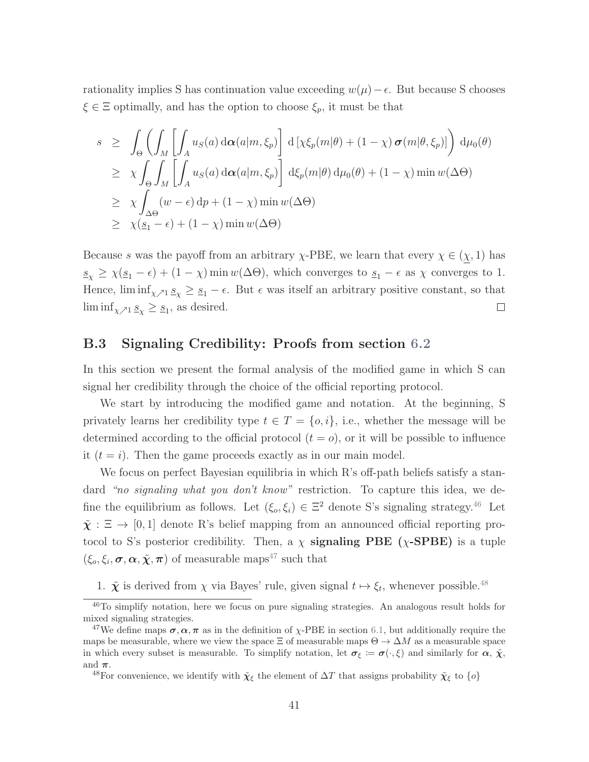rationality implies S has continuation value exceeding  $w(\mu) - \epsilon$ . But because S chooses  $\xi \in \Xi$  optimally, and has the option to choose  $\xi_p$ , it must be that

$$
s \geq \int_{\Theta} \left( \int_{M} \left[ \int_{A} u_{S}(a) d\boldsymbol{\alpha}(a|m, \xi_{p}) \right] d\left[ \chi \xi_{p}(m|\theta) + (1 - \chi) \boldsymbol{\sigma}(m|\theta, \xi_{p}) \right] d\mu_{0}(\theta) \n\geq \chi \int_{\Theta} \int_{M} \left[ \int_{A} u_{S}(a) d\boldsymbol{\alpha}(a|m, \xi_{p}) \right] d\xi_{p}(m|\theta) d\mu_{0}(\theta) + (1 - \chi) \min w(\Delta\Theta) \n\geq \chi \int_{\Delta\Theta} (w - \epsilon) dp + (1 - \chi) \min w(\Delta\Theta) \n\geq \chi(\underline{s}_{1} - \epsilon) + (1 - \chi) \min w(\Delta\Theta)
$$

Because s was the payoff from an arbitrary  $\chi$ -PBE, we learn that every  $\chi \in (\chi, 1)$  has  $s_{\chi} \geq \chi(s_1 - \epsilon) + (1 - \chi) \min w(\Delta \Theta)$ , which converges to  $s_1 - \epsilon$  as  $\chi$  converges to 1. Hence,  $\liminf_{\chi \nearrow 1} \underline{s}_{\chi} \geq \underline{s}_{1} - \epsilon$ . But  $\epsilon$  was itself an arbitrary positive constant, so that  $\liminf_{\chi \nearrow 1} \underline{s}_{\chi} \geq \underline{s}_1$ , as desired.  $\Box$ 

# B.3 Signaling Credibility: Proofs from section [6.2](#page-36-1)

In this section we present the formal analysis of the modified game in which S can signal her credibility through the choice of the official reporting protocol.

We start by introducing the modified game and notation. At the beginning, S privately learns her credibility type  $t \in T = \{o, i\}$ , i.e., whether the message will be determined according to the official protocol  $(t = o)$ , or it will be possible to influence it  $(t = i)$ . Then the game proceeds exactly as in our main model.

We focus on perfect Bayesian equilibria in which R's off-path beliefs satisfy a standard "no signaling what you don't know" restriction. To capture this idea, we define the equilibrium as follows. Let  $(\xi_o, \xi_i) \in \Xi^2$  denote S's signaling strategy.<sup>[46](#page-0-0)</sup> Let  $\tilde{\chi} : \Xi \to [0,1]$  denote R's belief mapping from an announced official reporting protocol to S's posterior credibility. Then, a  $\chi$  signaling PBE ( $\chi$ -SPBE) is a tuple  $(\xi_o, \xi_i, \sigma, \alpha, \tilde{\chi}, \pi)$  of measurable maps<sup>[47](#page-0-0)</sup> such that

1.  $\tilde{\chi}$  is derived from  $\chi$  via Bayes' rule, given signal  $t \mapsto \xi_t$ , whenever possible.<sup>[48](#page-0-0)</sup>

<sup>46</sup>To simplify notation, here we focus on pure signaling strategies. An analogous result holds for mixed signaling strategies.

<sup>&</sup>lt;sup>47</sup>We define maps  $\sigma, \alpha, \pi$  as in the definition of x-PBE in section [6.1,](#page-35-1) but additionally require the maps be measurable, where we view the space  $\Xi$  of measurable maps  $\Theta \to \Delta M$  as a measurable space in which every subset is measurable. To simplify notation, let  $\sigma_{\xi} := \sigma(\cdot, \xi)$  and similarly for  $\alpha$ ,  $\tilde{\chi}$ , and  $\pi$ .

<sup>&</sup>lt;sup>48</sup>For convenience, we identify with  $\tilde{\chi}_{\xi}$  the element of  $\Delta T$  that assigns probability  $\tilde{\chi}_{\xi}$  to  $\{o\}$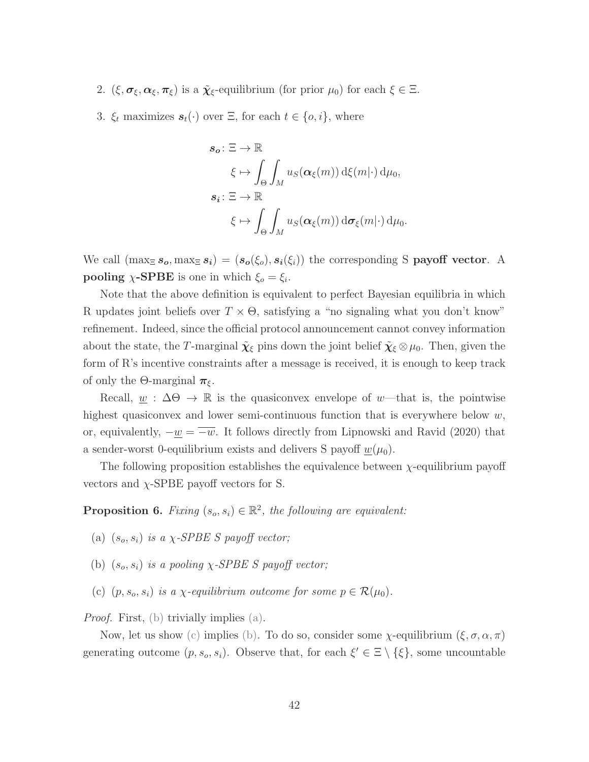- 2.  $(\xi, \sigma_{\xi}, \alpha_{\xi}, \pi_{\xi})$  is a  $\tilde{\chi}_{\xi}$ -equilibrium (for prior  $\mu_0$ ) for each  $\xi \in \Xi$ .
- 3.  $\xi_t$  maximizes  $s_t(\cdot)$  over  $\Xi$ , for each  $t \in \{o, i\}$ , where

$$
s_o: \Xi \to \mathbb{R}
$$
  

$$
\xi \mapsto \int_{\Theta} \int_M u_S(\alpha_{\xi}(m)) d\xi(m) d\mu_0,
$$
  

$$
s_i: \Xi \to \mathbb{R}
$$
  

$$
\xi \mapsto \int_{\Theta} \int_M u_S(\alpha_{\xi}(m)) d\sigma_{\xi}(m) d\mu_0.
$$

We call  $(\max_{\Xi} s_o, \max_{\Xi} s_i) = (s_o(\xi_o), s_i(\xi_i))$  the corresponding S **payoff vector**. A **pooling**  $\chi$ -**SPBE** is one in which  $\xi_o = \xi_i$ .

Note that the above definition is equivalent to perfect Bayesian equilibria in which R updates joint beliefs over  $T \times \Theta$ , satisfying a "no signaling what you don't know" refinement. Indeed, since the official protocol announcement cannot convey information about the state, the T-marginal  $\tilde{\chi}_{\xi}$  pins down the joint belief  $\tilde{\chi}_{\xi} \otimes \mu_0$ . Then, given the form of  $R$ 's incentive constraints after a message is received, it is enough to keep track of only the  $\Theta$ -marginal  $\pi_{\xi}$ .

Recall,  $w : \Delta \Theta \to \mathbb{R}$  is the quasiconvex envelope of w—that is, the pointwise highest quasiconvex and lower semi-continuous function that is everywhere below  $w$ , or, equivalently,  $-\underline{w} = \overline{-w}$ . It follows directly from [Lipnowski and Ravid](#page-45-0) [\(2020\)](#page-45-0) that a sender-worst 0-equilibrium exists and delivers S payoff  $w(\mu_0)$ .

The following proposition establishes the equivalence between *χ*-equilibrium payoff vectors and  $\chi$ -SPBE payoff vectors for S.

**Proposition 6.** Fixing  $(s_o, s_i) \in \mathbb{R}^2$ , the following are equivalent:

- <span id="page-88-1"></span>(a)  $(s_o, s_i)$  is a  $\chi$ -SPBE S payoff vector;
- <span id="page-88-0"></span>(b)  $(s_o, s_i)$  is a pooling  $\chi$ -SPBE S payoff vector;
- <span id="page-88-2"></span>(c)  $(p, s_o, s_i)$  is a *χ*-equilibrium outcome for some  $p \in \mathcal{R}(\mu_0)$ .

Proof. First, [\(b\)](#page-88-0) trivially implies [\(a\).](#page-88-1)

Now, let us show [\(c\)](#page-88-2) implies [\(b\).](#page-88-0) To do so, consider some  $\chi$ -equilibrium  $(\xi, \sigma, \alpha, \pi)$ generating outcome  $(p, s_o, s_i)$ . Observe that, for each  $\xi' \in \Xi \setminus {\xi}$ , some uncountable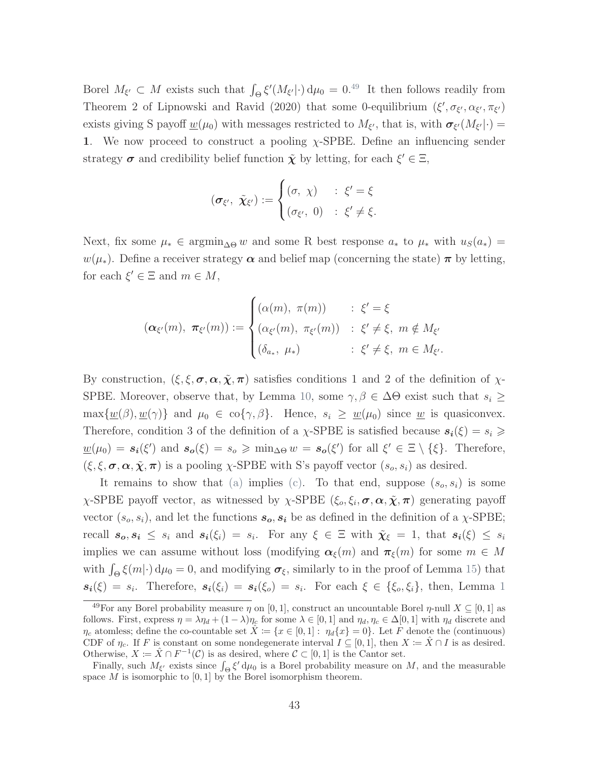Borel  $M_{\xi'} \subset M$  exists such that  $\int_{\Theta} \xi'(M_{\xi'}|\cdot) d\mu_0 = 0^{.49}$  $\int_{\Theta} \xi'(M_{\xi'}|\cdot) d\mu_0 = 0^{.49}$  $\int_{\Theta} \xi'(M_{\xi'}|\cdot) d\mu_0 = 0^{.49}$  It then follows readily from Theorem 2 of [Lipnowski and Ravid](#page-45-0) [\(2020\)](#page-45-0) that some 0-equilibrium  $(\xi', \sigma_{\xi'}, \alpha_{\xi'}, \pi_{\xi'})$ exists giving S payoff  $\underline{w}(\mu_0)$  with messages restricted to  $M_{\xi'}$ , that is, with  $\sigma_{\xi'}(M_{\xi'}|\cdot)$ 1. We now proceed to construct a pooling  $\chi$ -SPBE. Define an influencing sender strategy  $\sigma$  and credibility belief function  $\tilde{\chi}$  by letting, for each  $\xi' \in \Xi$ ,

$$
(\boldsymbol{\sigma}_{\xi'},\ \tilde{\boldsymbol{\chi}}_{\xi'}) := \begin{cases} (\sigma,\ \chi) & : \ \xi' = \xi \\ (\sigma_{\xi'},\ 0) & : \ \xi' \neq \xi. \end{cases}
$$

Next, fix some  $\mu_* \in \operatorname{argmin}_{\Delta \Theta} w$  and some R best response  $a_*$  to  $\mu_*$  with  $u_S(a_*) =$  $w(\mu_*)$ . Define a receiver strategy  $\alpha$  and belief map (concerning the state)  $\pi$  by letting, for each  $\xi' \in \Xi$  and  $m \in M$ ,

$$
(\boldsymbol{\alpha}_{\xi'}(m), \boldsymbol{\pi}_{\xi'}(m)) := \begin{cases} (\alpha(m), \boldsymbol{\pi}(m)) & : \xi' = \xi \\ (\alpha_{\xi'}(m), \boldsymbol{\pi}_{\xi'}(m)) & : \xi' \neq \xi, \ m \notin M_{\xi'} \\ (\delta_{a_*}, \mu_*) & : \xi' \neq \xi, \ m \in M_{\xi'}.\end{cases}
$$

By construction,  $(\xi, \xi, \sigma, \alpha, \tilde{\chi}, \pi)$  satisfies conditions 1 and 2 of the definition of  $\chi$ -SPBE. Moreover, observe that, by Lemma [10,](#page-79-1) some  $\gamma, \beta \in \Delta \Theta$  exist such that  $s_i \geq$  $\max\{\underline{w}(\beta), \underline{w}(\gamma)\}\$ and  $\mu_0 \in \text{co}\{\gamma, \beta\}.$  Hence,  $s_i \geq \underline{w}(\mu_0)$  since  $\underline{w}$  is quasiconvex. Therefore, condition 3 of the definition of a  $\chi$ -SPBE is satisfied because  $s_i(\xi) = s_i \geq$  $\underline{w}(\mu_0) = s_i(\xi')$  and  $s_o(\xi) = s_o \geqslant \min_{\Delta \Theta} w = s_o(\xi')$  for all  $\xi' \in \Xi \setminus {\xi}.$  Therefore,  $(\xi, \xi, \sigma, \alpha, \tilde{\chi}, \pi)$  is a pooling  $\chi$ -SPBE with S's payoff vector  $(s_o, s_i)$  as desired.

It remains to show that [\(a\)](#page-88-1) implies [\(c\).](#page-88-2) To that end, suppose  $(s_o, s_i)$  is some  $\chi$ -SPBE payoff vector, as witnessed by  $\chi$ -SPBE  $(\xi_o, \xi_i, \sigma, \alpha, \tilde{\chi}, \pi)$  generating payoff vector  $(s_o, s_i)$ , and let the functions  $s_o, s_i$  be as defined in the definition of a  $\chi$ -SPBE; recall  $s_o, s_i \leq s_i$  and  $s_i(\xi_i) = s_i$ . For any  $\xi \in \Xi$  with  $\tilde{\chi}_{\xi} = 1$ , that  $s_i(\xi) \leq s_i$ implies we can assume without loss (modifying  $\alpha_{\xi}(m)$  and  $\pi_{\xi}(m)$  for some  $m \in M$ with  $\int_{\Theta} \xi(m|\cdot) d\mu_0 = 0$ , and modifying  $\sigma_{\xi}$ , similarly to in the proof of Lemma [15\)](#page-85-1) that  $s_i(\xi) = s_i$ . Therefore,  $s_i(\xi_i) = s_i(\xi_o) = s_i$ . For each  $\xi \in {\xi_o, \xi_i}$ , then, Lemma [1](#page-48-0)

<sup>&</sup>lt;sup>49</sup>For any Borel probability measure  $\eta$  on [0, 1], construct an uncountable Borel  $\eta$ -null  $X \subseteq [0,1]$  as follows. First, express  $\eta = \lambda \eta_d + (1 - \lambda) \eta_c$  for some  $\lambda \in [0, 1]$  and  $\eta_d, \eta_c \in \Delta[0, 1]$  with  $\eta_d$  discrete and  $\eta_c$  atomless; define the co-countable set  $X := \{x \in [0,1]: \eta_d\{x\} = 0\}$ . Let F denote the (continuous) CDF of  $\eta_c$ . If F is constant on some nondegenerate interval  $I \subseteq [0,1]$ , then  $X := \overline{X} \cap I$  is as desired. Otherwise,  $X := \hat{X} \cap F^{-1}(\mathcal{C})$  is as desired, where  $\mathcal{C} \subset [0,1]$  is the Cantor set.

Finally, such  $M_{\xi'}$  exists since  $\int_{\Theta} \xi' d\mu_0$  is a Borel probability measure on M, and the measurable space  $M$  is isomorphic to  $[0, 1]$  by the Borel isomorphism theorem.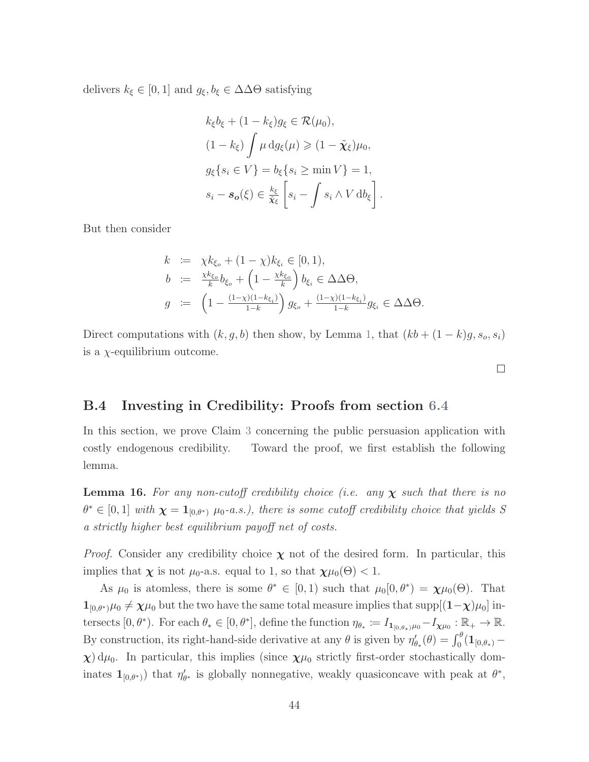delivers  $k_{\xi} \in [0, 1]$  and  $g_{\xi}, b_{\xi} \in \Delta \Delta \Theta$  satisfying

$$
k_{\xi}b_{\xi} + (1 - k_{\xi})g_{\xi} \in \mathcal{R}(\mu_0),
$$
  
\n
$$
(1 - k_{\xi}) \int \mu \, dg_{\xi}(\mu) \geq (1 - \tilde{\chi}_{\xi})\mu_0,
$$
  
\n
$$
g_{\xi}\{s_i \in V\} = b_{\xi}\{s_i \geq \min V\} = 1,
$$
  
\n
$$
s_i - s_o(\xi) \in \frac{k_{\xi}}{\tilde{\chi}_{\xi}} \left[s_i - \int s_i \wedge V \, db_{\xi}\right]
$$

.

But then consider

$$
k := \chi k_{\xi_o} + (1 - \chi) k_{\xi_i} \in [0, 1),
$$
  
\n
$$
b := \frac{\chi k_{\xi_o}}{k} b_{\xi_o} + \left(1 - \frac{\chi k_{\xi_o}}{k}\right) b_{\xi_i} \in \Delta \Delta \Theta,
$$
  
\n
$$
g := \left(1 - \frac{(1 - \chi)(1 - k_{\xi_i})}{1 - k}\right) g_{\xi_o} + \frac{(1 - \chi)(1 - k_{\xi_i})}{1 - k} g_{\xi_i} \in \Delta \Delta \Theta.
$$

Direct computations with  $(k, g, b)$  then show, by Lemma [1,](#page-48-0) that  $(kb + (1 - k)g, s_o, s_i)$ is a  $\chi$ -equilibrium outcome.

 $\Box$ 

# B.4 Investing in Credibility: Proofs from section [6.4](#page-38-1)

In this section, we prove Claim [3](#page-40-0) concerning the public persuasion application with costly endogenous credibility. Toward the proof, we first establish the following lemma.

<span id="page-90-0"></span>**Lemma 16.** For any non-cutoff credibility choice (i.e. any  $\chi$  such that there is no  $\theta^* \in [0,1]$  with  $\chi = \mathbf{1}_{[0,\theta^*)}$   $\mu_0$ -a.s.), there is some cutoff credibility choice that yields S a strictly higher best equilibrium payoff net of costs.

*Proof.* Consider any credibility choice  $\chi$  not of the desired form. In particular, this implies that  $\chi$  is not  $\mu_0$ -a.s. equal to 1, so that  $\chi\mu_0(\Theta) < 1$ .

As  $\mu_0$  is atomless, there is some  $\theta^* \in [0,1)$  such that  $\mu_0[0,\theta^*) = \chi \mu_0(\Theta)$ . That  $1_{[0,\theta^*)}\mu_0 \neq \chi\mu_0$  but the two have the same total measure implies that supp $[(1-\chi)\mu_0]$  intersects  $[0, \theta^*)$ . For each  $\theta_* \in [0, \theta^*]$ , define the function  $\eta_{\theta_*} := I_{\mathbf{1}_{[0, \theta_*]} \mu_0} - I_{\mathbf{X} \mu_0} : \mathbb{R}_+ \to \mathbb{R}$ . By construction, its right-hand-side derivative at any  $\theta$  is given by  $\eta'_{\theta_*}(\theta) = \int_0^{\theta} (\mathbf{1}_{[0,\theta_*)} \chi$ ) d $\mu$ <sub>0</sub>. In particular, this implies (since  $\chi\mu$ <sub>0</sub> strictly first-order stochastically dominates  $\mathbf{1}_{[0,\theta^*)}$  that  $\eta'_{\theta^*}$  is globally nonnegative, weakly quasiconcave with peak at  $\theta^*$ ,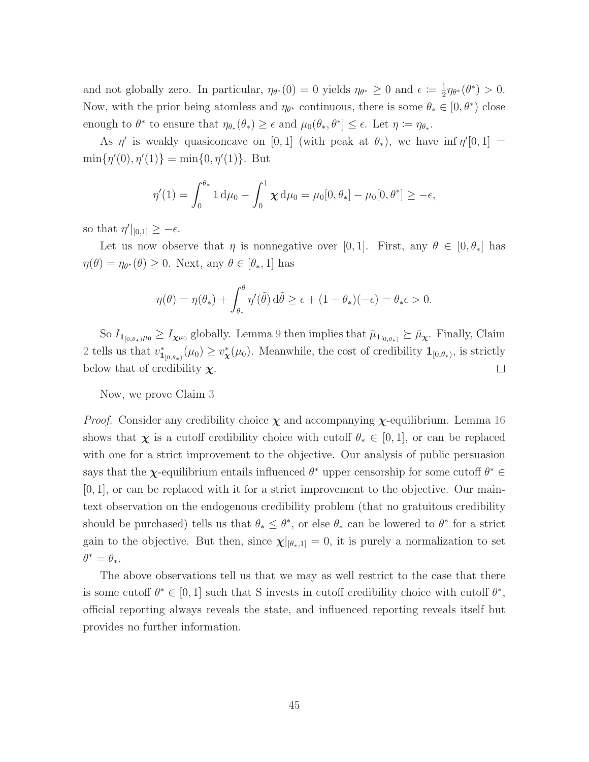and not globally zero. In particular,  $\eta_{\theta^*}(0) = 0$  yields  $\eta_{\theta^*} \geq 0$  and  $\epsilon \coloneqq \frac{1}{2}$  $\frac{1}{2}\eta_{\theta^*}(\theta^*) > 0.$ Now, with the prior being atomless and  $\eta_{\theta^*}$  continuous, there is some  $\theta_* \in [0, \theta^*)$  close enough to  $\theta^*$  to ensure that  $\eta_{\theta_*}(\theta_*) \geq \epsilon$  and  $\mu_0(\theta_*, \theta^*] \leq \epsilon$ . Let  $\eta := \eta_{\theta_*}$ .

As  $\eta'$  is weakly quasiconcave on [0, 1] (with peak at  $\theta_*$ ), we have inf  $\eta'[0,1] =$  $\min\{\eta'(0), \eta'(1)\} = \min\{0, \eta'(1)\}.$  But

$$
\eta'(1) = \int_0^{\theta_*} 1 \, \mathrm{d}\mu_0 - \int_0^1 \chi \, \mathrm{d}\mu_0 = \mu_0[0, \theta_*] - \mu_0[0, \theta^*] \ge -\epsilon,
$$

so that  $\eta' \mid_{[0,1]} \geq -\epsilon$ .

Let us now observe that  $\eta$  is nonnegative over [0, 1]. First, any  $\theta \in [0, \theta_*]$  has  $\eta(\theta) = \eta_{\theta^*}(\theta) \geq 0$ . Next, any  $\theta \in [\theta_*, 1]$  has

$$
\eta(\theta) = \eta(\theta_*) + \int_{\theta_*}^{\theta} \eta'(\tilde{\theta}) d\tilde{\theta} \ge \epsilon + (1 - \theta_*) (-\epsilon) = \theta_* \epsilon > 0.
$$

So  $I_{1_{[0,\theta_*)^{\mu_0}}} \geq I_{\chi\mu_0}$  globally. Lemma [9](#page-75-0) then implies that  $\bar{\mu}_{1_{[0,\theta_*)}} \succeq \bar{\mu}_{\chi}$ . Finally, Claim [2](#page-38-0) tells us that  $v_{\mathbf{1}_{[0,\theta_*)}}^*(\mu_0) \geq v_{\mathbf{X}}^*(\mu_0)$ . Meanwhile, the cost of credibility  $\mathbf{1}_{[0,\theta_*)}$ , is strictly below that of credibility  $\chi$ .  $\Box$ 

Now, we prove Claim [3](#page-40-0)

*Proof.* Consider any credibility choice  $\chi$  and accompanying  $\chi$ -equilibrium. Lemma [16](#page-90-0) shows that  $\chi$  is a cutoff credibility choice with cutoff  $\theta_* \in [0,1]$ , or can be replaced with one for a strict improvement to the objective. Our analysis of public persuasion says that the  $\chi$ -equilibrium entails influenced  $\theta^*$  upper censorship for some cutoff  $\theta^* \in$  $[0, 1]$ , or can be replaced with it for a strict improvement to the objective. Our maintext observation on the endogenous credibility problem (that no gratuitous credibility should be purchased) tells us that  $\theta_* \leq \theta^*$ , or else  $\theta_*$  can be lowered to  $\theta^*$  for a strict gain to the objective. But then, since  $\chi|_{[\theta_*,1]} = 0$ , it is purely a normalization to set  $\theta^* = \theta_*$ .

The above observations tell us that we may as well restrict to the case that there is some cutoff  $\theta^* \in [0,1]$  such that S invests in cutoff credibility choice with cutoff  $\theta^*$ , official reporting always reveals the state, and influenced reporting reveals itself but provides no further information.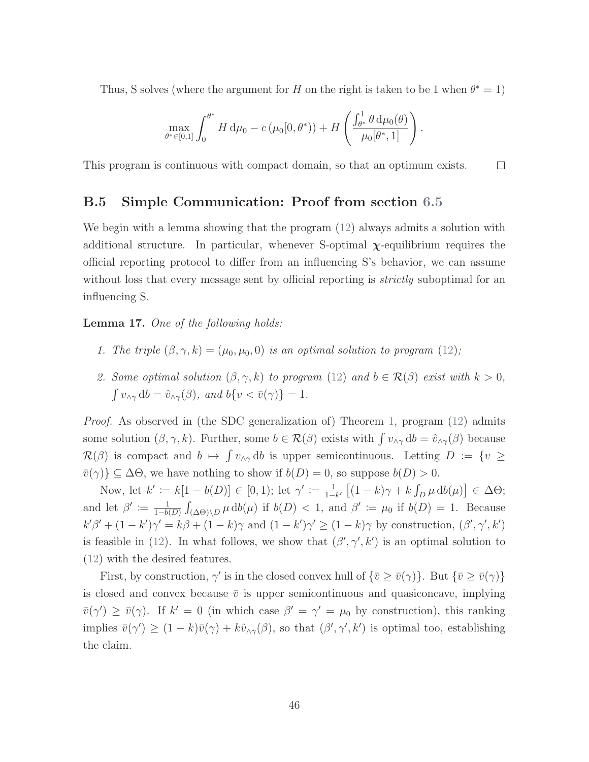Thus, S solves (where the argument for H on the right is taken to be 1 when  $\theta^* = 1$ )

$$
\max_{\theta^* \in [0,1]} \int_0^{\theta^*} H \, \mathrm{d}\mu_0 - c \left( \mu_0[0, \theta^*) \right) + H \left( \frac{\int_{\theta^*}^1 \theta \, \mathrm{d}\mu_0(\theta)}{\mu_0[\theta^*, 1]} \right).
$$

This program is continuous with compact domain, so that an optimum exists.  $\Box$ 

#### B.5 Simple Communication: Proof from section [6.5](#page-40-1)

We begin with a lemma showing that the program  $(12)$  always admits a solution with additional structure. In particular, whenever S-optimal  $\chi$ -equilibrium requires the official reporting protocol to differ from an influencing S's behavior, we can assume without loss that every message sent by official reporting is *strictly* suboptimal for an influencing S.

<span id="page-92-0"></span>Lemma 17. One of the following holds:

- 1. The triple  $(\beta, \gamma, k) = (\mu_0, \mu_0, 0)$  is an optimal solution to program [\(12\)](#page-37-0);
- 2. Some optimal solution  $(\beta, \gamma, k)$  to program  $(12)$  and  $b \in \mathcal{R}(\beta)$  exist with  $k > 0$ ,  $\int v_{\wedge \gamma} \, \mathrm{d}b = \hat{v}_{\wedge \gamma}(\beta)$ , and  $b\{v < \bar{v}(\gamma)\} = 1$ .

Proof. As observed in (the SDC generalization of) Theorem [1,](#page-17-0) program [\(12\)](#page-37-0) admits some solution  $(\beta, \gamma, k)$ . Further, some  $b \in \mathcal{R}(\beta)$  exists with  $\int v_{\gamma} dv = \hat{v}_{\gamma}(t)$  because  $\mathcal{R}(\beta)$  is compact and  $b \mapsto \int v_{\alpha\gamma} db$  is upper semicontinuous. Letting  $D := \{v \geq$  $\bar{v}(\gamma)\}\subseteq\Delta\Theta$ , we have nothing to show if  $b(D)=0$ , so suppose  $b(D)>0$ .

Now, let  $k' := k[1 - b(D)] \in [0, 1)$ ; let  $\gamma' := \frac{1}{1 - b(D)}$  $\frac{1}{1-k'} \left[ (1-k)\gamma + k \int_D \mu \, \mathrm{d}b(\mu) \right] \in \Delta\Theta;$ and let  $\beta' \coloneqq \frac{1}{1-h}$  $\frac{1}{1-b(D)} \int_{(\Delta\Theta)\backslash D} \mu \, db(\mu)$  if  $b(D) < 1$ , and  $\beta' \coloneqq \mu_0$  if  $b(D) = 1$ . Because  $k'\beta' + (1 - k')\gamma' = k\beta + (1 - k)\gamma$  and  $(1 - k')\gamma' \ge (1 - k)\gamma$  by construction,  $(\beta', \gamma', k')$ is feasible in [\(12\)](#page-37-0). In what follows, we show that  $(\beta', \gamma', k')$  is an optimal solution to [\(12\)](#page-37-0) with the desired features.

First, by construction,  $\gamma'$  is in the closed convex hull of  $\{\bar{v} \ge \bar{v}(\gamma)\}\)$ . But  $\{\bar{v} \ge \bar{v}(\gamma)\}\$ is closed and convex because  $\bar{v}$  is upper semicontinuous and quasiconcave, implying  $\bar{v}(\gamma') \geq \bar{v}(\gamma)$ . If  $k' = 0$  (in which case  $\beta' = \gamma' = \mu_0$  by construction), this ranking implies  $\bar{v}(\gamma') \geq (1 - k)\bar{v}(\gamma) + k\hat{v}_{\wedge \gamma}(\beta)$ , so that  $(\beta', \gamma', k')$  is optimal too, establishing the claim.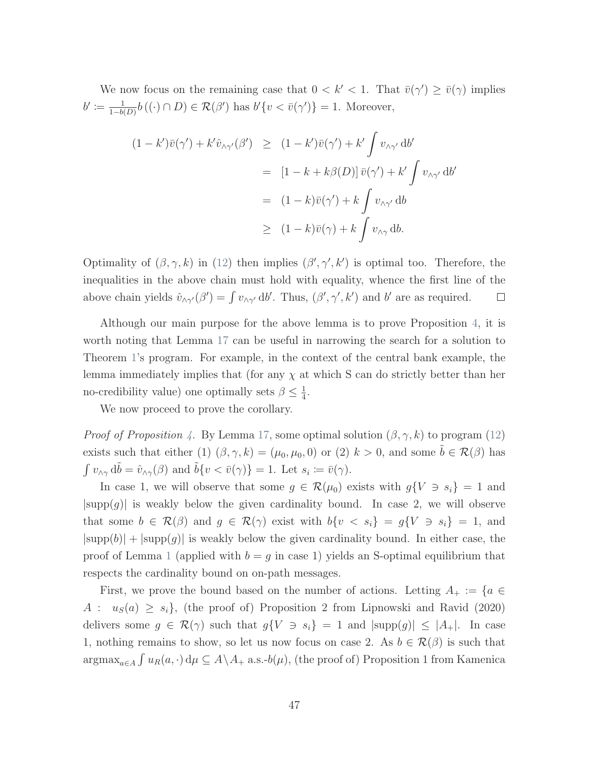We now focus on the remaining case that  $0 < k' < 1$ . That  $\bar{v}(\gamma) \geq \bar{v}(\gamma)$  implies  $b' \coloneqq \frac{1}{1-b}$  $\frac{1}{1-b(D)}b((\cdot) \cap D) \in \mathcal{R}(\beta')$  has  $b'\{v < \bar{v}(\gamma')\} = 1$ . Moreover,

$$
(1 - k')\overline{v}(\gamma') + k'\hat{v}_{\wedge \gamma'}(\beta') \ge (1 - k')\overline{v}(\gamma') + k' \int v_{\wedge \gamma'} \, \mathrm{d}b'
$$
  

$$
= [1 - k + k\beta(D)] \,\overline{v}(\gamma') + k' \int v_{\wedge \gamma'} \, \mathrm{d}b'
$$
  

$$
= (1 - k)\overline{v}(\gamma') + k \int v_{\wedge \gamma'} \, \mathrm{d}b
$$
  

$$
\ge (1 - k)\overline{v}(\gamma) + k \int v_{\wedge \gamma} \, \mathrm{d}b.
$$

Optimality of  $(\beta, \gamma, k)$  in [\(12\)](#page-37-0) then implies  $(\beta', \gamma', k')$  is optimal too. Therefore, the inequalities in the above chain must hold with equality, whence the first line of the above chain yields  $\hat{v}_{\wedge \gamma'}(\beta') = \int v_{\wedge \gamma'} \, d\beta'$ . Thus,  $(\beta', \gamma', k')$  and  $b'$  are as required.  $\Box$ 

Although our main purpose for the above lemma is to prove Proposition [4,](#page-40-2) it is worth noting that Lemma [17](#page-92-0) can be useful in narrowing the search for a solution to Theorem [1'](#page-17-0)s program. For example, in the context of the central bank example, the lemma immediately implies that (for any  $\chi$  at which S can do strictly better than her no-credibility value) one optimally sets  $\beta \leq \frac{1}{4}$  $\frac{1}{4}$ .

We now proceed to prove the corollary.

*Proof of Proposition [4.](#page-40-2)* By Lemma [17,](#page-92-0) some optimal solution  $(\beta, \gamma, k)$  to program [\(12\)](#page-37-0) exists such that either (1)  $(\beta, \gamma, k) = (\mu_0, \mu_0, 0)$  or (2)  $k > 0$ , and some  $\tilde{b} \in \mathcal{R}(\beta)$  has  $\int v_{\wedge \gamma} d\tilde{b} = \hat{v}_{\wedge \gamma}(\beta)$  and  $\tilde{b} \{v < \bar{v}(\gamma)\} = 1$ . Let  $s_i := \bar{v}(\gamma)$ .

In case 1, we will observe that some  $g \in \mathcal{R}(\mu_0)$  exists with  $g\{V \ni s_i\} = 1$  and  $|\text{supp}(g)|$  is weakly below the given cardinality bound. In case 2, we will observe that some  $b \in \mathcal{R}(\beta)$  and  $g \in \mathcal{R}(\gamma)$  exist with  $b\{v \leq s_i\} = g\{V \ni s_i\} = 1$ , and  $|\text{supp}(b)| + |\text{supp}(g)|$  is weakly below the given cardinality bound. In either case, the proof of Lemma [1](#page-48-0) (applied with  $b = q$  in case 1) yields an S-optimal equilibrium that respects the cardinality bound on on-path messages.

First, we prove the bound based on the number of actions. Letting  $A_+ := \{a \in$  $A: u_S(a) \geq s_i$ , (the proof of) Proposition 2 from [Lipnowski and Ravid](#page-45-0) [\(2020\)](#page-45-0) delivers some  $g \in \mathcal{R}(\gamma)$  such that  $g\{V \ni s_i\} = 1$  and  $|\text{supp}(g)| \leq |A_+|$ . In case 1, nothing remains to show, so let us now focus on case 2. As  $b \in \mathcal{R}(\beta)$  is such that  $\argmax_{a \in A} \int u_R(a, \cdot) d\mu \subseteq A \setminus A_+$  a.s.- $b(\mu)$ , (the proof of) Proposition 1 from [Kamenica](#page-44-0)